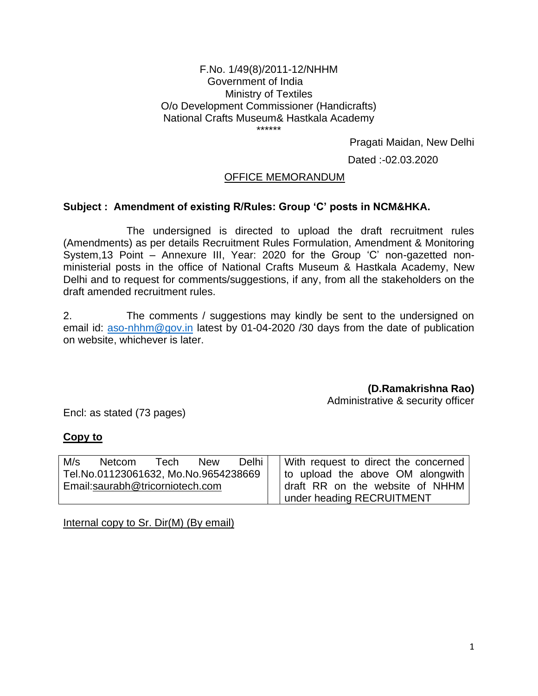### F.No. 1/49(8)/2011-12/NHHM Government of India Ministry of Textiles O/o Development Commissioner (Handicrafts) National Crafts Museum& Hastkala Academy \*\*\*\*\*\*

Pragati Maidan, New Delhi

Dated :-02.03.2020

## OFFICE MEMORANDUM

### **Subject : Amendment of existing R/Rules: Group 'C' posts in NCM&HKA.**

The undersigned is directed to upload the draft recruitment rules (Amendments) as per details Recruitment Rules Formulation, Amendment & Monitoring System,13 Point – Annexure III, Year: 2020 for the Group 'C' non-gazetted nonministerial posts in the office of National Crafts Museum & Hastkala Academy, New Delhi and to request for comments/suggestions, if any, from all the stakeholders on the draft amended recruitment rules.

2. The comments / suggestions may kindly be sent to the undersigned on email id: [aso-nhhm@gov.in](mailto:aso-nhhm@gov.in) latest by 01-04-2020 /30 days from the date of publication on website, whichever is later.

**(D.Ramakrishna Rao)**

Administrative & security officer

Encl: as stated (73 pages)

### **Copy to**

| M/s                             | <b>Netcom</b>                        | Tech | <b>New</b> | Delhi I                         | With request to direct the concerned |
|---------------------------------|--------------------------------------|------|------------|---------------------------------|--------------------------------------|
|                                 | Tel.No.01123061632, Mo.No.9654238669 |      |            |                                 | to upload the above OM alongwith     |
| Email:saurabh@tricorniotech.com |                                      |      |            | draft RR on the website of NHHM |                                      |
|                                 |                                      |      |            | I under heading RECRUITMENT     |                                      |

Internal copy to Sr. Dir(M) (By email)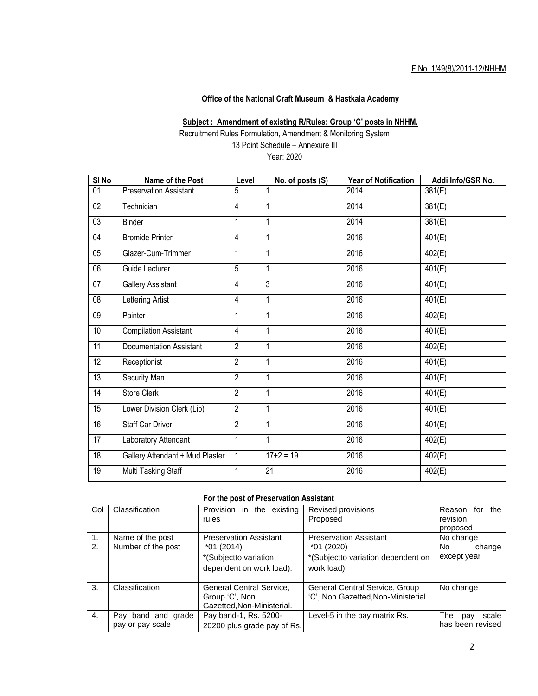### F.No. 1/49(8)/2011-12/NHHM

### **Office of the National Craft Museum & Hastkala Academy**

#### **Subject : Amendment of existing R/Rules: Group 'C' posts in NHHM.**

Recruitment Rules Formulation, Amendment & Monitoring System 13 Point Schedule – Annexure III Year: 2020

**SI No Name of the Post Level No. of posts (S) Year of Notification Addi Info/GSR No.** 01 Preservation Assistant 5 1 2014 381(E) 02 Technician 4 1 2014 381(E) 03 Binder 1 1 1 2014 381(E) 04 Bromide Printer 4 1 1 2016 401(E) 05 Glazer-Cum-Trimmer 1 1 1 2016 402(E) 06 Guide Lecturer 5 1 2016 401(E) 07 | Gallery Assistant | 4 | 3 | 2016 | 401(E) 08 Lettering Artist 4 1 2016 401(E) 09 Painter 1 1 1 2016 1020 | 2016 10 Compilation Assistant 4 1 2016 401(E) 11 | Documentation Assistant | 2 | 1 | 2016 | 2016 | 402(E) 12 Receptionist 2 1 2016 401(E) 13 Security Man 2 1 2016 401(E) 14 Store Clerk 2 2 1 2016 2016 2016 15 | Lower Division Clerk (Lib) | 2 | 1 | 2016 | 2016 | 401(E) 16 Staff Car Driver 2 1 1 2016 401(E) 17 | Laboratory Attendant | 1 | 1 | 2016 | 402(E) 18 Gallery Attendant + Mud Plaster 1 17+2 = 19 2016 402(E) 19 | Multi Tasking Staff | 1 | 21 | 2016 | 2016 | 402(E)

### **For the post of Preservation Assistant**

| Col | Classification     | Provision in the<br>existing                                             | Revised provisions                                                    | for the<br>Reason   |
|-----|--------------------|--------------------------------------------------------------------------|-----------------------------------------------------------------------|---------------------|
|     |                    | rules                                                                    | Proposed                                                              | revision            |
|     |                    |                                                                          |                                                                       | proposed            |
| 1.  | Name of the post   | <b>Preservation Assistant</b>                                            | <b>Preservation Assistant</b>                                         | No change           |
| 2.  | Number of the post | $*01(2014)$                                                              | $*01(2020)$                                                           | No.<br>change       |
|     |                    | *(Subjectto variation                                                    | *(Subjectto variation dependent on                                    | except year         |
|     |                    | dependent on work load).                                                 | work load).                                                           |                     |
| 3.  | Classification     | General Central Service,<br>Group 'C', Non<br>Gazetted, Non-Ministerial. | General Central Service, Group<br>'C', Non Gazetted, Non-Ministerial. | No change           |
| 4.  | Pay band and grade | Pay band-1, Rs. 5200-                                                    | Level-5 in the pay matrix Rs.                                         | The<br>scale<br>pay |
|     | pay or pay scale   | 20200 plus grade pay of Rs.                                              |                                                                       | has been revised    |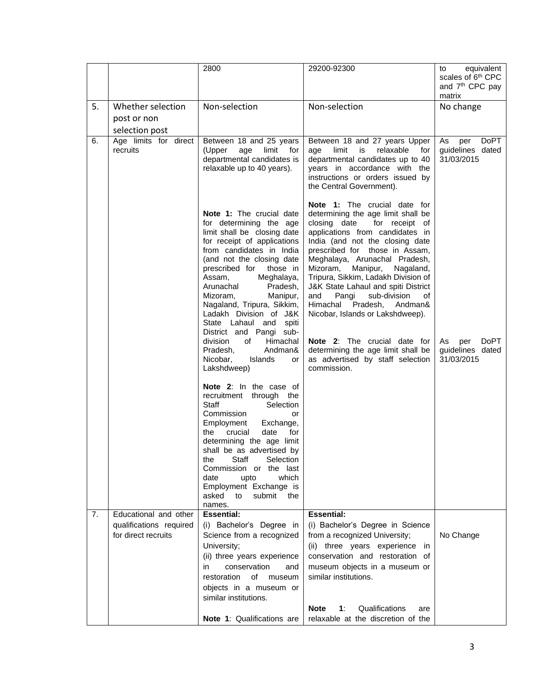|    |                                                | 2800                                                                                                                                                                                                                                                                                                                                                                                                                                 | 29200-92300                                                                                                                                                                                                                                                                                                                                                                                                                                                                                                                                                                                                                                        | equivalent<br>to<br>scales of 6 <sup>th</sup> CPC<br>and 7 <sup>th</sup> CPC pay<br>matrix |
|----|------------------------------------------------|--------------------------------------------------------------------------------------------------------------------------------------------------------------------------------------------------------------------------------------------------------------------------------------------------------------------------------------------------------------------------------------------------------------------------------------|----------------------------------------------------------------------------------------------------------------------------------------------------------------------------------------------------------------------------------------------------------------------------------------------------------------------------------------------------------------------------------------------------------------------------------------------------------------------------------------------------------------------------------------------------------------------------------------------------------------------------------------------------|--------------------------------------------------------------------------------------------|
| 5. | Whether selection                              | Non-selection                                                                                                                                                                                                                                                                                                                                                                                                                        | Non-selection                                                                                                                                                                                                                                                                                                                                                                                                                                                                                                                                                                                                                                      | No change                                                                                  |
|    | post or non                                    |                                                                                                                                                                                                                                                                                                                                                                                                                                      |                                                                                                                                                                                                                                                                                                                                                                                                                                                                                                                                                                                                                                                    |                                                                                            |
|    | selection post                                 |                                                                                                                                                                                                                                                                                                                                                                                                                                      |                                                                                                                                                                                                                                                                                                                                                                                                                                                                                                                                                                                                                                                    |                                                                                            |
| 6. | Age limits for direct<br>recruits              | Between 18 and 25 years<br>(Upper<br>limit for<br>age<br>departmental candidates is<br>relaxable up to 40 years).<br>Note 1: The crucial date<br>for determining the age<br>limit shall be closing date<br>for receipt of applications<br>from candidates in India<br>(and not the closing date<br>those in<br>prescribed for<br>Assam.<br>Meghalaya,<br>Arunachal<br>Pradesh,<br>Mizoram.<br>Manipur,<br>Nagaland, Tripura, Sikkim, | Between 18 and 27 years Upper<br>limit<br>is<br>relaxable for<br>age<br>departmental candidates up to 40<br>years in accordance with the<br>instructions or orders issued by<br>the Central Government).<br>Note 1: The crucial date for<br>determining the age limit shall be<br>closing date<br>for receipt of<br>applications from candidates in<br>India (and not the closing date<br>prescribed for those in Assam,<br>Meghalaya, Arunachal Pradesh,<br>Mizoram,<br>Manipur,<br>Nagaland,<br>Tripura, Sikkim, Ladakh Division of<br>J&K State Lahaul and spiti District<br>sub-division<br>and<br>Pangi<br>οf<br>Himachal<br>Pradesh, Andman& | As<br><b>DoPT</b><br>per<br>guidelines dated<br>31/03/2015                                 |
|    |                                                | Ladakh Division of J&K<br>State Lahaul and spiti<br>District and Pangi sub-<br>division<br>Himachal<br>of<br>Andman&<br>Pradesh,<br>Nicobar,<br>Islands<br>or<br>Lakshdweep)<br>Note 2: In the case of<br>through the<br>recruitment<br>Staff<br>Selection<br>Commission<br>or<br>Employment<br>Exchange,<br>crucial<br>date<br>the<br>for<br>determining the age limit<br>shall be as advertised by                                 | Nicobar, Islands or Lakshdweep).<br>Note 2: The crucial date for<br>determining the age limit shall be<br>as advertised by staff selection<br>commission.                                                                                                                                                                                                                                                                                                                                                                                                                                                                                          | <b>DoPT</b><br>As<br>per<br>guidelines dated<br>31/03/2015                                 |
|    |                                                | Staff<br>Selection<br>the<br>Commission or the last<br>which<br>date<br>upto<br>Employment Exchange is<br>asked<br>to<br>submit<br>the<br>names.                                                                                                                                                                                                                                                                                     |                                                                                                                                                                                                                                                                                                                                                                                                                                                                                                                                                                                                                                                    |                                                                                            |
| 7. | Educational and other                          | <b>Essential:</b>                                                                                                                                                                                                                                                                                                                                                                                                                    | <b>Essential:</b>                                                                                                                                                                                                                                                                                                                                                                                                                                                                                                                                                                                                                                  |                                                                                            |
|    | qualifications required<br>for direct recruits | (i) Bachelor's Degree in<br>Science from a recognized<br>University;<br>(ii) three years experience<br>conservation<br>in<br>and<br>restoration<br>of museum<br>objects in a museum or                                                                                                                                                                                                                                               | (i) Bachelor's Degree in Science<br>from a recognized University;<br>(ii) three years experience in<br>conservation and restoration of<br>museum objects in a museum or<br>similar institutions.                                                                                                                                                                                                                                                                                                                                                                                                                                                   | No Change                                                                                  |
|    |                                                | similar institutions.                                                                                                                                                                                                                                                                                                                                                                                                                |                                                                                                                                                                                                                                                                                                                                                                                                                                                                                                                                                                                                                                                    |                                                                                            |
|    |                                                | Note 1: Qualifications are                                                                                                                                                                                                                                                                                                                                                                                                           | <b>Note</b><br>1:<br>Qualifications<br>are<br>relaxable at the discretion of the                                                                                                                                                                                                                                                                                                                                                                                                                                                                                                                                                                   |                                                                                            |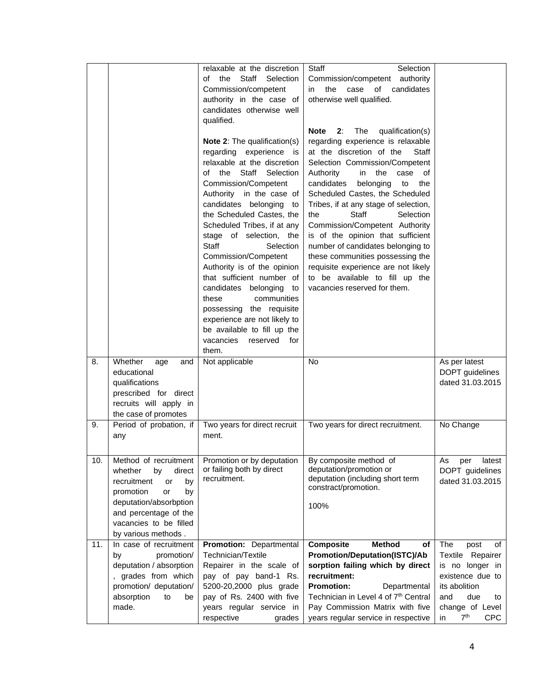|     |                                      | relaxable at the discretion<br>of the<br>Staff<br>Selection | Selection<br>Staff<br>Commission/competent authority |                                     |
|-----|--------------------------------------|-------------------------------------------------------------|------------------------------------------------------|-------------------------------------|
|     |                                      | Commission/competent                                        | of<br>candidates<br>the<br>case<br>in                |                                     |
|     |                                      | authority in the case of                                    | otherwise well qualified.                            |                                     |
|     |                                      | candidates otherwise well                                   |                                                      |                                     |
|     |                                      | qualified.                                                  |                                                      |                                     |
|     |                                      |                                                             | <b>Note</b><br>The<br>qualification(s)<br>2:         |                                     |
|     |                                      | Note 2: The qualification(s)                                | regarding experience is relaxable                    |                                     |
|     |                                      | regarding experience is                                     | at the discretion of the<br>Staff                    |                                     |
|     |                                      | relaxable at the discretion                                 | Selection Commission/Competent                       |                                     |
|     |                                      | of the<br>Staff Selection                                   | the<br>Authority<br>in<br>case<br>οf                 |                                     |
|     |                                      | Commission/Competent                                        | candidates<br>belonging<br>the<br>to                 |                                     |
|     |                                      | Authority in the case of                                    | Scheduled Castes, the Scheduled                      |                                     |
|     |                                      | candidates belonging<br>to                                  | Tribes, if at any stage of selection,                |                                     |
|     |                                      | the Scheduled Castes, the                                   | Staff<br>Selection<br>the                            |                                     |
|     |                                      | Scheduled Tribes, if at any                                 | Commission/Competent Authority                       |                                     |
|     |                                      | stage of selection, the                                     | is of the opinion that sufficient                    |                                     |
|     |                                      | Staff<br>Selection                                          | number of candidates belonging to                    |                                     |
|     |                                      | Commission/Competent                                        | these communities possessing the                     |                                     |
|     |                                      | Authority is of the opinion                                 | requisite experience are not likely                  |                                     |
|     |                                      | that sufficient number of                                   | to be available to fill up the                       |                                     |
|     |                                      | candidates belonging<br>to                                  | vacancies reserved for them.                         |                                     |
|     |                                      | communities<br>these                                        |                                                      |                                     |
|     |                                      | possessing the requisite                                    |                                                      |                                     |
|     |                                      | experience are not likely to                                |                                                      |                                     |
|     |                                      | be available to fill up the                                 |                                                      |                                     |
|     |                                      | vacancies<br>reserved<br>for                                |                                                      |                                     |
|     |                                      | them.                                                       | <b>No</b>                                            |                                     |
| 8.  | Whether<br>age<br>and<br>educational | Not applicable                                              |                                                      | As per latest<br>DOPT guidelines    |
|     | qualifications                       |                                                             |                                                      | dated 31.03.2015                    |
|     | prescribed for direct                |                                                             |                                                      |                                     |
|     | recruits will apply in               |                                                             |                                                      |                                     |
|     | the case of promotes                 |                                                             |                                                      |                                     |
| 9.  | Period of probation, if              | Two years for direct recruit                                | Two years for direct recruitment.                    | No Change                           |
|     | any                                  | ment.                                                       |                                                      |                                     |
|     |                                      |                                                             |                                                      |                                     |
| 10. | Method of recruitment                | Promotion or by deputation                                  | By composite method of                               | As<br>latest<br>per                 |
|     | whether<br>direct<br>by              | or failing both by direct                                   | deputation/promotion or                              | DOPT guidelines                     |
|     | recruitment<br>or<br>by              | recruitment.                                                | deputation (including short term                     | dated 31.03.2015                    |
|     | promotion<br>or<br>by                |                                                             | constract/promotion.                                 |                                     |
|     | deputation/absorbption               |                                                             | 100%                                                 |                                     |
|     | and percentage of the                |                                                             |                                                      |                                     |
|     | vacancies to be filled               |                                                             |                                                      |                                     |
|     | by various methods.                  |                                                             |                                                      |                                     |
| 11. | In case of recruitment               | Promotion: Departmental                                     | <b>Composite</b><br><b>Method</b><br>оf              | The<br>post<br>of                   |
|     | by<br>promotion/                     | Technician/Textile                                          | <b>Promotion/Deputation(ISTC)/Ab</b>                 | Textile Repairer                    |
|     | deputation / absorption              | Repairer in the scale of                                    | sorption failing which by direct                     | is no longer in                     |
|     | , grades from which                  | pay of pay band-1 Rs.                                       | recruitment:                                         | existence due to                    |
|     | promotion/ deputation/               | 5200-20,2000 plus grade                                     | <b>Promotion:</b><br>Departmental                    | its abolition                       |
|     | absorption<br>to<br>be               | pay of Rs. 2400 with five                                   | Technician in Level 4 of 7th Central                 | due<br>and<br>to                    |
|     | made.                                | years regular service in                                    | Pay Commission Matrix with five                      | change of Level                     |
|     |                                      | respective<br>grades                                        | years regular service in respective                  | 7 <sup>th</sup><br><b>CPC</b><br>in |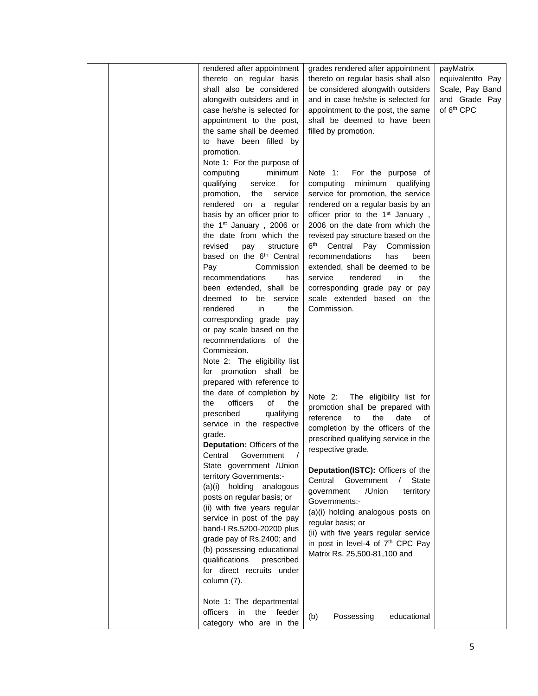|  | rendered after appointment           | grades rendered after appointment             | payMatrix              |
|--|--------------------------------------|-----------------------------------------------|------------------------|
|  | thereto on regular basis             | thereto on regular basis shall also           | equivalentto Pay       |
|  | shall also be considered             | be considered alongwith outsiders             | Scale, Pay Band        |
|  | alongwith outsiders and in           | and in case he/she is selected for            | and Grade Pay          |
|  | case he/she is selected for          | appointment to the post, the same             | of 6 <sup>th</sup> CPC |
|  | appointment to the post,             | shall be deemed to have been                  |                        |
|  | the same shall be deemed             | filled by promotion.                          |                        |
|  |                                      |                                               |                        |
|  | to have been filled by               |                                               |                        |
|  | promotion.                           |                                               |                        |
|  | Note 1: For the purpose of           |                                               |                        |
|  | computing<br>minimum                 | Note 1:<br>For the purpose of                 |                        |
|  | qualifying<br>service<br>for         | minimum qualifying<br>computing               |                        |
|  | service<br>promotion,<br>the         | service for promotion, the service            |                        |
|  | rendered on a regular                | rendered on a regular basis by an             |                        |
|  | basis by an officer prior to         | officer prior to the 1 <sup>st</sup> January, |                        |
|  | the 1 <sup>st</sup> January, 2006 or | 2006 on the date from which the               |                        |
|  | the date from which the              | revised pay structure based on the            |                        |
|  | revised<br>structure<br>pay          | 6 <sup>th</sup> Central Pay Commission        |                        |
|  | based on the 6 <sup>th</sup> Central | recommendations<br>has<br>been                |                        |
|  | Commission<br>Pay                    | extended, shall be deemed to be               |                        |
|  | recommendations<br>has               | service<br>rendered<br>in<br>the              |                        |
|  | been extended, shall be              | corresponding grade pay or pay                |                        |
|  | deemed to be service                 | scale extended based on the                   |                        |
|  | in<br>rendered<br>the                | Commission.                                   |                        |
|  | corresponding grade pay              |                                               |                        |
|  | or pay scale based on the            |                                               |                        |
|  | recommendations of the               |                                               |                        |
|  | Commission.                          |                                               |                        |
|  | Note 2: The eligibility list         |                                               |                        |
|  | for promotion shall be               |                                               |                        |
|  | prepared with reference to           |                                               |                        |
|  | the date of completion by            | Note 2:<br>The eligibility list for           |                        |
|  | officers<br>the<br>of<br>the         | promotion shall be prepared with              |                        |
|  | prescribed<br>qualifying             | reference<br>the<br>date<br>to<br>οf          |                        |
|  | service in the respective            | completion by the officers of the             |                        |
|  | grade.                               |                                               |                        |
|  | Deputation: Officers of the          | prescribed qualifying service in the          |                        |
|  | Central Government                   | respective grade.                             |                        |
|  | State government / Union             |                                               |                        |
|  | territory Governments:-              | Deputation(ISTC): Officers of the             |                        |
|  | (a)(i) holding analogous             | Central<br>Government<br><b>State</b>         |                        |
|  | posts on regular basis; or           | government<br>/Union<br>territory             |                        |
|  | (ii) with five years regular         | Governments:-                                 |                        |
|  | service in post of the pay           | (a)(i) holding analogous posts on             |                        |
|  | band-I Rs.5200-20200 plus            | regular basis; or                             |                        |
|  | grade pay of Rs.2400; and            | (ii) with five years regular service          |                        |
|  | (b) possessing educational           | in post in level-4 of 7 <sup>th</sup> CPC Pay |                        |
|  | qualifications<br>prescribed         | Matrix Rs. 25,500-81,100 and                  |                        |
|  | for direct recruits under            |                                               |                        |
|  | column (7).                          |                                               |                        |
|  |                                      |                                               |                        |
|  | Note 1: The departmental             |                                               |                        |
|  | officers<br>in<br>the<br>feeder      |                                               |                        |
|  | category who are in the              | Possessing<br>educational<br>(b)              |                        |
|  |                                      |                                               |                        |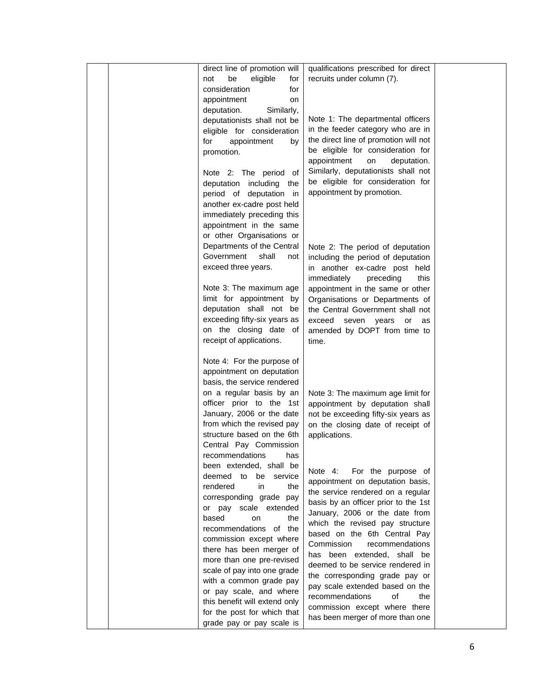| direct line of promotion will<br>be<br>eligible<br>for<br>not<br>consideration<br>for<br>appointment<br>on<br>deputation.<br>Similarly,<br>deputationists shall not be<br>eligible for consideration<br>for<br>appointment<br>by<br>promotion.<br>Note 2: The period of<br>deputation including the<br>period of deputation in<br>another ex-cadre post held<br>immediately preceding this<br>appointment in the same<br>or other Organisations or       | qualifications prescribed for direct<br>recruits under column (7).<br>Note 1: The departmental officers<br>in the feeder category who are in<br>the direct line of promotion will not<br>be eligible for consideration for<br>appointment<br>on<br>deputation.<br>Similarly, deputationists shall not<br>be eligible for consideration for<br>appointment by promotion.                                                                                                                                                           |  |
|----------------------------------------------------------------------------------------------------------------------------------------------------------------------------------------------------------------------------------------------------------------------------------------------------------------------------------------------------------------------------------------------------------------------------------------------------------|-----------------------------------------------------------------------------------------------------------------------------------------------------------------------------------------------------------------------------------------------------------------------------------------------------------------------------------------------------------------------------------------------------------------------------------------------------------------------------------------------------------------------------------|--|
| Departments of the Central<br>Government<br>shall<br>not<br>exceed three years.<br>Note 3: The maximum age<br>limit for appointment by<br>deputation shall not be<br>exceeding fifty-six years as<br>on the closing date of<br>receipt of applications.                                                                                                                                                                                                  | Note 2: The period of deputation<br>including the period of deputation<br>in another ex-cadre post held<br>immediately<br>this<br>preceding<br>appointment in the same or other<br>Organisations or Departments of<br>the Central Government shall not<br>exceed seven years<br>or<br>as<br>amended by DOPT from time to<br>time.                                                                                                                                                                                                 |  |
| Note 4: For the purpose of<br>appointment on deputation<br>basis, the service rendered<br>on a regular basis by an<br>officer prior to the 1st<br>January, 2006 or the date<br>from which the revised pay<br>structure based on the 6th<br>Central Pay Commission<br>recommendations<br>has                                                                                                                                                              | Note 3: The maximum age limit for<br>appointment by deputation shall<br>not be exceeding fifty-six years as<br>on the closing date of receipt of<br>applications.                                                                                                                                                                                                                                                                                                                                                                 |  |
| been extended, shall be<br>deemed to<br>service<br>be<br>rendered<br>in<br>the<br>corresponding grade pay<br>or pay scale extended<br>based<br>on<br>the<br>recommendations of the<br>commission except where<br>there has been merger of<br>more than one pre-revised<br>scale of pay into one grade<br>with a common grade pay<br>or pay scale, and where<br>this benefit will extend only<br>for the post for which that<br>grade pay or pay scale is | For the purpose of<br>Note 4:<br>appointment on deputation basis,<br>the service rendered on a regular<br>basis by an officer prior to the 1st<br>January, 2006 or the date from<br>which the revised pay structure<br>based on the 6th Central Pay<br>Commission<br>recommendations<br>has been extended, shall be<br>deemed to be service rendered in<br>the corresponding grade pay or<br>pay scale extended based on the<br>recommendations<br>of<br>the<br>commission except where there<br>has been merger of more than one |  |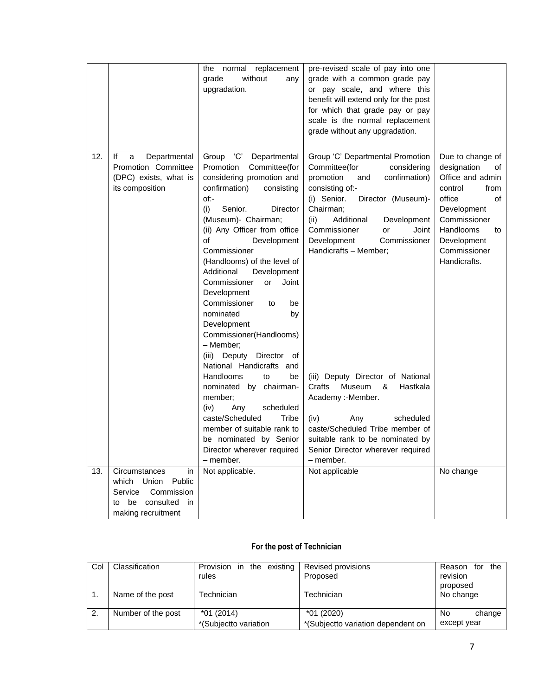|     |                            | normal replacement<br>the    | pre-revised scale of pay into one        |                   |
|-----|----------------------------|------------------------------|------------------------------------------|-------------------|
|     |                            | grade<br>without<br>any      | grade with a common grade pay            |                   |
|     |                            | upgradation.                 | or pay scale, and where this             |                   |
|     |                            |                              | benefit will extend only for the post    |                   |
|     |                            |                              | for which that grade pay or pay          |                   |
|     |                            |                              | scale is the normal replacement          |                   |
|     |                            |                              | grade without any upgradation.           |                   |
|     |                            |                              |                                          |                   |
| 12. | Departmental<br>lf<br>a    | Group<br>'C'<br>Departmental | Group 'C' Departmental Promotion         | Due to change of  |
|     | Promotion Committee        | Committee(for<br>Promotion   | Committee(for<br>considering             | designation<br>οf |
|     | (DPC) exists, what is      | considering promotion and    | promotion<br>confirmation)<br>and        | Office and admin  |
|     | its composition            | confirmation)<br>consisting  | consisting of:-                          | control<br>from   |
|     |                            | of:-                         | (i) Senior.<br>Director (Museum)-        | office<br>οf      |
|     |                            | Senior.<br>(i)<br>Director   | Chairman;                                | Development       |
|     |                            | (Museum)- Chairman;          | (ii)<br>Additional<br>Development        | Commissioner      |
|     |                            | (ii) Any Officer from office | Commissioner<br>Joint<br>or              | Handlooms<br>to   |
|     |                            | οf<br>Development            | Development<br>Commissioner              | Development       |
|     |                            | Commissioner                 | Handicrafts - Member;                    | Commissioner      |
|     |                            | (Handlooms) of the level of  |                                          | Handicrafts.      |
|     |                            | Additional<br>Development    |                                          |                   |
|     |                            | Commissioner<br>Joint<br>or  |                                          |                   |
|     |                            | Development                  |                                          |                   |
|     |                            | Commissioner<br>be<br>to     |                                          |                   |
|     |                            | nominated<br>by              |                                          |                   |
|     |                            | Development                  |                                          |                   |
|     |                            | Commissioner(Handlooms)      |                                          |                   |
|     |                            | – Member:                    |                                          |                   |
|     |                            | Deputy Director of<br>(iii)  |                                          |                   |
|     |                            | National Handicrafts and     |                                          |                   |
|     |                            | Handlooms<br>to<br>be        | (iii) Deputy Director of National        |                   |
|     |                            | nominated by chairman-       | Crafts<br><b>Museum</b><br>&<br>Hastkala |                   |
|     |                            | member;                      | Academy :- Member.                       |                   |
|     |                            | (iv)<br>Any<br>scheduled     |                                          |                   |
|     |                            | caste/Scheduled<br>Tribe     | (iv)<br>scheduled<br>Any                 |                   |
|     |                            | member of suitable rank to   | caste/Scheduled Tribe member of          |                   |
|     |                            | be nominated by Senior       | suitable rank to be nominated by         |                   |
|     |                            | Director wherever required   | Senior Director wherever required        |                   |
|     |                            | - member.                    | - member.                                |                   |
| 13. | Circumstances<br>in        | Not applicable.              | Not applicable                           | No change         |
|     | Public<br>which Union      |                              |                                          |                   |
|     | Service<br>Commission      |                              |                                          |                   |
|     | be consulted<br>- in<br>to |                              |                                          |                   |
|     | making recruitment         |                              |                                          |                   |

## **For the post of Technician**

| Col | Classification     | Provision in the existing<br>rules   | Revised provisions<br>Proposed                    | for the<br>Reason<br>revision<br>proposed |
|-----|--------------------|--------------------------------------|---------------------------------------------------|-------------------------------------------|
|     | Name of the post   | <b>Technician</b>                    | Technician                                        | No change                                 |
| 2.  | Number of the post | $*01(2014)$<br>*(Subjectto variation | $*01(2020)$<br>*(Subjectto variation dependent on | No.<br>change<br>except year              |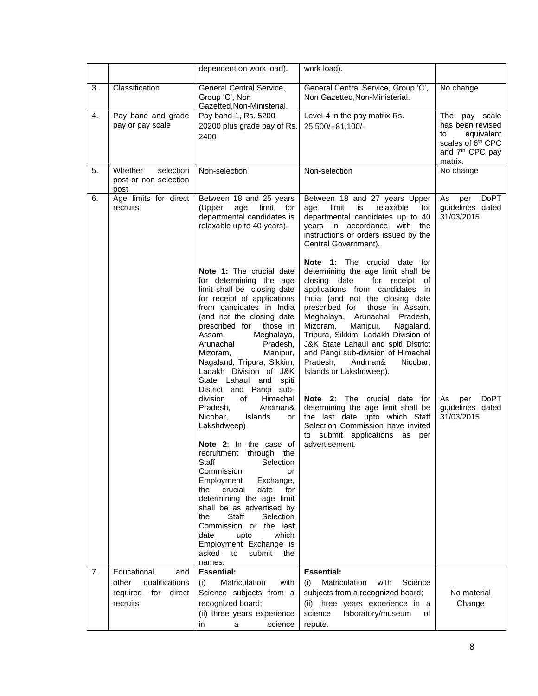|    |                                                                                        | dependent on work load).                                                                                                                                                                                                                                                                                                                                                                                                                                                                                                                     | work load).                                                                                                                                                                                                                                                                                                                                                                                                                                                                                                                                                                                                                                                                                |                                                                                                                                     |
|----|----------------------------------------------------------------------------------------|----------------------------------------------------------------------------------------------------------------------------------------------------------------------------------------------------------------------------------------------------------------------------------------------------------------------------------------------------------------------------------------------------------------------------------------------------------------------------------------------------------------------------------------------|--------------------------------------------------------------------------------------------------------------------------------------------------------------------------------------------------------------------------------------------------------------------------------------------------------------------------------------------------------------------------------------------------------------------------------------------------------------------------------------------------------------------------------------------------------------------------------------------------------------------------------------------------------------------------------------------|-------------------------------------------------------------------------------------------------------------------------------------|
| 3. | Classification                                                                         | General Central Service,<br>Group 'C', Non<br>Gazetted, Non-Ministerial.                                                                                                                                                                                                                                                                                                                                                                                                                                                                     | General Central Service, Group 'C',<br>Non Gazetted, Non-Ministerial.                                                                                                                                                                                                                                                                                                                                                                                                                                                                                                                                                                                                                      | No change                                                                                                                           |
| 4. | Pay band and grade<br>pay or pay scale                                                 | Pay band-1, Rs. 5200-<br>20200 plus grade pay of Rs.<br>2400                                                                                                                                                                                                                                                                                                                                                                                                                                                                                 | Level-4 in the pay matrix Rs.<br>25,500/--81,100/-                                                                                                                                                                                                                                                                                                                                                                                                                                                                                                                                                                                                                                         | The<br>pay scale<br>has been revised<br>equivalent<br>to<br>scales of 6 <sup>th</sup> CPC<br>and 7 <sup>th</sup> CPC pay<br>matrix. |
| 5. | Whether<br>selection<br>post or non selection<br>post                                  | Non-selection                                                                                                                                                                                                                                                                                                                                                                                                                                                                                                                                | Non-selection                                                                                                                                                                                                                                                                                                                                                                                                                                                                                                                                                                                                                                                                              | No change                                                                                                                           |
| 6. | Age limits for direct<br>recruits                                                      | Between 18 and 25 years<br>(Upper<br>age<br>limit<br>for<br>departmental candidates is<br>relaxable up to 40 years).<br>Note 1: The crucial date<br>for determining the age<br>limit shall be closing date<br>for receipt of applications<br>from candidates in India<br>(and not the closing date<br>prescribed for those in<br>Assam,<br>Meghalaya,<br>Arunachal<br>Pradesh,<br>Mizoram,<br>Manipur,<br>Nagaland, Tripura, Sikkim,<br>Ladakh Division of J&K                                                                               | Between 18 and 27 years Upper<br>limit<br>is<br>relaxable<br>age<br>for<br>departmental candidates up to 40<br>years in accordance with the<br>instructions or orders issued by the<br>Central Government).<br><b>Note 1:</b> The crucial date for<br>determining the age limit shall be<br>closing date<br>for receipt of<br>applications from candidates in<br>India (and not the closing date<br>prescribed for those in Assam,<br>Meghalaya, Arunachal Pradesh,<br>Mizoram,<br>Manipur,<br>Nagaland,<br>Tripura, Sikkim, Ladakh Division of<br>J&K State Lahaul and spiti District<br>and Pangi sub-division of Himachal<br>Pradesh,<br>Andman&<br>Nicobar,<br>Islands or Lakshdweep). | As<br>DoPT<br>per<br>guidelines dated<br>31/03/2015                                                                                 |
|    |                                                                                        | State Lahaul and<br>spiti<br>District and Pangi sub-<br>Himachal<br>division<br>of<br>Pradesh,<br>Andman&<br>Nicobar,<br>Islands<br>or<br>Lakshdweep)<br><b>Note 2:</b> In the case of<br>recruitment through the<br>Selection<br>Staff<br>Commission<br>or<br>Employment<br>Exchange,<br>crucial<br>date<br>for<br>the<br>determining the age limit<br>shall be as advertised by<br><b>Staff</b><br>the<br>Selection<br>Commission or the last<br>date<br>which<br>upto<br>Employment Exchange is<br>asked<br>to<br>submit<br>the<br>names. | <b>Note 2:</b> The crucial date for<br>determining the age limit shall be<br>the last date upto which Staff<br>Selection Commission have invited<br>to submit applications as per<br>advertisement.                                                                                                                                                                                                                                                                                                                                                                                                                                                                                        | DoPT<br>As<br>per<br>guidelines dated<br>31/03/2015                                                                                 |
| 7. | Educational<br>and<br>qualifications<br>other<br>required<br>for<br>direct<br>recruits | <b>Essential:</b><br>(i)<br><b>Matriculation</b><br>with<br>Science subjects from a<br>recognized board;<br>(ii) three years experience<br>in<br>science<br>a                                                                                                                                                                                                                                                                                                                                                                                | <b>Essential:</b><br>Matriculation<br>with<br>(i)<br>Science<br>subjects from a recognized board;<br>(ii) three years experience in a<br>laboratory/museum<br>science<br>οf<br>repute.                                                                                                                                                                                                                                                                                                                                                                                                                                                                                                     | No material<br>Change                                                                                                               |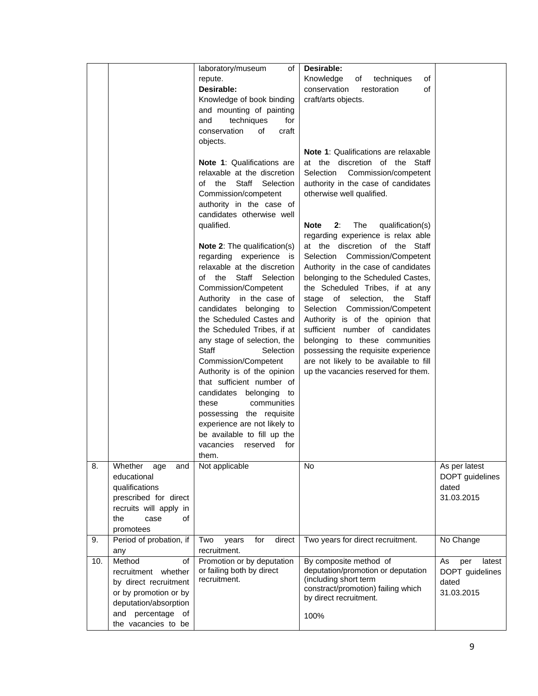|     |                         | laboratory/museum<br>of                          | Desirable:                                                             |                     |
|-----|-------------------------|--------------------------------------------------|------------------------------------------------------------------------|---------------------|
|     |                         | repute.                                          | Knowledge<br>of<br>techniques<br>of                                    |                     |
|     |                         | Desirable:                                       | conservation<br>restoration<br>of                                      |                     |
|     |                         | Knowledge of book binding                        | craft/arts objects.                                                    |                     |
|     |                         | and mounting of painting                         |                                                                        |                     |
|     |                         | and<br>techniques<br>for                         |                                                                        |                     |
|     |                         | conservation<br>of<br>craft                      |                                                                        |                     |
|     |                         | objects.                                         |                                                                        |                     |
|     |                         |                                                  | <b>Note 1:</b> Qualifications are relaxable                            |                     |
|     |                         | Note 1: Qualifications are                       | at the discretion of the Staff                                         |                     |
|     |                         | relaxable at the discretion                      | Selection Commission/competent                                         |                     |
|     |                         | of the Staff Selection                           | authority in the case of candidates                                    |                     |
|     |                         | Commission/competent                             | otherwise well qualified.                                              |                     |
|     |                         | authority in the case of                         |                                                                        |                     |
|     |                         | candidates otherwise well                        |                                                                        |                     |
|     |                         | qualified.                                       | 2:<br>The<br>qualification(s)<br>Note                                  |                     |
|     |                         |                                                  | regarding experience is relax able                                     |                     |
|     |                         | <b>Note 2:</b> The qualification(s)              | at the discretion of the Staff                                         |                     |
|     |                         | regarding experience is                          | Selection Commission/Competent                                         |                     |
|     |                         | relaxable at the discretion                      | Authority in the case of candidates                                    |                     |
|     |                         | of the Staff Selection                           | belonging to the Scheduled Castes,                                     |                     |
|     |                         | Commission/Competent<br>Authority in the case of | the Scheduled Tribes, if at any<br>stage of selection,<br>the<br>Staff |                     |
|     |                         | candidates belonging to                          | Selection Commission/Competent                                         |                     |
|     |                         | the Scheduled Castes and                         | Authority is of the opinion that                                       |                     |
|     |                         | the Scheduled Tribes, if at                      | sufficient number of candidates                                        |                     |
|     |                         | any stage of selection, the                      | belonging to these communities                                         |                     |
|     |                         | <b>Staff</b><br>Selection                        | possessing the requisite experience                                    |                     |
|     |                         | Commission/Competent                             | are not likely to be available to fill                                 |                     |
|     |                         | Authority is of the opinion                      | up the vacancies reserved for them.                                    |                     |
|     |                         | that sufficient number of                        |                                                                        |                     |
|     |                         | candidates belonging to                          |                                                                        |                     |
|     |                         | these<br>communities                             |                                                                        |                     |
|     |                         | possessing the requisite                         |                                                                        |                     |
|     |                         | experience are not likely to                     |                                                                        |                     |
|     |                         | be available to fill up the                      |                                                                        |                     |
|     |                         | vacancies<br>reserved<br>for                     |                                                                        |                     |
|     |                         | them.                                            |                                                                        |                     |
| 8.  | Whether<br>and<br>age   | Not applicable                                   | No                                                                     | As per latest       |
|     | educational             |                                                  |                                                                        | DOPT guidelines     |
|     | qualifications          |                                                  |                                                                        | dated               |
|     | prescribed for direct   |                                                  |                                                                        | 31.03.2015          |
|     | recruits will apply in  |                                                  |                                                                        |                     |
|     | of<br>the<br>case       |                                                  |                                                                        |                     |
|     | promotees               |                                                  |                                                                        |                     |
| 9.  | Period of probation, if | for<br>direct<br>Two<br>years                    | Two years for direct recruitment.                                      | No Change           |
|     | any                     | recruitment.                                     |                                                                        |                     |
| 10. | Method<br>of            | Promotion or by deputation                       | By composite method of                                                 | As<br>latest<br>per |
|     | recruitment whether     | or failing both by direct<br>recruitment.        | deputation/promotion or deputation<br>(including short term            | DOPT guidelines     |
|     | by direct recruitment   |                                                  | constract/promotion) failing which                                     | dated               |
|     | or by promotion or by   |                                                  | by direct recruitment.                                                 | 31.03.2015          |
|     | deputation/absorption   |                                                  |                                                                        |                     |
|     | and percentage of       |                                                  | 100%                                                                   |                     |
|     | the vacancies to be     |                                                  |                                                                        |                     |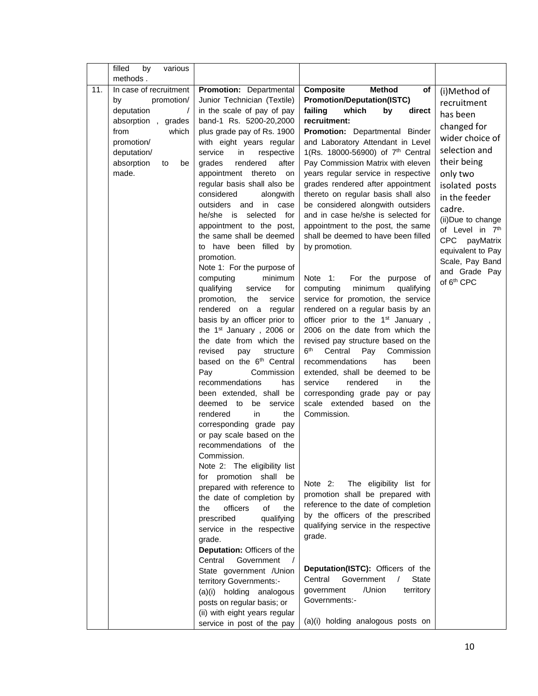|     | filled<br>by<br>various<br>methods. |                                                              |                                                                           |                                      |
|-----|-------------------------------------|--------------------------------------------------------------|---------------------------------------------------------------------------|--------------------------------------|
| 11. | In case of recruitment              | Promotion: Departmental                                      | Composite<br><b>Method</b><br>of                                          | (i)Method of                         |
|     | promotion/<br>by                    | Junior Technician (Textile)                                  | <b>Promotion/Deputation(ISTC)</b>                                         | recruitment                          |
|     | deputation<br>$\overline{1}$        | in the scale of pay of pay                                   | failing<br>which<br>direct<br>by                                          | has been                             |
|     | absorption, grades                  | band-1 Rs. 5200-20,2000                                      | recruitment:                                                              | changed for                          |
|     | from<br>which                       | plus grade pay of Rs. 1900                                   | Promotion: Departmental Binder                                            | wider choice of                      |
|     | promotion/                          | with eight years regular                                     | and Laboratory Attendant in Level                                         |                                      |
|     | deputation/                         | service<br>in<br>respective                                  | 1(Rs. 18000-56900) of 7 <sup>th</sup> Central                             | selection and                        |
|     | absorption<br>to<br>be              | rendered<br>grades<br>after                                  | Pay Commission Matrix with eleven                                         | their being                          |
|     | made.                               | appointment thereto<br>on<br>regular basis shall also be     | years regular service in respective<br>grades rendered after appointment  | only two                             |
|     |                                     | considered<br>alongwith                                      | thereto on regular basis shall also                                       | isolated posts                       |
|     |                                     | outsiders and<br>in<br>case                                  | be considered alongwith outsiders                                         | in the feeder                        |
|     |                                     | he/she is selected for                                       | and in case he/she is selected for                                        | cadre.                               |
|     |                                     | appointment to the post,                                     | appointment to the post, the same                                         | (ii)Due to change<br>of Level in 7th |
|     |                                     | the same shall be deemed                                     | shall be deemed to have been filled                                       | <b>CPC</b><br>payMatrix              |
|     |                                     | to have been filled by                                       | by promotion.                                                             | equivalent to Pay                    |
|     |                                     | promotion.                                                   |                                                                           | Scale, Pay Band                      |
|     |                                     | Note 1: For the purpose of                                   |                                                                           | and Grade Pay                        |
|     |                                     | computing<br>minimum                                         | Note 1:<br>For the purpose of                                             | of 6 <sup>th</sup> CPC               |
|     |                                     | qualifying<br>service<br>for<br>service<br>promotion,<br>the | minimum<br>qualifying<br>computing<br>service for promotion, the service  |                                      |
|     |                                     | rendered on a<br>regular                                     | rendered on a regular basis by an                                         |                                      |
|     |                                     | basis by an officer prior to                                 | officer prior to the 1 <sup>st</sup> January,                             |                                      |
|     |                                     | the 1 <sup>st</sup> January, 2006 or                         | 2006 on the date from which the                                           |                                      |
|     |                                     | the date from which the                                      | revised pay structure based on the                                        |                                      |
|     |                                     | revised<br>pay<br>structure                                  | $6^{\sf th}$<br>Central<br>Commission<br>Pay                              |                                      |
|     |                                     | based on the 6 <sup>th</sup> Central                         | recommendations<br>has<br>been                                            |                                      |
|     |                                     | Pay<br>Commission                                            | extended, shall be deemed to be                                           |                                      |
|     |                                     | recommendations<br>has                                       | rendered<br>the<br>service<br>in                                          |                                      |
|     |                                     | been extended, shall be                                      | corresponding grade pay or pay                                            |                                      |
|     |                                     | deemed to<br>be<br>service<br>rendered<br>in<br>the          | scale extended<br>based on<br>the<br>Commission.                          |                                      |
|     |                                     | corresponding grade pay                                      |                                                                           |                                      |
|     |                                     | or pay scale based on the                                    |                                                                           |                                      |
|     |                                     | recommendations of the                                       |                                                                           |                                      |
|     |                                     | Commission.                                                  |                                                                           |                                      |
|     |                                     | Note 2: The eligibility list                                 |                                                                           |                                      |
|     |                                     | for promotion shall be                                       |                                                                           |                                      |
|     |                                     | prepared with reference to                                   | The eligibility list for<br>Note $2:$<br>promotion shall be prepared with |                                      |
|     |                                     | the date of completion by                                    | reference to the date of completion                                       |                                      |
|     |                                     | officers<br>of<br>the<br>the                                 | by the officers of the prescribed                                         |                                      |
|     |                                     | prescribed<br>qualifying<br>service in the respective        | qualifying service in the respective                                      |                                      |
|     |                                     | grade.                                                       | grade.                                                                    |                                      |
|     |                                     | Deputation: Officers of the                                  |                                                                           |                                      |
|     |                                     | Central<br>Government<br>$\sqrt{ }$                          |                                                                           |                                      |
|     |                                     | State government / Union                                     | Deputation(ISTC): Officers of the                                         |                                      |
|     |                                     | territory Governments:-                                      | Central<br>Government<br>State                                            |                                      |
|     |                                     | (a)(i) holding analogous                                     | /Union<br>territory<br>government                                         |                                      |
|     |                                     | posts on regular basis; or                                   | Governments:-                                                             |                                      |
|     |                                     | (ii) with eight years regular                                |                                                                           |                                      |
|     |                                     | service in post of the pay                                   | (a)(i) holding analogous posts on                                         |                                      |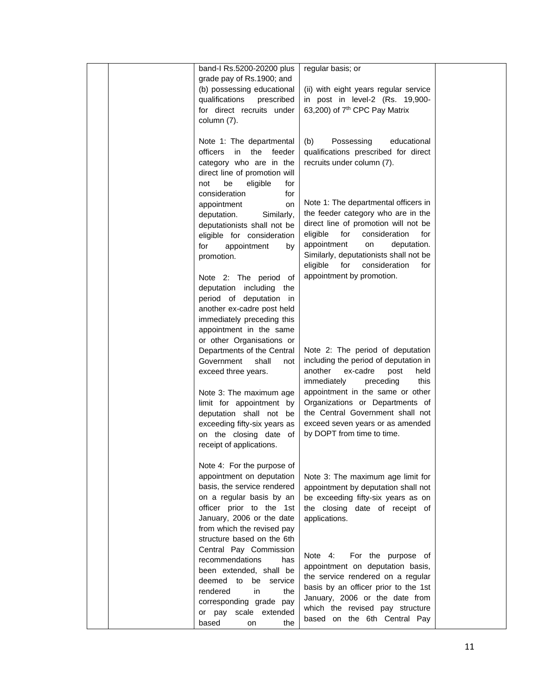|  | band-I Rs.5200-20200 plus<br>grade pay of Rs.1900; and<br>(b) possessing educational<br>qualifications<br>prescribed<br>for direct recruits under<br>column (7).                                                                        | regular basis; or<br>(ii) with eight years regular service<br>in post in level-2 (Rs. 19,900-<br>63,200) of 7 <sup>th</sup> CPC Pay Matrix                                                                                                                                             |  |
|--|-----------------------------------------------------------------------------------------------------------------------------------------------------------------------------------------------------------------------------------------|----------------------------------------------------------------------------------------------------------------------------------------------------------------------------------------------------------------------------------------------------------------------------------------|--|
|  | Note 1: The departmental<br>officers<br>in<br>the<br>feeder<br>category who are in the<br>direct line of promotion will<br>be<br>eligible<br>not<br>for<br>consideration<br>for                                                         | Possessing<br>educational<br>(b)<br>qualifications prescribed for direct<br>recruits under column (7).                                                                                                                                                                                 |  |
|  | appointment<br>on<br>deputation.<br>Similarly,<br>deputationists shall not be<br>eligible for consideration<br>for<br>appointment<br>by<br>promotion.                                                                                   | Note 1: The departmental officers in<br>the feeder category who are in the<br>direct line of promotion will not be<br>eligible<br>for<br>consideration<br>for<br>appointment<br>on<br>deputation.<br>Similarly, deputationists shall not be<br>for<br>eligible<br>consideration<br>for |  |
|  | Note 2: The period of<br>deputation including the<br>period of deputation in<br>another ex-cadre post held<br>immediately preceding this<br>appointment in the same                                                                     | appointment by promotion.                                                                                                                                                                                                                                                              |  |
|  | or other Organisations or<br>Departments of the Central<br>Government<br>shall<br>not<br>exceed three years.<br>Note 3: The maximum age<br>limit for appointment by                                                                     | Note 2: The period of deputation<br>including the period of deputation in<br>another<br>ex-cadre<br>held<br>post<br>immediately<br>preceding<br>this<br>appointment in the same or other<br>Organizations or Departments of                                                            |  |
|  | deputation shall not be<br>exceeding fifty-six years as<br>on the closing date of<br>receipt of applications.                                                                                                                           | the Central Government shall not<br>exceed seven years or as amended<br>by DOPT from time to time.                                                                                                                                                                                     |  |
|  | Note 4: For the purpose of<br>appointment on deputation<br>basis, the service rendered<br>on a regular basis by an<br>officer prior to the 1st<br>January, 2006 or the date<br>from which the revised pay<br>structure based on the 6th | Note 3: The maximum age limit for<br>appointment by deputation shall not<br>be exceeding fifty-six years as on<br>the closing date of receipt of<br>applications.                                                                                                                      |  |
|  | Central Pay Commission<br>recommendations<br>has<br>been extended, shall be<br>deemed to<br>be service<br>rendered<br>in<br>the<br>corresponding grade pay<br>or pay scale extended<br>based<br>the<br>on                               | Note 4:<br>For the purpose of<br>appointment on deputation basis,<br>the service rendered on a regular<br>basis by an officer prior to the 1st<br>January, 2006 or the date from<br>which the revised pay structure<br>based on the 6th Central Pay                                    |  |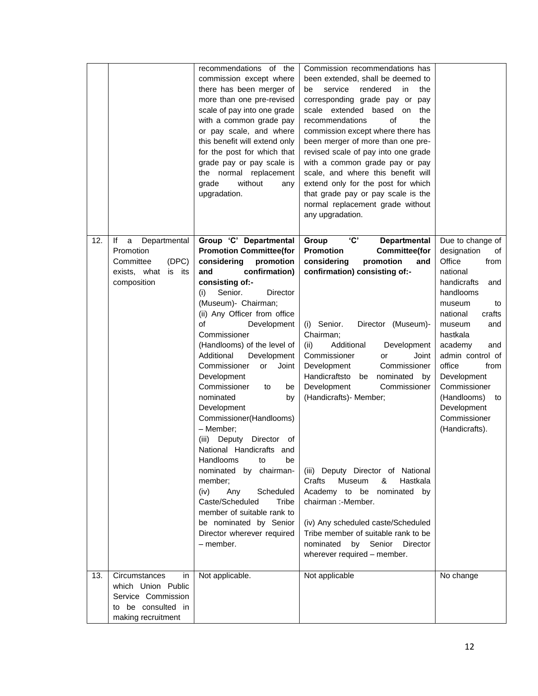|     |                                                                                                             | recommendations of the<br>commission except where<br>there has been merger of<br>more than one pre-revised<br>scale of pay into one grade<br>with a common grade pay<br>or pay scale, and where<br>this benefit will extend only<br>for the post for which that<br>grade pay or pay scale is<br>the normal replacement<br>grade<br>without<br>any<br>upgradation.                                                                                                                                                                                                                                                                                                                                                                                                      | Commission recommendations has<br>been extended, shall be deemed to<br>service<br>rendered<br>the<br>be<br>in<br>corresponding grade pay or pay<br>scale extended based<br>the<br>on<br>recommendations<br>οf<br>the<br>commission except where there has<br>been merger of more than one pre-<br>revised scale of pay into one grade<br>with a common grade pay or pay<br>scale, and where this benefit will<br>extend only for the post for which<br>that grade pay or pay scale is the<br>normal replacement grade without<br>any upgradation.                                                                                                                                                                  |                                                                                                                                                                                                                                                                                                                                        |
|-----|-------------------------------------------------------------------------------------------------------------|------------------------------------------------------------------------------------------------------------------------------------------------------------------------------------------------------------------------------------------------------------------------------------------------------------------------------------------------------------------------------------------------------------------------------------------------------------------------------------------------------------------------------------------------------------------------------------------------------------------------------------------------------------------------------------------------------------------------------------------------------------------------|--------------------------------------------------------------------------------------------------------------------------------------------------------------------------------------------------------------------------------------------------------------------------------------------------------------------------------------------------------------------------------------------------------------------------------------------------------------------------------------------------------------------------------------------------------------------------------------------------------------------------------------------------------------------------------------------------------------------|----------------------------------------------------------------------------------------------------------------------------------------------------------------------------------------------------------------------------------------------------------------------------------------------------------------------------------------|
| 12. | Departmental<br>lf<br>a<br>Promotion<br>Committee<br>(DPC)<br>exists, what is its<br>composition            | Group 'C' Departmental<br><b>Promotion Committee(for</b><br>considering<br>promotion<br>confirmation)<br>and<br>consisting of:-<br>Senior.<br>Director<br>(i)<br>(Museum)- Chairman;<br>(ii) Any Officer from office<br>of<br>Development<br>Commissioner<br>(Handlooms) of the level of<br>Development<br>Additional<br>Commissioner<br>Joint<br>or<br>Development<br>Commissioner<br>be<br>to<br>nominated<br>by<br>Development<br>Commissioner(Handlooms)<br>- Member;<br>(iii)<br>Deputy<br>Director<br>of<br>National Handicrafts and<br>Handlooms<br>to<br>be<br>by chairman-<br>nominated<br>member:<br>Scheduled<br>(iv)<br>Any<br>Caste/Scheduled<br>Tribe<br>member of suitable rank to<br>be nominated by Senior<br>Director wherever required<br>- member. | $\overline{c}$<br>Group<br><b>Departmental</b><br><b>Promotion</b><br><b>Committee(for</b><br>considering<br>promotion<br>and<br>confirmation) consisting of:-<br>(i) Senior.<br>Director (Museum)-<br>Chairman;<br>Development<br>(ii)<br>Additional<br>Commissioner<br>Joint<br>or<br>Development<br>Commissioner<br>Handicraftsto<br>nominated by<br>be<br>Development<br>Commissioner<br>(Handicrafts) - Member;<br>(iii) Deputy Director of National<br>Crafts<br><b>Museum</b><br>&<br>Hastkala<br>Academy to be nominated by<br>chairman :-Member.<br>(iv) Any scheduled caste/Scheduled<br>Tribe member of suitable rank to be<br>by Senior<br><b>Director</b><br>nominated<br>wherever required - member. | Due to change of<br>designation<br>of<br>Office<br>from<br>national<br>handicrafts<br>and<br>handlooms<br>museum<br>to<br>national<br>crafts<br>museum<br>and<br>hastkala<br>academy<br>and<br>admin control of<br>office<br>from<br>Development<br>Commissioner<br>(Handlooms)<br>to<br>Development<br>Commissioner<br>(Handicrafts). |
| 13. | Circumstances<br>in<br>which Union Public<br>Service Commission<br>to be consulted in<br>making recruitment | Not applicable.                                                                                                                                                                                                                                                                                                                                                                                                                                                                                                                                                                                                                                                                                                                                                        | Not applicable                                                                                                                                                                                                                                                                                                                                                                                                                                                                                                                                                                                                                                                                                                     | No change                                                                                                                                                                                                                                                                                                                              |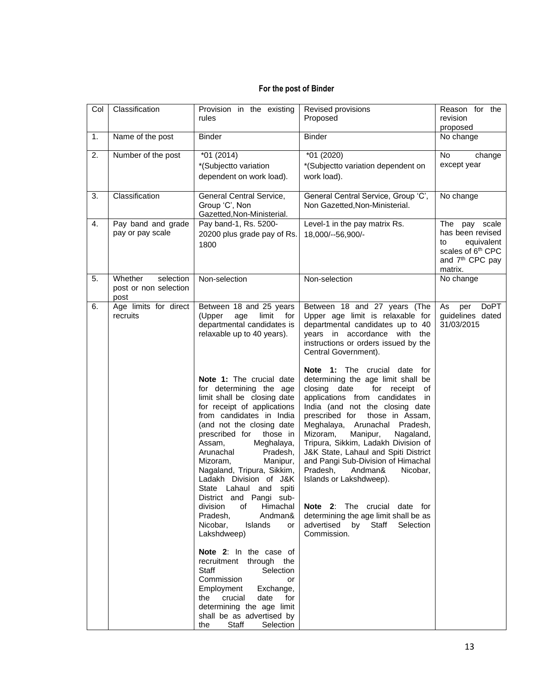## **For the post of Binder**

| Col | Classification                                        | Provision in the existing<br>rules                                                                                                                                                                                                                                                                                                                                                                                                                                                                                                                                                                                                                                                                                                                                                                                                                               | Revised provisions<br>Proposed                                                                                                                                                                                                                                                                                                                                                                                                                                                                                                                                                                                                                                                                                                                                                                            | Reason for the<br>revision<br>proposed                                                                                           |
|-----|-------------------------------------------------------|------------------------------------------------------------------------------------------------------------------------------------------------------------------------------------------------------------------------------------------------------------------------------------------------------------------------------------------------------------------------------------------------------------------------------------------------------------------------------------------------------------------------------------------------------------------------------------------------------------------------------------------------------------------------------------------------------------------------------------------------------------------------------------------------------------------------------------------------------------------|-----------------------------------------------------------------------------------------------------------------------------------------------------------------------------------------------------------------------------------------------------------------------------------------------------------------------------------------------------------------------------------------------------------------------------------------------------------------------------------------------------------------------------------------------------------------------------------------------------------------------------------------------------------------------------------------------------------------------------------------------------------------------------------------------------------|----------------------------------------------------------------------------------------------------------------------------------|
| 1.  | Name of the post                                      | <b>Binder</b>                                                                                                                                                                                                                                                                                                                                                                                                                                                                                                                                                                                                                                                                                                                                                                                                                                                    | <b>Binder</b>                                                                                                                                                                                                                                                                                                                                                                                                                                                                                                                                                                                                                                                                                                                                                                                             | No change                                                                                                                        |
| 2.  | Number of the post                                    | $*01(2014)$<br>*(Subjectto variation<br>dependent on work load).                                                                                                                                                                                                                                                                                                                                                                                                                                                                                                                                                                                                                                                                                                                                                                                                 | *01 (2020)<br>*(Subjectto variation dependent on<br>work load).                                                                                                                                                                                                                                                                                                                                                                                                                                                                                                                                                                                                                                                                                                                                           | No<br>change<br>except year                                                                                                      |
| 3.  | Classification                                        | General Central Service,<br>Group 'C', Non<br>Gazetted, Non-Ministerial.                                                                                                                                                                                                                                                                                                                                                                                                                                                                                                                                                                                                                                                                                                                                                                                         | General Central Service, Group 'C',<br>Non Gazetted, Non-Ministerial.                                                                                                                                                                                                                                                                                                                                                                                                                                                                                                                                                                                                                                                                                                                                     | No change                                                                                                                        |
| 4.  | Pay band and grade<br>pay or pay scale                | Pay band-1, Rs. 5200-<br>20200 plus grade pay of Rs.<br>1800                                                                                                                                                                                                                                                                                                                                                                                                                                                                                                                                                                                                                                                                                                                                                                                                     | Level-1 in the pay matrix Rs.<br>18,000/--56,900/-                                                                                                                                                                                                                                                                                                                                                                                                                                                                                                                                                                                                                                                                                                                                                        | The pay scale<br>has been revised<br>equivalent<br>to<br>scales of 6 <sup>th</sup> CPC<br>and 7 <sup>th</sup> CPC pay<br>matrix. |
| 5.  | Whether<br>selection<br>post or non selection<br>post | Non-selection                                                                                                                                                                                                                                                                                                                                                                                                                                                                                                                                                                                                                                                                                                                                                                                                                                                    | Non-selection                                                                                                                                                                                                                                                                                                                                                                                                                                                                                                                                                                                                                                                                                                                                                                                             | No change                                                                                                                        |
| 6.  | Age limits for direct<br>recruits                     | Between 18 and 25 years<br>(Upper<br>age<br>limit<br>for<br>departmental candidates is<br>relaxable up to 40 years).<br>Note 1: The crucial date<br>for determining the age<br>limit shall be closing date<br>for receipt of applications<br>from candidates in India<br>(and not the closing date<br>prescribed for those in<br>Assam,<br>Meghalaya,<br>Arunachal<br>Pradesh,<br>Mizoram,<br>Manipur,<br>Nagaland, Tripura, Sikkim,<br>Ladakh Division of J&K<br>State Lahaul and spiti<br>District and Pangi sub-<br>division<br>of<br>Himachal<br>Pradesh,<br>Andman&<br>Nicobar,<br>Islands<br>or<br>Lakshdweep)<br>Note 2: In the case of<br>recruitment through the<br>Selection<br>Staff<br>Commission<br>or<br>Employment<br>Exchange,<br>the crucial<br>date for<br>determining the age limit<br>shall be as advertised by<br>the<br>Staff<br>Selection | Between 18 and 27 years (The<br>Upper age limit is relaxable for<br>departmental candidates up to 40<br>years in accordance with the<br>instructions or orders issued by the<br>Central Government).<br>Note 1: The crucial date for<br>determining the age limit shall be<br>closing date<br>for receipt of<br>applications from candidates in<br>India (and not the closing date<br>prescribed for<br>those in Assam,<br>Meghalaya, Arunachal Pradesh,<br>Mizoram,<br>Manipur,<br>Nagaland,<br>Tripura, Sikkim, Ladakh Division of<br>J&K State, Lahaul and Spiti District<br>and Pangi Sub-Division of Himachal<br>Pradesh,<br>Andman&<br>Nicobar,<br>Islands or Lakshdweep).<br>Note 2: The crucial date for<br>determining the age limit shall be as<br>advertised by Staff Selection<br>Commission. | As<br><b>DoPT</b><br>per<br>guidelines dated<br>31/03/2015                                                                       |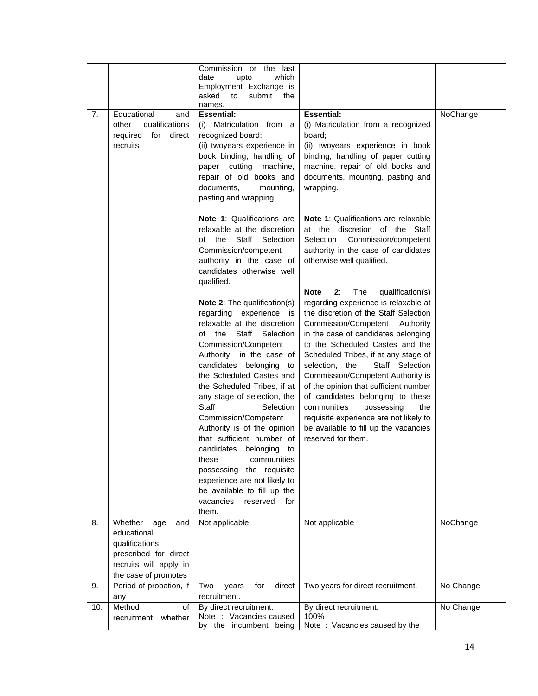|     |                         | Commission or the last            |                                              |           |
|-----|-------------------------|-----------------------------------|----------------------------------------------|-----------|
|     |                         | date<br>which<br>upto             |                                              |           |
|     |                         | Employment Exchange is            |                                              |           |
|     |                         | asked<br>submit<br>to<br>the      |                                              |           |
|     |                         | names.                            |                                              |           |
| 7.  | Educational<br>and      | <b>Essential:</b>                 | <b>Essential:</b>                            | NoChange  |
|     | qualifications<br>other | (i) Matriculation from a          | (i) Matriculation from a recognized          |           |
|     | required for<br>direct  | recognized board;                 | board;                                       |           |
|     | recruits                | (ii) twoyears experience in       | (ii) twoyears experience in book             |           |
|     |                         | book binding, handling of         | binding, handling of paper cutting           |           |
|     |                         | paper cutting<br>machine,         | machine, repair of old books and             |           |
|     |                         | repair of old books and           | documents, mounting, pasting and             |           |
|     |                         | documents,<br>mounting,           | wrapping.                                    |           |
|     |                         | pasting and wrapping.             |                                              |           |
|     |                         |                                   |                                              |           |
|     |                         |                                   |                                              |           |
|     |                         | <b>Note 1: Qualifications are</b> | <b>Note 1:</b> Qualifications are relaxable  |           |
|     |                         | relaxable at the discretion       | at the discretion of the Staff               |           |
|     |                         | of the<br>Staff Selection         | Commission/competent<br>Selection            |           |
|     |                         | Commission/competent              | authority in the case of candidates          |           |
|     |                         | authority in the case of          | otherwise well qualified.                    |           |
|     |                         | candidates otherwise well         |                                              |           |
|     |                         | qualified.                        |                                              |           |
|     |                         |                                   | <b>Note</b><br>2:<br>The<br>qualification(s) |           |
|     |                         | Note 2: The qualification(s)      | regarding experience is relaxable at         |           |
|     |                         | regarding experience is           | the discretion of the Staff Selection        |           |
|     |                         | relaxable at the discretion       | Commission/Competent Authority               |           |
|     |                         | the Staff Selection<br>of         | in the case of candidates belonging          |           |
|     |                         | Commission/Competent              | to the Scheduled Castes and the              |           |
|     |                         |                                   |                                              |           |
|     |                         | Authority in the case of          | Scheduled Tribes, if at any stage of         |           |
|     |                         | candidates belonging to           | selection, the<br>Staff Selection            |           |
|     |                         | the Scheduled Castes and          | Commission/Competent Authority is            |           |
|     |                         | the Scheduled Tribes, if at       | of the opinion that sufficient number        |           |
|     |                         | any stage of selection, the       | of candidates belonging to these             |           |
|     |                         | <b>Staff</b><br>Selection         | communities<br>possessing<br>the             |           |
|     |                         | Commission/Competent              | requisite experience are not likely to       |           |
|     |                         | Authority is of the opinion       | be available to fill up the vacancies        |           |
|     |                         | that sufficient number of         | reserved for them.                           |           |
|     |                         | candidates belonging<br>to        |                                              |           |
|     |                         | these<br>communities              |                                              |           |
|     |                         | the requisite<br>possessing       |                                              |           |
|     |                         | experience are not likely to      |                                              |           |
|     |                         |                                   |                                              |           |
|     |                         | be available to fill up the       |                                              |           |
|     |                         | vacancies<br>reserved<br>for      |                                              |           |
|     |                         | them.                             |                                              |           |
| 8.  | Whether<br>age<br>and   | Not applicable                    | Not applicable                               | NoChange  |
|     | educational             |                                   |                                              |           |
|     | qualifications          |                                   |                                              |           |
|     | prescribed for direct   |                                   |                                              |           |
|     | recruits will apply in  |                                   |                                              |           |
|     | the case of promotes    |                                   |                                              |           |
| 9.  | Period of probation, if | Two<br>for<br>direct<br>years     | Two years for direct recruitment.            | No Change |
|     | any                     | recruitment.                      |                                              |           |
| 10. | Method<br>of            | By direct recruitment.            | By direct recruitment.                       | No Change |
|     | recruitment<br>whether  | Note : Vacancies caused           | 100%                                         |           |
|     |                         | by the incumbent being            | Note: Vacancies caused by the                |           |
|     |                         |                                   |                                              |           |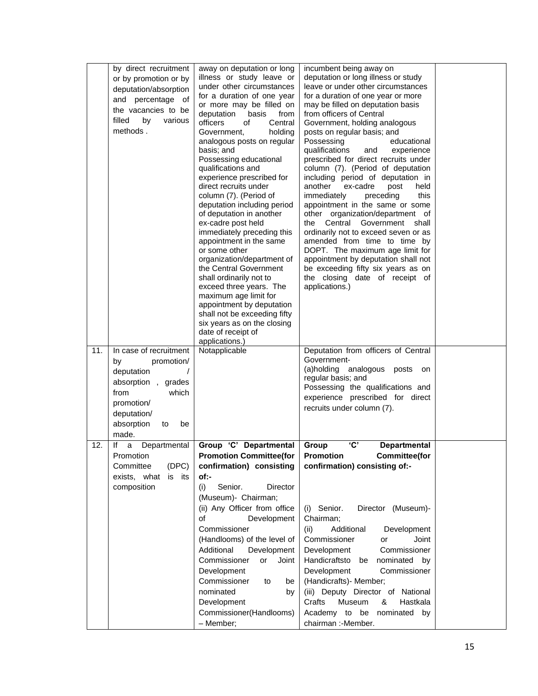|     | by direct recruitment<br>or by promotion or by<br>deputation/absorption<br>and percentage of<br>the vacancies to be<br>filled<br>by<br>various<br>methods.      | away on deputation or long<br>illness or study leave or<br>under other circumstances<br>for a duration of one year<br>or more may be filled on<br>deputation<br>basis<br>from<br>officers<br>Central<br>οf<br>holding<br>Government,<br>analogous posts on regular                                                                                                                                                                                                                                                                                                               | incumbent being away on<br>deputation or long illness or study<br>leave or under other circumstances<br>for a duration of one year or more<br>may be filled on deputation basis<br>from officers of Central<br>Government, holding analogous<br>posts on regular basis; and<br>Possessing<br>educational                                                                                                                                                                                                                                                                                     |  |
|-----|-----------------------------------------------------------------------------------------------------------------------------------------------------------------|----------------------------------------------------------------------------------------------------------------------------------------------------------------------------------------------------------------------------------------------------------------------------------------------------------------------------------------------------------------------------------------------------------------------------------------------------------------------------------------------------------------------------------------------------------------------------------|----------------------------------------------------------------------------------------------------------------------------------------------------------------------------------------------------------------------------------------------------------------------------------------------------------------------------------------------------------------------------------------------------------------------------------------------------------------------------------------------------------------------------------------------------------------------------------------------|--|
|     |                                                                                                                                                                 | basis; and<br>Possessing educational<br>qualifications and<br>experience prescribed for<br>direct recruits under<br>column (7). (Period of<br>deputation including period<br>of deputation in another<br>ex-cadre post held<br>immediately preceding this<br>appointment in the same<br>or some other<br>organization/department of<br>the Central Government<br>shall ordinarily not to<br>exceed three years. The<br>maximum age limit for<br>appointment by deputation<br>shall not be exceeding fifty<br>six years as on the closing<br>date of receipt of<br>applications.) | qualifications<br>experience<br>and<br>prescribed for direct recruits under<br>column (7). (Period of deputation<br>including period of deputation in<br>another<br>ex-cadre<br>post<br>held<br>immediately<br>this<br>preceding<br>appointment in the same or some<br>other organization/department of<br>Central<br>the<br>Government<br>shall<br>ordinarily not to exceed seven or as<br>amended from time to time by<br>DOPT. The maximum age limit for<br>appointment by deputation shall not<br>be exceeding fifty six years as on<br>the closing date of receipt of<br>applications.) |  |
| 11. | In case of recruitment<br>promotion/<br>by<br>deputation<br>absorption, grades<br>from<br>which<br>promotion/<br>deputation/<br>absorption<br>be<br>to<br>made. | Notapplicable                                                                                                                                                                                                                                                                                                                                                                                                                                                                                                                                                                    | Deputation from officers of Central<br>Government-<br>(a)holding<br>analogous posts<br>on<br>regular basis; and<br>Possessing the qualifications and<br>experience prescribed for direct<br>recruits under column (7).                                                                                                                                                                                                                                                                                                                                                                       |  |
| 12. | lf<br>Departmental<br>a<br>Promotion<br>(DPC)<br>Committee<br>exists, what is its<br>composition                                                                | Group 'C' Departmental<br><b>Promotion Committee(for</b><br>confirmation) consisting<br>of:-<br>Senior.<br>(i)<br>Director<br>(Museum)- Chairman;<br>(ii) Any Officer from office<br>of<br>Development<br>Commissioner<br>(Handlooms) of the level of<br>Additional<br>Development<br>Commissioner<br>or<br>Joint<br>Development<br>Commissioner<br>to<br>be<br>nominated<br>by<br>Development<br>Commissioner(Handlooms)<br>- Member;                                                                                                                                           | 'C'<br>Group<br><b>Departmental</b><br><b>Committee</b> (for<br><b>Promotion</b><br>confirmation) consisting of:-<br>Director (Museum)-<br>(i) Senior.<br>Chairman;<br>Additional<br>(ii)<br>Development<br>Commissioner<br>Joint<br>or<br>Commissioner<br>Development<br>Handicraftsto<br>nominated by<br>be<br>Development<br>Commissioner<br>(Handicrafts) - Member;<br>(iii) Deputy Director of National<br>Crafts<br>Museum<br>&<br>Hastkala<br>Academy to be nominated by<br>chairman :-Member.                                                                                        |  |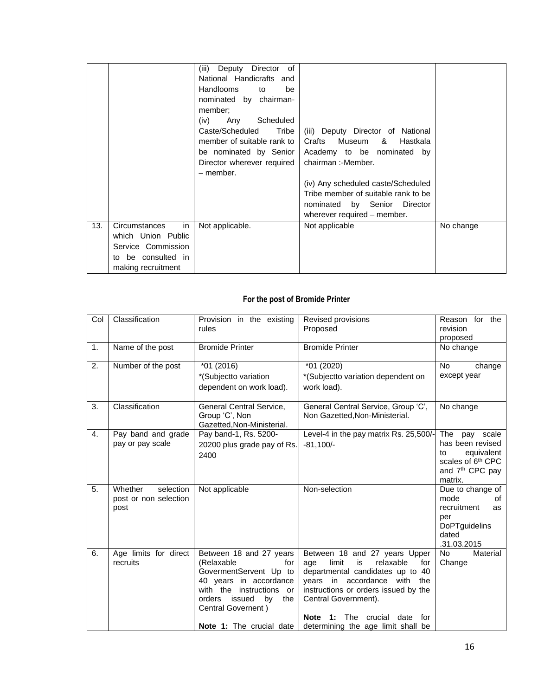|     |                                                                                                             | (iii)<br>Deputy<br>Director<br>0f<br>National Handicrafts and<br>Handlooms<br>to<br>be<br>nominated by chairman-<br>member;<br>Any<br>Scheduled<br>(iv)<br>Caste/Scheduled<br>Tribe<br>member of suitable rank to I<br>be nominated by Senior<br>Director wherever required<br>- member. | (iii) Deputy Director of National<br>Crafts Museum & Hastkala<br>Academy to be nominated by<br>chairman: - Member.<br>(iv) Any scheduled caste/Scheduled<br>Tribe member of suitable rank to be<br>nominated by Senior Director<br>wherever required - member. |           |
|-----|-------------------------------------------------------------------------------------------------------------|------------------------------------------------------------------------------------------------------------------------------------------------------------------------------------------------------------------------------------------------------------------------------------------|----------------------------------------------------------------------------------------------------------------------------------------------------------------------------------------------------------------------------------------------------------------|-----------|
| 13. | in<br>Circumstances<br>which Union Public<br>Service Commission<br>to be consulted in<br>making recruitment | Not applicable.                                                                                                                                                                                                                                                                          | Not applicable                                                                                                                                                                                                                                                 | No change |

## **For the post of Bromide Printer**

| Col | Classification                                        | Provision in the existing<br>rules                                                                                                                                                                                        | Revised provisions<br>Proposed                                                                                                                                                                                                                                                                                 | Reason for the<br>revision<br>proposed                                                                                              |
|-----|-------------------------------------------------------|---------------------------------------------------------------------------------------------------------------------------------------------------------------------------------------------------------------------------|----------------------------------------------------------------------------------------------------------------------------------------------------------------------------------------------------------------------------------------------------------------------------------------------------------------|-------------------------------------------------------------------------------------------------------------------------------------|
| 1.  | Name of the post                                      | <b>Bromide Printer</b>                                                                                                                                                                                                    | <b>Bromide Printer</b>                                                                                                                                                                                                                                                                                         | No change                                                                                                                           |
| 2.  | Number of the post                                    | $*01(2016)$<br>*(Subjectto variation<br>dependent on work load).                                                                                                                                                          | *01 (2020)<br>*(Subjectto variation dependent on<br>work load).                                                                                                                                                                                                                                                | <b>No</b><br>change<br>except year                                                                                                  |
| 3.  | Classification                                        | General Central Service,<br>Group 'C', Non<br>Gazetted, Non-Ministerial.                                                                                                                                                  | General Central Service, Group 'C',<br>Non Gazetted, Non-Ministerial.                                                                                                                                                                                                                                          | No change                                                                                                                           |
| 4.  | Pay band and grade<br>pay or pay scale                | Pay band-1, Rs. 5200-<br>20200 plus grade pay of Rs.<br>2400                                                                                                                                                              | Level-4 in the pay matrix Rs. 25,500/-<br>$-81.100/-$                                                                                                                                                                                                                                                          | The<br>pay scale<br>has been revised<br>equivalent<br>to<br>scales of 6 <sup>th</sup> CPC<br>and 7 <sup>th</sup> CPC pay<br>matrix. |
| 5.  | Whether<br>selection<br>post or non selection<br>post | Not applicable                                                                                                                                                                                                            | Non-selection                                                                                                                                                                                                                                                                                                  | Due to change of<br>mode<br>οf<br>recruitment<br>as<br>per<br><b>DoPT</b> guidelins<br>dated<br>.31.03.2015                         |
| 6.  | Age limits for direct<br>recruits                     | Between 18 and 27 years<br>(Relaxable<br>for<br>GovermentServent Up to<br>40 years in accordance<br>with the<br>instructions or<br>issued<br>by<br>orders<br>the<br>Central Governent)<br><b>Note 1:</b> The crucial date | Between 18 and 27 years Upper<br>relaxable<br>limit<br>is<br>for<br>age<br>departmental candidates up to 40<br>years in accordance with the<br>instructions or orders issued by the<br>Central Government).<br><b>Note</b><br>1:<br><b>The</b><br>crucial<br>date<br>for<br>determining the age limit shall be | <b>No</b><br>Material<br>Change                                                                                                     |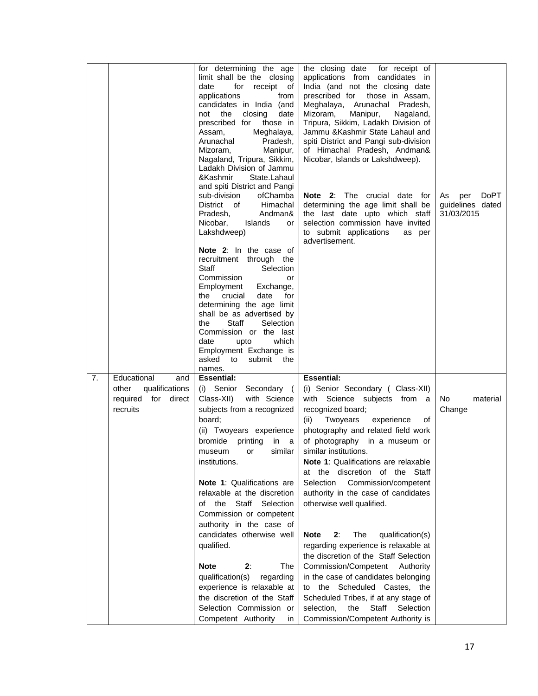|    |                                                                                     | for determining the age<br>limit shall be the closing<br>for<br>receipt of<br>date<br>applications<br>from<br>candidates in India (and<br>the<br>closing<br>not<br>date<br>prescribed for<br>those in<br>Meghalaya,<br>Assam,<br>Arunachal<br>Pradesh,<br>Manipur,<br>Mizoram,<br>Nagaland, Tripura, Sikkim,<br>Ladakh Division of Jammu<br>&Kashmir<br>State.Lahaul<br>and spiti District and Pangi<br>sub-division<br>ofChamba<br>District of<br>Himachal<br>Andman&<br>Pradesh,<br>Nicobar,<br>Islands<br>or<br>Lakshdweep)<br>Note 2: In the case of<br>recruitment through the<br><b>Staff</b><br>Selection<br>Commission<br>or<br>Employment<br>Exchange,<br>crucial<br>date<br>the<br>for<br>determining the age limit<br>shall be as advertised by<br>Staff<br>Selection<br>the<br>Commission or the last<br>which<br>date<br>upto<br>Employment Exchange is<br>asked to<br>submit<br>the<br>names. | the closing date<br>for receipt of<br>applications from candidates in<br>India (and not the closing date<br>prescribed for<br>those in Assam,<br>Meghalaya, Arunachal Pradesh,<br>Mizoram,<br>Manipur,<br>Nagaland,<br>Tripura, Sikkim, Ladakh Division of<br>Jammu & Kashmir State Lahaul and<br>spiti District and Pangi sub-division<br>of Himachal Pradesh, Andman&<br>Nicobar, Islands or Lakshdweep).<br>Note 2: The crucial date for<br>determining the age limit shall be<br>the last date upto which staff<br>selection commission have invited<br>to submit applications<br>as per<br>advertisement.                                                                                                                                                                                              | <b>DoPT</b><br>As<br>per<br>guidelines dated<br>31/03/2015 |
|----|-------------------------------------------------------------------------------------|-------------------------------------------------------------------------------------------------------------------------------------------------------------------------------------------------------------------------------------------------------------------------------------------------------------------------------------------------------------------------------------------------------------------------------------------------------------------------------------------------------------------------------------------------------------------------------------------------------------------------------------------------------------------------------------------------------------------------------------------------------------------------------------------------------------------------------------------------------------------------------------------------------------|-------------------------------------------------------------------------------------------------------------------------------------------------------------------------------------------------------------------------------------------------------------------------------------------------------------------------------------------------------------------------------------------------------------------------------------------------------------------------------------------------------------------------------------------------------------------------------------------------------------------------------------------------------------------------------------------------------------------------------------------------------------------------------------------------------------|------------------------------------------------------------|
| 7. | Educational<br>and<br>qualifications<br>other<br>required for<br>direct<br>recruits | <b>Essential:</b><br>(i) Senior Secondary (<br>Class-XII)<br>with Science<br>subjects from a recognized<br>board;<br>(ii) Twoyears experience<br>bromide<br>printing<br>in<br>- a<br>similar<br>or<br>museum<br>institutions.<br><b>Note 1: Qualifications are</b><br>relaxable at the discretion<br>Staff Selection<br>of the<br>Commission or competent<br>authority in the case of<br>candidates otherwise well<br>qualified.<br><b>Note</b><br>2:<br>The<br>qualification(s)<br>regarding<br>experience is relaxable at<br>the discretion of the Staff<br>Selection Commission or<br>Competent Authority<br>in                                                                                                                                                                                                                                                                                          | <b>Essential:</b><br>(i) Senior Secondary ( Class-XII)<br>with Science subjects from a<br>recognized board;<br>(ii)<br>Twoyears<br>experience<br>οf<br>photography and related field work<br>of photography in a museum or<br>similar institutions.<br>Note 1: Qualifications are relaxable<br>at the discretion of the Staff<br>Selection<br>Commission/competent<br>authority in the case of candidates<br>otherwise well qualified.<br>2:<br>The<br>qualification(s)<br><b>Note</b><br>regarding experience is relaxable at<br>the discretion of the Staff Selection<br>Commission/Competent<br>Authority<br>in the case of candidates belonging<br>to the Scheduled Castes, the<br>Scheduled Tribes, if at any stage of<br>selection,<br>the<br>Staff<br>Selection<br>Commission/Competent Authority is | No<br>material<br>Change                                   |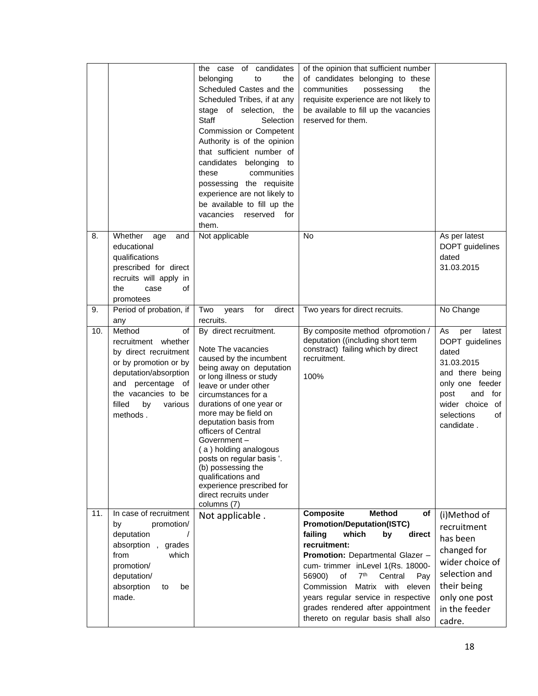|     |                                                                                                                                                                                                   | candidates<br>the case<br>of<br>belonging<br>the<br>to<br>Scheduled Castes and the<br>Scheduled Tribes, if at any<br>stage of selection, the<br>Staff<br>Selection<br>Commission or Competent<br>Authority is of the opinion<br>that sufficient number of<br>candidates belonging<br>to<br>communities<br>these<br>possessing the requisite<br>experience are not likely to<br>be available to fill up the<br>vacancies reserved<br>for<br>them.                         | of the opinion that sufficient number<br>of candidates belonging to these<br>communities<br>possessing<br>the<br>requisite experience are not likely to<br>be available to fill up the vacancies<br>reserved for them.                                                                                                                                                                                                       |                                                                                                                                                                                   |
|-----|---------------------------------------------------------------------------------------------------------------------------------------------------------------------------------------------------|--------------------------------------------------------------------------------------------------------------------------------------------------------------------------------------------------------------------------------------------------------------------------------------------------------------------------------------------------------------------------------------------------------------------------------------------------------------------------|------------------------------------------------------------------------------------------------------------------------------------------------------------------------------------------------------------------------------------------------------------------------------------------------------------------------------------------------------------------------------------------------------------------------------|-----------------------------------------------------------------------------------------------------------------------------------------------------------------------------------|
| 8.  | Whether<br>age<br>and<br>educational<br>qualifications<br>prescribed for direct<br>recruits will apply in<br>the<br>of<br>case<br>promotees                                                       | Not applicable                                                                                                                                                                                                                                                                                                                                                                                                                                                           | <b>No</b>                                                                                                                                                                                                                                                                                                                                                                                                                    | As per latest<br>DOPT guidelines<br>dated<br>31.03.2015                                                                                                                           |
| 9.  | Period of probation, if<br>any                                                                                                                                                                    | for<br>direct<br>Two<br>years<br>recruits.                                                                                                                                                                                                                                                                                                                                                                                                                               | Two years for direct recruits.                                                                                                                                                                                                                                                                                                                                                                                               | No Change                                                                                                                                                                         |
| 10. | Method<br>of<br>recruitment whether<br>by direct recruitment<br>or by promotion or by<br>deputation/absorption<br>and percentage of<br>the vacancies to be<br>filled<br>by<br>various<br>methods. | By direct recruitment.<br>Note The vacancies<br>caused by the incumbent<br>being away on deputation<br>or long illness or study<br>leave or under other<br>circumstances for a<br>durations of one year or<br>more may be field on<br>deputation basis from<br>officers of Central<br>Government-<br>(a) holding analogous<br>posts on regular basis '.<br>(b) possessing the<br>qualifications and<br>experience prescribed for<br>direct recruits under<br>columns (7) | By composite method ofpromotion /<br>deputation ((including short term<br>constract) failing which by direct<br>recruitment.<br>100%                                                                                                                                                                                                                                                                                         | As<br>latest<br>per<br>DOPT guidelines<br>dated<br>31.03.2015<br>and there being<br>only one feeder<br>and<br>for<br>post<br>wider choice<br>of<br>selections<br>of<br>candidate. |
| 11. | In case of recruitment<br>promotion/<br>by<br>deputation<br>$\sqrt{2}$<br>absorption, grades<br>from<br>which<br>promotion/<br>deputation/<br>absorption<br>to<br>be<br>made.                     | Not applicable.                                                                                                                                                                                                                                                                                                                                                                                                                                                          | <b>Composite</b><br><b>Method</b><br>of<br><b>Promotion/Deputation(ISTC)</b><br>failing<br>which<br>by<br>direct<br>recruitment:<br><b>Promotion:</b> Departmental Glazer -<br>cum- trimmer inLevel 1(Rs. 18000-<br>7 <sup>th</sup><br>56900)<br>Central<br>of<br>Pay<br>Matrix with eleven<br>Commission<br>years regular service in respective<br>grades rendered after appointment<br>thereto on regular basis shall also | (i)Method of<br>recruitment<br>has been<br>changed for<br>wider choice of<br>selection and<br>their being<br>only one post<br>in the feeder<br>cadre.                             |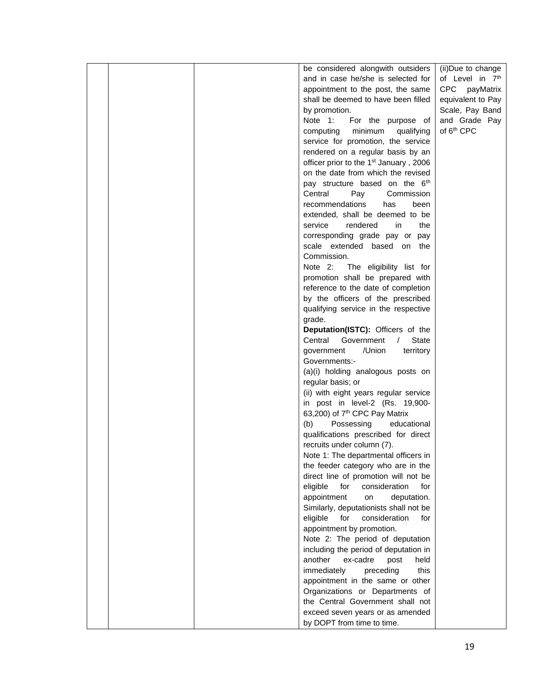|  | be considered alongwith outsiders                                            | (ii)Due to change      |
|--|------------------------------------------------------------------------------|------------------------|
|  | and in case he/she is selected for                                           | of Level in 7th        |
|  | appointment to the post, the same                                            | CPC payMatrix          |
|  | shall be deemed to have been filled                                          | equivalent to Pay      |
|  | by promotion.                                                                | Scale, Pay Band        |
|  | Note 1:<br>For the purpose of                                                | and Grade Pay          |
|  | minimum<br>qualifying<br>computing                                           | of 6 <sup>th</sup> CPC |
|  | service for promotion, the service                                           |                        |
|  | rendered on a regular basis by an                                            |                        |
|  | officer prior to the 1 <sup>st</sup> January, 2006                           |                        |
|  | on the date from which the revised                                           |                        |
|  | pay structure based on the 6th                                               |                        |
|  | Central<br>Pay<br>Commission                                                 |                        |
|  | recommendations<br>has<br>been                                               |                        |
|  | extended, shall be deemed to be                                              |                        |
|  | service<br>rendered<br>in<br>the                                             |                        |
|  | corresponding grade pay or pay                                               |                        |
|  |                                                                              |                        |
|  | scale extended based on the<br>Commission.                                   |                        |
|  | Note 2:<br>The eligibility list for                                          |                        |
|  | promotion shall be prepared with                                             |                        |
|  | reference to the date of completion                                          |                        |
|  | by the officers of the prescribed                                            |                        |
|  |                                                                              |                        |
|  | qualifying service in the respective<br>grade.                               |                        |
|  | Deputation(ISTC): Officers of the                                            |                        |
|  | State<br>Central<br>Government<br>$\sqrt{2}$                                 |                        |
|  | /Union                                                                       |                        |
|  | government<br>territory<br>Governments:-                                     |                        |
|  | (a)(i) holding analogous posts on                                            |                        |
|  |                                                                              |                        |
|  | regular basis; or                                                            |                        |
|  | (ii) with eight years regular service                                        |                        |
|  | in post in level-2 (Rs. 19,900-<br>63,200) of 7 <sup>th</sup> CPC Pay Matrix |                        |
|  | (b)<br>educational                                                           |                        |
|  | Possessing<br>qualifications prescribed for direct                           |                        |
|  |                                                                              |                        |
|  | recruits under column (7).<br>Note 1: The departmental officers in           |                        |
|  | the feeder category who are in the                                           |                        |
|  | direct line of promotion will not be                                         |                        |
|  | eligible<br>for<br>consideration<br>for                                      |                        |
|  | appointment<br>deputation.<br>on                                             |                        |
|  | Similarly, deputationists shall not be                                       |                        |
|  | for<br>eligible<br>consideration<br>for                                      |                        |
|  | appointment by promotion.                                                    |                        |
|  | Note 2: The period of deputation                                             |                        |
|  | including the period of deputation in                                        |                        |
|  | another<br>ex-cadre<br>held<br>post                                          |                        |
|  | immediately<br>preceding<br>this                                             |                        |
|  | appointment in the same or other                                             |                        |
|  | Organizations or Departments of                                              |                        |
|  | the Central Government shall not                                             |                        |
|  | exceed seven years or as amended                                             |                        |
|  | by DOPT from time to time.                                                   |                        |
|  |                                                                              |                        |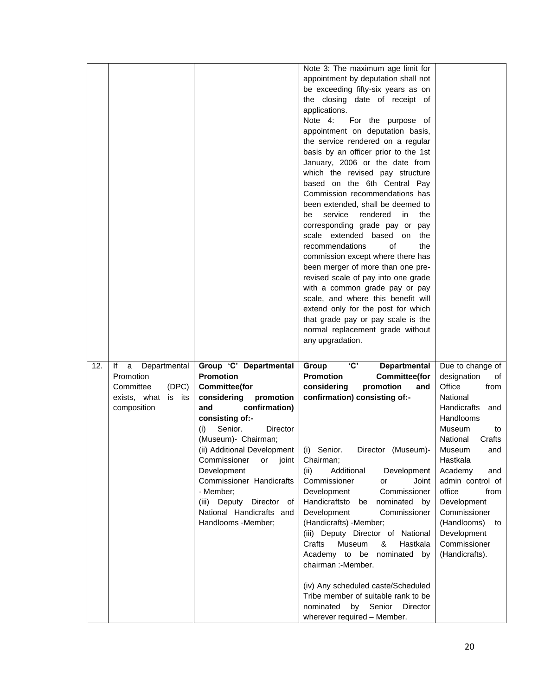|     |                                                                                      |                                                                                                                                                                                                                                                                                                        | Note 3: The maximum age limit for<br>appointment by deputation shall not<br>be exceeding fifty-six years as on<br>the closing date of receipt of<br>applications.<br>Note 4:<br>For the purpose of<br>appointment on deputation basis,<br>the service rendered on a regular<br>basis by an officer prior to the 1st<br>January, 2006 or the date from<br>which the revised pay structure<br>based on the 6th Central Pay<br>Commission recommendations has<br>been extended, shall be deemed to<br>service<br>rendered<br>be<br>in<br>the<br>corresponding grade pay or pay<br>scale extended based on<br>the<br>of<br>recommendations<br>the<br>commission except where there has<br>been merger of more than one pre-<br>revised scale of pay into one grade<br>with a common grade pay or pay<br>scale, and where this benefit will<br>extend only for the post for which<br>that grade pay or pay scale is the<br>normal replacement grade without<br>any upgradation. |                                                                                                                                                                                                                                                                        |
|-----|--------------------------------------------------------------------------------------|--------------------------------------------------------------------------------------------------------------------------------------------------------------------------------------------------------------------------------------------------------------------------------------------------------|----------------------------------------------------------------------------------------------------------------------------------------------------------------------------------------------------------------------------------------------------------------------------------------------------------------------------------------------------------------------------------------------------------------------------------------------------------------------------------------------------------------------------------------------------------------------------------------------------------------------------------------------------------------------------------------------------------------------------------------------------------------------------------------------------------------------------------------------------------------------------------------------------------------------------------------------------------------------------|------------------------------------------------------------------------------------------------------------------------------------------------------------------------------------------------------------------------------------------------------------------------|
| 12. | lf<br>Departmental<br>a<br>Promotion<br>(DPC)<br>Committee<br>exists, what<br>is its | Group 'C' Departmental<br><b>Promotion</b><br><b>Committee(for</b><br>considering<br>promotion                                                                                                                                                                                                         | 'C'<br>Group<br><b>Departmental</b><br><b>Promotion</b><br><b>Committee(for</b><br>considering<br>promotion<br>and<br>confirmation) consisting of:-                                                                                                                                                                                                                                                                                                                                                                                                                                                                                                                                                                                                                                                                                                                                                                                                                        | Due to change of<br>designation<br>οf<br>Office<br>from<br>National                                                                                                                                                                                                    |
|     | composition                                                                          | confirmation)<br>and<br>consisting of:-<br>Senior.<br>Director<br>(i)<br>(Museum)- Chairman;<br>(ii) Additional Development<br>Commissioner<br>joint<br>or<br>Development<br>Commissioner Handicrafts<br>- Member;<br>(iii)<br>Deputy Director<br>of<br>National Handicrafts and<br>Handlooms -Member; | (i) Senior.<br>Director (Museum)-<br>Chairman;<br>(ii)<br>Additional<br>Development<br>Commissioner<br>Joint<br>or<br>Development<br>Commissioner<br>Handicraftsto<br>nominated<br>be<br>by<br>Development<br>Commissioner<br>(Handicrafts) -Member;<br>(iii) Deputy Director of National<br>Crafts<br>Museum<br>&<br>Hastkala<br>Academy to be<br>nominated<br>by<br>chairman :-Member.<br>(iv) Any scheduled caste/Scheduled<br>Tribe member of suitable rank to be<br>nominated<br>by<br>Senior<br>Director<br>wherever required - Member.                                                                                                                                                                                                                                                                                                                                                                                                                              | <b>Handicrafts</b><br>and<br>Handlooms<br>Museum<br>to<br>National<br>Crafts<br>Museum<br>and<br>Hastkala<br>Academy<br>and<br>admin control of<br>office<br>from<br>Development<br>Commissioner<br>(Handlooms)<br>to<br>Development<br>Commissioner<br>(Handicrafts). |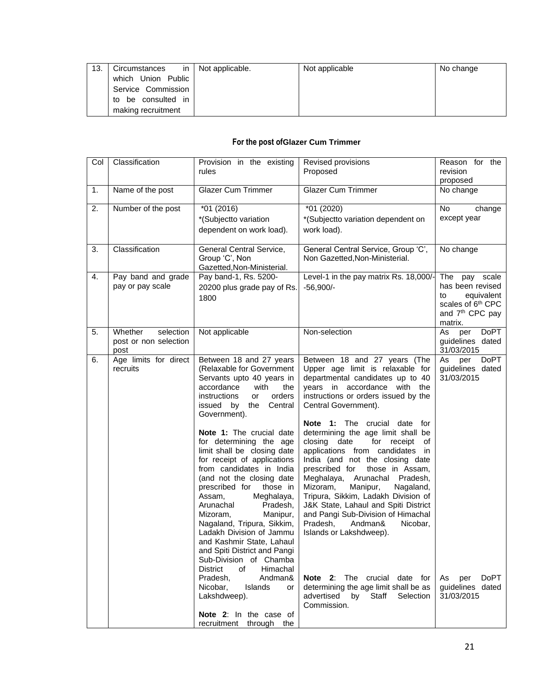| 13. | Circumstances      | in   Not applicable. | Not applicable | No change |
|-----|--------------------|----------------------|----------------|-----------|
|     | which Union Public |                      |                |           |
|     | Service Commission |                      |                |           |
|     | to be consulted in |                      |                |           |
|     | making recruitment |                      |                |           |

## **For the post ofGlazer Cum Trimmer**

| Col | Classification                | Provision in the existing<br>rules                       | Revised provisions<br>Proposed                                           | Reason for the<br>revision                                   |
|-----|-------------------------------|----------------------------------------------------------|--------------------------------------------------------------------------|--------------------------------------------------------------|
| 1.  | Name of the post              | <b>Glazer Cum Trimmer</b>                                | <b>Glazer Cum Trimmer</b>                                                | proposed<br>No change                                        |
|     |                               |                                                          |                                                                          |                                                              |
| 2.  | Number of the post            | $*01(2016)$                                              | *01 (2020)                                                               | No<br>change                                                 |
|     |                               | *(Subjectto variation                                    | *(Subjectto variation dependent on                                       | except year                                                  |
|     |                               | dependent on work load).                                 | work load).                                                              |                                                              |
| 3.  | Classification                | General Central Service,                                 | General Central Service, Group 'C',                                      | No change                                                    |
|     |                               | Group 'C', Non<br>Gazetted, Non-Ministerial.             | Non Gazetted, Non-Ministerial.                                           |                                                              |
| 4.  | Pay band and grade            | Pay band-1, Rs. 5200-                                    | Level-1 in the pay matrix Rs. 18,000/-                                   | The pay scale                                                |
|     | pay or pay scale              | 20200 plus grade pay of Rs.                              | $-56,900/-$                                                              | has been revised                                             |
|     |                               | 1800                                                     |                                                                          | equivalent<br>to                                             |
|     |                               |                                                          |                                                                          | scales of 6 <sup>th</sup> CPC<br>and 7 <sup>th</sup> CPC pay |
|     |                               |                                                          |                                                                          | matrix.                                                      |
| 5.  | Whether<br>selection          | Not applicable                                           | Non-selection                                                            | As<br>DoPT<br>per                                            |
|     | post or non selection         |                                                          |                                                                          | guidelines dated                                             |
| 6.  | post<br>Age limits for direct | Between 18 and 27 years                                  | Between 18 and 27 years (The                                             | 31/03/2015<br>DoPT<br>As<br>per                              |
|     | recruits                      | (Relaxable for Government                                | Upper age limit is relaxable for                                         | guidelines dated                                             |
|     |                               | Servants upto 40 years in                                | departmental candidates up to 40                                         | 31/03/2015                                                   |
|     |                               | accordance<br>with<br>the                                | years in accordance with the                                             |                                                              |
|     |                               | instructions<br>orders<br>or<br>issued by<br>the Central | instructions or orders issued by the<br>Central Government).             |                                                              |
|     |                               | Government).                                             |                                                                          |                                                              |
|     |                               |                                                          | Note 1: The crucial date for                                             |                                                              |
|     |                               | Note 1: The crucial date                                 | determining the age limit shall be                                       |                                                              |
|     |                               | for determining the age<br>limit shall be closing date   | closing date<br>for receipt<br>of<br>applications from candidates in     |                                                              |
|     |                               | for receipt of applications                              | India (and not the closing date                                          |                                                              |
|     |                               | from candidates in India                                 | prescribed for<br>those in Assam,                                        |                                                              |
|     |                               | (and not the closing date                                | Meghalaya,<br>Arunachal Pradesh,                                         |                                                              |
|     |                               | prescribed for<br>those in<br>Meghalaya,<br>Assam.       | Mizoram,<br>Manipur,<br>Nagaland,<br>Tripura, Sikkim, Ladakh Division of |                                                              |
|     |                               | Arunachal<br>Pradesh,                                    | J&K State, Lahaul and Spiti District                                     |                                                              |
|     |                               | Mizoram.<br>Manipur,                                     | and Pangi Sub-Division of Himachal                                       |                                                              |
|     |                               | Nagaland, Tripura, Sikkim,                               | Pradesh,<br>Andman&<br>Nicobar,                                          |                                                              |
|     |                               | Ladakh Division of Jammu<br>and Kashmir State, Lahaul    | Islands or Lakshdweep).                                                  |                                                              |
|     |                               | and Spiti District and Pangi                             |                                                                          |                                                              |
|     |                               | Sub-Division of Chamba                                   |                                                                          |                                                              |
|     |                               | Himachal<br><b>District</b><br>of<br>Pradesh,<br>Andman& | Note 2: The crucial date for                                             | <b>DoPT</b>                                                  |
|     |                               | Nicobar,<br>Islands<br>or                                | determining the age limit shall be as                                    | As<br>per<br>guidelines dated                                |
|     |                               | Lakshdweep).                                             | advertised by Staff<br>Selection                                         | 31/03/2015                                                   |
|     |                               |                                                          | Commission.                                                              |                                                              |
|     |                               | Note 2: In the case of<br>recruitment through the        |                                                                          |                                                              |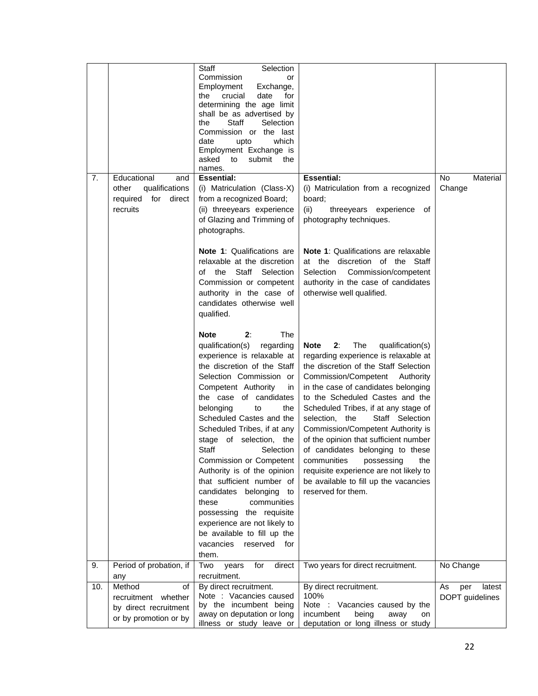| 7.  | Educational<br>and<br>qualifications<br>other<br>required for<br>direct<br>recruits   | Selection<br>Staff<br>Commission<br>or<br>Exchange,<br>Employment<br>crucial<br>date<br>for<br>the<br>determining the age limit<br>shall be as advertised by<br>Staff<br>Selection<br>the<br>Commission or the last<br>date<br>which<br>upto<br>Employment Exchange is<br>asked<br>submit<br>to<br>the<br>names.<br><b>Essential:</b><br>(i) Matriculation (Class-X)<br>from a recognized Board;<br>(ii) threeyears experience<br>of Glazing and Trimming of<br>photographs.                                                                                                                                                           | <b>Essential:</b><br>(i) Matriculation from a recognized<br>board;<br>(ii)<br>threeyears experience<br>of<br>photography techniques.                                                                                                                                                                                                                                                                                                                                                                                                                                           | No<br>Material<br>Change               |
|-----|---------------------------------------------------------------------------------------|----------------------------------------------------------------------------------------------------------------------------------------------------------------------------------------------------------------------------------------------------------------------------------------------------------------------------------------------------------------------------------------------------------------------------------------------------------------------------------------------------------------------------------------------------------------------------------------------------------------------------------------|--------------------------------------------------------------------------------------------------------------------------------------------------------------------------------------------------------------------------------------------------------------------------------------------------------------------------------------------------------------------------------------------------------------------------------------------------------------------------------------------------------------------------------------------------------------------------------|----------------------------------------|
|     |                                                                                       | Note 1: Qualifications are<br>relaxable at the discretion<br>of the<br>Staff<br>Selection<br>Commission or competent<br>authority in the case of<br>candidates otherwise well<br>qualified.                                                                                                                                                                                                                                                                                                                                                                                                                                            | Note 1: Qualifications are relaxable<br>at the discretion of the Staff<br>Selection<br>Commission/competent<br>authority in the case of candidates<br>otherwise well qualified.                                                                                                                                                                                                                                                                                                                                                                                                |                                        |
|     |                                                                                       | The<br><b>Note</b><br>2:<br>qualification(s)<br>regarding<br>experience is relaxable at<br>the discretion of the Staff<br>Selection Commission or<br>Competent Authority<br>in<br>the case of candidates<br>belonging<br>to<br>the<br>Scheduled Castes and the<br>Scheduled Tribes, if at any<br>stage of selection, the<br><b>Staff</b><br>Selection<br>Commission or Competent<br>Authority is of the opinion<br>that sufficient number of<br>candidates belonging<br>to<br>communities<br>these<br>possessing the requisite<br>experience are not likely to<br>be available to fill up the<br>vacancies<br>reserved<br>for<br>them. | The<br>2:<br>Note<br>qualification(s)<br>regarding experience is relaxable at<br>the discretion of the Staff Selection<br>Commission/Competent Authority<br>in the case of candidates belonging<br>to the Scheduled Castes and the<br>Scheduled Tribes, if at any stage of<br>selection, the<br>Staff Selection<br>Commission/Competent Authority is<br>of the opinion that sufficient number<br>of candidates belonging to these<br>communities<br>possessing<br>the<br>requisite experience are not likely to<br>be available to fill up the vacancies<br>reserved for them. |                                        |
| 9.  | Period of probation, if<br>any                                                        | Two<br>for<br>direct<br>years<br>recruitment.                                                                                                                                                                                                                                                                                                                                                                                                                                                                                                                                                                                          | Two years for direct recruitment.                                                                                                                                                                                                                                                                                                                                                                                                                                                                                                                                              | No Change                              |
| 10. | Method<br>of<br>recruitment whether<br>by direct recruitment<br>or by promotion or by | By direct recruitment.<br>Note : Vacancies caused<br>by the incumbent being<br>away on deputation or long<br>illness or study leave or                                                                                                                                                                                                                                                                                                                                                                                                                                                                                                 | By direct recruitment.<br>100%<br>Note : Vacancies caused by the<br>incumbent<br>being<br>away<br>on<br>deputation or long illness or study                                                                                                                                                                                                                                                                                                                                                                                                                                    | As<br>latest<br>per<br>DOPT guidelines |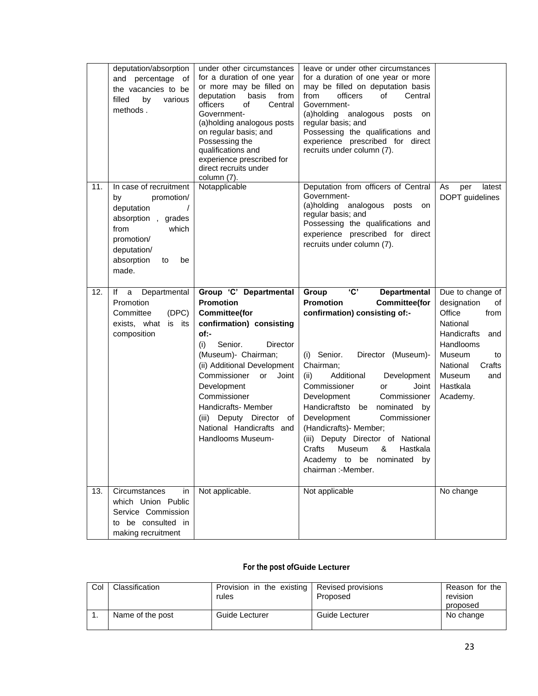|     | deputation/absorption<br>and percentage<br>of<br>the vacancies to be<br>filled<br>by<br>various<br>methods.                                                                   | under other circumstances<br>for a duration of one year<br>or more may be filled on<br>deputation<br>basis<br>from<br>officers<br>Central<br>οf<br>Government-<br>(a)holding analogous posts<br>on regular basis; and<br>Possessing the<br>qualifications and<br>experience prescribed for<br>direct recruits under<br>column (7).                           | leave or under other circumstances<br>for a duration of one year or more<br>may be filled on deputation basis<br>from<br>officers<br>of<br>Central<br>Government-<br>(a)holding analogous posts<br>on<br>regular basis; and<br>Possessing the qualifications and<br>experience prescribed for direct<br>recruits under column (7).                                                                                                                                                                         |                                                                                                                                                                                       |
|-----|-------------------------------------------------------------------------------------------------------------------------------------------------------------------------------|--------------------------------------------------------------------------------------------------------------------------------------------------------------------------------------------------------------------------------------------------------------------------------------------------------------------------------------------------------------|------------------------------------------------------------------------------------------------------------------------------------------------------------------------------------------------------------------------------------------------------------------------------------------------------------------------------------------------------------------------------------------------------------------------------------------------------------------------------------------------------------|---------------------------------------------------------------------------------------------------------------------------------------------------------------------------------------|
| 11. | In case of recruitment<br>by<br>promotion/<br>deputation<br>$\sqrt{2}$<br>absorption, grades<br>from<br>which<br>promotion/<br>deputation/<br>absorption<br>to<br>be<br>made. | Notapplicable                                                                                                                                                                                                                                                                                                                                                | Deputation from officers of Central<br>Government-<br>(a)holding<br>analogous<br>posts<br>on<br>regular basis; and<br>Possessing the qualifications and<br>experience prescribed for direct<br>recruits under column (7).                                                                                                                                                                                                                                                                                  | As<br>latest<br>per<br>DOPT guidelines                                                                                                                                                |
| 12. | Departmental<br>lf<br>a<br>Promotion<br>(DEC)<br>Committee<br>exists, what is its<br>composition                                                                              | Group 'C' Departmental<br><b>Promotion</b><br><b>Committee(for</b><br>confirmation) consisting<br>of:-<br>Senior.<br>(i)<br>Director<br>(Museum)- Chairman;<br>(ii) Additional Development<br>Commissioner<br>or<br>Joint<br>Development<br>Commissioner<br>Handicrafts- Member<br>(iii) Deputy Director of<br>National Handicrafts and<br>Handlooms Museum- | 'C'<br>Group<br><b>Departmental</b><br><b>Promotion</b><br><b>Committee(for</b><br>confirmation) consisting of:-<br>(i) Senior.<br>Director (Museum)-<br>Chairman;<br>Additional<br>Development<br>(ii)<br>Commissioner<br>Joint<br>or<br>Development<br>Commissioner<br>Handicraftsto<br>nominated<br>be<br>by<br>Development<br>Commissioner<br>(Handicrafts) - Member;<br>(iii) Deputy Director of National<br>Crafts<br>Museum<br>&<br>Hastkala<br>Academy to be nominated<br>by<br>chairman :-Member. | Due to change of<br>designation<br>οf<br>Office<br>from<br>National<br>Handicrafts<br>and<br>Handlooms<br>Museum<br>to<br>National<br>Crafts<br>Museum<br>and<br>Hastkala<br>Academy. |
| 13. | Circumstances<br>in<br>which Union Public<br>Service Commission<br>to be consulted in<br>making recruitment                                                                   | Not applicable.                                                                                                                                                                                                                                                                                                                                              | Not applicable                                                                                                                                                                                                                                                                                                                                                                                                                                                                                             | No change                                                                                                                                                                             |

## **For the post ofGuide Lecturer**

| Col | Classification   | Provision in the existing Revised provisions<br>rules | Proposed       | Reason for the<br>revision<br>proposed |
|-----|------------------|-------------------------------------------------------|----------------|----------------------------------------|
|     | Name of the post | Guide Lecturer                                        | Guide Lecturer | No change                              |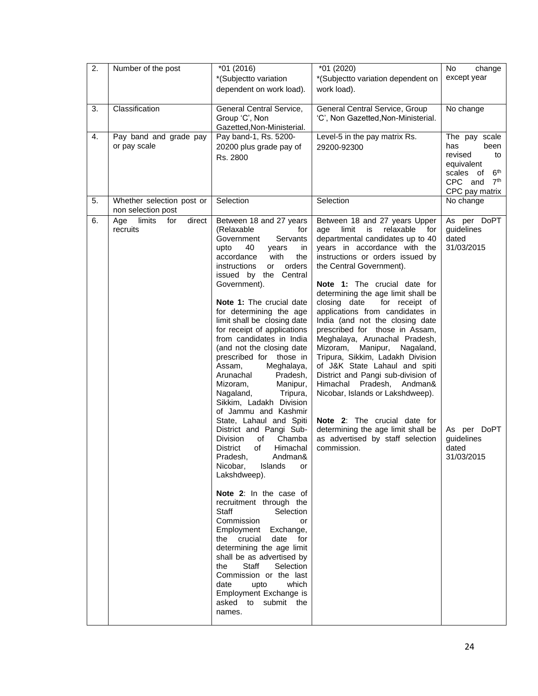| $\overline{2}$ . | Number of the post             | $*01(2016)$                                                | *01 (2020)                                                         | <b>No</b><br>change                                        |
|------------------|--------------------------------|------------------------------------------------------------|--------------------------------------------------------------------|------------------------------------------------------------|
|                  |                                | *(Subjectto variation                                      | *(Subjectto variation dependent on                                 | except year                                                |
|                  |                                | dependent on work load).                                   | work load).                                                        |                                                            |
|                  |                                |                                                            |                                                                    |                                                            |
| 3.               | Classification                 | General Central Service,                                   | General Central Service, Group                                     | No change                                                  |
|                  |                                | Group 'C', Non                                             | 'C', Non Gazetted, Non-Ministerial.                                |                                                            |
|                  |                                | Gazetted, Non-Ministerial.                                 |                                                                    |                                                            |
| 4.               | Pay band and grade pay         | Pay band-1, Rs. 5200-                                      | Level-5 in the pay matrix Rs.                                      | The pay scale                                              |
|                  | or pay scale                   | 20200 plus grade pay of                                    | 29200-92300                                                        | has<br>been                                                |
|                  |                                | Rs. 2800                                                   |                                                                    | revised<br>to                                              |
|                  |                                |                                                            |                                                                    | equivalent                                                 |
|                  |                                |                                                            |                                                                    | 6 <sup>th</sup><br>scales of<br>7 <sup>th</sup><br>CPC and |
|                  |                                |                                                            |                                                                    | CPC pay matrix                                             |
| 5.               | Whether selection post or      | Selection                                                  | Selection                                                          | No change                                                  |
|                  | non selection post             |                                                            |                                                                    |                                                            |
| 6.               | limits<br>direct<br>Age<br>for | Between 18 and 27 years                                    | Between 18 and 27 years Upper                                      | As per DoPT                                                |
|                  | recruits                       | (Relaxable<br>for                                          | limit<br>is<br>relaxable<br>age<br>for                             | guidelines                                                 |
|                  |                                | Government<br>Servants                                     | departmental candidates up to 40                                   | dated                                                      |
|                  |                                | upto<br>40<br>in<br>years                                  | years in accordance with the                                       | 31/03/2015                                                 |
|                  |                                | accordance<br>with<br>the                                  | instructions or orders issued by                                   |                                                            |
|                  |                                | orders<br>instructions<br>or                               | the Central Government).                                           |                                                            |
|                  |                                | Central<br>issued by the                                   |                                                                    |                                                            |
|                  |                                | Government).                                               | Note 1: The crucial date for                                       |                                                            |
|                  |                                |                                                            | determining the age limit shall be                                 |                                                            |
|                  |                                | <b>Note 1:</b> The crucial date<br>for determining the age | closing date<br>for receipt of                                     |                                                            |
|                  |                                | limit shall be closing date                                | applications from candidates in<br>India (and not the closing date |                                                            |
|                  |                                | for receipt of applications                                | prescribed for those in Assam,                                     |                                                            |
|                  |                                | from candidates in India                                   | Meghalaya, Arunachal Pradesh,                                      |                                                            |
|                  |                                | (and not the closing date                                  | Mizoram,<br>Manipur,<br>Nagaland,                                  |                                                            |
|                  |                                | prescribed for those in                                    | Tripura, Sikkim, Ladakh Division                                   |                                                            |
|                  |                                | Meghalaya,<br>Assam,                                       | of J&K State Lahaul and spiti                                      |                                                            |
|                  |                                | Arunachal<br>Pradesh,                                      | District and Pangi sub-division of                                 |                                                            |
|                  |                                | Manipur,<br>Mizoram,                                       | Himachal<br>Pradesh, Andman&                                       |                                                            |
|                  |                                | Tripura,<br>Nagaland,                                      | Nicobar, Islands or Lakshdweep).                                   |                                                            |
|                  |                                | Sikkim, Ladakh Division                                    |                                                                    |                                                            |
|                  |                                | of Jammu and Kashmir<br>State, Lahaul and Spiti            | Note 2: The crucial date for                                       |                                                            |
|                  |                                | District and Pangi Sub-                                    | determining the age limit shall be                                 | As per DoPT                                                |
|                  |                                | Division<br>of<br>Chamba                                   | as advertised by staff selection                                   | guidelines                                                 |
|                  |                                | of<br>Himachal<br>District                                 | commission.                                                        | dated                                                      |
|                  |                                | Andman&<br>Pradesh,                                        |                                                                    | 31/03/2015                                                 |
|                  |                                | Nicobar,<br>Islands<br>or                                  |                                                                    |                                                            |
|                  |                                | Lakshdweep).                                               |                                                                    |                                                            |
|                  |                                |                                                            |                                                                    |                                                            |
|                  |                                | Note 2: In the case of                                     |                                                                    |                                                            |
|                  |                                | recruitment through the                                    |                                                                    |                                                            |
|                  |                                | <b>Staff</b><br>Selection<br>Commission                    |                                                                    |                                                            |
|                  |                                | or<br>Employment Exchange,                                 |                                                                    |                                                            |
|                  |                                | the crucial<br>date<br>for                                 |                                                                    |                                                            |
|                  |                                | determining the age limit                                  |                                                                    |                                                            |
|                  |                                | shall be as advertised by                                  |                                                                    |                                                            |
|                  |                                | Staff<br>the<br>Selection                                  |                                                                    |                                                            |
|                  |                                | Commission or the last                                     |                                                                    |                                                            |
|                  |                                | date<br>upto<br>which                                      |                                                                    |                                                            |
|                  |                                | Employment Exchange is                                     |                                                                    |                                                            |
|                  |                                | asked to submit the                                        |                                                                    |                                                            |
|                  |                                | names.                                                     |                                                                    |                                                            |
|                  |                                |                                                            |                                                                    |                                                            |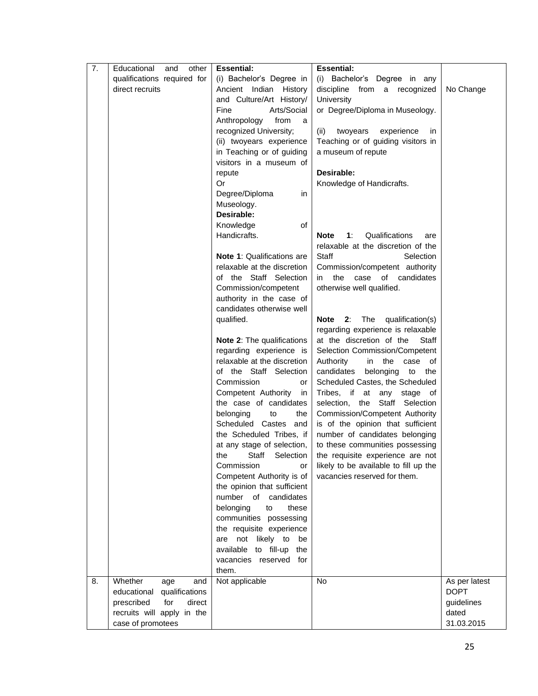| 7. | Educational<br>other<br>and                               | <b>Essential:</b>                                | <b>Essential:</b>                                                |                     |
|----|-----------------------------------------------------------|--------------------------------------------------|------------------------------------------------------------------|---------------------|
|    | qualifications required for                               | (i) Bachelor's Degree in                         | (i) Bachelor's Degree in any                                     |                     |
|    | direct recruits                                           | Ancient Indian History                           | discipline<br>from a recognized                                  | No Change           |
|    |                                                           | and Culture/Art History/                         | University                                                       |                     |
|    |                                                           | Fine<br>Arts/Social                              | or Degree/Diploma in Museology.                                  |                     |
|    |                                                           | Anthropology<br>from<br>a                        |                                                                  |                     |
|    |                                                           | recognized University;                           | (ii)<br>twoyears<br>experience<br>in                             |                     |
|    |                                                           | (ii) twoyears experience                         | Teaching or of guiding visitors in                               |                     |
|    |                                                           | in Teaching or of guiding                        | a museum of repute                                               |                     |
|    |                                                           | visitors in a museum of                          |                                                                  |                     |
|    |                                                           | repute                                           | Desirable:                                                       |                     |
|    |                                                           | Or                                               | Knowledge of Handicrafts.                                        |                     |
|    |                                                           | Degree/Diploma<br>in                             |                                                                  |                     |
|    |                                                           | Museology.<br>Desirable:                         |                                                                  |                     |
|    |                                                           | Knowledge<br>of                                  |                                                                  |                     |
|    |                                                           | Handicrafts.                                     | <b>Note</b><br>1:<br>Qualifications<br>are                       |                     |
|    |                                                           |                                                  | relaxable at the discretion of the                               |                     |
|    |                                                           | <b>Note 1: Qualifications are</b>                | Staff<br>Selection                                               |                     |
|    |                                                           | relaxable at the discretion                      | Commission/competent authority                                   |                     |
|    |                                                           | of the Staff Selection                           | of candidates<br>in the case                                     |                     |
|    |                                                           | Commission/competent                             | otherwise well qualified.                                        |                     |
|    |                                                           | authority in the case of                         |                                                                  |                     |
|    |                                                           | candidates otherwise well                        |                                                                  |                     |
|    |                                                           | qualified.                                       | Note 2: The<br>qualification(s)                                  |                     |
|    |                                                           |                                                  | regarding experience is relaxable                                |                     |
|    |                                                           | Note 2: The qualifications                       | at the discretion of the<br>Staff                                |                     |
|    |                                                           | regarding experience is                          | Selection Commission/Competent                                   |                     |
|    |                                                           | relaxable at the discretion                      | Authority<br>in the<br>case<br>of.                               |                     |
|    |                                                           | of the Staff Selection                           | candidates<br>belonging<br>the<br>to                             |                     |
|    |                                                           | Commission<br>or                                 | Scheduled Castes, the Scheduled                                  |                     |
|    |                                                           | Competent Authority<br>in                        | Tribes, if at any stage of                                       |                     |
|    |                                                           | the case of candidates<br>belonging<br>to<br>the | selection, the Staff Selection<br>Commission/Competent Authority |                     |
|    |                                                           | Scheduled Castes and                             | is of the opinion that sufficient                                |                     |
|    |                                                           | the Scheduled Tribes, if                         | number of candidates belonging                                   |                     |
|    |                                                           | at any stage of selection,                       | to these communities possessing                                  |                     |
|    |                                                           | the Staff Selection                              | the requisite experience are not                                 |                     |
|    |                                                           | Commission<br>or                                 | likely to be available to fill up the                            |                     |
|    |                                                           | Competent Authority is of                        | vacancies reserved for them.                                     |                     |
|    |                                                           | the opinion that sufficient                      |                                                                  |                     |
|    |                                                           | number of candidates                             |                                                                  |                     |
|    |                                                           | belonging<br>these<br>to                         |                                                                  |                     |
|    |                                                           | communities possessing                           |                                                                  |                     |
|    |                                                           | the requisite experience                         |                                                                  |                     |
|    |                                                           | are not likely to<br>be                          |                                                                  |                     |
|    |                                                           | available to fill-up<br>the                      |                                                                  |                     |
|    |                                                           | vacancies reserved for                           |                                                                  |                     |
|    |                                                           | them.                                            |                                                                  |                     |
| 8. | Whether<br>age<br>and                                     | Not applicable                                   | No                                                               | As per latest       |
|    | educational qualifications                                |                                                  |                                                                  | <b>DOPT</b>         |
|    | direct<br>prescribed<br>for<br>recruits will apply in the |                                                  |                                                                  | guidelines<br>dated |
|    | case of promotees                                         |                                                  |                                                                  | 31.03.2015          |
|    |                                                           |                                                  |                                                                  |                     |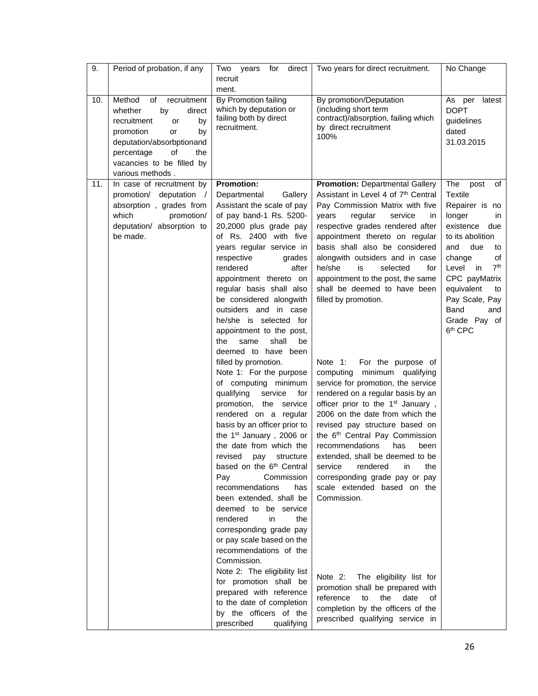|                                                                                                                                                                                                                            | recruit<br>ment.                                                                                                                                                                                                                                                                                                                                                                                                                                                                                                                                                                                                                                                                                                                                                                                                                                                                                                                                                                                                                                                                                                                                                                             |                                                                                                                                                                                                                                                                                                                                                                                                                                                                                                                                                                                                                                                                                                                                                                                                                                                                                                                                                                                                                                                                                                                                        | No Change                                                                                                                                                                                                                                                                                     |
|----------------------------------------------------------------------------------------------------------------------------------------------------------------------------------------------------------------------------|----------------------------------------------------------------------------------------------------------------------------------------------------------------------------------------------------------------------------------------------------------------------------------------------------------------------------------------------------------------------------------------------------------------------------------------------------------------------------------------------------------------------------------------------------------------------------------------------------------------------------------------------------------------------------------------------------------------------------------------------------------------------------------------------------------------------------------------------------------------------------------------------------------------------------------------------------------------------------------------------------------------------------------------------------------------------------------------------------------------------------------------------------------------------------------------------|----------------------------------------------------------------------------------------------------------------------------------------------------------------------------------------------------------------------------------------------------------------------------------------------------------------------------------------------------------------------------------------------------------------------------------------------------------------------------------------------------------------------------------------------------------------------------------------------------------------------------------------------------------------------------------------------------------------------------------------------------------------------------------------------------------------------------------------------------------------------------------------------------------------------------------------------------------------------------------------------------------------------------------------------------------------------------------------------------------------------------------------|-----------------------------------------------------------------------------------------------------------------------------------------------------------------------------------------------------------------------------------------------------------------------------------------------|
| Method<br>10.<br>of<br>recruitment<br>direct<br>whether<br>by<br>recruitment<br>by<br>or<br>promotion<br>by<br>or<br>deputation/absorbptionand<br>of<br>the<br>percentage<br>vacancies to be filled by<br>various methods. | By Promotion failing<br>which by deputation or<br>failing both by direct<br>recruitment.                                                                                                                                                                                                                                                                                                                                                                                                                                                                                                                                                                                                                                                                                                                                                                                                                                                                                                                                                                                                                                                                                                     | By promotion/Deputation<br>(including short term<br>contract)/absorption, failing which<br>by direct recruitment<br>100%                                                                                                                                                                                                                                                                                                                                                                                                                                                                                                                                                                                                                                                                                                                                                                                                                                                                                                                                                                                                               | As per latest<br><b>DOPT</b><br>guidelines<br>dated<br>31.03.2015                                                                                                                                                                                                                             |
| In case of recruitment by<br>11.<br>promotion/ deputation /<br>absorption, grades from<br>which<br>promotion/<br>deputation/ absorption to<br>be made.                                                                     | <b>Promotion:</b><br>Departmental<br>Gallery<br>Assistant the scale of pay<br>of pay band-1 Rs. 5200-<br>20,2000 plus grade pay<br>of Rs. 2400 with five<br>years regular service in<br>respective<br>grades<br>rendered<br>after<br>appointment thereto on<br>regular basis shall also<br>be considered alongwith<br>outsiders and in case<br>he/she is selected for<br>appointment to the post,<br>shall<br>the<br>same<br>be<br>deemed to have been<br>filled by promotion.<br>Note 1: For the purpose<br>of computing minimum<br>qualifying<br>service<br>for<br>promotion, the service<br>rendered on a regular<br>basis by an officer prior to<br>the 1 <sup>st</sup> January, 2006 or<br>the date from which the<br>revised pay structure<br>based on the 6 <sup>th</sup> Central<br>Pay<br>Commission<br>recommendations<br>has<br>been extended, shall be<br>deemed to be service<br>rendered<br>in<br>the<br>corresponding grade pay<br>or pay scale based on the<br>recommendations of the<br>Commission.<br>Note 2: The eligibility list<br>for promotion shall be<br>prepared with reference<br>to the date of completion<br>by the officers of the<br>prescribed<br>qualifying | <b>Promotion: Departmental Gallery</b><br>Assistant in Level 4 of 7th Central<br>Pay Commission Matrix with five<br>regular<br>years<br>service<br>in.<br>respective grades rendered after<br>appointment thereto on regular<br>basis shall also be considered<br>alongwith outsiders and in case<br>he/she<br>is<br>selected<br>for<br>appointment to the post, the same<br>shall be deemed to have been<br>filled by promotion.<br>Note 1:<br>For the purpose of<br>computing minimum qualifying<br>service for promotion, the service<br>rendered on a regular basis by an<br>officer prior to the 1 <sup>st</sup> January,<br>2006 on the date from which the<br>revised pay structure based on<br>the 6 <sup>th</sup> Central Pay Commission<br>recommendations<br>has<br>been<br>extended, shall be deemed to be<br>service<br>rendered<br>in<br>the<br>corresponding grade pay or pay<br>scale extended based on the<br>Commission.<br>Note 2:<br>The eligibility list for<br>promotion shall be prepared with<br>reference<br>to<br>the<br>date<br>of<br>completion by the officers of the<br>prescribed qualifying service in | The<br>post<br>of<br><b>Textile</b><br>Repairer is no<br>longer<br>in<br>existence<br>due<br>to its abolition<br>and<br>due<br>to<br>change<br>оf<br>7 <sup>th</sup><br>Level in<br>CPC payMatrix<br>equivalent<br>to<br>Pay Scale, Pay<br>Band<br>and<br>Grade Pay of<br>6 <sup>th</sup> CPC |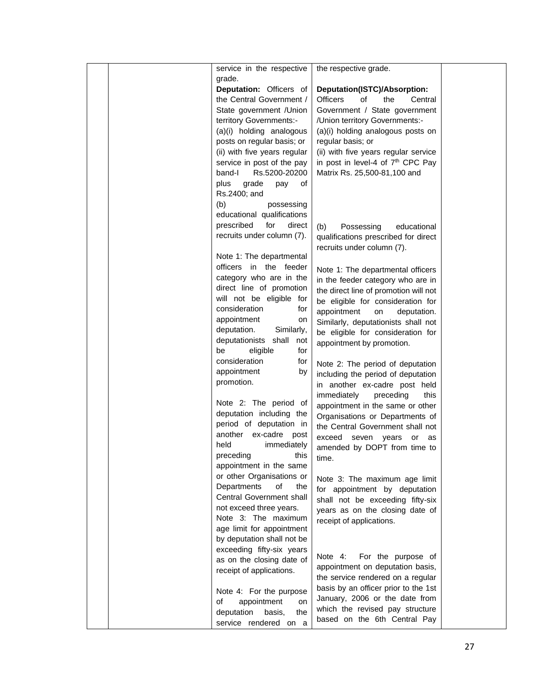|  | service in the respective    | the respective grade.                                              |  |
|--|------------------------------|--------------------------------------------------------------------|--|
|  | grade.                       |                                                                    |  |
|  | Deputation: Officers of      | Deputation(ISTC)/Absorption:                                       |  |
|  | the Central Government /     | <b>Officers</b><br>of<br>the<br>Central                            |  |
|  | State government / Union     | Government / State government                                      |  |
|  | territory Governments:-      | /Union territory Governments:-                                     |  |
|  | (a)(i) holding analogous     | (a)(i) holding analogous posts on                                  |  |
|  | posts on regular basis; or   | regular basis; or                                                  |  |
|  | (ii) with five years regular | (ii) with five years regular service                               |  |
|  | service in post of the pay   | in post in level-4 of 7 <sup>th</sup> CPC Pay                      |  |
|  | band-l<br>Rs.5200-20200      | Matrix Rs. 25,500-81,100 and                                       |  |
|  | grade<br>plus<br>pay<br>of   |                                                                    |  |
|  | Rs.2400; and                 |                                                                    |  |
|  | (b)<br>possessing            |                                                                    |  |
|  | educational qualifications   |                                                                    |  |
|  | prescribed<br>for<br>direct  | (b)<br>Possessing<br>educational                                   |  |
|  | recruits under column (7).   | qualifications prescribed for direct<br>recruits under column (7). |  |
|  | Note 1: The departmental     |                                                                    |  |
|  | officers in the feeder       | Note 1: The departmental officers                                  |  |
|  | category who are in the      | in the feeder category who are in                                  |  |
|  | direct line of promotion     | the direct line of promotion will not                              |  |
|  | will not be eligible for     | be eligible for consideration for                                  |  |
|  | consideration<br>for         | appointment<br>on<br>deputation.                                   |  |
|  | appointment<br>on            | Similarly, deputationists shall not                                |  |
|  | deputation.<br>Similarly,    | be eligible for consideration for                                  |  |
|  | deputationists shall<br>not  | appointment by promotion.                                          |  |
|  | be<br>eligible<br>for        |                                                                    |  |
|  | consideration<br>for         | Note 2: The period of deputation                                   |  |
|  | appointment<br>by            | including the period of deputation                                 |  |
|  | promotion.                   | in another ex-cadre post held                                      |  |
|  |                              | immediately<br>preceding<br>this                                   |  |
|  | Note 2: The period of        | appointment in the same or other                                   |  |
|  | deputation including the     | Organisations or Departments of                                    |  |
|  | period of deputation in      | the Central Government shall not                                   |  |
|  | another ex-cadre post        | exceed seven years<br>or<br>as                                     |  |
|  | held<br>immediately          | amended by DOPT from time to                                       |  |
|  | preceding<br>this            | time.                                                              |  |
|  | appointment in the same      |                                                                    |  |
|  | or other Organisations or    | Note 3: The maximum age limit                                      |  |
|  | Departments<br>οf<br>the     | for appointment by deputation                                      |  |
|  | Central Government shall     | shall not be exceeding fifty-six                                   |  |
|  | not exceed three years.      | years as on the closing date of                                    |  |
|  | Note 3: The maximum          | receipt of applications.                                           |  |
|  | age limit for appointment    |                                                                    |  |
|  | by deputation shall not be   |                                                                    |  |
|  | exceeding fifty-six years    | For the purpose of<br>Note 4:                                      |  |
|  | as on the closing date of    | appointment on deputation basis,                                   |  |
|  | receipt of applications.     | the service rendered on a regular                                  |  |
|  |                              | basis by an officer prior to the 1st                               |  |
|  | Note 4: For the purpose      | January, 2006 or the date from                                     |  |
|  | appointment<br>οf<br>on      | which the revised pay structure                                    |  |
|  | deputation<br>basis,<br>the  | based on the 6th Central Pay                                       |  |
|  | service rendered on a        |                                                                    |  |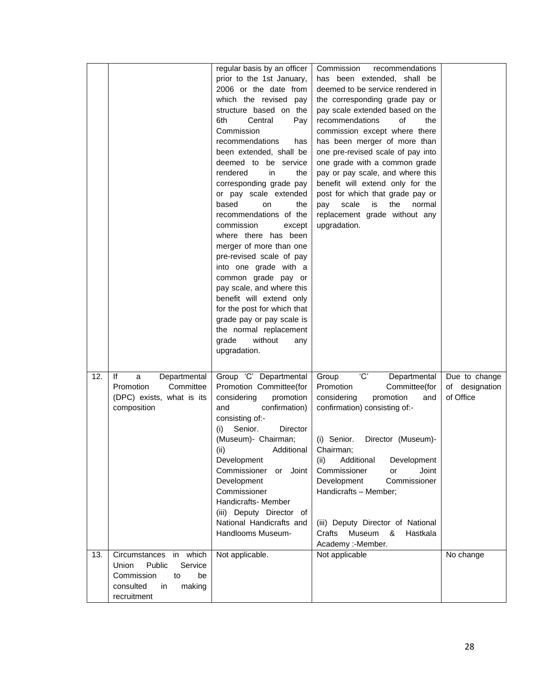|     |                                                                                                                            | regular basis by an officer<br>prior to the 1st January,<br>2006 or the date from<br>which the revised<br>pay<br>structure based on the<br>6th<br>Central<br>Pay<br>Commission<br>recommendations<br>has<br>been extended, shall be<br>deemed to be service<br>rendered<br>in<br>the<br>corresponding grade pay<br>or pay scale extended<br>based<br><b>on</b><br>the<br>recommendations of the<br>commission<br>except<br>where there has been<br>merger of more than one<br>pre-revised scale of pay<br>into one grade with a<br>common grade pay or<br>pay scale, and where this<br>benefit will extend only<br>for the post for which that<br>grade pay or pay scale is<br>the normal replacement<br>without<br>grade<br>any<br>upgradation. | Commission<br>recommendations<br>has been extended, shall be<br>deemed to be service rendered in<br>the corresponding grade pay or<br>pay scale extended based on the<br>recommendations<br>of<br>the<br>commission except where there<br>has been merger of more than<br>one pre-revised scale of pay into<br>one grade with a common grade<br>pay or pay scale, and where this<br>benefit will extend only for the<br>post for which that grade pay or<br>scale<br>is<br>the<br>pay<br>normal<br>replacement grade without any<br>upgradation. |                                              |
|-----|----------------------------------------------------------------------------------------------------------------------------|--------------------------------------------------------------------------------------------------------------------------------------------------------------------------------------------------------------------------------------------------------------------------------------------------------------------------------------------------------------------------------------------------------------------------------------------------------------------------------------------------------------------------------------------------------------------------------------------------------------------------------------------------------------------------------------------------------------------------------------------------|--------------------------------------------------------------------------------------------------------------------------------------------------------------------------------------------------------------------------------------------------------------------------------------------------------------------------------------------------------------------------------------------------------------------------------------------------------------------------------------------------------------------------------------------------|----------------------------------------------|
| 12. | lf<br>Departmental<br>a<br>Promotion<br>Committee<br>(DPC) exists, what is its<br>composition                              | Group 'C' Departmental<br>Promotion Committee(for<br>considering<br>promotion<br>confirmation)<br>and<br>consisting of:-<br>Senior.<br>Director<br>(i)<br>(Museum)- Chairman;<br>(ii)<br>Additional<br>Development<br>Commissioner<br>Joint<br>or<br>Development<br>Commissioner<br>Handicrafts- Member<br>(iii) Deputy Director of<br>National Handicrafts and<br>Handlooms Museum-                                                                                                                                                                                                                                                                                                                                                             | Ċ<br>Group<br>Departmental<br>Promotion<br>Committee(for<br>considering<br>promotion<br>and<br>confirmation) consisting of:-<br>Director (Museum)-<br>(i) Senior.<br>Chairman;<br>Additional<br>Development<br>(ii)<br>Commissioner<br>Joint<br>or<br>Development<br>Commissioner<br>Handicrafts - Member;<br>(iii) Deputy Director of National<br>Museum<br>Hastkala<br>Crafts<br>&<br>Academy :- Member.                                                                                                                                       | Due to change<br>of designation<br>of Office |
| 13. | Circumstances in which<br>Public<br>Service<br>Union<br>Commission<br>to<br>be<br>consulted<br>in<br>making<br>recruitment | Not applicable.                                                                                                                                                                                                                                                                                                                                                                                                                                                                                                                                                                                                                                                                                                                                  | Not applicable                                                                                                                                                                                                                                                                                                                                                                                                                                                                                                                                   | No change                                    |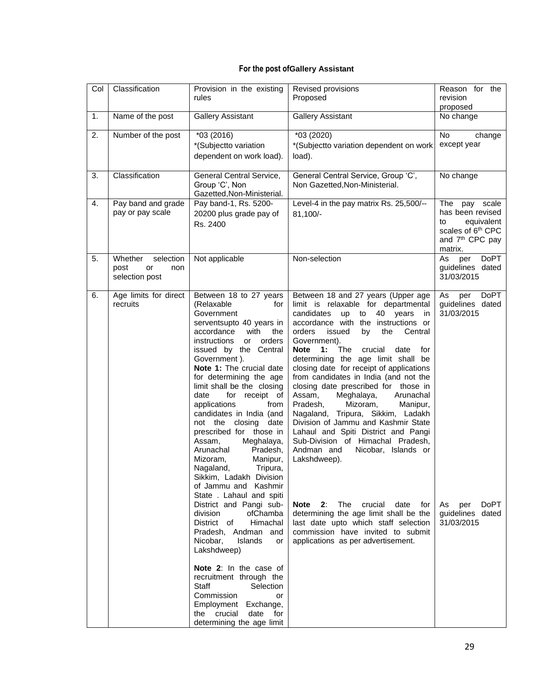## **For the post ofGallery Assistant**

| Col | Classification                                              | Provision in the existing<br>rules                                                                                                                                                                                                                                                                                                                                                                                                                                                                                                                                                                                                                                                                                                                                                                                                                                                                                                                  | Revised provisions<br>Proposed                                                                                                                                                                                                                                                                                                                                                                                                                                                                                                                                                                                                                                                                                                                                                                                                                                                                                                                  | Reason for the<br>revision<br>proposed                                                                                   |
|-----|-------------------------------------------------------------|-----------------------------------------------------------------------------------------------------------------------------------------------------------------------------------------------------------------------------------------------------------------------------------------------------------------------------------------------------------------------------------------------------------------------------------------------------------------------------------------------------------------------------------------------------------------------------------------------------------------------------------------------------------------------------------------------------------------------------------------------------------------------------------------------------------------------------------------------------------------------------------------------------------------------------------------------------|-------------------------------------------------------------------------------------------------------------------------------------------------------------------------------------------------------------------------------------------------------------------------------------------------------------------------------------------------------------------------------------------------------------------------------------------------------------------------------------------------------------------------------------------------------------------------------------------------------------------------------------------------------------------------------------------------------------------------------------------------------------------------------------------------------------------------------------------------------------------------------------------------------------------------------------------------|--------------------------------------------------------------------------------------------------------------------------|
| 1.  | Name of the post                                            | <b>Gallery Assistant</b>                                                                                                                                                                                                                                                                                                                                                                                                                                                                                                                                                                                                                                                                                                                                                                                                                                                                                                                            | <b>Gallery Assistant</b>                                                                                                                                                                                                                                                                                                                                                                                                                                                                                                                                                                                                                                                                                                                                                                                                                                                                                                                        | No change                                                                                                                |
| 2.  | Number of the post                                          | *03 (2016)<br>*(Subjectto variation<br>dependent on work load).                                                                                                                                                                                                                                                                                                                                                                                                                                                                                                                                                                                                                                                                                                                                                                                                                                                                                     | *03 (2020)<br>*(Subjectto variation dependent on work<br>load).                                                                                                                                                                                                                                                                                                                                                                                                                                                                                                                                                                                                                                                                                                                                                                                                                                                                                 | No<br>change<br>except year                                                                                              |
| 3.  | Classification                                              | General Central Service,<br>Group 'C', Non<br>Gazetted, Non-Ministerial.                                                                                                                                                                                                                                                                                                                                                                                                                                                                                                                                                                                                                                                                                                                                                                                                                                                                            | General Central Service, Group 'C',<br>Non Gazetted, Non-Ministerial.                                                                                                                                                                                                                                                                                                                                                                                                                                                                                                                                                                                                                                                                                                                                                                                                                                                                           | No change                                                                                                                |
| 4.  | Pay band and grade<br>pay or pay scale                      | Pay band-1, Rs. 5200-<br>20200 plus grade pay of<br>Rs. 2400                                                                                                                                                                                                                                                                                                                                                                                                                                                                                                                                                                                                                                                                                                                                                                                                                                                                                        | Level-4 in the pay matrix Rs. 25,500/--<br>81,100/-                                                                                                                                                                                                                                                                                                                                                                                                                                                                                                                                                                                                                                                                                                                                                                                                                                                                                             | The<br>pay scale<br>has been revised<br>equivalent<br>to<br>scales of 6th CPC<br>and 7 <sup>th</sup> CPC pay<br>matrix.  |
| 5.  | selection<br>Whether<br>post<br>or<br>non<br>selection post | Not applicable                                                                                                                                                                                                                                                                                                                                                                                                                                                                                                                                                                                                                                                                                                                                                                                                                                                                                                                                      | Non-selection                                                                                                                                                                                                                                                                                                                                                                                                                                                                                                                                                                                                                                                                                                                                                                                                                                                                                                                                   | As<br><b>DoPT</b><br>per<br>guidelines dated<br>31/03/2015                                                               |
| 6.  | Age limits for direct<br>recruits                           | Between 18 to 27 years<br>(Relaxable<br>for<br>Government<br>serventsupto 40 years in<br>with<br>accordance<br>the<br>instructions<br>orders<br>or<br>issued by the Central<br>Government).<br>Note 1: The crucial date<br>for determining the age<br>limit shall be the closing<br>for<br>receipt of<br>date<br>applications<br>from<br>candidates in India (and<br>not the closing date<br>prescribed for those in<br>Assam,<br>Meghalaya,<br>Arunachal<br>Pradesh,<br>Mizoram,<br>Manipur,<br>Nagaland,<br>Tripura,<br>Sikkim, Ladakh Division<br>of Jammu and Kashmir<br>State . Lahaul and spiti<br>District and Pangi sub-<br>division<br>ofChamba<br>District of<br>Himachal<br>Pradesh, Andman and<br>Nicobar,<br><b>Islands</b><br>or<br>Lakshdweep)<br>Note 2: In the case of<br>recruitment through the<br><b>Staff</b><br>Selection<br>Commission<br>or<br>Employment Exchange,<br>the crucial<br>date for<br>determining the age limit | Between 18 and 27 years (Upper age<br>limit is relaxable for departmental<br>candidates<br>up<br>to<br>40<br>years<br>in<br>accordance with the instructions or<br>orders<br>issued<br>by<br>the<br>Central<br>Government).<br>The<br>Note<br>1:<br>crucial<br>date<br>for<br>determining the age limit shall be<br>closing date for receipt of applications<br>from candidates in India (and not the<br>closing date prescribed for those in<br>Assam,<br>Meghalaya,<br>Arunachal<br>Pradesh,<br>Mizoram,<br>Manipur,<br>Nagaland, Tripura, Sikkim, Ladakh<br>Division of Jammu and Kashmir State<br>Lahaul and Spiti District and Pangi<br>Sub-Division of Himachal Pradesh,<br>Andman and<br>Nicobar, Islands or<br>Lakshdweep).<br>The<br>crucial<br>Note<br>2:<br>date<br>for<br>determining the age limit shall be the<br>last date upto which staff selection<br>commission have invited to submit<br>applications as per advertisement. | <b>DoPT</b><br>As<br>per<br>guidelines dated<br>31/03/2015<br><b>DoPT</b><br>As<br>per<br>guidelines dated<br>31/03/2015 |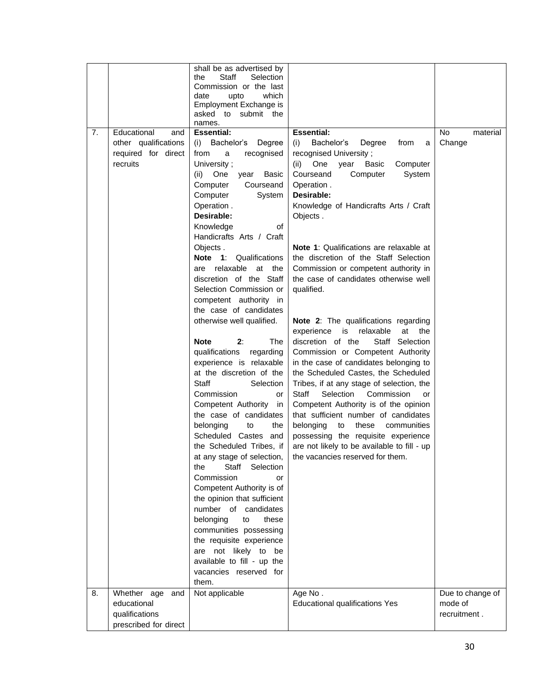| date<br>upto<br>which<br>Employment Exchange is<br>asked to submit the<br>names.<br><b>Essential:</b><br>7.<br>Educational<br><b>Essential:</b><br><b>No</b><br>material<br>and<br>Bachelor's<br>other qualifications<br>(i) Bachelor's<br>Change<br>Degree<br>(i)<br>Degree<br>from<br>a<br>required for direct<br>recognised University;<br>from<br>recognised<br>a<br>recruits<br>Computer<br>University:<br>(ii)<br>One<br>year<br>Basic<br>Computer<br>System<br>(ii) One<br>Basic<br>Courseand<br>year<br>Courseand<br>Operation.<br>Computer<br>Computer<br>System<br>Desirable:<br>Operation.<br>Knowledge of Handicrafts Arts / Craft<br>Desirable:<br>Objects.<br>Knowledge<br>οf<br>Handicrafts Arts / Craft<br>Note 1: Qualifications are relaxable at<br>Objects.<br>Note 1: Qualifications<br>the discretion of the Staff Selection<br>are relaxable<br>Commission or competent authority in<br>at the<br>discretion of the Staff<br>the case of candidates otherwise well<br>Selection Commission or<br>qualified.<br>competent authority in<br>the case of candidates<br>otherwise well qualified.<br>Note 2: The qualifications regarding<br>experience is relaxable<br>at<br>the<br><b>Note</b><br>2:<br>The<br>discretion of the<br>Staff Selection<br>qualifications<br>Commission or Competent Authority<br>regarding<br>experience is relaxable<br>in the case of candidates belonging to<br>at the discretion of the<br>the Scheduled Castes, the Scheduled<br><b>Staff</b><br>Selection<br>Tribes, if at any stage of selection, the<br>Selection<br>Commission<br>Commission<br>Staff<br>or<br>or<br>Competent Authority<br>Competent Authority is of the opinion<br>in<br>the case of candidates<br>that sufficient number of candidates<br>these<br>belonging<br>to<br>the<br>belonging<br>to<br>communities<br>Scheduled Castes and<br>possessing the requisite experience<br>the Scheduled Tribes, if<br>are not likely to be available to fill - up<br>the vacancies reserved for them.<br>at any stage of selection,<br>Staff<br>Selection<br>the<br>Commission<br>or<br>Competent Authority is of<br>the opinion that sufficient<br>number of candidates<br>belonging<br>these<br>to<br>communities possessing<br>the requisite experience<br>are not likely to be<br>available to fill - up the<br>vacancies reserved for<br>them.<br>Whether age and<br>Not applicable<br>Age No.<br>8.<br>Due to change of<br>educational<br><b>Educational qualifications Yes</b><br>mode of<br>qualifications<br>recruitment.<br>prescribed for direct |  | shall be as advertised by<br>Staff<br>Selection<br>the<br>Commission or the last |  |
|-----------------------------------------------------------------------------------------------------------------------------------------------------------------------------------------------------------------------------------------------------------------------------------------------------------------------------------------------------------------------------------------------------------------------------------------------------------------------------------------------------------------------------------------------------------------------------------------------------------------------------------------------------------------------------------------------------------------------------------------------------------------------------------------------------------------------------------------------------------------------------------------------------------------------------------------------------------------------------------------------------------------------------------------------------------------------------------------------------------------------------------------------------------------------------------------------------------------------------------------------------------------------------------------------------------------------------------------------------------------------------------------------------------------------------------------------------------------------------------------------------------------------------------------------------------------------------------------------------------------------------------------------------------------------------------------------------------------------------------------------------------------------------------------------------------------------------------------------------------------------------------------------------------------------------------------------------------------------------------------------------------------------------------------------------------------------------------------------------------------------------------------------------------------------------------------------------------------------------------------------------------------------------------------------------------------------------------------------------------------------------------------------------------------------------------------------------------------------------------------------------------------------------------------------------------------------------|--|----------------------------------------------------------------------------------|--|
|                                                                                                                                                                                                                                                                                                                                                                                                                                                                                                                                                                                                                                                                                                                                                                                                                                                                                                                                                                                                                                                                                                                                                                                                                                                                                                                                                                                                                                                                                                                                                                                                                                                                                                                                                                                                                                                                                                                                                                                                                                                                                                                                                                                                                                                                                                                                                                                                                                                                                                                                                                             |  |                                                                                  |  |
|                                                                                                                                                                                                                                                                                                                                                                                                                                                                                                                                                                                                                                                                                                                                                                                                                                                                                                                                                                                                                                                                                                                                                                                                                                                                                                                                                                                                                                                                                                                                                                                                                                                                                                                                                                                                                                                                                                                                                                                                                                                                                                                                                                                                                                                                                                                                                                                                                                                                                                                                                                             |  |                                                                                  |  |
|                                                                                                                                                                                                                                                                                                                                                                                                                                                                                                                                                                                                                                                                                                                                                                                                                                                                                                                                                                                                                                                                                                                                                                                                                                                                                                                                                                                                                                                                                                                                                                                                                                                                                                                                                                                                                                                                                                                                                                                                                                                                                                                                                                                                                                                                                                                                                                                                                                                                                                                                                                             |  |                                                                                  |  |
|                                                                                                                                                                                                                                                                                                                                                                                                                                                                                                                                                                                                                                                                                                                                                                                                                                                                                                                                                                                                                                                                                                                                                                                                                                                                                                                                                                                                                                                                                                                                                                                                                                                                                                                                                                                                                                                                                                                                                                                                                                                                                                                                                                                                                                                                                                                                                                                                                                                                                                                                                                             |  |                                                                                  |  |
|                                                                                                                                                                                                                                                                                                                                                                                                                                                                                                                                                                                                                                                                                                                                                                                                                                                                                                                                                                                                                                                                                                                                                                                                                                                                                                                                                                                                                                                                                                                                                                                                                                                                                                                                                                                                                                                                                                                                                                                                                                                                                                                                                                                                                                                                                                                                                                                                                                                                                                                                                                             |  |                                                                                  |  |
|                                                                                                                                                                                                                                                                                                                                                                                                                                                                                                                                                                                                                                                                                                                                                                                                                                                                                                                                                                                                                                                                                                                                                                                                                                                                                                                                                                                                                                                                                                                                                                                                                                                                                                                                                                                                                                                                                                                                                                                                                                                                                                                                                                                                                                                                                                                                                                                                                                                                                                                                                                             |  |                                                                                  |  |
|                                                                                                                                                                                                                                                                                                                                                                                                                                                                                                                                                                                                                                                                                                                                                                                                                                                                                                                                                                                                                                                                                                                                                                                                                                                                                                                                                                                                                                                                                                                                                                                                                                                                                                                                                                                                                                                                                                                                                                                                                                                                                                                                                                                                                                                                                                                                                                                                                                                                                                                                                                             |  |                                                                                  |  |
|                                                                                                                                                                                                                                                                                                                                                                                                                                                                                                                                                                                                                                                                                                                                                                                                                                                                                                                                                                                                                                                                                                                                                                                                                                                                                                                                                                                                                                                                                                                                                                                                                                                                                                                                                                                                                                                                                                                                                                                                                                                                                                                                                                                                                                                                                                                                                                                                                                                                                                                                                                             |  |                                                                                  |  |
|                                                                                                                                                                                                                                                                                                                                                                                                                                                                                                                                                                                                                                                                                                                                                                                                                                                                                                                                                                                                                                                                                                                                                                                                                                                                                                                                                                                                                                                                                                                                                                                                                                                                                                                                                                                                                                                                                                                                                                                                                                                                                                                                                                                                                                                                                                                                                                                                                                                                                                                                                                             |  |                                                                                  |  |
|                                                                                                                                                                                                                                                                                                                                                                                                                                                                                                                                                                                                                                                                                                                                                                                                                                                                                                                                                                                                                                                                                                                                                                                                                                                                                                                                                                                                                                                                                                                                                                                                                                                                                                                                                                                                                                                                                                                                                                                                                                                                                                                                                                                                                                                                                                                                                                                                                                                                                                                                                                             |  |                                                                                  |  |
|                                                                                                                                                                                                                                                                                                                                                                                                                                                                                                                                                                                                                                                                                                                                                                                                                                                                                                                                                                                                                                                                                                                                                                                                                                                                                                                                                                                                                                                                                                                                                                                                                                                                                                                                                                                                                                                                                                                                                                                                                                                                                                                                                                                                                                                                                                                                                                                                                                                                                                                                                                             |  |                                                                                  |  |
|                                                                                                                                                                                                                                                                                                                                                                                                                                                                                                                                                                                                                                                                                                                                                                                                                                                                                                                                                                                                                                                                                                                                                                                                                                                                                                                                                                                                                                                                                                                                                                                                                                                                                                                                                                                                                                                                                                                                                                                                                                                                                                                                                                                                                                                                                                                                                                                                                                                                                                                                                                             |  |                                                                                  |  |
|                                                                                                                                                                                                                                                                                                                                                                                                                                                                                                                                                                                                                                                                                                                                                                                                                                                                                                                                                                                                                                                                                                                                                                                                                                                                                                                                                                                                                                                                                                                                                                                                                                                                                                                                                                                                                                                                                                                                                                                                                                                                                                                                                                                                                                                                                                                                                                                                                                                                                                                                                                             |  |                                                                                  |  |
|                                                                                                                                                                                                                                                                                                                                                                                                                                                                                                                                                                                                                                                                                                                                                                                                                                                                                                                                                                                                                                                                                                                                                                                                                                                                                                                                                                                                                                                                                                                                                                                                                                                                                                                                                                                                                                                                                                                                                                                                                                                                                                                                                                                                                                                                                                                                                                                                                                                                                                                                                                             |  |                                                                                  |  |
|                                                                                                                                                                                                                                                                                                                                                                                                                                                                                                                                                                                                                                                                                                                                                                                                                                                                                                                                                                                                                                                                                                                                                                                                                                                                                                                                                                                                                                                                                                                                                                                                                                                                                                                                                                                                                                                                                                                                                                                                                                                                                                                                                                                                                                                                                                                                                                                                                                                                                                                                                                             |  |                                                                                  |  |
|                                                                                                                                                                                                                                                                                                                                                                                                                                                                                                                                                                                                                                                                                                                                                                                                                                                                                                                                                                                                                                                                                                                                                                                                                                                                                                                                                                                                                                                                                                                                                                                                                                                                                                                                                                                                                                                                                                                                                                                                                                                                                                                                                                                                                                                                                                                                                                                                                                                                                                                                                                             |  |                                                                                  |  |
|                                                                                                                                                                                                                                                                                                                                                                                                                                                                                                                                                                                                                                                                                                                                                                                                                                                                                                                                                                                                                                                                                                                                                                                                                                                                                                                                                                                                                                                                                                                                                                                                                                                                                                                                                                                                                                                                                                                                                                                                                                                                                                                                                                                                                                                                                                                                                                                                                                                                                                                                                                             |  |                                                                                  |  |
|                                                                                                                                                                                                                                                                                                                                                                                                                                                                                                                                                                                                                                                                                                                                                                                                                                                                                                                                                                                                                                                                                                                                                                                                                                                                                                                                                                                                                                                                                                                                                                                                                                                                                                                                                                                                                                                                                                                                                                                                                                                                                                                                                                                                                                                                                                                                                                                                                                                                                                                                                                             |  |                                                                                  |  |
|                                                                                                                                                                                                                                                                                                                                                                                                                                                                                                                                                                                                                                                                                                                                                                                                                                                                                                                                                                                                                                                                                                                                                                                                                                                                                                                                                                                                                                                                                                                                                                                                                                                                                                                                                                                                                                                                                                                                                                                                                                                                                                                                                                                                                                                                                                                                                                                                                                                                                                                                                                             |  |                                                                                  |  |
|                                                                                                                                                                                                                                                                                                                                                                                                                                                                                                                                                                                                                                                                                                                                                                                                                                                                                                                                                                                                                                                                                                                                                                                                                                                                                                                                                                                                                                                                                                                                                                                                                                                                                                                                                                                                                                                                                                                                                                                                                                                                                                                                                                                                                                                                                                                                                                                                                                                                                                                                                                             |  |                                                                                  |  |
|                                                                                                                                                                                                                                                                                                                                                                                                                                                                                                                                                                                                                                                                                                                                                                                                                                                                                                                                                                                                                                                                                                                                                                                                                                                                                                                                                                                                                                                                                                                                                                                                                                                                                                                                                                                                                                                                                                                                                                                                                                                                                                                                                                                                                                                                                                                                                                                                                                                                                                                                                                             |  |                                                                                  |  |
|                                                                                                                                                                                                                                                                                                                                                                                                                                                                                                                                                                                                                                                                                                                                                                                                                                                                                                                                                                                                                                                                                                                                                                                                                                                                                                                                                                                                                                                                                                                                                                                                                                                                                                                                                                                                                                                                                                                                                                                                                                                                                                                                                                                                                                                                                                                                                                                                                                                                                                                                                                             |  |                                                                                  |  |
|                                                                                                                                                                                                                                                                                                                                                                                                                                                                                                                                                                                                                                                                                                                                                                                                                                                                                                                                                                                                                                                                                                                                                                                                                                                                                                                                                                                                                                                                                                                                                                                                                                                                                                                                                                                                                                                                                                                                                                                                                                                                                                                                                                                                                                                                                                                                                                                                                                                                                                                                                                             |  |                                                                                  |  |
|                                                                                                                                                                                                                                                                                                                                                                                                                                                                                                                                                                                                                                                                                                                                                                                                                                                                                                                                                                                                                                                                                                                                                                                                                                                                                                                                                                                                                                                                                                                                                                                                                                                                                                                                                                                                                                                                                                                                                                                                                                                                                                                                                                                                                                                                                                                                                                                                                                                                                                                                                                             |  |                                                                                  |  |
|                                                                                                                                                                                                                                                                                                                                                                                                                                                                                                                                                                                                                                                                                                                                                                                                                                                                                                                                                                                                                                                                                                                                                                                                                                                                                                                                                                                                                                                                                                                                                                                                                                                                                                                                                                                                                                                                                                                                                                                                                                                                                                                                                                                                                                                                                                                                                                                                                                                                                                                                                                             |  |                                                                                  |  |
|                                                                                                                                                                                                                                                                                                                                                                                                                                                                                                                                                                                                                                                                                                                                                                                                                                                                                                                                                                                                                                                                                                                                                                                                                                                                                                                                                                                                                                                                                                                                                                                                                                                                                                                                                                                                                                                                                                                                                                                                                                                                                                                                                                                                                                                                                                                                                                                                                                                                                                                                                                             |  |                                                                                  |  |
|                                                                                                                                                                                                                                                                                                                                                                                                                                                                                                                                                                                                                                                                                                                                                                                                                                                                                                                                                                                                                                                                                                                                                                                                                                                                                                                                                                                                                                                                                                                                                                                                                                                                                                                                                                                                                                                                                                                                                                                                                                                                                                                                                                                                                                                                                                                                                                                                                                                                                                                                                                             |  |                                                                                  |  |
|                                                                                                                                                                                                                                                                                                                                                                                                                                                                                                                                                                                                                                                                                                                                                                                                                                                                                                                                                                                                                                                                                                                                                                                                                                                                                                                                                                                                                                                                                                                                                                                                                                                                                                                                                                                                                                                                                                                                                                                                                                                                                                                                                                                                                                                                                                                                                                                                                                                                                                                                                                             |  |                                                                                  |  |
|                                                                                                                                                                                                                                                                                                                                                                                                                                                                                                                                                                                                                                                                                                                                                                                                                                                                                                                                                                                                                                                                                                                                                                                                                                                                                                                                                                                                                                                                                                                                                                                                                                                                                                                                                                                                                                                                                                                                                                                                                                                                                                                                                                                                                                                                                                                                                                                                                                                                                                                                                                             |  |                                                                                  |  |
|                                                                                                                                                                                                                                                                                                                                                                                                                                                                                                                                                                                                                                                                                                                                                                                                                                                                                                                                                                                                                                                                                                                                                                                                                                                                                                                                                                                                                                                                                                                                                                                                                                                                                                                                                                                                                                                                                                                                                                                                                                                                                                                                                                                                                                                                                                                                                                                                                                                                                                                                                                             |  |                                                                                  |  |
|                                                                                                                                                                                                                                                                                                                                                                                                                                                                                                                                                                                                                                                                                                                                                                                                                                                                                                                                                                                                                                                                                                                                                                                                                                                                                                                                                                                                                                                                                                                                                                                                                                                                                                                                                                                                                                                                                                                                                                                                                                                                                                                                                                                                                                                                                                                                                                                                                                                                                                                                                                             |  |                                                                                  |  |
|                                                                                                                                                                                                                                                                                                                                                                                                                                                                                                                                                                                                                                                                                                                                                                                                                                                                                                                                                                                                                                                                                                                                                                                                                                                                                                                                                                                                                                                                                                                                                                                                                                                                                                                                                                                                                                                                                                                                                                                                                                                                                                                                                                                                                                                                                                                                                                                                                                                                                                                                                                             |  |                                                                                  |  |
|                                                                                                                                                                                                                                                                                                                                                                                                                                                                                                                                                                                                                                                                                                                                                                                                                                                                                                                                                                                                                                                                                                                                                                                                                                                                                                                                                                                                                                                                                                                                                                                                                                                                                                                                                                                                                                                                                                                                                                                                                                                                                                                                                                                                                                                                                                                                                                                                                                                                                                                                                                             |  |                                                                                  |  |
|                                                                                                                                                                                                                                                                                                                                                                                                                                                                                                                                                                                                                                                                                                                                                                                                                                                                                                                                                                                                                                                                                                                                                                                                                                                                                                                                                                                                                                                                                                                                                                                                                                                                                                                                                                                                                                                                                                                                                                                                                                                                                                                                                                                                                                                                                                                                                                                                                                                                                                                                                                             |  |                                                                                  |  |
|                                                                                                                                                                                                                                                                                                                                                                                                                                                                                                                                                                                                                                                                                                                                                                                                                                                                                                                                                                                                                                                                                                                                                                                                                                                                                                                                                                                                                                                                                                                                                                                                                                                                                                                                                                                                                                                                                                                                                                                                                                                                                                                                                                                                                                                                                                                                                                                                                                                                                                                                                                             |  |                                                                                  |  |
|                                                                                                                                                                                                                                                                                                                                                                                                                                                                                                                                                                                                                                                                                                                                                                                                                                                                                                                                                                                                                                                                                                                                                                                                                                                                                                                                                                                                                                                                                                                                                                                                                                                                                                                                                                                                                                                                                                                                                                                                                                                                                                                                                                                                                                                                                                                                                                                                                                                                                                                                                                             |  |                                                                                  |  |
|                                                                                                                                                                                                                                                                                                                                                                                                                                                                                                                                                                                                                                                                                                                                                                                                                                                                                                                                                                                                                                                                                                                                                                                                                                                                                                                                                                                                                                                                                                                                                                                                                                                                                                                                                                                                                                                                                                                                                                                                                                                                                                                                                                                                                                                                                                                                                                                                                                                                                                                                                                             |  |                                                                                  |  |
|                                                                                                                                                                                                                                                                                                                                                                                                                                                                                                                                                                                                                                                                                                                                                                                                                                                                                                                                                                                                                                                                                                                                                                                                                                                                                                                                                                                                                                                                                                                                                                                                                                                                                                                                                                                                                                                                                                                                                                                                                                                                                                                                                                                                                                                                                                                                                                                                                                                                                                                                                                             |  |                                                                                  |  |
|                                                                                                                                                                                                                                                                                                                                                                                                                                                                                                                                                                                                                                                                                                                                                                                                                                                                                                                                                                                                                                                                                                                                                                                                                                                                                                                                                                                                                                                                                                                                                                                                                                                                                                                                                                                                                                                                                                                                                                                                                                                                                                                                                                                                                                                                                                                                                                                                                                                                                                                                                                             |  |                                                                                  |  |
|                                                                                                                                                                                                                                                                                                                                                                                                                                                                                                                                                                                                                                                                                                                                                                                                                                                                                                                                                                                                                                                                                                                                                                                                                                                                                                                                                                                                                                                                                                                                                                                                                                                                                                                                                                                                                                                                                                                                                                                                                                                                                                                                                                                                                                                                                                                                                                                                                                                                                                                                                                             |  |                                                                                  |  |
|                                                                                                                                                                                                                                                                                                                                                                                                                                                                                                                                                                                                                                                                                                                                                                                                                                                                                                                                                                                                                                                                                                                                                                                                                                                                                                                                                                                                                                                                                                                                                                                                                                                                                                                                                                                                                                                                                                                                                                                                                                                                                                                                                                                                                                                                                                                                                                                                                                                                                                                                                                             |  |                                                                                  |  |
|                                                                                                                                                                                                                                                                                                                                                                                                                                                                                                                                                                                                                                                                                                                                                                                                                                                                                                                                                                                                                                                                                                                                                                                                                                                                                                                                                                                                                                                                                                                                                                                                                                                                                                                                                                                                                                                                                                                                                                                                                                                                                                                                                                                                                                                                                                                                                                                                                                                                                                                                                                             |  |                                                                                  |  |
|                                                                                                                                                                                                                                                                                                                                                                                                                                                                                                                                                                                                                                                                                                                                                                                                                                                                                                                                                                                                                                                                                                                                                                                                                                                                                                                                                                                                                                                                                                                                                                                                                                                                                                                                                                                                                                                                                                                                                                                                                                                                                                                                                                                                                                                                                                                                                                                                                                                                                                                                                                             |  |                                                                                  |  |
|                                                                                                                                                                                                                                                                                                                                                                                                                                                                                                                                                                                                                                                                                                                                                                                                                                                                                                                                                                                                                                                                                                                                                                                                                                                                                                                                                                                                                                                                                                                                                                                                                                                                                                                                                                                                                                                                                                                                                                                                                                                                                                                                                                                                                                                                                                                                                                                                                                                                                                                                                                             |  |                                                                                  |  |
|                                                                                                                                                                                                                                                                                                                                                                                                                                                                                                                                                                                                                                                                                                                                                                                                                                                                                                                                                                                                                                                                                                                                                                                                                                                                                                                                                                                                                                                                                                                                                                                                                                                                                                                                                                                                                                                                                                                                                                                                                                                                                                                                                                                                                                                                                                                                                                                                                                                                                                                                                                             |  |                                                                                  |  |
|                                                                                                                                                                                                                                                                                                                                                                                                                                                                                                                                                                                                                                                                                                                                                                                                                                                                                                                                                                                                                                                                                                                                                                                                                                                                                                                                                                                                                                                                                                                                                                                                                                                                                                                                                                                                                                                                                                                                                                                                                                                                                                                                                                                                                                                                                                                                                                                                                                                                                                                                                                             |  |                                                                                  |  |
|                                                                                                                                                                                                                                                                                                                                                                                                                                                                                                                                                                                                                                                                                                                                                                                                                                                                                                                                                                                                                                                                                                                                                                                                                                                                                                                                                                                                                                                                                                                                                                                                                                                                                                                                                                                                                                                                                                                                                                                                                                                                                                                                                                                                                                                                                                                                                                                                                                                                                                                                                                             |  |                                                                                  |  |
|                                                                                                                                                                                                                                                                                                                                                                                                                                                                                                                                                                                                                                                                                                                                                                                                                                                                                                                                                                                                                                                                                                                                                                                                                                                                                                                                                                                                                                                                                                                                                                                                                                                                                                                                                                                                                                                                                                                                                                                                                                                                                                                                                                                                                                                                                                                                                                                                                                                                                                                                                                             |  |                                                                                  |  |
|                                                                                                                                                                                                                                                                                                                                                                                                                                                                                                                                                                                                                                                                                                                                                                                                                                                                                                                                                                                                                                                                                                                                                                                                                                                                                                                                                                                                                                                                                                                                                                                                                                                                                                                                                                                                                                                                                                                                                                                                                                                                                                                                                                                                                                                                                                                                                                                                                                                                                                                                                                             |  |                                                                                  |  |
|                                                                                                                                                                                                                                                                                                                                                                                                                                                                                                                                                                                                                                                                                                                                                                                                                                                                                                                                                                                                                                                                                                                                                                                                                                                                                                                                                                                                                                                                                                                                                                                                                                                                                                                                                                                                                                                                                                                                                                                                                                                                                                                                                                                                                                                                                                                                                                                                                                                                                                                                                                             |  |                                                                                  |  |
|                                                                                                                                                                                                                                                                                                                                                                                                                                                                                                                                                                                                                                                                                                                                                                                                                                                                                                                                                                                                                                                                                                                                                                                                                                                                                                                                                                                                                                                                                                                                                                                                                                                                                                                                                                                                                                                                                                                                                                                                                                                                                                                                                                                                                                                                                                                                                                                                                                                                                                                                                                             |  |                                                                                  |  |
|                                                                                                                                                                                                                                                                                                                                                                                                                                                                                                                                                                                                                                                                                                                                                                                                                                                                                                                                                                                                                                                                                                                                                                                                                                                                                                                                                                                                                                                                                                                                                                                                                                                                                                                                                                                                                                                                                                                                                                                                                                                                                                                                                                                                                                                                                                                                                                                                                                                                                                                                                                             |  |                                                                                  |  |
|                                                                                                                                                                                                                                                                                                                                                                                                                                                                                                                                                                                                                                                                                                                                                                                                                                                                                                                                                                                                                                                                                                                                                                                                                                                                                                                                                                                                                                                                                                                                                                                                                                                                                                                                                                                                                                                                                                                                                                                                                                                                                                                                                                                                                                                                                                                                                                                                                                                                                                                                                                             |  |                                                                                  |  |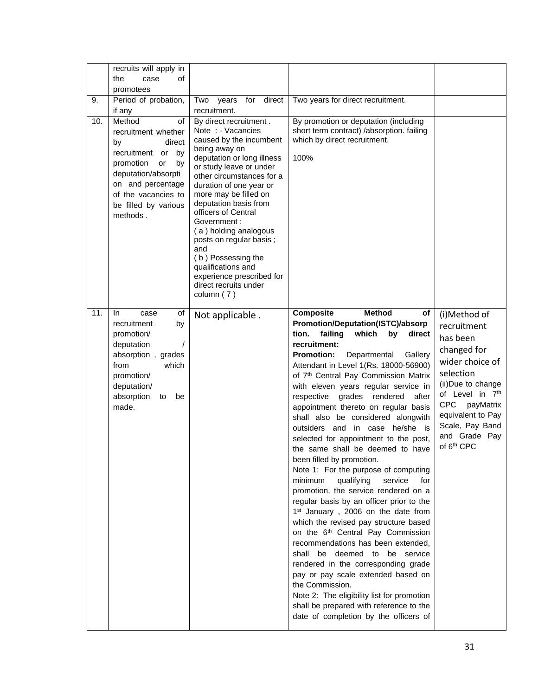|     | recruits will apply in<br>the<br>case<br>οf<br>promotees                                                                                                                                                       |                                                                                                                                                                                                                                                                                                                                                                                                                                                                               |                                                                                                                                                                                                                                                                                                                                                                                                                                                                                                                                                                                                                                                                                                                                                                                                                                                                                                                                                                                                                                                                                                                                                                                                                                    |                                                                                                                                                                                                                                              |
|-----|----------------------------------------------------------------------------------------------------------------------------------------------------------------------------------------------------------------|-------------------------------------------------------------------------------------------------------------------------------------------------------------------------------------------------------------------------------------------------------------------------------------------------------------------------------------------------------------------------------------------------------------------------------------------------------------------------------|------------------------------------------------------------------------------------------------------------------------------------------------------------------------------------------------------------------------------------------------------------------------------------------------------------------------------------------------------------------------------------------------------------------------------------------------------------------------------------------------------------------------------------------------------------------------------------------------------------------------------------------------------------------------------------------------------------------------------------------------------------------------------------------------------------------------------------------------------------------------------------------------------------------------------------------------------------------------------------------------------------------------------------------------------------------------------------------------------------------------------------------------------------------------------------------------------------------------------------|----------------------------------------------------------------------------------------------------------------------------------------------------------------------------------------------------------------------------------------------|
| 9.  | Period of probation,<br>if any                                                                                                                                                                                 | direct<br>Two<br>years<br>for<br>recruitment.                                                                                                                                                                                                                                                                                                                                                                                                                                 | Two years for direct recruitment.                                                                                                                                                                                                                                                                                                                                                                                                                                                                                                                                                                                                                                                                                                                                                                                                                                                                                                                                                                                                                                                                                                                                                                                                  |                                                                                                                                                                                                                                              |
| 10. | Method<br>οf<br>recruitment whether<br>direct<br>by<br>recruitment<br>by<br>or<br>promotion<br>or<br>by<br>deputation/absorpti<br>on and percentage<br>of the vacancies to<br>be filled by various<br>methods. | By direct recruitment.<br>Note : - Vacancies<br>caused by the incumbent<br>being away on<br>deputation or long illness<br>or study leave or under<br>other circumstances for a<br>duration of one year or<br>more may be filled on<br>deputation basis from<br>officers of Central<br>Government :<br>(a) holding analogous<br>posts on regular basis;<br>and<br>(b) Possessing the<br>qualifications and<br>experience prescribed for<br>direct recruits under<br>column (7) | By promotion or deputation (including<br>short term contract) /absorption. failing<br>which by direct recruitment.<br>100%                                                                                                                                                                                                                                                                                                                                                                                                                                                                                                                                                                                                                                                                                                                                                                                                                                                                                                                                                                                                                                                                                                         |                                                                                                                                                                                                                                              |
| 11. | In.<br>case<br>οf<br>recruitment<br>by<br>promotion/<br>deputation<br>absorption, grades<br>from<br>which<br>promotion/<br>deputation/<br>absorption<br>be<br>to<br>made.                                      | Not applicable.                                                                                                                                                                                                                                                                                                                                                                                                                                                               | <b>Method</b><br><b>Composite</b><br>оf<br>Promotion/Deputation(ISTC)/absorp<br>failing<br>which<br>tion.<br>by<br>direct<br>recruitment:<br><b>Promotion:</b><br>Departmental<br>Gallery<br>Attendant in Level 1(Rs. 18000-56900)<br>of 7 <sup>th</sup> Central Pay Commission Matrix<br>with eleven years regular service in<br>grades<br>rendered<br>after<br>respective<br>appointment thereto on regular basis<br>shall also be considered alongwith<br>outsiders and in case he/she is<br>selected for appointment to the post,<br>the same shall be deemed to have<br>been filled by promotion.<br>Note 1: For the purpose of computing<br>minimum<br>qualifying<br>service<br>for<br>promotion, the service rendered on a<br>regular basis by an officer prior to the<br>1 <sup>st</sup> January, 2006 on the date from<br>which the revised pay structure based<br>on the 6 <sup>th</sup> Central Pay Commission<br>recommendations has been extended.<br>shall be deemed to be service<br>rendered in the corresponding grade<br>pay or pay scale extended based on<br>the Commission.<br>Note 2: The eligibility list for promotion<br>shall be prepared with reference to the<br>date of completion by the officers of | (i)Method of<br>recruitment<br>has been<br>changed for<br>wider choice of<br>selection<br>(ii)Due to change<br>of Level in 7th<br><b>CPC</b><br>payMatrix<br>equivalent to Pay<br>Scale, Pay Band<br>and Grade Pay<br>of 6 <sup>th</sup> CPC |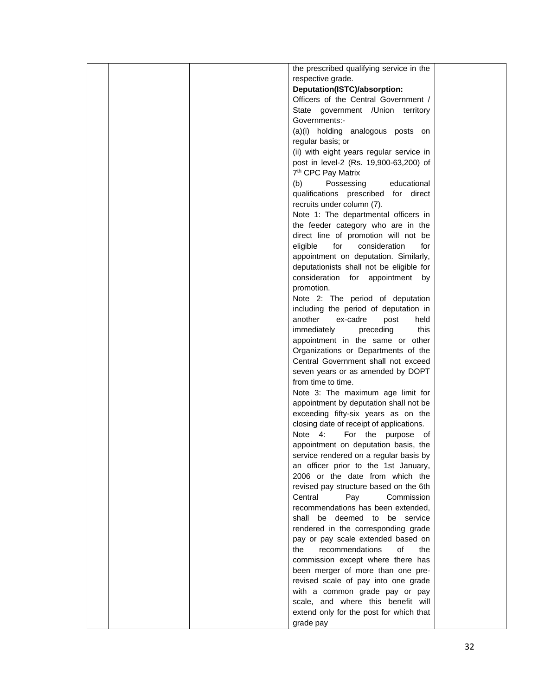|  | the prescribed qualifying service in the |  |
|--|------------------------------------------|--|
|  | respective grade.                        |  |
|  | Deputation(ISTC)/absorption:             |  |
|  | Officers of the Central Government /     |  |
|  | State government / Union territory       |  |
|  | Governments:-                            |  |
|  | (a)(i) holding analogous posts on        |  |
|  | regular basis; or                        |  |
|  | (ii) with eight years regular service in |  |
|  | post in level-2 (Rs. 19,900-63,200) of   |  |
|  | 7 <sup>th</sup> CPC Pay Matrix           |  |
|  | Possessing<br>(b)<br>educational         |  |
|  | qualifications prescribed for direct     |  |
|  | recruits under column (7).               |  |
|  | Note 1: The departmental officers in     |  |
|  | the feeder category who are in the       |  |
|  | direct line of promotion will not be     |  |
|  | eligible<br>for<br>consideration<br>for  |  |
|  | appointment on deputation. Similarly,    |  |
|  | deputationists shall not be eligible for |  |
|  | consideration for appointment<br>by      |  |
|  | promotion.                               |  |
|  | Note 2: The period of deputation         |  |
|  | including the period of deputation in    |  |
|  | another<br>ex-cadre<br>post<br>held      |  |
|  | immediately<br>preceding<br>this         |  |
|  | appointment in the same or other         |  |
|  | Organizations or Departments of the      |  |
|  | Central Government shall not exceed      |  |
|  | seven years or as amended by DOPT        |  |
|  | from time to time.                       |  |
|  | Note 3: The maximum age limit for        |  |
|  | appointment by deputation shall not be   |  |
|  | exceeding fifty-six years as on the      |  |
|  | closing date of receipt of applications. |  |
|  | Note 4:<br>For the purpose of            |  |
|  | appointment on deputation basis, the     |  |
|  | service rendered on a regular basis by   |  |
|  | an officer prior to the 1st January,     |  |
|  | 2006 or the date from which the          |  |
|  | revised pay structure based on the 6th   |  |
|  | Central<br>Pay<br>Commission             |  |
|  | recommendations has been extended,       |  |
|  | shall be deemed to be service            |  |
|  | rendered in the corresponding grade      |  |
|  | pay or pay scale extended based on       |  |
|  | the<br>recommendations<br>οf<br>the      |  |
|  | commission except where there has        |  |
|  | been merger of more than one pre-        |  |
|  | revised scale of pay into one grade      |  |
|  | with a common grade pay or pay           |  |
|  | scale, and where this benefit will       |  |
|  | extend only for the post for which that  |  |
|  | grade pay                                |  |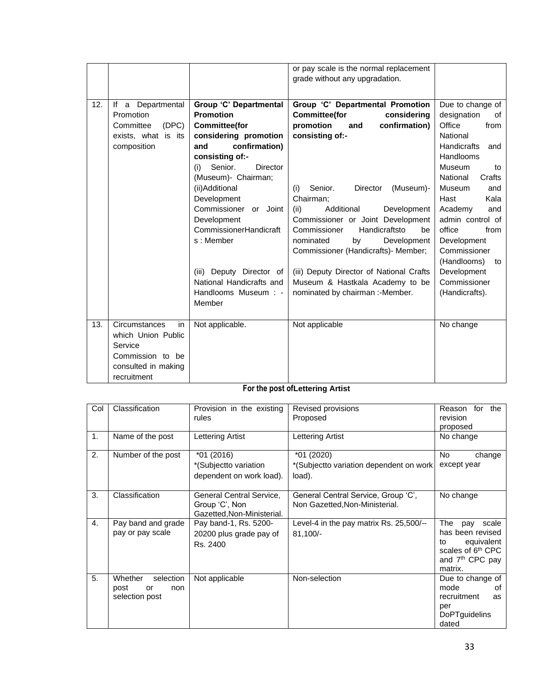|     |                     |                               | or pay scale is the normal replacement<br>grade without any upgradation. |                           |
|-----|---------------------|-------------------------------|--------------------------------------------------------------------------|---------------------------|
| 12. | If a Departmental   | <b>Group 'C' Departmental</b> | Group 'C' Departmental Promotion                                         | Due to change of          |
|     | Promotion           | <b>Promotion</b>              | <b>Committee(for</b><br>considering                                      | designation<br>of         |
|     | (DEC)<br>Committee  | <b>Committee(for</b>          | confirmation)<br>promotion<br>and                                        | Office<br>from            |
|     | exists, what is its | considering promotion         | consisting of:-                                                          | National                  |
|     | composition         | confirmation)<br>and          |                                                                          | <b>Handicrafts</b><br>and |
|     |                     | consisting of:-               |                                                                          | <b>Handlooms</b>          |
|     |                     | Senior.<br>Director<br>(i)    |                                                                          | Museum<br>to              |
|     |                     | (Museum)- Chairman;           |                                                                          | National<br>Crafts        |
|     |                     | (ii)Additional                | Senior.<br><b>Director</b><br>(Museum)-<br>(i)                           | Museum<br>and             |
|     |                     | Development                   | Chairman;                                                                | Kala<br>Hast              |
|     |                     | Commissioner or Joint         | (ii)<br>Additional<br>Development                                        | Academy<br>and            |
|     |                     | Development                   | Commissioner or Joint Development                                        | admin control of          |
|     |                     | CommissionerHandicraft        | Handicraftsto<br>Commissioner<br>be                                      | office<br>from            |
|     |                     | s: Member                     | nominated<br>by<br>Development                                           | Development               |
|     |                     |                               | Commissioner (Handicrafts)- Member;                                      | Commissioner              |
|     |                     |                               |                                                                          | (Handlooms)<br>to         |
|     |                     | (iii) Deputy Director of      | (iii) Deputy Director of National Crafts                                 | Development               |
|     |                     | National Handicrafts and      | Museum & Hastkala Academy to be                                          | Commissioner              |
|     |                     | Handlooms Museum : -          | nominated by chairman: -Member.                                          | (Handicrafts).            |
|     |                     | Member                        |                                                                          |                           |
|     |                     |                               |                                                                          |                           |
| 13. | Circumstances<br>in | Not applicable.               | Not applicable                                                           | No change                 |
|     | which Union Public  |                               |                                                                          |                           |
|     | Service             |                               |                                                                          |                           |
|     | Commission to be    |                               |                                                                          |                           |
|     | consulted in making |                               |                                                                          |                           |
|     | recruitment         |                               |                                                                          |                           |

# **For the post ofLettering Artist**

| Col            | Classification       | Provision in the existing  | Revised provisions                      | Reason for<br>the             |
|----------------|----------------------|----------------------------|-----------------------------------------|-------------------------------|
|                |                      | rules                      | Proposed                                | revision                      |
|                |                      |                            |                                         | proposed                      |
| 1.             | Name of the post     | Lettering Artist           | Lettering Artist                        | No change                     |
|                |                      |                            |                                         |                               |
| 2.             | Number of the post   | $*01(2016)$                | *01 (2020)                              | No.<br>change                 |
|                |                      | *(Subjectto variation      | *(Subjectto variation dependent on work | except year                   |
|                |                      | dependent on work load).   | load).                                  |                               |
|                |                      |                            |                                         |                               |
| 3.             | Classification       | General Central Service,   | General Central Service, Group 'C',     | No change                     |
|                |                      | Group 'C', Non             | Non Gazetted, Non-Ministerial.          |                               |
|                |                      | Gazetted, Non-Ministerial. |                                         |                               |
| $\mathbf{4}$ . | Pay band and grade   | Pay band-1, Rs. 5200-      | Level-4 in the pay matrix Rs. 25,500/-- | The<br>scale<br>pay           |
|                | pay or pay scale     |                            |                                         | has been revised              |
|                |                      | 20200 plus grade pay of    | 81,100/-                                | equivalent<br>to              |
|                |                      | Rs. 2400                   |                                         | scales of 6 <sup>th</sup> CPC |
|                |                      |                            |                                         |                               |
|                |                      |                            |                                         | and 7 <sup>th</sup> CPC pay   |
|                |                      |                            |                                         | matrix.                       |
| 5.             | Whether<br>selection | Not applicable             | Non-selection                           | Due to change of              |
|                | post<br>non<br>or    |                            |                                         | mode<br>οf                    |
|                | selection post       |                            |                                         | recruitment<br>as             |
|                |                      |                            |                                         | per                           |
|                |                      |                            |                                         | <b>DoPTguidelins</b>          |
|                |                      |                            |                                         | dated                         |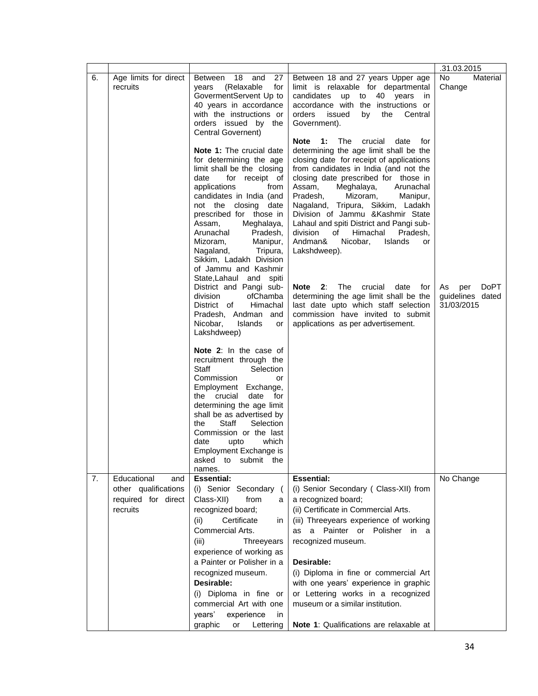|    |                                   |                                                                                                                                                                                                                                                                                                                                                                                                                                                                                                                                                                                                                                                                                                                                          |                                                                                                                                                                                                                                                                                                                                                                                                                                                                                                                                                                                                                                                                                                                               | .31.03.2015                                                |
|----|-----------------------------------|------------------------------------------------------------------------------------------------------------------------------------------------------------------------------------------------------------------------------------------------------------------------------------------------------------------------------------------------------------------------------------------------------------------------------------------------------------------------------------------------------------------------------------------------------------------------------------------------------------------------------------------------------------------------------------------------------------------------------------------|-------------------------------------------------------------------------------------------------------------------------------------------------------------------------------------------------------------------------------------------------------------------------------------------------------------------------------------------------------------------------------------------------------------------------------------------------------------------------------------------------------------------------------------------------------------------------------------------------------------------------------------------------------------------------------------------------------------------------------|------------------------------------------------------------|
| 6. | Age limits for direct<br>recruits | and<br><b>Between</b><br>- 18<br>27<br>(Relaxable<br>for<br>years<br>GovermentServent Up to<br>40 years in accordance<br>with the instructions or<br>orders issued by the<br>Central Governent)                                                                                                                                                                                                                                                                                                                                                                                                                                                                                                                                          | Between 18 and 27 years Upper age<br>limit is relaxable for departmental<br>candidates<br><b>up</b><br>40 years<br>to<br>in<br>accordance with the instructions or<br>orders<br>issued<br>by<br>the<br>Central<br>Government).                                                                                                                                                                                                                                                                                                                                                                                                                                                                                                | <b>No</b><br>Material<br>Change                            |
|    |                                   | Note 1: The crucial date<br>for determining the age<br>limit shall be the closing<br>date<br>for receipt of<br>applications<br>from<br>candidates in India (and<br>not the closing<br>date<br>prescribed for those in<br>Assam,<br>Meghalaya,<br>Arunachal<br>Pradesh,<br>Mizoram,<br>Manipur,<br>Nagaland,<br>Tripura,<br>Sikkim, Ladakh Division<br>of Jammu and Kashmir<br>State, Lahaul and spiti<br>District and Pangi sub-<br>division<br>ofChamba<br>Himachal<br>District of<br>Pradesh, Andman and<br>Nicobar,<br>Islands<br>or<br>Lakshdweep)<br>Note 2: In the case of<br>recruitment through the<br>Staff<br>Selection<br>Commission<br>or<br>Employment Exchange,<br>the crucial<br>date<br>for<br>determining the age limit | Note<br><b>1:</b> The<br>crucial<br>date<br>for<br>determining the age limit shall be the<br>closing date for receipt of applications<br>from candidates in India (and not the<br>closing date prescribed for those in<br>Assam,<br>Meghalaya,<br>Arunachal<br>Pradesh,<br>Mizoram,<br>Manipur,<br>Nagaland, Tripura, Sikkim, Ladakh<br>Division of Jammu & Kashmir State<br>Lahaul and spiti District and Pangi sub-<br>division<br>Himachal<br>of<br>Pradesh,<br>Andman&<br>Nicobar,<br>Islands<br>or<br>Lakshdweep).<br>Note 2: The<br>crucial<br>date<br>for<br>determining the age limit shall be the<br>last date upto which staff selection<br>commission have invited to submit<br>applications as per advertisement. | <b>DoPT</b><br>As<br>per<br>guidelines dated<br>31/03/2015 |
|    |                                   | shall be as advertised by<br>Staff<br>Selection<br>the<br>Commission or the last<br>which<br>date<br>upto<br>Employment Exchange is<br>asked<br>to submit<br>the<br>names.                                                                                                                                                                                                                                                                                                                                                                                                                                                                                                                                                               |                                                                                                                                                                                                                                                                                                                                                                                                                                                                                                                                                                                                                                                                                                                               |                                                            |
| 7. | Educational<br>and                | <b>Essential:</b>                                                                                                                                                                                                                                                                                                                                                                                                                                                                                                                                                                                                                                                                                                                        | <b>Essential:</b>                                                                                                                                                                                                                                                                                                                                                                                                                                                                                                                                                                                                                                                                                                             | No Change                                                  |
|    | other qualifications              | (i) Senior Secondary                                                                                                                                                                                                                                                                                                                                                                                                                                                                                                                                                                                                                                                                                                                     | (i) Senior Secondary ( Class-XII) from                                                                                                                                                                                                                                                                                                                                                                                                                                                                                                                                                                                                                                                                                        |                                                            |
|    | required for direct<br>recruits   | Class-XII)<br>from<br>a<br>recognized board;                                                                                                                                                                                                                                                                                                                                                                                                                                                                                                                                                                                                                                                                                             | a recognized board;<br>(ii) Certificate in Commercial Arts.                                                                                                                                                                                                                                                                                                                                                                                                                                                                                                                                                                                                                                                                   |                                                            |
|    |                                   | Certificate<br>(ii)<br>in                                                                                                                                                                                                                                                                                                                                                                                                                                                                                                                                                                                                                                                                                                                | (iii) Threeyears experience of working                                                                                                                                                                                                                                                                                                                                                                                                                                                                                                                                                                                                                                                                                        |                                                            |
|    |                                   | Commercial Arts.                                                                                                                                                                                                                                                                                                                                                                                                                                                                                                                                                                                                                                                                                                                         | a Painter or Polisher in a<br>as                                                                                                                                                                                                                                                                                                                                                                                                                                                                                                                                                                                                                                                                                              |                                                            |
|    |                                   | (iii)<br>Threeyears                                                                                                                                                                                                                                                                                                                                                                                                                                                                                                                                                                                                                                                                                                                      | recognized museum.                                                                                                                                                                                                                                                                                                                                                                                                                                                                                                                                                                                                                                                                                                            |                                                            |
|    |                                   | experience of working as<br>a Painter or Polisher in a                                                                                                                                                                                                                                                                                                                                                                                                                                                                                                                                                                                                                                                                                   | Desirable:                                                                                                                                                                                                                                                                                                                                                                                                                                                                                                                                                                                                                                                                                                                    |                                                            |
|    |                                   | recognized museum.                                                                                                                                                                                                                                                                                                                                                                                                                                                                                                                                                                                                                                                                                                                       | (i) Diploma in fine or commercial Art                                                                                                                                                                                                                                                                                                                                                                                                                                                                                                                                                                                                                                                                                         |                                                            |
|    |                                   | Desirable:                                                                                                                                                                                                                                                                                                                                                                                                                                                                                                                                                                                                                                                                                                                               | with one years' experience in graphic                                                                                                                                                                                                                                                                                                                                                                                                                                                                                                                                                                                                                                                                                         |                                                            |
|    |                                   | (i) Diploma in fine or                                                                                                                                                                                                                                                                                                                                                                                                                                                                                                                                                                                                                                                                                                                   | or Lettering works in a recognized                                                                                                                                                                                                                                                                                                                                                                                                                                                                                                                                                                                                                                                                                            |                                                            |
|    |                                   | commercial Art with one<br>years'<br>experience<br>in                                                                                                                                                                                                                                                                                                                                                                                                                                                                                                                                                                                                                                                                                    | museum or a similar institution.                                                                                                                                                                                                                                                                                                                                                                                                                                                                                                                                                                                                                                                                                              |                                                            |
|    |                                   | graphic<br>Lettering<br>or                                                                                                                                                                                                                                                                                                                                                                                                                                                                                                                                                                                                                                                                                                               | Note 1: Qualifications are relaxable at                                                                                                                                                                                                                                                                                                                                                                                                                                                                                                                                                                                                                                                                                       |                                                            |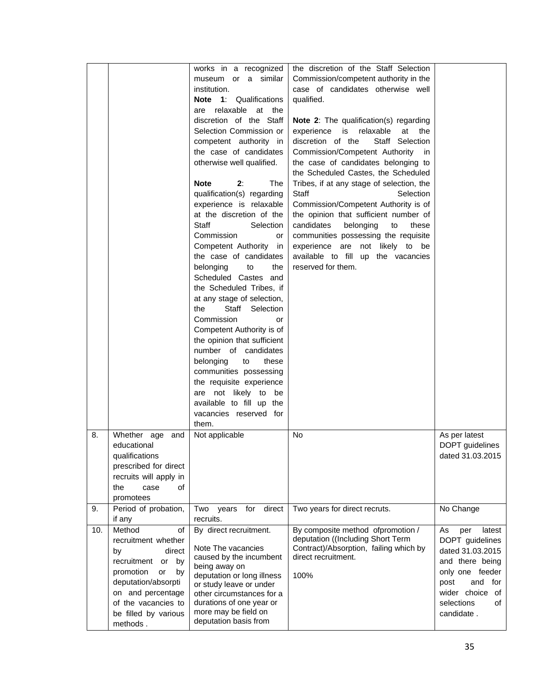|     |                                                                                                                                                                                                          | works in a recognized<br>museum or a similar<br>institution.<br><b>Note 1: Qualifications</b><br>are relaxable at the<br>discretion of the Staff<br>Selection Commission or<br>competent authority in<br>the case of candidates<br>otherwise well qualified.<br><b>Note</b><br>2:<br>The<br>qualification(s) regarding<br>experience is relaxable<br>at the discretion of the<br><b>Staff</b><br>Selection<br>Commission<br>or<br>Competent Authority<br>in<br>the case of candidates<br>belonging<br>to<br>the<br>Scheduled Castes and<br>the Scheduled Tribes, if<br>at any stage of selection,<br>Staff Selection<br>the<br>Commission<br>or<br>Competent Authority is of<br>the opinion that sufficient<br>number of candidates<br>belonging<br>to<br>these<br>communities possessing<br>the requisite experience<br>are not likely to be | the discretion of the Staff Selection<br>Commission/competent authority in the<br>case of candidates otherwise well<br>qualified.<br><b>Note 2:</b> The qualification(s) regarding<br>experience is<br>relaxable<br>at<br>the<br>discretion of the<br>Staff Selection<br>Commission/Competent Authority<br>in.<br>the case of candidates belonging to<br>the Scheduled Castes, the Scheduled<br>Tribes, if at any stage of selection, the<br>Staff<br>Selection<br>Commission/Competent Authority is of<br>the opinion that sufficient number of<br>candidates<br>belonging<br>to<br>these<br>communities possessing the requisite<br>experience are not likely to be<br>available to fill up the vacancies<br>reserved for them. |                                                                                                                                                                          |
|-----|----------------------------------------------------------------------------------------------------------------------------------------------------------------------------------------------------------|-----------------------------------------------------------------------------------------------------------------------------------------------------------------------------------------------------------------------------------------------------------------------------------------------------------------------------------------------------------------------------------------------------------------------------------------------------------------------------------------------------------------------------------------------------------------------------------------------------------------------------------------------------------------------------------------------------------------------------------------------------------------------------------------------------------------------------------------------|-----------------------------------------------------------------------------------------------------------------------------------------------------------------------------------------------------------------------------------------------------------------------------------------------------------------------------------------------------------------------------------------------------------------------------------------------------------------------------------------------------------------------------------------------------------------------------------------------------------------------------------------------------------------------------------------------------------------------------------|--------------------------------------------------------------------------------------------------------------------------------------------------------------------------|
|     |                                                                                                                                                                                                          | available to fill up the<br>vacancies reserved for                                                                                                                                                                                                                                                                                                                                                                                                                                                                                                                                                                                                                                                                                                                                                                                            |                                                                                                                                                                                                                                                                                                                                                                                                                                                                                                                                                                                                                                                                                                                                   |                                                                                                                                                                          |
|     |                                                                                                                                                                                                          | them.                                                                                                                                                                                                                                                                                                                                                                                                                                                                                                                                                                                                                                                                                                                                                                                                                                         |                                                                                                                                                                                                                                                                                                                                                                                                                                                                                                                                                                                                                                                                                                                                   |                                                                                                                                                                          |
| 8.  | Whether age and<br>educational<br>qualifications<br>prescribed for direct<br>recruits will apply in<br>the<br>case<br>οf<br>promotees                                                                    | Not applicable                                                                                                                                                                                                                                                                                                                                                                                                                                                                                                                                                                                                                                                                                                                                                                                                                                | <b>No</b>                                                                                                                                                                                                                                                                                                                                                                                                                                                                                                                                                                                                                                                                                                                         | As per latest<br>DOPT guidelines<br>dated 31.03.2015                                                                                                                     |
| 9.  | Period of probation,                                                                                                                                                                                     | for<br>direct<br>Two<br>years                                                                                                                                                                                                                                                                                                                                                                                                                                                                                                                                                                                                                                                                                                                                                                                                                 | Two years for direct recruts.                                                                                                                                                                                                                                                                                                                                                                                                                                                                                                                                                                                                                                                                                                     | No Change                                                                                                                                                                |
|     | if any                                                                                                                                                                                                   | recruits.                                                                                                                                                                                                                                                                                                                                                                                                                                                                                                                                                                                                                                                                                                                                                                                                                                     | By composite method ofpromotion /                                                                                                                                                                                                                                                                                                                                                                                                                                                                                                                                                                                                                                                                                                 |                                                                                                                                                                          |
| 10. | Method<br>of<br>recruitment whether<br>direct<br>by<br>recruitment or by<br>promotion<br>or<br>by<br>deputation/absorpti<br>on and percentage<br>of the vacancies to<br>be filled by various<br>methods. | By direct recruitment.<br>Note The vacancies<br>caused by the incumbent<br>being away on<br>deputation or long illness<br>or study leave or under<br>other circumstances for a<br>durations of one year or<br>more may be field on<br>deputation basis from                                                                                                                                                                                                                                                                                                                                                                                                                                                                                                                                                                                   | deputation ((Including Short Term<br>Contract)/Absorption, failing which by<br>direct recruitment.<br>100%                                                                                                                                                                                                                                                                                                                                                                                                                                                                                                                                                                                                                        | As<br>per<br>latest<br>DOPT guidelines<br>dated 31.03.2015<br>and there being<br>only one feeder<br>and for<br>post<br>wider choice of<br>selections<br>οf<br>candidate. |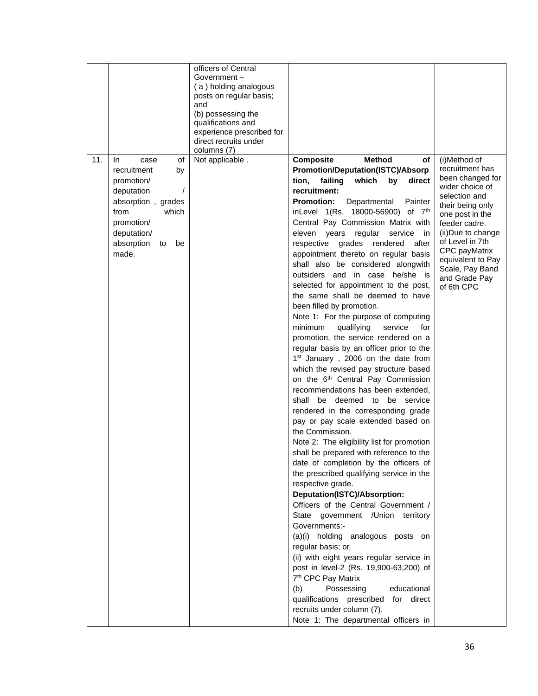|     |                         | officers of Central                                |                                                       |                                  |
|-----|-------------------------|----------------------------------------------------|-------------------------------------------------------|----------------------------------|
|     |                         | Government –                                       |                                                       |                                  |
|     |                         | (a) holding analogous                              |                                                       |                                  |
|     |                         | posts on regular basis;                            |                                                       |                                  |
|     |                         | and                                                |                                                       |                                  |
|     |                         | (b) possessing the                                 |                                                       |                                  |
|     |                         | qualifications and                                 |                                                       |                                  |
|     |                         | experience prescribed for<br>direct recruits under |                                                       |                                  |
|     |                         | columns (7)                                        |                                                       |                                  |
| 11. | <b>In</b><br>οf<br>case | Not applicable.                                    | Composite<br><b>Method</b><br>оf                      | (i)Method of                     |
|     | recruitment<br>by       |                                                    | <b>Promotion/Deputation(ISTC)/Absorp</b>              | recruitment has                  |
|     | promotion/              |                                                    | failing<br>tion,<br>which<br>by<br>direct             | been changed for                 |
|     | $\prime$<br>deputation  |                                                    | recruitment:                                          | wider choice of                  |
|     |                         |                                                    |                                                       | selection and                    |
|     | absorption, grades      |                                                    | <b>Promotion:</b><br>Departmental<br>Painter          | their being only                 |
|     | from<br>which           |                                                    | inLevel 1(Rs. 18000-56900) of 7th                     | one post in the                  |
|     | promotion/              |                                                    | Central Pay Commission Matrix with                    | feeder cadre.                    |
|     | deputation/             |                                                    | regular<br>eleven<br>years<br>service<br>in           | (ii) Due to change               |
|     | absorption<br>be<br>to  |                                                    | respective<br>grades<br>rendered<br>after             | of Level in 7th<br>CPC payMatrix |
|     | made.                   |                                                    | appointment thereto on regular basis                  | equivalent to Pay                |
|     |                         |                                                    | shall also be considered alongwith                    | Scale, Pay Band                  |
|     |                         |                                                    | outsiders and in case he/she is                       | and Grade Pay                    |
|     |                         |                                                    | selected for appointment to the post,                 | of 6th CPC                       |
|     |                         |                                                    | the same shall be deemed to have                      |                                  |
|     |                         |                                                    | been filled by promotion.                             |                                  |
|     |                         |                                                    | Note 1: For the purpose of computing                  |                                  |
|     |                         |                                                    | minimum<br>qualifying<br>service<br>for               |                                  |
|     |                         |                                                    | promotion, the service rendered on a                  |                                  |
|     |                         |                                                    | regular basis by an officer prior to the              |                                  |
|     |                         |                                                    | 1 <sup>st</sup> January, 2006 on the date from        |                                  |
|     |                         |                                                    | which the revised pay structure based                 |                                  |
|     |                         |                                                    | on the 6 <sup>th</sup> Central Pay Commission         |                                  |
|     |                         |                                                    | recommendations has been extended,                    |                                  |
|     |                         |                                                    | be deemed to be service<br>shall                      |                                  |
|     |                         |                                                    | rendered in the corresponding grade                   |                                  |
|     |                         |                                                    |                                                       |                                  |
|     |                         |                                                    | pay or pay scale extended based on<br>the Commission. |                                  |
|     |                         |                                                    |                                                       |                                  |
|     |                         |                                                    | Note 2: The eligibility list for promotion            |                                  |
|     |                         |                                                    | shall be prepared with reference to the               |                                  |
|     |                         |                                                    | date of completion by the officers of                 |                                  |
|     |                         |                                                    | the prescribed qualifying service in the              |                                  |
|     |                         |                                                    | respective grade.                                     |                                  |
|     |                         |                                                    | Deputation(ISTC)/Absorption:                          |                                  |
|     |                         |                                                    | Officers of the Central Government /                  |                                  |
|     |                         |                                                    | State government / Union territory                    |                                  |
|     |                         |                                                    | Governments:-                                         |                                  |
|     |                         |                                                    | (a)(i) holding analogous posts on                     |                                  |
|     |                         |                                                    | regular basis; or                                     |                                  |
|     |                         |                                                    | (ii) with eight years regular service in              |                                  |
|     |                         |                                                    | post in level-2 (Rs. 19,900-63,200) of                |                                  |
|     |                         |                                                    | 7 <sup>th</sup> CPC Pay Matrix                        |                                  |
|     |                         |                                                    | (b)<br>Possessing<br>educational                      |                                  |
|     |                         |                                                    | qualifications prescribed<br>for direct               |                                  |
|     |                         |                                                    | recruits under column (7).                            |                                  |
|     |                         |                                                    | Note 1: The departmental officers in                  |                                  |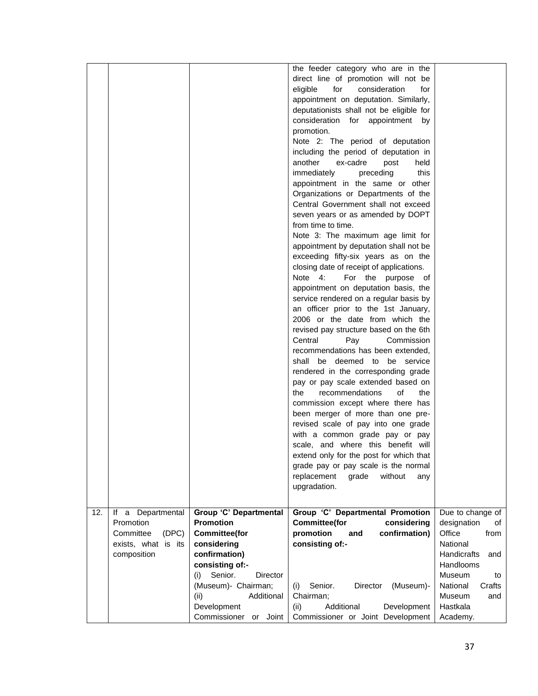|     |                         |                             | the feeder category who are in the             |                    |
|-----|-------------------------|-----------------------------|------------------------------------------------|--------------------|
|     |                         |                             | direct line of promotion will not be           |                    |
|     |                         |                             |                                                |                    |
|     |                         |                             | eligible<br>for<br>consideration<br>for        |                    |
|     |                         |                             | appointment on deputation. Similarly,          |                    |
|     |                         |                             | deputationists shall not be eligible for       |                    |
|     |                         |                             | consideration for appointment<br>by            |                    |
|     |                         |                             | promotion.                                     |                    |
|     |                         |                             | Note 2: The period of deputation               |                    |
|     |                         |                             | including the period of deputation in          |                    |
|     |                         |                             | another<br>ex-cadre<br>post<br>held            |                    |
|     |                         |                             | immediately<br>this<br>preceding               |                    |
|     |                         |                             | appointment in the same or other               |                    |
|     |                         |                             | Organizations or Departments of the            |                    |
|     |                         |                             |                                                |                    |
|     |                         |                             | Central Government shall not exceed            |                    |
|     |                         |                             | seven years or as amended by DOPT              |                    |
|     |                         |                             | from time to time.                             |                    |
|     |                         |                             | Note 3: The maximum age limit for              |                    |
|     |                         |                             | appointment by deputation shall not be         |                    |
|     |                         |                             | exceeding fifty-six years as on the            |                    |
|     |                         |                             | closing date of receipt of applications.       |                    |
|     |                         |                             | Note 4:<br>For the purpose of                  |                    |
|     |                         |                             | appointment on deputation basis, the           |                    |
|     |                         |                             | service rendered on a regular basis by         |                    |
|     |                         |                             | an officer prior to the 1st January,           |                    |
|     |                         |                             | 2006 or the date from which the                |                    |
|     |                         |                             | revised pay structure based on the 6th         |                    |
|     |                         |                             | Central<br>Commission<br>Pay                   |                    |
|     |                         |                             |                                                |                    |
|     |                         |                             | recommendations has been extended,             |                    |
|     |                         |                             | shall be deemed to be service                  |                    |
|     |                         |                             | rendered in the corresponding grade            |                    |
|     |                         |                             | pay or pay scale extended based on             |                    |
|     |                         |                             | recommendations<br>οf<br>the<br>the            |                    |
|     |                         |                             | commission except where there has              |                    |
|     |                         |                             | been merger of more than one pre-              |                    |
|     |                         |                             | revised scale of pay into one grade            |                    |
|     |                         |                             | with a common grade pay or pay                 |                    |
|     |                         |                             | scale, and where this benefit will             |                    |
|     |                         |                             | extend only for the post for which that        |                    |
|     |                         |                             | grade pay or pay scale is the normal           |                    |
|     |                         |                             | without<br>replacement<br>grade<br>any         |                    |
|     |                         |                             | upgradation.                                   |                    |
|     |                         |                             |                                                |                    |
|     |                         |                             |                                                |                    |
| 12. | Departmental<br>lf<br>a | Group 'C' Departmental      | Group 'C' Departmental Promotion               | Due to change of   |
|     | Promotion               | <b>Promotion</b>            | <b>Committee(for</b><br>considering            | designation<br>οf  |
|     | Committee<br>(DPC)      | <b>Committee(for</b>        | promotion<br>confirmation)<br>and              | Office<br>from     |
|     | exists, what is its     | considering                 | consisting of:-                                | National           |
|     | composition             | confirmation)               |                                                | Handicrafts<br>and |
|     |                         | consisting of:-             |                                                | Handlooms          |
|     |                         | Senior.<br>(i)<br>Director  |                                                | Museum<br>to       |
|     |                         | (Museum)- Chairman;         | Senior.<br><b>Director</b><br>(Museum)-<br>(i) | National<br>Crafts |
|     |                         | (ii)<br>Additional          | Chairman;                                      | Museum<br>and      |
|     |                         | Development                 | Additional<br>Development<br>(ii)              | Hastkala           |
|     |                         | Commissioner<br>Joint<br>or | Commissioner or Joint Development              | Academy.           |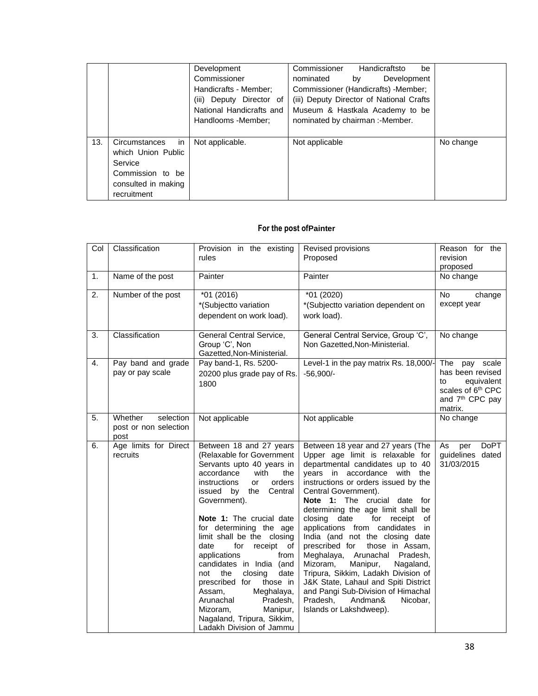|     |                     | Development              | Commissioner<br>Handicraftsto<br>be      |           |
|-----|---------------------|--------------------------|------------------------------------------|-----------|
|     |                     | Commissioner             | Development<br>nominated<br>by           |           |
|     |                     | Handicrafts - Member;    | Commissioner (Handicrafts) -Member;      |           |
|     |                     | (iii) Deputy Director of | (iii) Deputy Director of National Crafts |           |
|     |                     | National Handicrafts and | Museum & Hastkala Academy to be          |           |
|     |                     | Handlooms -Member;       | nominated by chairman: -Member.          |           |
|     |                     |                          |                                          |           |
| 13. | in<br>Circumstances | Not applicable.          | Not applicable                           | No change |
|     | which Union Public  |                          |                                          |           |
|     | Service             |                          |                                          |           |
|     | Commission to be    |                          |                                          |           |
|     | consulted in making |                          |                                          |           |
|     | recruitment         |                          |                                          |           |

## **For the post ofPainter**

| Col | Classification                                        | Provision in the existing<br>rules                                                                                                                                                                                                                                                                                                                                                                                                                                                                                                                                    | Revised provisions<br>Proposed                                                                                                                                                                                                                                                                                                                                                                                                                                                                                                                                                                                                                                                              | Reason for the<br>revision<br>proposed                                                                                              |
|-----|-------------------------------------------------------|-----------------------------------------------------------------------------------------------------------------------------------------------------------------------------------------------------------------------------------------------------------------------------------------------------------------------------------------------------------------------------------------------------------------------------------------------------------------------------------------------------------------------------------------------------------------------|---------------------------------------------------------------------------------------------------------------------------------------------------------------------------------------------------------------------------------------------------------------------------------------------------------------------------------------------------------------------------------------------------------------------------------------------------------------------------------------------------------------------------------------------------------------------------------------------------------------------------------------------------------------------------------------------|-------------------------------------------------------------------------------------------------------------------------------------|
| 1.  | Name of the post                                      | Painter                                                                                                                                                                                                                                                                                                                                                                                                                                                                                                                                                               | Painter                                                                                                                                                                                                                                                                                                                                                                                                                                                                                                                                                                                                                                                                                     | No change                                                                                                                           |
| 2.  | Number of the post                                    | *01 (2016)<br>*(Subjectto variation<br>dependent on work load).                                                                                                                                                                                                                                                                                                                                                                                                                                                                                                       | $*01(2020)$<br>*(Subjectto variation dependent on<br>work load).                                                                                                                                                                                                                                                                                                                                                                                                                                                                                                                                                                                                                            | No<br>change<br>except year                                                                                                         |
| 3.  | Classification                                        | General Central Service,<br>Group 'C', Non<br>Gazetted, Non-Ministerial.                                                                                                                                                                                                                                                                                                                                                                                                                                                                                              | General Central Service, Group 'C',<br>Non Gazetted, Non-Ministerial.                                                                                                                                                                                                                                                                                                                                                                                                                                                                                                                                                                                                                       | No change                                                                                                                           |
| 4.  | Pay band and grade<br>pay or pay scale                | Pay band-1, Rs. 5200-<br>20200 plus grade pay of Rs.<br>1800                                                                                                                                                                                                                                                                                                                                                                                                                                                                                                          | Level-1 in the pay matrix Rs. 18,000/-<br>$-56.900/-$                                                                                                                                                                                                                                                                                                                                                                                                                                                                                                                                                                                                                                       | The<br>pay scale<br>has been revised<br>to<br>equivalent<br>scales of 6 <sup>th</sup> CPC<br>and 7 <sup>th</sup> CPC pay<br>matrix. |
| 5.  | Whether<br>selection<br>post or non selection<br>post | Not applicable                                                                                                                                                                                                                                                                                                                                                                                                                                                                                                                                                        | Not applicable                                                                                                                                                                                                                                                                                                                                                                                                                                                                                                                                                                                                                                                                              | No change                                                                                                                           |
| 6.  | Age limits for Direct<br>recruits                     | Between 18 and 27 years<br>(Relaxable for Government<br>Servants upto 40 years in<br>accordance<br>with<br>the<br>instructions<br>orders<br>or<br>issued by<br>the<br>Central<br>Government).<br>Note 1: The crucial date<br>for determining the age<br>limit shall be the closing<br>date<br>for<br>receipt of<br>applications<br>from<br>candidates in India (and<br>the<br>closing<br>date<br>not<br>prescribed for<br>those in<br>Meghalaya,<br>Assam,<br>Arunachal<br>Pradesh,<br>Manipur,<br>Mizoram,<br>Nagaland, Tripura, Sikkim,<br>Ladakh Division of Jammu | Between 18 year and 27 years (The<br>Upper age limit is relaxable for<br>departmental candidates up to 40<br>years in accordance with the<br>instructions or orders issued by the<br>Central Government).<br>Note 1: The crucial date for<br>determining the age limit shall be<br>closing<br>for receipt<br>date<br>οf<br>applications from candidates in<br>India (and not the closing date<br>prescribed for<br>those in Assam,<br>Meghalaya, Arunachal Pradesh,<br>Manipur,<br>Mizoram,<br>Nagaland,<br>Tripura, Sikkim, Ladakh Division of<br>J&K State, Lahaul and Spiti District<br>and Pangi Sub-Division of Himachal<br>Pradesh,<br>Andman&<br>Nicobar,<br>Islands or Lakshdweep). | DoPT<br>As<br>per<br>guidelines dated<br>31/03/2015                                                                                 |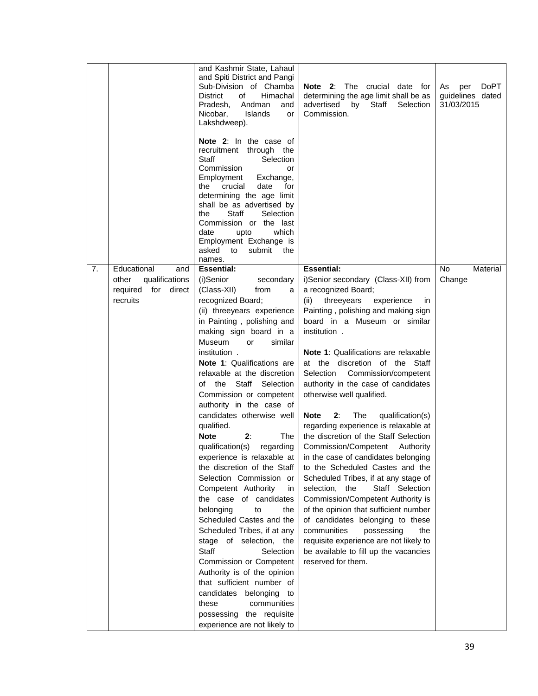|    |                                                                                  | and Kashmir State, Lahaul<br>and Spiti District and Pangi<br>Sub-Division of Chamba<br><b>District</b><br>Himachal<br>οf<br>Pradesh,<br>Andman<br>and<br>Islands<br>Nicobar,<br>or<br>Lakshdweep).<br><b>Note 2:</b> In the case of<br>recruitment through the<br>Staff<br>Selection<br>Commission<br>or<br>Employment<br>Exchange,<br>crucial<br>the<br>date<br>for<br>determining the age limit<br>shall be as advertised by<br>Staff<br>the<br>Selection<br>Commission or the last<br>date<br>upto<br>which<br>Employment Exchange is<br>asked to<br>submit the<br>names.                                                                                                                                                                                                                                                                                                                                                                                                                | Note 2: The crucial date for<br>determining the age limit shall be as<br>advertised<br>by<br>Staff<br>Selection<br>Commission.                                                                                                                                                                                                                                                                                                                                                                                                                                                                                                                                                                                                                                                                                                                                                                                                                                                         | <b>DoPT</b><br>As<br>per<br>guidelines dated<br>31/03/2015 |
|----|----------------------------------------------------------------------------------|---------------------------------------------------------------------------------------------------------------------------------------------------------------------------------------------------------------------------------------------------------------------------------------------------------------------------------------------------------------------------------------------------------------------------------------------------------------------------------------------------------------------------------------------------------------------------------------------------------------------------------------------------------------------------------------------------------------------------------------------------------------------------------------------------------------------------------------------------------------------------------------------------------------------------------------------------------------------------------------------|----------------------------------------------------------------------------------------------------------------------------------------------------------------------------------------------------------------------------------------------------------------------------------------------------------------------------------------------------------------------------------------------------------------------------------------------------------------------------------------------------------------------------------------------------------------------------------------------------------------------------------------------------------------------------------------------------------------------------------------------------------------------------------------------------------------------------------------------------------------------------------------------------------------------------------------------------------------------------------------|------------------------------------------------------------|
| 7. | Educational<br>and<br>qualifications<br>other<br>required for direct<br>recruits | <b>Essential:</b><br>(i)Senior<br>secondary<br>(Class-XII)<br>from<br>a<br>recognized Board;<br>(ii) threeyears experience<br>in Painting, polishing and<br>making sign board in a<br>Museum<br>similar<br>or<br>institution.<br><b>Note 1: Qualifications are</b><br>relaxable at the discretion<br>of the Staff Selection<br>Commission or competent<br>authority in the case of<br>candidates otherwise well<br>qualified.<br><b>Note</b><br>2:<br>The<br>qualification(s) regarding<br>experience is relaxable at  <br>the discretion of the Staff<br>Selection Commission or<br>Competent Authority<br>in<br>the case of candidates<br>belonging<br>to<br>the<br>Scheduled Castes and the<br>Scheduled Tribes, if at any<br>stage of selection, the<br><b>Staff</b><br>Selection<br>Commission or Competent<br>Authority is of the opinion<br>that sufficient number of<br>candidates belonging to<br>communities<br>these<br>possessing the requisite<br>experience are not likely to | <b>Essential:</b><br>i)Senior secondary (Class-XII) from<br>a recognized Board;<br>(ii) threeyears<br>experience<br>ın<br>Painting, polishing and making sign<br>board in a Museum or similar<br>institution.<br><b>Note 1: Qualifications are relaxable</b><br>at the discretion of the Staff<br>Selection Commission/competent<br>authority in the case of candidates<br>otherwise well qualified.<br>The<br>Note<br>2:<br>qualification(s)<br>regarding experience is relaxable at<br>the discretion of the Staff Selection<br>Commission/Competent Authority<br>in the case of candidates belonging<br>to the Scheduled Castes and the<br>Scheduled Tribes, if at any stage of<br>selection, the<br>Staff Selection<br>Commission/Competent Authority is<br>of the opinion that sufficient number<br>of candidates belonging to these<br>communities<br>possessing<br>the<br>requisite experience are not likely to<br>be available to fill up the vacancies<br>reserved for them. | No<br>Material<br>Change                                   |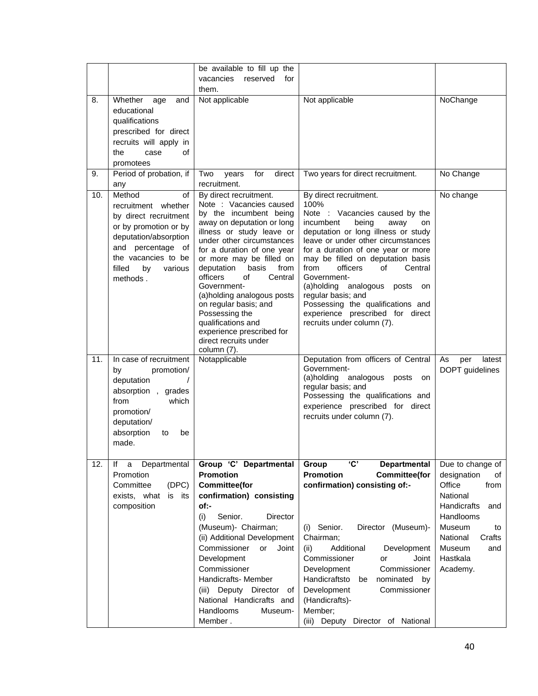|     |                                                                                                                                                                                                   | be available to fill up the<br>vacancies<br>reserved<br>for<br>them.                                                                                                                                                                                                                                                                                                                                                                                                         |                                                                                                                                                                                                                                                                                                                                                                                                                                                                                      |                                                                                                                                                                                       |
|-----|---------------------------------------------------------------------------------------------------------------------------------------------------------------------------------------------------|------------------------------------------------------------------------------------------------------------------------------------------------------------------------------------------------------------------------------------------------------------------------------------------------------------------------------------------------------------------------------------------------------------------------------------------------------------------------------|--------------------------------------------------------------------------------------------------------------------------------------------------------------------------------------------------------------------------------------------------------------------------------------------------------------------------------------------------------------------------------------------------------------------------------------------------------------------------------------|---------------------------------------------------------------------------------------------------------------------------------------------------------------------------------------|
| 8.  | Whether<br>age<br>and<br>educational<br>qualifications<br>prescribed for direct<br>recruits will apply in<br>οf<br>the<br>case<br>promotees                                                       | Not applicable                                                                                                                                                                                                                                                                                                                                                                                                                                                               | Not applicable                                                                                                                                                                                                                                                                                                                                                                                                                                                                       | NoChange                                                                                                                                                                              |
| 9.  | Period of probation, if<br>any                                                                                                                                                                    | direct<br>Two<br>years<br>for<br>recruitment.                                                                                                                                                                                                                                                                                                                                                                                                                                | Two years for direct recruitment.                                                                                                                                                                                                                                                                                                                                                                                                                                                    | No Change                                                                                                                                                                             |
| 10. | Method<br>οf<br>recruitment whether<br>by direct recruitment<br>or by promotion or by<br>deputation/absorption<br>and percentage of<br>the vacancies to be<br>filled<br>by<br>various<br>methods. | By direct recruitment.<br>Note : Vacancies caused<br>by the incumbent being<br>away on deputation or long<br>illness or study leave or<br>under other circumstances<br>for a duration of one year<br>or more may be filled on<br>deputation<br>basis<br>from<br>officers<br>οf<br>Central<br>Government-<br>(a)holding analogous posts<br>on regular basis; and<br>Possessing the<br>qualifications and<br>experience prescribed for<br>direct recruits under<br>column (7). | By direct recruitment.<br>100%<br>Note : Vacancies caused by the<br>incumbent<br>being<br>away<br>on<br>deputation or long illness or study<br>leave or under other circumstances<br>for a duration of one year or more<br>may be filled on deputation basis<br>from<br>officers<br>οf<br>Central<br>Government-<br>(a)holding analogous<br>posts<br>on<br>regular basis; and<br>Possessing the qualifications and<br>experience prescribed for direct<br>recruits under column (7). | No change                                                                                                                                                                             |
| 11. | In case of recruitment<br>promotion/<br>by<br>deputation<br>absorption, grades<br>from<br>which<br>promotion/<br>deputation/<br>absorption<br>to<br>be<br>made.                                   | Notapplicable                                                                                                                                                                                                                                                                                                                                                                                                                                                                | Deputation from officers of Central<br>Government-<br>(a)holding analogous posts<br>on<br>regular basis; and<br>Possessing the qualifications and<br>experience prescribed for direct<br>recruits under column (7).                                                                                                                                                                                                                                                                  | As<br>per<br>latest<br>DOPT guidelines                                                                                                                                                |
| 12. | Departmental<br>lf<br>a<br>Promotion<br>Committee<br>(DPC)<br>exists, what<br>is its<br>composition                                                                                               | Group 'C' Departmental<br><b>Promotion</b><br><b>Committee(for</b><br>confirmation) consisting<br>of:-<br>Senior.<br>Director<br>(i)<br>(Museum)- Chairman;<br>(ii) Additional Development<br>Commissioner<br>Joint<br>or<br>Development<br>Commissioner<br>Handicrafts- Member<br>(iii) Deputy Director of<br>National Handicrafts and<br>Handlooms<br>Museum-<br>Member.                                                                                                   | <b>'C'</b><br><b>Departmental</b><br>Group<br><b>Promotion</b><br><b>Committee(for</b><br>confirmation) consisting of:-<br>Senior.<br>Director (Museum)-<br>(i)<br>Chairman;<br>Additional<br>Development<br>(ii)<br>Commissioner<br>Joint<br>or<br>Development<br>Commissioner<br>Handicraftsto<br>nominated<br>be<br>by<br>Development<br>Commissioner<br>(Handicrafts)-<br>Member;<br>(iii) Deputy Director of National                                                           | Due to change of<br>designation<br>of<br>Office<br>from<br>National<br>Handicrafts<br>and<br>Handlooms<br>Museum<br>to<br>National<br>Crafts<br>Museum<br>and<br>Hastkala<br>Academy. |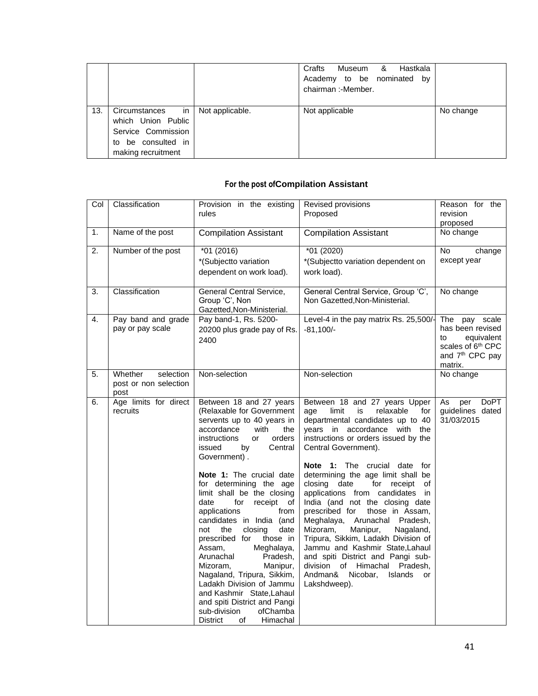|     |                                                                                                                            | Crafts<br>Museum & Hastkala<br>Academy to be nominated by<br>chairman: - Member. |           |
|-----|----------------------------------------------------------------------------------------------------------------------------|----------------------------------------------------------------------------------|-----------|
| 13. | Circumstances in   Not applicable.<br>which Union Public<br>Service Commission<br>to be consulted in<br>making recruitment | Not applicable                                                                   | No change |

## **For the post ofCompilation Assistant**

| Col | Classification                                        | Provision in the existing<br>rules                                                                                                                                                                                                                                                                                                                                                                                                                                                                                                                                                                                                                                                               | Revised provisions<br>Proposed                                                                                                                                                                                                                                                                                                                                                                                                                                                                                                                                                                                                                                                                                                      | Reason for the<br>revision<br>proposed                                                                                           |
|-----|-------------------------------------------------------|--------------------------------------------------------------------------------------------------------------------------------------------------------------------------------------------------------------------------------------------------------------------------------------------------------------------------------------------------------------------------------------------------------------------------------------------------------------------------------------------------------------------------------------------------------------------------------------------------------------------------------------------------------------------------------------------------|-------------------------------------------------------------------------------------------------------------------------------------------------------------------------------------------------------------------------------------------------------------------------------------------------------------------------------------------------------------------------------------------------------------------------------------------------------------------------------------------------------------------------------------------------------------------------------------------------------------------------------------------------------------------------------------------------------------------------------------|----------------------------------------------------------------------------------------------------------------------------------|
| 1.  | Name of the post                                      | <b>Compilation Assistant</b>                                                                                                                                                                                                                                                                                                                                                                                                                                                                                                                                                                                                                                                                     | <b>Compilation Assistant</b>                                                                                                                                                                                                                                                                                                                                                                                                                                                                                                                                                                                                                                                                                                        | No change                                                                                                                        |
| 2.  | Number of the post                                    | *01 (2016)<br>*(Subjectto variation<br>dependent on work load).                                                                                                                                                                                                                                                                                                                                                                                                                                                                                                                                                                                                                                  | *01 (2020)<br>*(Subjectto variation dependent on<br>work load).                                                                                                                                                                                                                                                                                                                                                                                                                                                                                                                                                                                                                                                                     | No<br>change<br>except year                                                                                                      |
| 3.  | Classification                                        | General Central Service,<br>Group 'C', Non<br>Gazetted, Non-Ministerial.                                                                                                                                                                                                                                                                                                                                                                                                                                                                                                                                                                                                                         | General Central Service, Group 'C',<br>Non Gazetted, Non-Ministerial.                                                                                                                                                                                                                                                                                                                                                                                                                                                                                                                                                                                                                                                               | No change                                                                                                                        |
| 4.  | Pay band and grade<br>pay or pay scale                | Pay band-1, Rs. 5200-<br>20200 plus grade pay of Rs.<br>2400                                                                                                                                                                                                                                                                                                                                                                                                                                                                                                                                                                                                                                     | Level-4 in the pay matrix Rs. 25,500/<br>$-81,100/-$                                                                                                                                                                                                                                                                                                                                                                                                                                                                                                                                                                                                                                                                                | The pay scale<br>has been revised<br>to<br>equivalent<br>scales of 6 <sup>th</sup> CPC<br>and 7 <sup>th</sup> CPC pay<br>matrix. |
| 5.  | Whether<br>selection<br>post or non selection<br>post | Non-selection                                                                                                                                                                                                                                                                                                                                                                                                                                                                                                                                                                                                                                                                                    | Non-selection                                                                                                                                                                                                                                                                                                                                                                                                                                                                                                                                                                                                                                                                                                                       | No change                                                                                                                        |
| 6.  | Age limits for direct<br>recruits                     | Between 18 and 27 years<br>(Relaxable for Government<br>servents up to 40 years in<br>accordance<br>with<br>the<br>orders<br>instructions<br>or<br>issued<br>Central<br>by<br>Government).<br>Note 1: The crucial date<br>for determining the age<br>limit shall be the closing<br>date<br>for<br>receipt of<br>applications<br>from<br>candidates in India (and<br>not<br>the<br>closing<br>date<br>prescribed for<br>those in<br>Assam,<br>Meghalaya,<br>Arunachal<br>Pradesh,<br>Mizoram,<br>Manipur,<br>Nagaland, Tripura, Sikkim,<br>Ladakh Division of Jammu<br>and Kashmir State, Lahaul<br>and spiti District and Pangi<br>sub-division<br>ofChamba<br><b>District</b><br>of<br>Himachal | Between 18 and 27 years Upper<br>relaxable<br>limit<br>is<br>for<br>age<br>departmental candidates up to 40<br>years in accordance with the<br>instructions or orders issued by the<br>Central Government).<br><b>Note 1:</b> The crucial date for<br>determining the age limit shall be<br>closing date<br>for receipt<br>оf<br>applications from candidates in<br>India (and not the closing date<br>prescribed for<br>those in Assam,<br>Meghalaya, Arunachal<br>Pradesh,<br>Mizoram,<br>Manipur,<br>Nagaland,<br>Tripura, Sikkim, Ladakh Division of<br>Jammu and Kashmir State, Lahaul<br>and spiti District and Pangi sub-<br>division of Himachal<br>Pradesh,<br>Andman&<br>Nicobar.<br><b>Islands</b><br>or<br>Lakshdweep). | As<br><b>DoPT</b><br>per<br>guidelines dated<br>31/03/2015                                                                       |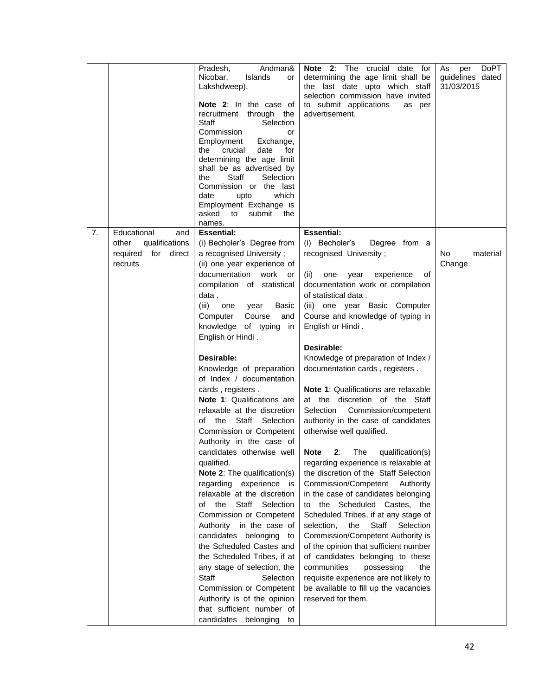|    |                                                                                        | Andman&<br>Pradesh,<br>Nicobar,<br>Islands<br>or<br>Lakshdweep).<br>Note 2: In the case of<br>recruitment through the<br>Staff<br>Selection<br>Commission<br>or<br>Employment<br>Exchange,<br>crucial<br>the<br>date<br>for<br>determining the age limit<br>shall be as advertised by<br>the<br>Staff<br>Selection<br>Commission or the last<br>date<br>which<br>upto<br>Employment Exchange is<br>submit<br>asked to<br>the<br>names.                                                                                                                                                                                                                                                                                                                                                                                                                                                                                                                                                                                                          | Note 2: The<br>crucial<br>date<br>for<br>determining the age limit shall be<br>the last date upto which staff<br>selection commission have invited<br>to submit applications<br>as per<br>advertisement.                                                                                                                                                                                                                                                                                                                                                                                                                                                                                                                                                                                                                                                                                                                                                                                                                                                                                                                                                     | <b>DoPT</b><br>As<br>per<br>guidelines dated<br>31/03/2015 |
|----|----------------------------------------------------------------------------------------|-------------------------------------------------------------------------------------------------------------------------------------------------------------------------------------------------------------------------------------------------------------------------------------------------------------------------------------------------------------------------------------------------------------------------------------------------------------------------------------------------------------------------------------------------------------------------------------------------------------------------------------------------------------------------------------------------------------------------------------------------------------------------------------------------------------------------------------------------------------------------------------------------------------------------------------------------------------------------------------------------------------------------------------------------|--------------------------------------------------------------------------------------------------------------------------------------------------------------------------------------------------------------------------------------------------------------------------------------------------------------------------------------------------------------------------------------------------------------------------------------------------------------------------------------------------------------------------------------------------------------------------------------------------------------------------------------------------------------------------------------------------------------------------------------------------------------------------------------------------------------------------------------------------------------------------------------------------------------------------------------------------------------------------------------------------------------------------------------------------------------------------------------------------------------------------------------------------------------|------------------------------------------------------------|
| 7. | Educational<br>and<br>qualifications<br>other<br>required<br>for<br>direct<br>recruits | <b>Essential:</b><br>(i) Becholer's Degree from<br>a recognised University;<br>(ii) one year experience of<br>documentation<br>work<br>or<br>compilation of statistical<br>data.<br>(iii)<br>one<br>year<br><b>Basic</b><br>Computer<br>Course<br>and<br>knowledge of typing<br>in<br>English or Hindi.<br>Desirable:<br>Knowledge of preparation<br>of Index / documentation<br>cards, registers.<br>Note 1: Qualifications are<br>relaxable at the discretion<br>the<br>Staff Selection<br>of<br>Commission or Competent<br>Authority in the case of<br>candidates otherwise well<br>qualified.<br>Note 2: The qualification(s)<br>regarding experience is<br>relaxable at the discretion<br>of the<br>Staff Selection<br>Commission or Competent<br>Authority in the case of<br>candidates belonging to<br>the Scheduled Castes and<br>the Scheduled Tribes, if at<br>any stage of selection, the<br>Staff<br>Selection<br>Commission or Competent<br>Authority is of the opinion<br>that sufficient number of<br>candidates belonging<br>to | <b>Essential:</b><br>(i) Becholer's<br>Degree from a<br>recognised University;<br>(ii)<br>year<br>experience<br>οf<br>one<br>documentation work or compilation<br>of statistical data.<br>(iii) one year Basic Computer<br>Course and knowledge of typing in<br>English or Hindi.<br>Desirable:<br>Knowledge of preparation of Index /<br>documentation cards, registers.<br><b>Note 1: Qualifications are relaxable</b><br>at the discretion of the Staff<br>Selection<br>Commission/competent<br>authority in the case of candidates<br>otherwise well qualified.<br>2:<br>The<br><b>Note</b><br>qualification(s)<br>regarding experience is relaxable at<br>the discretion of the Staff Selection<br>Commission/Competent Authority<br>in the case of candidates belonging<br>to the Scheduled Castes, the<br>Scheduled Tribes, if at any stage of<br>the<br>Staff Selection<br>selection,<br>Commission/Competent Authority is<br>of the opinion that sufficient number<br>of candidates belonging to these<br>communities<br>possessing<br>the<br>requisite experience are not likely to<br>be available to fill up the vacancies<br>reserved for them. | No.<br>material<br>Change                                  |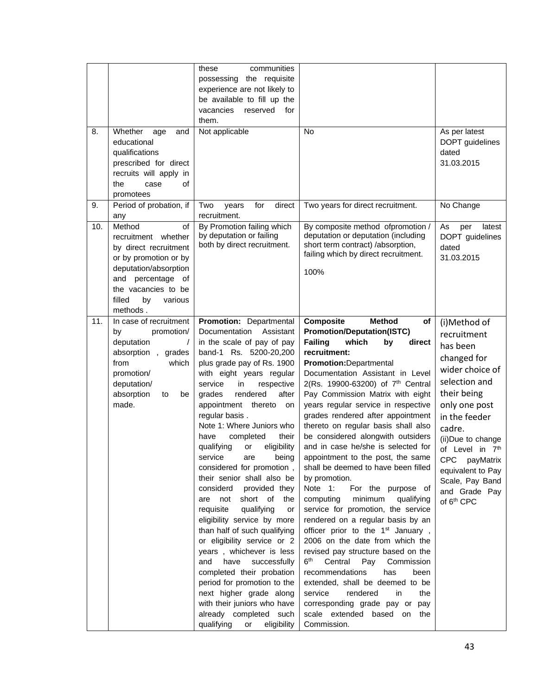| 8.  | Whether<br>age<br>and<br>educational<br>qualifications<br>prescribed for direct<br>recruits will apply in                                                                                         | these<br>communities<br>possessing the requisite<br>experience are not likely to<br>be available to fill up the<br>vacancies<br>reserved<br>for<br>them.<br>Not applicable                                                                                                                                                                                                                                                                                                                                                                                                                                                                                                                                                                                                                                                                                                                         | <b>No</b>                                                                                                                                                                                                                                                                                                                                                                                                                                                                                                                                                                                                                                                                                                                                                                                                                                                                                                                                                                                                                                                                                                     | As per latest<br>DOPT guidelines<br>dated<br>31.03.2015                                                                                                                                                                                                                                           |
|-----|---------------------------------------------------------------------------------------------------------------------------------------------------------------------------------------------------|----------------------------------------------------------------------------------------------------------------------------------------------------------------------------------------------------------------------------------------------------------------------------------------------------------------------------------------------------------------------------------------------------------------------------------------------------------------------------------------------------------------------------------------------------------------------------------------------------------------------------------------------------------------------------------------------------------------------------------------------------------------------------------------------------------------------------------------------------------------------------------------------------|---------------------------------------------------------------------------------------------------------------------------------------------------------------------------------------------------------------------------------------------------------------------------------------------------------------------------------------------------------------------------------------------------------------------------------------------------------------------------------------------------------------------------------------------------------------------------------------------------------------------------------------------------------------------------------------------------------------------------------------------------------------------------------------------------------------------------------------------------------------------------------------------------------------------------------------------------------------------------------------------------------------------------------------------------------------------------------------------------------------|---------------------------------------------------------------------------------------------------------------------------------------------------------------------------------------------------------------------------------------------------------------------------------------------------|
| 9.  | the<br>case<br>οf<br>promotees<br>Period of probation, if                                                                                                                                         | Two<br>for<br>direct<br>years                                                                                                                                                                                                                                                                                                                                                                                                                                                                                                                                                                                                                                                                                                                                                                                                                                                                      | Two years for direct recruitment.                                                                                                                                                                                                                                                                                                                                                                                                                                                                                                                                                                                                                                                                                                                                                                                                                                                                                                                                                                                                                                                                             | No Change                                                                                                                                                                                                                                                                                         |
|     | any                                                                                                                                                                                               | recruitment.                                                                                                                                                                                                                                                                                                                                                                                                                                                                                                                                                                                                                                                                                                                                                                                                                                                                                       |                                                                                                                                                                                                                                                                                                                                                                                                                                                                                                                                                                                                                                                                                                                                                                                                                                                                                                                                                                                                                                                                                                               |                                                                                                                                                                                                                                                                                                   |
| 10. | Method<br>of<br>recruitment whether<br>by direct recruitment<br>or by promotion or by<br>deputation/absorption<br>and percentage of<br>the vacancies to be<br>filled<br>by<br>various<br>methods. | By Promotion failing which<br>by deputation or failing<br>both by direct recruitment.                                                                                                                                                                                                                                                                                                                                                                                                                                                                                                                                                                                                                                                                                                                                                                                                              | By composite method ofpromotion /<br>deputation or deputation (including<br>short term contract) /absorption,<br>failing which by direct recruitment.<br>100%                                                                                                                                                                                                                                                                                                                                                                                                                                                                                                                                                                                                                                                                                                                                                                                                                                                                                                                                                 | As<br>per<br>latest<br>DOPT guidelines<br>dated<br>31.03.2015                                                                                                                                                                                                                                     |
| 11. | In case of recruitment<br>promotion/<br>by<br>deputation<br>$\prime$<br>absorption, grades<br>from<br>which<br>promotion/<br>deputation/<br>absorption<br>to<br>be<br>made.                       | Promotion: Departmental<br>Documentation<br>Assistant<br>in the scale of pay of pay<br>band-1 Rs. 5200-20,200<br>plus grade pay of Rs. 1900<br>with eight years regular<br>service<br>in<br>respective<br>rendered<br>after<br>grades<br>appointment thereto<br>on<br>regular basis.<br>Note 1: Where Juniors who<br>have<br>completed<br>their<br>eligibility<br>qualifying<br>or<br>service are being<br>considered for promotion,<br>their senior shall also be<br>considerd provided they<br>are not short of the<br>requisite<br>qualifying<br>or<br>eligibility service by more<br>than half of such qualifying<br>or eligibility service or 2<br>years, whichever is less<br>and<br>have<br>successfully<br>completed their probation<br>period for promotion to the<br>next higher grade along<br>with their juniors who have<br>already completed such<br>qualifying<br>eligibility<br>or | <b>Method</b><br><b>Composite</b><br>оf<br><b>Promotion/Deputation(ISTC)</b><br><b>Failing</b><br>which<br>by<br>direct<br>recruitment:<br>Promotion:Departmental<br>Documentation Assistant in Level<br>2(Rs. 19900-63200) of 7 <sup>th</sup> Central<br>Pay Commission Matrix with eight<br>years regular service in respective<br>grades rendered after appointment<br>thereto on regular basis shall also<br>be considered alongwith outsiders<br>and in case he/she is selected for<br>appointment to the post, the same<br>shall be deemed to have been filled<br>by promotion.<br>Note 1:<br>For the purpose of<br>computing<br>minimum<br>qualifying<br>service for promotion, the service<br>rendered on a regular basis by an<br>officer prior to the 1 <sup>st</sup> January,<br>2006 on the date from which the<br>revised pay structure based on the<br>6 <sup>th</sup><br>Central<br>Pay<br>Commission<br>recommendations<br>has<br>been<br>extended, shall be deemed to be<br>rendered<br>service<br>in<br>the<br>corresponding grade pay or pay<br>scale extended based on the<br>Commission. | (i)Method of<br>recruitment<br>has been<br>changed for<br>wider choice of<br>selection and<br>their being<br>only one post<br>in the feeder<br>cadre.<br>(ii)Due to change<br>of Level in 7th<br>CPC payMatrix<br>equivalent to Pay<br>Scale, Pay Band<br>and Grade Pay<br>of 6 <sup>th</sup> CPC |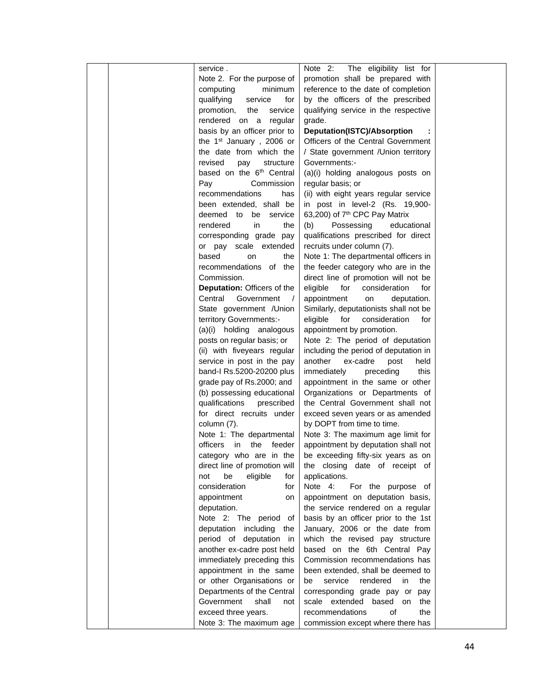|  | service.                             | The eligibility list for<br>Note 2:       |  |
|--|--------------------------------------|-------------------------------------------|--|
|  | Note 2. For the purpose of           | promotion shall be prepared with          |  |
|  | minimum<br>computing                 | reference to the date of completion       |  |
|  | qualifying<br>service<br>for         | by the officers of the prescribed         |  |
|  | service<br>promotion,<br>the         | qualifying service in the respective      |  |
|  | rendered on a regular                | grade.                                    |  |
|  | basis by an officer prior to         | <b>Deputation(ISTC)/Absorption</b>        |  |
|  | the 1 <sup>st</sup> January, 2006 or | Officers of the Central Government        |  |
|  | the date from which the              | / State government / Union territory      |  |
|  | revised<br>pay<br>structure          | Governments:-                             |  |
|  | based on the 6 <sup>th</sup> Central | (a)(i) holding analogous posts on         |  |
|  | Pay<br>Commission                    | regular basis; or                         |  |
|  | recommendations<br>has               | (ii) with eight years regular service     |  |
|  | been extended, shall be              | in post in level-2 (Rs. 19,900-           |  |
|  | deemed to be service                 | 63,200) of 7 <sup>th</sup> CPC Pay Matrix |  |
|  | rendered<br>in<br>the                | (b)<br>Possessing<br>educational          |  |
|  | corresponding grade pay              | qualifications prescribed for direct      |  |
|  | or pay scale extended                | recruits under column (7).                |  |
|  | based<br>the<br>on                   | Note 1: The departmental officers in      |  |
|  | recommendations of the               | the feeder category who are in the        |  |
|  | Commission.                          | direct line of promotion will not be      |  |
|  | <b>Deputation: Officers of the</b>   | eligible<br>for<br>consideration<br>for   |  |
|  | Government<br>Central<br>$\sqrt{ }$  | appointment<br>on<br>deputation.          |  |
|  | State government / Union             | Similarly, deputationists shall not be    |  |
|  | territory Governments:-              | eligible<br>for<br>consideration<br>for   |  |
|  | (a)(i) holding analogous             | appointment by promotion.                 |  |
|  | posts on regular basis; or           | Note 2: The period of deputation          |  |
|  | (ii) with fiveyears regular          | including the period of deputation in     |  |
|  | service in post in the pay           | another<br>ex-cadre<br>post<br>held       |  |
|  | band-I Rs.5200-20200 plus            | immediately<br>this<br>preceding          |  |
|  | grade pay of Rs.2000; and            | appointment in the same or other          |  |
|  | (b) possessing educational           | Organizations or Departments of           |  |
|  | qualifications<br>prescribed         | the Central Government shall not          |  |
|  | for direct recruits under            | exceed seven years or as amended          |  |
|  | column (7).                          | by DOPT from time to time.                |  |
|  | Note 1: The departmental             | Note 3: The maximum age limit for         |  |
|  | officers<br>in<br>the<br>feeder      | appointment by deputation shall not       |  |
|  | category who are in the              | be exceeding fifty-six years as on        |  |
|  | direct line of promotion will        | the closing date of receipt of            |  |
|  | be<br>eligible<br>not<br>for         | applications.                             |  |
|  | consideration<br>for                 | Note 4:<br>For the purpose of             |  |
|  | appointment<br>on                    | appointment on deputation basis,          |  |
|  | deputation.                          | the service rendered on a regular         |  |
|  | Note 2: The period of                | basis by an officer prior to the 1st      |  |
|  | deputation including the             | January, 2006 or the date from            |  |
|  | period of deputation in              | which the revised pay structure           |  |
|  | another ex-cadre post held           | based on the 6th Central Pay              |  |
|  | immediately preceding this           | Commission recommendations has            |  |
|  | appointment in the same              | been extended, shall be deemed to         |  |
|  | or other Organisations or            | service<br>rendered<br>in<br>the<br>be    |  |
|  | Departments of the Central           | corresponding grade pay or pay            |  |
|  | Government<br>shall<br>not           | scale extended<br>based on<br>the         |  |
|  | exceed three years.                  | recommendations<br>οf<br>the              |  |
|  | Note 3: The maximum age              | commission except where there has         |  |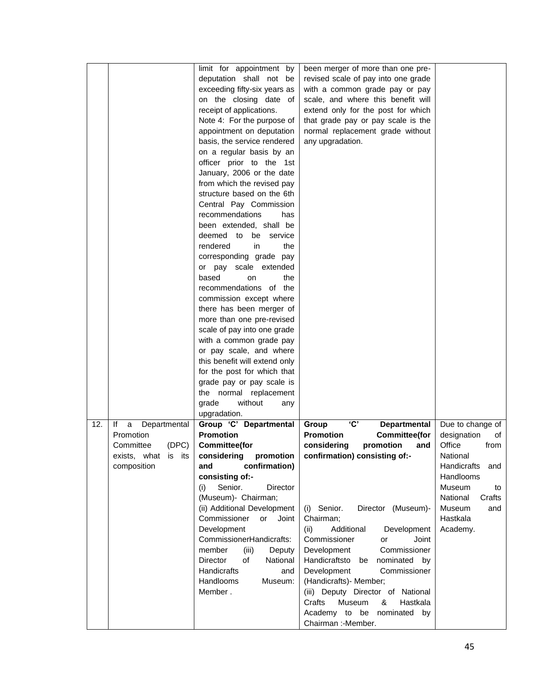|     |                         | limit for appointment by      | been merger of more than one pre-          |                    |
|-----|-------------------------|-------------------------------|--------------------------------------------|--------------------|
|     |                         | deputation shall not be       | revised scale of pay into one grade        |                    |
|     |                         | exceeding fifty-six years as  | with a common grade pay or pay             |                    |
|     |                         | on the closing date of        | scale, and where this benefit will         |                    |
|     |                         | receipt of applications.      | extend only for the post for which         |                    |
|     |                         | Note 4: For the purpose of    | that grade pay or pay scale is the         |                    |
|     |                         |                               |                                            |                    |
|     |                         | appointment on deputation     | normal replacement grade without           |                    |
|     |                         | basis, the service rendered   | any upgradation.                           |                    |
|     |                         | on a regular basis by an      |                                            |                    |
|     |                         | officer prior to the 1st      |                                            |                    |
|     |                         | January, 2006 or the date     |                                            |                    |
|     |                         | from which the revised pay    |                                            |                    |
|     |                         | structure based on the 6th    |                                            |                    |
|     |                         | Central Pay Commission        |                                            |                    |
|     |                         | recommendations<br>has        |                                            |                    |
|     |                         | been extended, shall be       |                                            |                    |
|     |                         | deemed to be service          |                                            |                    |
|     |                         | rendered<br>in<br>the         |                                            |                    |
|     |                         | corresponding grade pay       |                                            |                    |
|     |                         | or pay scale extended         |                                            |                    |
|     |                         | based<br>the<br>on            |                                            |                    |
|     |                         | recommendations of the        |                                            |                    |
|     |                         | commission except where       |                                            |                    |
|     |                         | there has been merger of      |                                            |                    |
|     |                         | more than one pre-revised     |                                            |                    |
|     |                         | scale of pay into one grade   |                                            |                    |
|     |                         | with a common grade pay       |                                            |                    |
|     |                         | or pay scale, and where       |                                            |                    |
|     |                         | this benefit will extend only |                                            |                    |
|     |                         | for the post for which that   |                                            |                    |
|     |                         | grade pay or pay scale is     |                                            |                    |
|     |                         | the normal replacement        |                                            |                    |
|     |                         | without<br>grade<br>any       |                                            |                    |
|     |                         | upgradation.                  |                                            |                    |
| 12. | lf<br>a<br>Departmental | Group 'C' Departmental        | <b>'C'</b><br>Group<br><b>Departmental</b> | Due to change of   |
|     | Promotion               | <b>Promotion</b>              | <b>Promotion</b><br><b>Committee(for</b>   | designation<br>οf  |
|     | Committee<br>(DPC)      | <b>Committee(for</b>          | considering<br>promotion<br>and            | Office<br>from     |
|     | exists, what is its     | considering promotion         | confirmation) consisting of:-              | National           |
|     | composition             | confirmation)<br>and          |                                            | Handicrafts<br>and |
|     |                         | consisting of:-               |                                            | Handlooms          |
|     |                         | Senior.<br>Director<br>(i)    |                                            | Museum<br>to       |
|     |                         | (Museum)- Chairman;           |                                            | National<br>Crafts |
|     |                         | (ii) Additional Development   | (i) Senior.<br>Director (Museum)-          | Museum<br>and      |
|     |                         | Commissioner<br>or<br>Joint   | Chairman;                                  | Hastkala           |
|     |                         | Development                   | (ii)<br>Additional<br>Development          | Academy.           |
|     |                         | CommissionerHandicrafts:      | Joint<br>Commissioner<br>or                |                    |
|     |                         | (iii)<br>member<br>Deputy     | Development<br>Commissioner                |                    |
|     |                         | of<br>National<br>Director    | Handicraftsto<br>be<br>nominated by        |                    |
|     |                         | Handicrafts<br>and            | Development<br>Commissioner                |                    |
|     |                         | Handlooms<br>Museum:          | (Handicrafts) - Member;                    |                    |
|     |                         | Member.                       | (iii) Deputy Director of National          |                    |
|     |                         |                               | Museum<br>&<br>Crafts<br>Hastkala          |                    |
|     |                         |                               | Academy to be nominated by                 |                    |
|     |                         |                               | Chairman :-Member.                         |                    |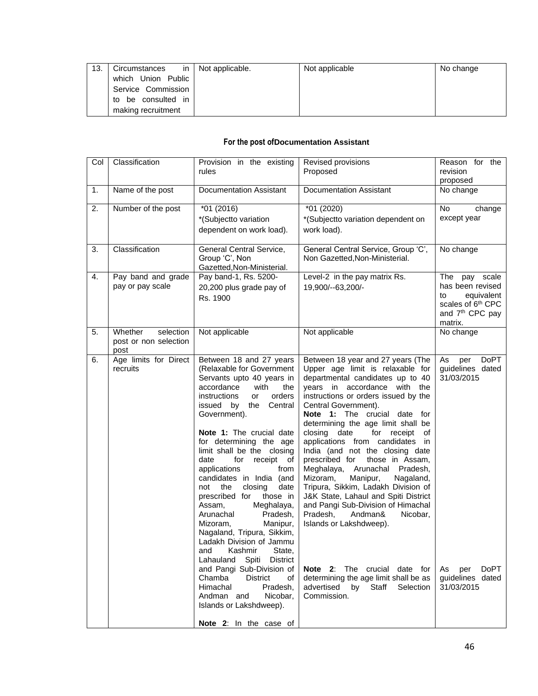| 13. | Circumstances      | in   Not applicable. | Not applicable | No change |
|-----|--------------------|----------------------|----------------|-----------|
|     | which Union Public |                      |                |           |
|     | Service Commission |                      |                |           |
|     | to be consulted in |                      |                |           |
|     | making recruitment |                      |                |           |

## **For the post ofDocumentation Assistant**

| Col | Classification                                        | Provision in the existing<br>rules                                                                                                                                                                                                                                                                                                                                                                                                                                                                                                                                                                                                                                                                                                                                            | Revised provisions<br>Proposed                                                                                                                                                                                                                                                                                                                                                                                                                                                                                                                                                                                                                                                                                                                                                                                             | Reason for the<br>revision<br>proposed                                                                                           |
|-----|-------------------------------------------------------|-------------------------------------------------------------------------------------------------------------------------------------------------------------------------------------------------------------------------------------------------------------------------------------------------------------------------------------------------------------------------------------------------------------------------------------------------------------------------------------------------------------------------------------------------------------------------------------------------------------------------------------------------------------------------------------------------------------------------------------------------------------------------------|----------------------------------------------------------------------------------------------------------------------------------------------------------------------------------------------------------------------------------------------------------------------------------------------------------------------------------------------------------------------------------------------------------------------------------------------------------------------------------------------------------------------------------------------------------------------------------------------------------------------------------------------------------------------------------------------------------------------------------------------------------------------------------------------------------------------------|----------------------------------------------------------------------------------------------------------------------------------|
| 1.  | Name of the post                                      | <b>Documentation Assistant</b>                                                                                                                                                                                                                                                                                                                                                                                                                                                                                                                                                                                                                                                                                                                                                | <b>Documentation Assistant</b>                                                                                                                                                                                                                                                                                                                                                                                                                                                                                                                                                                                                                                                                                                                                                                                             | No change                                                                                                                        |
| 2.  | Number of the post                                    | $*01(2016)$<br>*(Subjectto variation<br>dependent on work load).                                                                                                                                                                                                                                                                                                                                                                                                                                                                                                                                                                                                                                                                                                              | *01 (2020)<br>*(Subjectto variation dependent on<br>work load).                                                                                                                                                                                                                                                                                                                                                                                                                                                                                                                                                                                                                                                                                                                                                            | <b>No</b><br>change<br>except year                                                                                               |
| 3.  | Classification                                        | General Central Service,<br>Group 'C', Non<br>Gazetted, Non-Ministerial.                                                                                                                                                                                                                                                                                                                                                                                                                                                                                                                                                                                                                                                                                                      | General Central Service, Group 'C',<br>Non Gazetted, Non-Ministerial.                                                                                                                                                                                                                                                                                                                                                                                                                                                                                                                                                                                                                                                                                                                                                      | No change                                                                                                                        |
| 4.  | Pay band and grade<br>pay or pay scale                | Pay band-1, Rs. 5200-<br>20,200 plus grade pay of<br>Rs. 1900                                                                                                                                                                                                                                                                                                                                                                                                                                                                                                                                                                                                                                                                                                                 | Level-2 in the pay matrix Rs.<br>19,900/--63,200/-                                                                                                                                                                                                                                                                                                                                                                                                                                                                                                                                                                                                                                                                                                                                                                         | The pay scale<br>has been revised<br>to<br>equivalent<br>scales of 6 <sup>th</sup> CPC<br>and 7 <sup>th</sup> CPC pay<br>matrix. |
| 5.  | Whether<br>selection<br>post or non selection<br>post | Not applicable                                                                                                                                                                                                                                                                                                                                                                                                                                                                                                                                                                                                                                                                                                                                                                | Not applicable                                                                                                                                                                                                                                                                                                                                                                                                                                                                                                                                                                                                                                                                                                                                                                                                             | No change                                                                                                                        |
| 6.  | Age limits for Direct<br>recruits                     | Between 18 and 27 years<br>(Relaxable for Government<br>Servants upto 40 years in<br>accordance<br>with<br>the<br>instructions<br>orders<br>or<br>issued by<br>the Central<br>Government).<br>Note 1: The crucial date<br>for determining the age<br>limit shall be the closing<br>date<br>for<br>receipt of<br>from<br>applications<br>candidates in India (and<br>not<br>the<br>closing<br>date<br>prescribed for<br>those in<br>Assam,<br>Meghalaya,<br>Arunachal<br>Pradesh,<br>Mizoram,<br>Manipur,<br>Nagaland, Tripura, Sikkim,<br>Ladakh Division of Jammu<br>Kashmir<br>State,<br>and<br>Spiti<br>District<br>Lahauland<br>and Pangi Sub-Division of<br>Chamba<br><b>District</b><br>of<br>Himachal<br>Pradesh,<br>Andman and<br>Nicobar.<br>Islands or Lakshdweep). | Between 18 year and 27 years (The<br>Upper age limit is relaxable for<br>departmental candidates up to 40<br>years in accordance with the<br>instructions or orders issued by the<br>Central Government).<br>Note 1: The crucial date for<br>determining the age limit shall be<br>closing date<br>for receipt<br>of<br>applications from candidates in<br>India (and not the closing date<br>prescribed for<br>those in Assam,<br>Meghalaya, Arunachal Pradesh,<br>Mizoram,<br>Manipur,<br>Nagaland,<br>Tripura, Sikkim, Ladakh Division of<br>J&K State, Lahaul and Spiti District<br>and Pangi Sub-Division of Himachal<br>Pradesh,<br>Andman&<br>Nicobar,<br>Islands or Lakshdweep).<br>Note 2: The crucial date for<br>determining the age limit shall be as<br>advertised<br>by<br>Staff<br>Selection<br>Commission. | DoPT<br>As<br>per<br>guidelines dated<br>31/03/2015<br><b>DoPT</b><br>As per<br>guidelines dated<br>31/03/2015                   |
|     |                                                       | Note 2: In the case of                                                                                                                                                                                                                                                                                                                                                                                                                                                                                                                                                                                                                                                                                                                                                        |                                                                                                                                                                                                                                                                                                                                                                                                                                                                                                                                                                                                                                                                                                                                                                                                                            |                                                                                                                                  |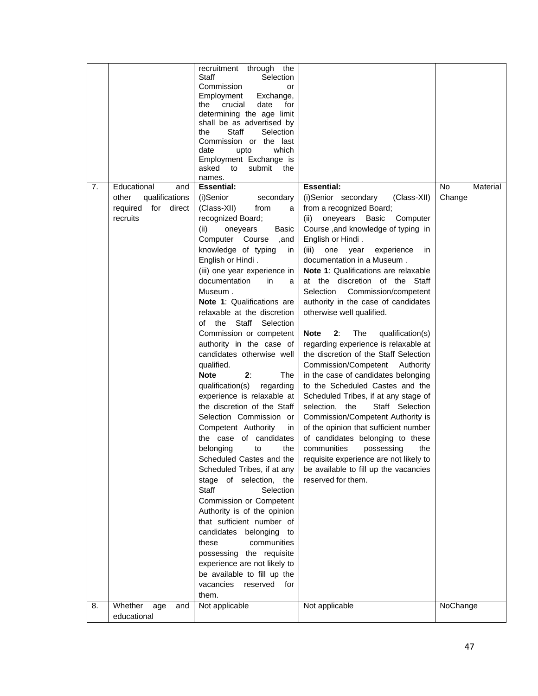| Educational<br><b>Essential:</b><br><b>Essential:</b><br><b>No</b><br>7.<br>and<br>Material<br>(i)Senior<br>qualifications<br>(i)Senior secondary<br>(Class-XII)<br>Change<br>other<br>secondary<br>required for direct<br>(Class-XII)<br>from a recognized Board;<br>from<br>a<br>recruits<br>recognized Board;<br>(ii)<br>oneyears<br>Basic<br>Computer<br>Course, and knowledge of typing in<br>(ii)<br>oneyears<br>Basic<br>Computer Course<br>English or Hindi.<br>,and<br>knowledge of typing<br>(iii)<br>one<br>year<br>experience<br>in<br>in<br>English or Hindi.<br>documentation in a Museum.<br>(iii) one year experience in<br><b>Note 1: Qualifications are relaxable</b><br>documentation<br>in<br>at the discretion of the Staff<br>a<br>Museum.<br>Commission/competent<br>Selection<br>Note 1: Qualifications are<br>authority in the case of candidates<br>relaxable at the discretion<br>otherwise well qualified.<br>of the<br>Staff<br>Selection<br>2:<br>The<br>Commission or competent<br>Note<br>qualification(s)<br>regarding experience is relaxable at<br>authority in the case of<br>candidates otherwise well<br>the discretion of the Staff Selection<br>qualified.<br>Commission/Competent<br>Authority<br>2:<br><b>Note</b><br>The<br>in the case of candidates belonging<br>qualification(s)<br>to the Scheduled Castes and the<br>regarding<br>experience is relaxable at<br>Scheduled Tribes, if at any stage of<br>the discretion of the Staff<br>Staff Selection<br>selection, the<br>Selection Commission or<br>Commission/Competent Authority is<br>Competent Authority<br>of the opinion that sufficient number<br>in<br>the case of candidates<br>of candidates belonging to these<br>belonging<br>communities<br>possessing<br>the<br>the<br>to<br>Scheduled Castes and the<br>requisite experience are not likely to<br>Scheduled Tribes, if at any<br>be available to fill up the vacancies<br>stage of selection, the<br>reserved for them.<br>Staff<br>Selection<br>Commission or Competent<br>Authority is of the opinion<br>that sufficient number of<br>candidates belonging<br>to<br>these<br>communities<br>possessing the requisite<br>experience are not likely to<br>be available to fill up the<br>vacancies<br>reserved<br>for<br>them.<br>Whether<br>Not applicable<br>NoChange<br>8.<br>Not applicable<br>age<br>and |             | recruitment through the<br>Staff<br>Selection<br>Commission<br>or<br>Exchange,<br>Employment<br>date<br>for<br>the<br>crucial<br>determining the age limit<br>shall be as advertised by<br>Staff<br>Selection<br>the<br>Commission or the last<br>which<br>date<br>upto<br>Employment Exchange is<br>asked<br>submit<br>to<br>the<br>names. |  |
|---------------------------------------------------------------------------------------------------------------------------------------------------------------------------------------------------------------------------------------------------------------------------------------------------------------------------------------------------------------------------------------------------------------------------------------------------------------------------------------------------------------------------------------------------------------------------------------------------------------------------------------------------------------------------------------------------------------------------------------------------------------------------------------------------------------------------------------------------------------------------------------------------------------------------------------------------------------------------------------------------------------------------------------------------------------------------------------------------------------------------------------------------------------------------------------------------------------------------------------------------------------------------------------------------------------------------------------------------------------------------------------------------------------------------------------------------------------------------------------------------------------------------------------------------------------------------------------------------------------------------------------------------------------------------------------------------------------------------------------------------------------------------------------------------------------------------------------------------------------------------------------------------------------------------------------------------------------------------------------------------------------------------------------------------------------------------------------------------------------------------------------------------------------------------------------------------------------------------------------------------------------------------------------------------------------------------------------------------------------------------------|-------------|---------------------------------------------------------------------------------------------------------------------------------------------------------------------------------------------------------------------------------------------------------------------------------------------------------------------------------------------|--|
|                                                                                                                                                                                                                                                                                                                                                                                                                                                                                                                                                                                                                                                                                                                                                                                                                                                                                                                                                                                                                                                                                                                                                                                                                                                                                                                                                                                                                                                                                                                                                                                                                                                                                                                                                                                                                                                                                                                                                                                                                                                                                                                                                                                                                                                                                                                                                                                 |             |                                                                                                                                                                                                                                                                                                                                             |  |
|                                                                                                                                                                                                                                                                                                                                                                                                                                                                                                                                                                                                                                                                                                                                                                                                                                                                                                                                                                                                                                                                                                                                                                                                                                                                                                                                                                                                                                                                                                                                                                                                                                                                                                                                                                                                                                                                                                                                                                                                                                                                                                                                                                                                                                                                                                                                                                                 | educational |                                                                                                                                                                                                                                                                                                                                             |  |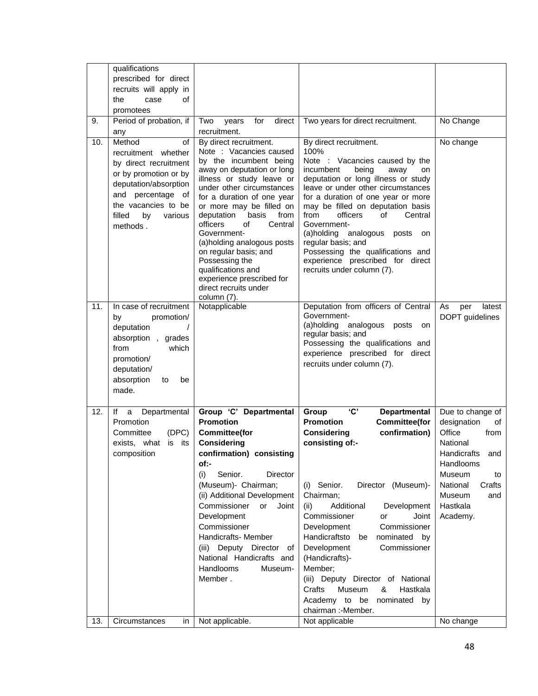|     | qualifications<br>prescribed for direct<br>recruits will apply in                                                                                                                                    |                                                                                                                                                                                                                                                                                                                                                                                                                                                                              |                                                                                                                                                                                                                                                                                                                                                                                                                                                                                                                                     |                                                                                                                                                                                       |
|-----|------------------------------------------------------------------------------------------------------------------------------------------------------------------------------------------------------|------------------------------------------------------------------------------------------------------------------------------------------------------------------------------------------------------------------------------------------------------------------------------------------------------------------------------------------------------------------------------------------------------------------------------------------------------------------------------|-------------------------------------------------------------------------------------------------------------------------------------------------------------------------------------------------------------------------------------------------------------------------------------------------------------------------------------------------------------------------------------------------------------------------------------------------------------------------------------------------------------------------------------|---------------------------------------------------------------------------------------------------------------------------------------------------------------------------------------|
|     | the<br>case<br>οf<br>promotees                                                                                                                                                                       |                                                                                                                                                                                                                                                                                                                                                                                                                                                                              |                                                                                                                                                                                                                                                                                                                                                                                                                                                                                                                                     |                                                                                                                                                                                       |
| 9.  | Period of probation, if<br>any                                                                                                                                                                       | Two<br>for<br>direct<br>years<br>recruitment.                                                                                                                                                                                                                                                                                                                                                                                                                                | Two years for direct recruitment.                                                                                                                                                                                                                                                                                                                                                                                                                                                                                                   | No Change                                                                                                                                                                             |
| 10. | Method<br>of<br>whether<br>recruitment<br>by direct recruitment<br>or by promotion or by<br>deputation/absorption<br>and percentage of<br>the vacancies to be<br>filled<br>by<br>various<br>methods. | By direct recruitment.<br>Note : Vacancies caused<br>by the incumbent being<br>away on deputation or long<br>illness or study leave or<br>under other circumstances<br>for a duration of one year<br>or more may be filled on<br>deputation<br>basis<br>from<br>Central<br>officers<br>of<br>Government-<br>(a)holding analogous posts<br>on regular basis; and<br>Possessing the<br>qualifications and<br>experience prescribed for<br>direct recruits under<br>column (7). | By direct recruitment.<br>100%<br>Note : Vacancies caused by the<br>incumbent<br>being<br>away<br>on<br>deputation or long illness or study<br>leave or under other circumstances<br>for a duration of one year or more<br>may be filled on deputation basis<br>from<br>officers<br>of<br>Central<br>Government-<br>analogous<br>(a)holding<br>posts<br>on<br>regular basis; and<br>Possessing the qualifications and<br>experience prescribed for direct<br>recruits under column (7).                                             | No change                                                                                                                                                                             |
| 11. | In case of recruitment<br>promotion/<br>by<br>deputation<br>absorption, grades<br>from<br>which<br>promotion/<br>deputation/<br>absorption<br>be<br>to<br>made.                                      | Notapplicable                                                                                                                                                                                                                                                                                                                                                                                                                                                                | Deputation from officers of Central<br>Government-<br>(a)holding<br>analogous posts<br>on<br>regular basis; and<br>Possessing the qualifications and<br>experience prescribed for direct<br>recruits under column (7).                                                                                                                                                                                                                                                                                                              | As<br>per<br>latest<br>DOPT guidelines                                                                                                                                                |
| 12. | lf<br>Departmental<br>a<br>Promotion<br>(DPC)<br>Committee<br>exists, what<br>is its<br>composition                                                                                                  | Group 'C' Departmental<br><b>Promotion</b><br><b>Committee(for</b><br>Considering<br>confirmation) consisting<br>of:-<br>Senior.<br><b>Director</b><br>(i)<br>(Museum)- Chairman;<br>(ii) Additional Development<br>Commissioner<br>Joint<br>or<br>Development<br>Commissioner<br>Handicrafts- Member<br>(iii) Deputy Director of<br>National Handicrafts and<br>Handlooms<br>Museum-<br>Member.                                                                             | 'C'<br>Group<br><b>Departmental</b><br><b>Promotion</b><br><b>Committee(for</b><br>confirmation)<br><b>Considering</b><br>consisting of:-<br>Director (Museum)-<br>(i) Senior.<br>Chairman;<br>Additional<br>Development<br>(ii)<br>Commissioner<br>Joint<br>or<br>Development<br>Commissioner<br>Handicraftsto<br>nominated by<br>be<br>Development<br>Commissioner<br>(Handicrafts)-<br>Member;<br>(iii) Deputy Director of National<br>Hastkala<br>Crafts<br>Museum<br>&<br>Academy to be<br>nominated by<br>chairman :- Member. | Due to change of<br>designation<br>οf<br>Office<br>from<br>National<br>Handicrafts<br>and<br>Handlooms<br>Museum<br>to<br>Crafts<br>National<br>Museum<br>and<br>Hastkala<br>Academy. |
| 13. | Circumstances<br>in                                                                                                                                                                                  | Not applicable.                                                                                                                                                                                                                                                                                                                                                                                                                                                              | Not applicable                                                                                                                                                                                                                                                                                                                                                                                                                                                                                                                      | No change                                                                                                                                                                             |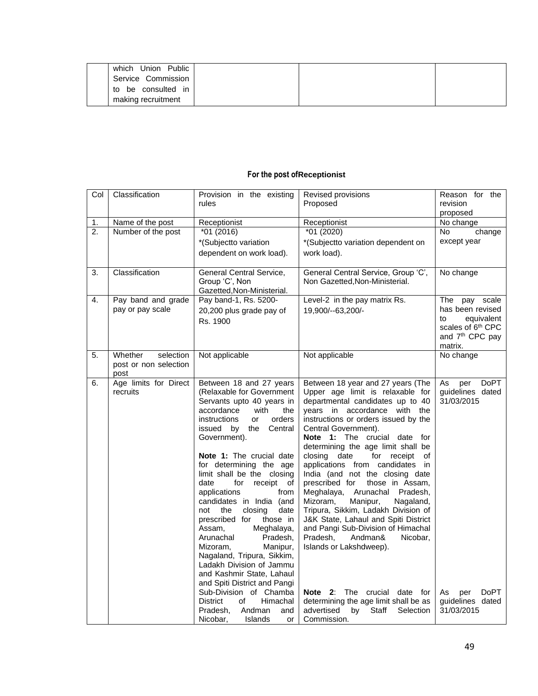| Union Public<br>which |  |  |
|-----------------------|--|--|
| Service Commission    |  |  |
| to be consulted in    |  |  |
| making recruitment    |  |  |

## **For the post ofReceptionist**

| Col              | Classification        | Provision in the existing<br>rules                     | Revised provisions<br>Proposed                       | Reason for the<br>revision<br>proposed |
|------------------|-----------------------|--------------------------------------------------------|------------------------------------------------------|----------------------------------------|
| 1.               | Name of the post      | Receptionist                                           | Receptionist                                         | No change                              |
| 2.               | Number of the post    | $*01(2016)$                                            | *01 (2020)                                           | No<br>change                           |
|                  |                       | *(Subjectto variation                                  | *(Subjectto variation dependent on                   | except year                            |
|                  |                       | dependent on work load).                               | work load).                                          |                                        |
|                  |                       |                                                        |                                                      |                                        |
| $\overline{3}$ . | Classification        | General Central Service,                               | General Central Service, Group 'C',                  | No change                              |
|                  |                       | Group 'C', Non                                         | Non Gazetted, Non-Ministerial.                       |                                        |
|                  |                       | Gazetted, Non-Ministerial.                             |                                                      |                                        |
| 4.               | Pay band and grade    | Pay band-1, Rs. 5200-                                  | Level-2 in the pay matrix Rs.                        | The<br>pay scale                       |
|                  | pay or pay scale      | 20,200 plus grade pay of                               | 19,900/--63,200/-                                    | has been revised                       |
|                  |                       | Rs. 1900                                               |                                                      | to<br>equivalent                       |
|                  |                       |                                                        |                                                      | scales of 6 <sup>th</sup> CPC          |
|                  |                       |                                                        |                                                      | and 7 <sup>th</sup> CPC pay<br>matrix. |
| 5.               | Whether<br>selection  | Not applicable                                         | Not applicable                                       | No change                              |
|                  | post or non selection |                                                        |                                                      |                                        |
|                  | post                  |                                                        |                                                      |                                        |
| 6.               | Age limits for Direct | Between 18 and 27 years                                | Between 18 year and 27 years (The                    | As<br>DoPT<br>per                      |
|                  | recruits              | (Relaxable for Government                              | Upper age limit is relaxable for                     | guidelines dated                       |
|                  |                       | Servants upto 40 years in                              | departmental candidates up to 40                     | 31/03/2015                             |
|                  |                       | accordance<br>with<br>the                              | years in accordance with the                         |                                        |
|                  |                       | instructions<br>orders<br>or                           | instructions or orders issued by the                 |                                        |
|                  |                       | issued by the<br>Central                               | Central Government).<br>Note 1: The crucial date for |                                        |
|                  |                       | Government).                                           | determining the age limit shall be                   |                                        |
|                  |                       | Note 1: The crucial date                               | closing date<br>for receipt of                       |                                        |
|                  |                       | for determining the age                                | applications from candidates in                      |                                        |
|                  |                       | limit shall be the closing                             | India (and not the closing date                      |                                        |
|                  |                       | date<br>for<br>receipt of                              | prescribed for<br>those in Assam,                    |                                        |
|                  |                       | applications<br>from                                   | Meghalaya, Arunachal<br>Pradesh,                     |                                        |
|                  |                       | candidates in India (and                               | Mizoram,<br>Manipur,<br>Nagaland,                    |                                        |
|                  |                       | not<br>the<br>closing<br>date                          | Tripura, Sikkim, Ladakh Division of                  |                                        |
|                  |                       | prescribed for<br>those in                             | J&K State, Lahaul and Spiti District                 |                                        |
|                  |                       | Assam,<br>Meghalaya,                                   | and Pangi Sub-Division of Himachal                   |                                        |
|                  |                       | Arunachal<br>Pradesh,                                  | Pradesh.<br>Andman&<br>Nicobar.                      |                                        |
|                  |                       | Manipur,<br>Mizoram,                                   | Islands or Lakshdweep).                              |                                        |
|                  |                       | Nagaland, Tripura, Sikkim,<br>Ladakh Division of Jammu |                                                      |                                        |
|                  |                       | and Kashmir State, Lahaul                              |                                                      |                                        |
|                  |                       | and Spiti District and Pangi                           |                                                      |                                        |
|                  |                       | Sub-Division of Chamba                                 | <b>Note 2:</b> The crucial<br>date for               | <b>DoPT</b><br>As<br>per               |
|                  |                       | <b>District</b><br>of<br>Himachal                      | determining the age limit shall be as                | guidelines dated                       |
|                  |                       | Pradesh,<br>Andman<br>and                              | advertised<br>by<br>Selection<br>Staff               | 31/03/2015                             |
|                  |                       | Nicobar,<br>Islands<br>or                              | Commission.                                          |                                        |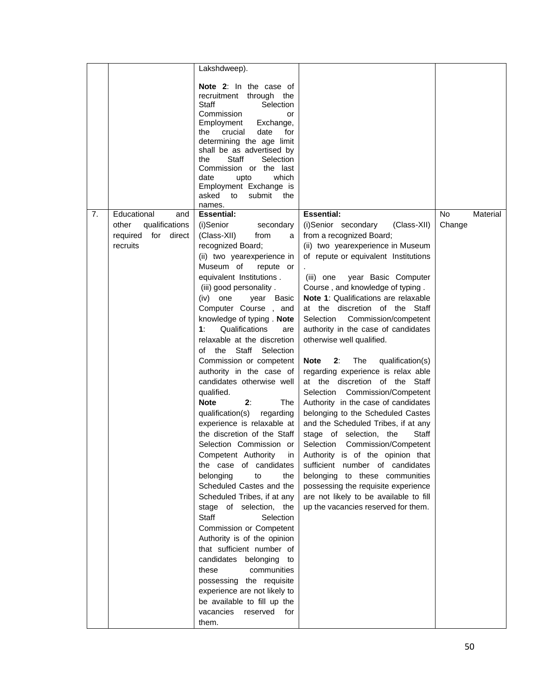|    |                                               | Lakshdweep).                                                                                                                                                                                                                                                                                                                                                       |                                                                       |              |          |
|----|-----------------------------------------------|--------------------------------------------------------------------------------------------------------------------------------------------------------------------------------------------------------------------------------------------------------------------------------------------------------------------------------------------------------------------|-----------------------------------------------------------------------|--------------|----------|
|    |                                               | Note 2: In the case of<br>recruitment through the<br>Staff<br>Selection<br>Commission<br>or<br>Employment<br>Exchange,<br>the<br>crucial<br>date<br>for<br>determining the age limit<br>shall be as advertised by<br>Staff<br>Selection<br>the<br>Commission or the last<br>date<br>which<br>upto<br>Employment Exchange is<br>asked to<br>submit<br>the<br>names. |                                                                       |              |          |
| 7. | Educational<br>and<br>other<br>qualifications | <b>Essential:</b><br>(i)Senior<br>secondary                                                                                                                                                                                                                                                                                                                        | <b>Essential:</b><br>(i)Senior secondary<br>(Class-XII)               | No<br>Change | Material |
|    | required for direct                           | (Class-XII)<br>from<br>a                                                                                                                                                                                                                                                                                                                                           | from a recognized Board;                                              |              |          |
|    | recruits                                      | recognized Board;                                                                                                                                                                                                                                                                                                                                                  | (ii) two yearexperience in Museum                                     |              |          |
|    |                                               | (ii) two yearexperience in<br>Museum of                                                                                                                                                                                                                                                                                                                            | of repute or equivalent Institutions                                  |              |          |
|    |                                               | repute or<br>equivalent Institutions.                                                                                                                                                                                                                                                                                                                              | (iii) one<br>year Basic Computer                                      |              |          |
|    |                                               | (iii) good personality.                                                                                                                                                                                                                                                                                                                                            | Course, and knowledge of typing.                                      |              |          |
|    |                                               | (iv) one<br>year Basic                                                                                                                                                                                                                                                                                                                                             | Note 1: Qualifications are relaxable                                  |              |          |
|    |                                               | Computer Course, and                                                                                                                                                                                                                                                                                                                                               | at the discretion of the Staff                                        |              |          |
|    |                                               | knowledge of typing. Note<br>1:<br>Qualifications                                                                                                                                                                                                                                                                                                                  | Selection Commission/competent<br>authority in the case of candidates |              |          |
|    |                                               | are<br>relaxable at the discretion                                                                                                                                                                                                                                                                                                                                 | otherwise well qualified.                                             |              |          |
|    |                                               | of the Staff Selection                                                                                                                                                                                                                                                                                                                                             |                                                                       |              |          |
|    |                                               | Commission or competent                                                                                                                                                                                                                                                                                                                                            | <b>Note</b><br>2:<br>The<br>qualification(s)                          |              |          |
|    |                                               | authority in the case of                                                                                                                                                                                                                                                                                                                                           | regarding experience is relax able                                    |              |          |
|    |                                               | candidates otherwise well                                                                                                                                                                                                                                                                                                                                          | at the discretion of the Staff                                        |              |          |
|    |                                               | qualified.<br><b>Note</b><br>2:<br>The                                                                                                                                                                                                                                                                                                                             | Selection Commission/Competent<br>Authority in the case of candidates |              |          |
|    |                                               | qualification(s)<br>regarding                                                                                                                                                                                                                                                                                                                                      | belonging to the Scheduled Castes                                     |              |          |
|    |                                               | experience is relaxable at                                                                                                                                                                                                                                                                                                                                         | and the Scheduled Tribes, if at any                                   |              |          |
|    |                                               | the discretion of the Staff                                                                                                                                                                                                                                                                                                                                        | stage of selection, the<br>Staff                                      |              |          |
|    |                                               | Selection Commission or                                                                                                                                                                                                                                                                                                                                            | Selection Commission/Competent                                        |              |          |
|    |                                               | Competent Authority in<br>the case of candidates                                                                                                                                                                                                                                                                                                                   | Authority is of the opinion that<br>sufficient number of candidates   |              |          |
|    |                                               | belonging<br>to<br>the                                                                                                                                                                                                                                                                                                                                             | belonging to these communities                                        |              |          |
|    |                                               | Scheduled Castes and the                                                                                                                                                                                                                                                                                                                                           | possessing the requisite experience                                   |              |          |
|    |                                               | Scheduled Tribes, if at any                                                                                                                                                                                                                                                                                                                                        | are not likely to be available to fill                                |              |          |
|    |                                               | stage of selection, the                                                                                                                                                                                                                                                                                                                                            | up the vacancies reserved for them.                                   |              |          |
|    |                                               | Staff<br>Selection<br>Commission or Competent                                                                                                                                                                                                                                                                                                                      |                                                                       |              |          |
|    |                                               | Authority is of the opinion                                                                                                                                                                                                                                                                                                                                        |                                                                       |              |          |
|    |                                               | that sufficient number of                                                                                                                                                                                                                                                                                                                                          |                                                                       |              |          |
|    |                                               | candidates belonging to                                                                                                                                                                                                                                                                                                                                            |                                                                       |              |          |
|    |                                               | these<br>communities                                                                                                                                                                                                                                                                                                                                               |                                                                       |              |          |
|    |                                               | possessing the requisite<br>experience are not likely to                                                                                                                                                                                                                                                                                                           |                                                                       |              |          |
|    |                                               | be available to fill up the                                                                                                                                                                                                                                                                                                                                        |                                                                       |              |          |
|    |                                               | vacancies reserved<br>for                                                                                                                                                                                                                                                                                                                                          |                                                                       |              |          |
|    |                                               | them.                                                                                                                                                                                                                                                                                                                                                              |                                                                       |              |          |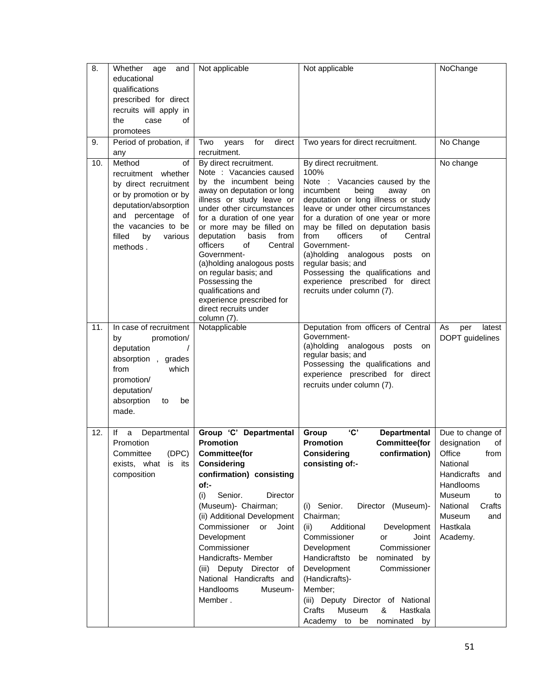| $\overline{8}$ . | Whether age<br>and                             | Not applicable                                                              | Not applicable                                                          | NoChange            |
|------------------|------------------------------------------------|-----------------------------------------------------------------------------|-------------------------------------------------------------------------|---------------------|
|                  | educational                                    |                                                                             |                                                                         |                     |
|                  | qualifications                                 |                                                                             |                                                                         |                     |
|                  | prescribed for direct                          |                                                                             |                                                                         |                     |
|                  | recruits will apply in                         |                                                                             |                                                                         |                     |
|                  | the<br>case<br>οf                              |                                                                             |                                                                         |                     |
|                  | promotees                                      |                                                                             |                                                                         |                     |
| 9.               | Period of probation, if                        | for<br>direct<br>Two<br>years                                               | Two years for direct recruitment.                                       | No Change           |
|                  | any                                            | recruitment.                                                                |                                                                         |                     |
| 10.              | Method<br>of<br>recruitment whether            | By direct recruitment.<br>Note : Vacancies caused<br>by the incumbent being | By direct recruitment.<br>100%<br>Note : Vacancies caused by the        | No change           |
|                  | by direct recruitment<br>or by promotion or by | away on deputation or long<br>illness or study leave or                     | incumbent<br>being<br>away<br>on<br>deputation or long illness or study |                     |
|                  | deputation/absorption<br>and percentage        | under other circumstances                                                   | leave or under other circumstances                                      |                     |
|                  | ot<br>the vacancies to be                      | for a duration of one year<br>or more may be filled on                      | for a duration of one year or more<br>may be filled on deputation basis |                     |
|                  | filled<br>by<br>various<br>methods.            | deputation<br>basis<br>from<br>Central<br>officers<br>of                    | from<br>officers<br>Central<br>οf<br>Government-                        |                     |
|                  |                                                | Government-<br>(a)holding analogous posts                                   | analogous<br>(a)holding<br>posts<br>on<br>regular basis; and            |                     |
|                  |                                                | on regular basis; and                                                       | Possessing the qualifications and                                       |                     |
|                  |                                                | Possessing the<br>qualifications and                                        | experience prescribed for direct<br>recruits under column (7).          |                     |
|                  |                                                | experience prescribed for                                                   |                                                                         |                     |
|                  |                                                | direct recruits under<br>column (7).                                        |                                                                         |                     |
| 11.              | In case of recruitment                         | Notapplicable                                                               | Deputation from officers of Central                                     | As<br>per<br>latest |
|                  | promotion/<br>by                               |                                                                             | Government-                                                             | DOPT guidelines     |
|                  | deputation                                     |                                                                             | (a)holding analogous posts<br>on                                        |                     |
|                  | absorption, grades                             |                                                                             | regular basis; and<br>Possessing the qualifications and                 |                     |
|                  | from<br>which                                  |                                                                             | experience prescribed for direct                                        |                     |
|                  | promotion/                                     |                                                                             | recruits under column (7).                                              |                     |
|                  | deputation/                                    |                                                                             |                                                                         |                     |
|                  | absorption<br>to<br>be                         |                                                                             |                                                                         |                     |
|                  | made.                                          |                                                                             |                                                                         |                     |
| 12.              | Departmental<br>lf<br>a                        | Group 'C' Departmental                                                      | <b>'C'</b><br>Group<br><b>Departmental</b>                              | Due to change of    |
|                  | Promotion                                      | Promotion                                                                   | <b>Promotion</b><br><b>Committee(for</b>                                | designation<br>οf   |
|                  | (DEC)<br>Committee                             | <b>Committee(for</b>                                                        | <b>Considering</b><br>confirmation)                                     | Office<br>from      |
|                  | exists, what is its                            | <b>Considering</b>                                                          | consisting of:-                                                         | National            |
|                  | composition                                    | confirmation) consisting                                                    |                                                                         | Handicrafts<br>and  |
|                  |                                                | of:-                                                                        |                                                                         | Handlooms           |
|                  |                                                | Senior.<br>(i)<br>Director                                                  |                                                                         | Museum<br>to        |
|                  |                                                | (Museum)- Chairman;                                                         | Director (Museum)-<br>(i) Senior.                                       | National<br>Crafts  |
|                  |                                                | (ii) Additional Development                                                 | Chairman;                                                               | Museum<br>and       |
|                  |                                                | Commissioner<br>Joint<br>or                                                 | Additional<br>Development<br>(ii)                                       | Hastkala            |
|                  |                                                | Development                                                                 | Commissioner<br>Joint<br>or                                             | Academy.            |
|                  |                                                | Commissioner                                                                | Commissioner<br>Development                                             |                     |
|                  |                                                | Handicrafts- Member                                                         | Handicraftsto<br>nominated by<br>be                                     |                     |
|                  |                                                | (iii) Deputy Director of                                                    | Development<br>Commissioner                                             |                     |
|                  |                                                | National Handicrafts and                                                    | (Handicrafts)-                                                          |                     |
|                  |                                                | Handlooms<br>Museum-                                                        | Member;                                                                 |                     |
|                  |                                                | Member.                                                                     | (iii) Deputy Director of National                                       |                     |
|                  |                                                |                                                                             | Crafts<br>Museum<br>&<br>Hastkala<br>nominated<br>Academy to be<br>by   |                     |
|                  |                                                |                                                                             |                                                                         |                     |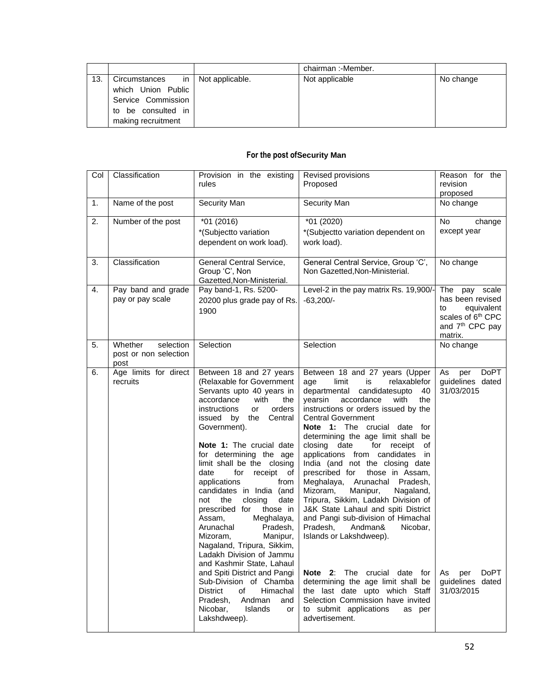|     |                                    | chairman: - Member. |           |
|-----|------------------------------------|---------------------|-----------|
| 13. | Circumstances in   Not applicable. | Not applicable      | No change |
|     | which Union Public                 |                     |           |
|     | Service Commission                 |                     |           |
|     | to be consulted in                 |                     |           |
|     | making recruitment                 |                     |           |

## **For the post ofSecurity Man**

| Col | Classification                                        | Provision in the existing<br>rules                                                                                                                                                                                                                                                                                                                                                                                                                                                                                                                                                              | Revised provisions<br>Proposed                                                                                                                                                                                                                                                                                                                                                                                                                                                                                                                                                                                                                                                                             | Reason for the<br>revision<br>proposed                                                                                           |
|-----|-------------------------------------------------------|-------------------------------------------------------------------------------------------------------------------------------------------------------------------------------------------------------------------------------------------------------------------------------------------------------------------------------------------------------------------------------------------------------------------------------------------------------------------------------------------------------------------------------------------------------------------------------------------------|------------------------------------------------------------------------------------------------------------------------------------------------------------------------------------------------------------------------------------------------------------------------------------------------------------------------------------------------------------------------------------------------------------------------------------------------------------------------------------------------------------------------------------------------------------------------------------------------------------------------------------------------------------------------------------------------------------|----------------------------------------------------------------------------------------------------------------------------------|
| 1.  | Name of the post                                      | Security Man                                                                                                                                                                                                                                                                                                                                                                                                                                                                                                                                                                                    | Security Man                                                                                                                                                                                                                                                                                                                                                                                                                                                                                                                                                                                                                                                                                               | No change                                                                                                                        |
| 2.  | Number of the post                                    | $*01(2016)$<br>*(Subjectto variation<br>dependent on work load).                                                                                                                                                                                                                                                                                                                                                                                                                                                                                                                                | *01 (2020)<br>*(Subjectto variation dependent on<br>work load).                                                                                                                                                                                                                                                                                                                                                                                                                                                                                                                                                                                                                                            | No<br>change<br>except year                                                                                                      |
| 3.  | Classification                                        | General Central Service,<br>Group 'C', Non<br>Gazetted, Non-Ministerial.                                                                                                                                                                                                                                                                                                                                                                                                                                                                                                                        | General Central Service, Group 'C',<br>Non Gazetted, Non-Ministerial.                                                                                                                                                                                                                                                                                                                                                                                                                                                                                                                                                                                                                                      | No change                                                                                                                        |
| 4.  | Pay band and grade<br>pay or pay scale                | Pay band-1, Rs. 5200-<br>20200 plus grade pay of Rs.<br>1900                                                                                                                                                                                                                                                                                                                                                                                                                                                                                                                                    | Level-2 in the pay matrix Rs. 19,900/<br>$-63,200/-$                                                                                                                                                                                                                                                                                                                                                                                                                                                                                                                                                                                                                                                       | The pay scale<br>has been revised<br>equivalent<br>to<br>scales of 6 <sup>th</sup> CPC<br>and 7 <sup>th</sup> CPC pay<br>matrix. |
| 5.  | Whether<br>selection<br>post or non selection<br>post | Selection                                                                                                                                                                                                                                                                                                                                                                                                                                                                                                                                                                                       | Selection                                                                                                                                                                                                                                                                                                                                                                                                                                                                                                                                                                                                                                                                                                  | No change                                                                                                                        |
| 6.  | Age limits for direct<br>recruits                     | Between 18 and 27 years<br>(Relaxable for Government<br>Servants upto 40 years in<br>accordance<br>with<br>the<br>instructions<br>orders<br>or<br>issued by<br>the Central<br>Government).<br>Note 1: The crucial date<br>for determining the age<br>limit shall be the closing<br>date<br>for<br>receipt of<br>applications<br>from<br>candidates in India (and<br>the<br>closing<br>date<br>not<br>prescribed for<br>those in<br>Assam,<br>Meghalaya,<br>Arunachal<br>Pradesh,<br>Mizoram,<br>Manipur,<br>Nagaland, Tripura, Sikkim,<br>Ladakh Division of Jammu<br>and Kashmir State, Lahaul | Between 18 and 27 years (Upper<br>limit<br>relaxablefor<br>age<br>is<br>candidatesupto<br>departmental<br>40<br>yearsin<br>accordance<br>with<br>the<br>instructions or orders issued by the<br><b>Central Government</b><br>Note 1: The crucial date<br>for<br>determining the age limit shall be<br>closing date<br>for receipt<br>οf<br>applications from candidates in<br>India (and not the closing date<br>those in Assam,<br>prescribed for<br>Meghalaya, Arunachal Pradesh,<br>Mizoram,<br>Manipur,<br>Nagaland,<br>Tripura, Sikkim, Ladakh Division of<br>J&K State Lahaul and spiti District<br>and Pangi sub-division of Himachal<br>Pradesh,<br>Andman&<br>Nicobar,<br>Islands or Lakshdweep). | As<br>DoPT<br>per<br>guidelines dated<br>31/03/2015                                                                              |
|     |                                                       | and Spiti District and Pangi<br>Sub-Division of Chamba<br><b>District</b><br>Himachal<br>of<br>Andman<br>Pradesh,<br>and<br>Nicobar,<br>Islands<br>or<br>Lakshdweep).                                                                                                                                                                                                                                                                                                                                                                                                                           | <b>Note 2:</b> The crucial date for<br>determining the age limit shall be<br>the last date upto which Staff<br>Selection Commission have invited<br>to submit applications<br>as per<br>advertisement.                                                                                                                                                                                                                                                                                                                                                                                                                                                                                                     | <b>DoPT</b><br>As per<br>guidelines dated<br>31/03/2015                                                                          |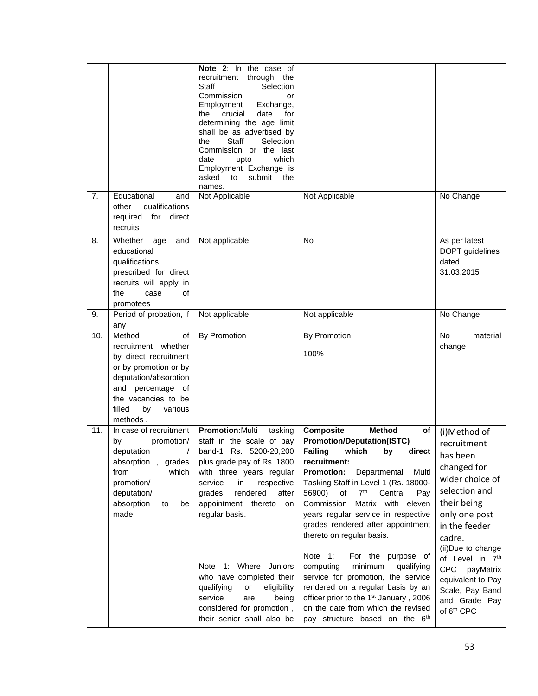|     |                                                                                                                                                                                                          | Note 2: In the case of<br>through<br>recruitment<br>the<br><b>Staff</b><br>Selection<br>Commission<br>or<br>Employment<br>Exchange,<br>crucial<br>date<br>for<br>the<br>determining the age limit<br>shall be as advertised by<br><b>Staff</b><br>the<br>Selection<br>Commission or the last<br>date<br>which<br>upto<br>Employment Exchange is<br>asked<br>to<br>submit<br>the<br>names.                                               |                                                                                                                                                                                                                                                                                                                                                                                                                                                                                                                                                                                                                                                                                                                 |                                                                                                                                                                                                                                                                                                             |
|-----|----------------------------------------------------------------------------------------------------------------------------------------------------------------------------------------------------------|-----------------------------------------------------------------------------------------------------------------------------------------------------------------------------------------------------------------------------------------------------------------------------------------------------------------------------------------------------------------------------------------------------------------------------------------|-----------------------------------------------------------------------------------------------------------------------------------------------------------------------------------------------------------------------------------------------------------------------------------------------------------------------------------------------------------------------------------------------------------------------------------------------------------------------------------------------------------------------------------------------------------------------------------------------------------------------------------------------------------------------------------------------------------------|-------------------------------------------------------------------------------------------------------------------------------------------------------------------------------------------------------------------------------------------------------------------------------------------------------------|
| 7.  | Educational<br>and<br>qualifications<br>other<br>for direct<br>required<br>recruits                                                                                                                      | Not Applicable                                                                                                                                                                                                                                                                                                                                                                                                                          | Not Applicable                                                                                                                                                                                                                                                                                                                                                                                                                                                                                                                                                                                                                                                                                                  | No Change                                                                                                                                                                                                                                                                                                   |
| 8.  | Whether<br>and<br>age<br>educational<br>qualifications<br>prescribed for direct<br>recruits will apply in<br>the<br>of<br>case<br>promotees                                                              | Not applicable                                                                                                                                                                                                                                                                                                                                                                                                                          | <b>No</b>                                                                                                                                                                                                                                                                                                                                                                                                                                                                                                                                                                                                                                                                                                       | As per latest<br>DOPT guidelines<br>dated<br>31.03.2015                                                                                                                                                                                                                                                     |
| 9.  | Period of probation, if                                                                                                                                                                                  | Not applicable                                                                                                                                                                                                                                                                                                                                                                                                                          | Not applicable                                                                                                                                                                                                                                                                                                                                                                                                                                                                                                                                                                                                                                                                                                  | No Change                                                                                                                                                                                                                                                                                                   |
| 10. | any<br>Method<br>of<br>recruitment whether<br>by direct recruitment<br>or by promotion or by<br>deputation/absorption<br>and percentage of<br>the vacancies to be<br>filled<br>by<br>various<br>methods. | <b>By Promotion</b>                                                                                                                                                                                                                                                                                                                                                                                                                     | By Promotion<br>100%                                                                                                                                                                                                                                                                                                                                                                                                                                                                                                                                                                                                                                                                                            | No<br>material<br>change                                                                                                                                                                                                                                                                                    |
| 11. | In case of recruitment<br>by<br>promotion/<br>deputation<br>absorption, grades<br>from<br>which<br>promotion/<br>deputation/<br>absorption<br>to<br>be<br>made.                                          | Promotion: Multi<br>tasking<br>staff in the scale of pay<br>band-1 Rs. 5200-20,200<br>plus grade pay of Rs. 1800<br>with three years regular<br>service<br>in<br>respective<br>rendered<br>grades<br>after<br>appointment thereto<br>on<br>regular basis.<br>Note 1: Where Juniors<br>who have completed their<br>eligibility<br>qualifying<br>or<br>service<br>are<br>being<br>considered for promotion,<br>their senior shall also be | <b>Composite</b><br><b>Method</b><br>of<br><b>Promotion/Deputation(ISTC)</b><br><b>Failing</b><br>which<br>direct<br>by<br>recruitment:<br><b>Promotion:</b><br>Departmental<br>Multi<br>Tasking Staff in Level 1 (Rs. 18000-<br>of<br>7 <sup>th</sup><br>56900)<br>Central<br>Pay<br>Commission<br>Matrix with eleven<br>years regular service in respective<br>grades rendered after appointment<br>thereto on regular basis.<br>Note 1:<br>For the purpose of<br>minimum<br>computing<br>qualifying<br>service for promotion, the service<br>rendered on a regular basis by an<br>officer prior to the 1 <sup>st</sup> January, 2006<br>on the date from which the revised<br>pay structure based on the 6th | (i)Method of<br>recruitment<br>has been<br>changed for<br>wider choice of<br>selection and<br>their being<br>only one post<br>in the feeder<br>cadre.<br>(ii)Due to change<br>of Level in 7th<br><b>CPC</b><br>payMatrix<br>equivalent to Pay<br>Scale, Pay Band<br>and Grade Pay<br>of 6 <sup>th</sup> CPC |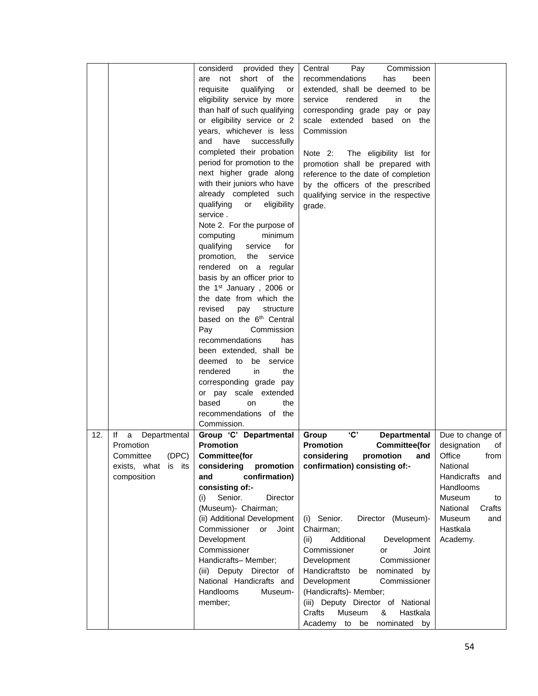|     |                         | considerd<br>provided they           | Pay<br>Central<br>Commission             |                    |
|-----|-------------------------|--------------------------------------|------------------------------------------|--------------------|
|     |                         | short of<br>are not<br>the           | recommendations<br>has<br>been           |                    |
|     |                         | requisite<br>qualifying<br>or        | extended, shall be deemed to be          |                    |
|     |                         | eligibility service by more          | service<br>rendered<br>the<br>in         |                    |
|     |                         | than half of such qualifying         | corresponding grade pay or pay           |                    |
|     |                         | or eligibility service or 2          | scale extended based on the              |                    |
|     |                         | years, whichever is less             | Commission                               |                    |
|     |                         | and have successfully                |                                          |                    |
|     |                         |                                      |                                          |                    |
|     |                         | completed their probation            | Note 2:<br>The eligibility list for      |                    |
|     |                         | period for promotion to the          | promotion shall be prepared with         |                    |
|     |                         | next higher grade along              | reference to the date of completion      |                    |
|     |                         | with their juniors who have          | by the officers of the prescribed        |                    |
|     |                         | already completed such               | qualifying service in the respective     |                    |
|     |                         | qualifying<br>or<br>eligibility      | grade.                                   |                    |
|     |                         | service.                             |                                          |                    |
|     |                         | Note 2. For the purpose of           |                                          |                    |
|     |                         | computing<br>minimum                 |                                          |                    |
|     |                         | qualifying<br>service<br>for         |                                          |                    |
|     |                         | promotion,<br>the<br>service         |                                          |                    |
|     |                         | rendered on a regular                |                                          |                    |
|     |                         | basis by an officer prior to         |                                          |                    |
|     |                         | the 1 <sup>st</sup> January, 2006 or |                                          |                    |
|     |                         | the date from which the              |                                          |                    |
|     |                         | revised<br>pay<br>structure          |                                          |                    |
|     |                         | based on the 6 <sup>th</sup> Central |                                          |                    |
|     |                         | Pay<br>Commission                    |                                          |                    |
|     |                         | recommendations<br>has               |                                          |                    |
|     |                         | been extended, shall be              |                                          |                    |
|     |                         | deemed to be service                 |                                          |                    |
|     |                         | rendered<br>in<br>the                |                                          |                    |
|     |                         |                                      |                                          |                    |
|     |                         | corresponding grade pay              |                                          |                    |
|     |                         | or pay scale extended                |                                          |                    |
|     |                         | based<br>the<br>on                   |                                          |                    |
|     |                         | recommendations of the               |                                          |                    |
|     |                         | Commission.                          |                                          |                    |
| 12. | lf<br>a<br>Departmental | Group 'C' Departmental               | 'C'<br>Departmental<br>Group             | Due to change of   |
|     | Promotion               | <b>Promotion</b>                     | <b>Promotion</b><br><b>Committee(for</b> | designation<br>of  |
|     | (DEC)<br>Committee      | <b>Committee(for</b>                 | considering<br>promotion and             | Office<br>from     |
|     | exists, what is its     | considering<br>promotion             | confirmation) consisting of:-            | National           |
|     | composition             | confirmation)<br>and                 |                                          | Handicrafts<br>and |
|     |                         | consisting of:-                      |                                          | Handlooms          |
|     |                         | Senior.<br>Director<br>(i)           |                                          | Museum<br>to       |
|     |                         | (Museum)- Chairman;                  |                                          | National<br>Crafts |
|     |                         | (ii) Additional Development          | (i) Senior.<br>Director (Museum)-        | Museum<br>and      |
|     |                         | or<br>Commissioner<br>Joint          | Chairman;                                | Hastkala           |
|     |                         | Development                          | Additional<br>(ii)<br>Development        | Academy.           |
|     |                         | Commissioner                         | Commissioner<br>Joint<br>or              |                    |
|     |                         | Handicrafts-Member;                  | Development<br>Commissioner              |                    |
|     |                         | (iii) Deputy Director of             | Handicraftsto<br>nominated by<br>be      |                    |
|     |                         | National Handicrafts and             | Commissioner<br>Development              |                    |
|     |                         | Handlooms<br>Museum-                 | (Handicrafts) - Member;                  |                    |
|     |                         | member;                              | (iii) Deputy Director of National        |                    |
|     |                         |                                      | Crafts<br>Museum<br>&<br>Hastkala        |                    |
|     |                         |                                      |                                          |                    |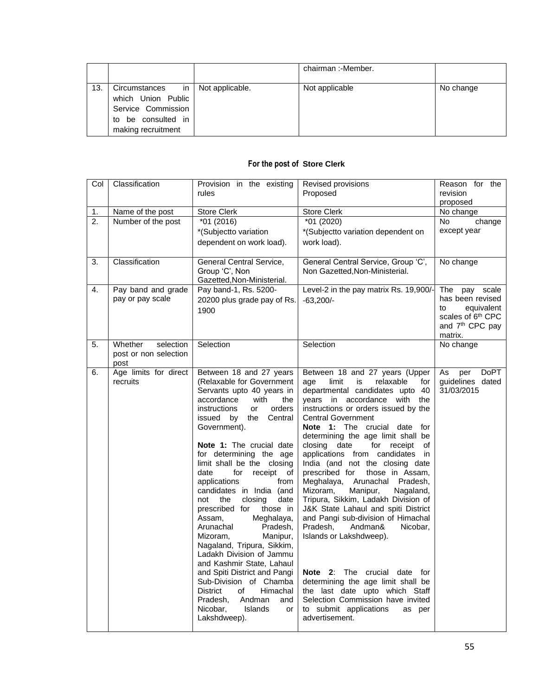|     |                       |                      | chairman: - Member. |           |
|-----|-----------------------|----------------------|---------------------|-----------|
|     |                       |                      |                     |           |
| 13. | Circumstances         | in   Not applicable. | Not applicable      | No change |
|     | which Union Public    |                      |                     |           |
|     | Service Commission    |                      |                     |           |
|     | be consulted in<br>to |                      |                     |           |
|     | making recruitment    |                      |                     |           |

## **For the post of Store Clerk**

| Col              | Classification                | Provision in the existing<br>rules         | Revised provisions<br>Proposed                                        | Reason for the<br>revision<br>proposed            |
|------------------|-------------------------------|--------------------------------------------|-----------------------------------------------------------------------|---------------------------------------------------|
| 1.               | Name of the post              | <b>Store Clerk</b>                         | <b>Store Clerk</b>                                                    | No change                                         |
| $\overline{2}$ . | Number of the post            | $*01(2016)$                                | $*01(2020)$                                                           | <b>No</b><br>change                               |
|                  |                               | *(Subjectto variation                      | *(Subjectto variation dependent on                                    | except year                                       |
|                  |                               | dependent on work load).                   | work load).                                                           |                                                   |
| 3.               | Classification                | General Central Service,<br>Group 'C', Non | General Central Service, Group 'C',<br>Non Gazetted, Non-Ministerial. | No change                                         |
|                  |                               | Gazetted, Non-Ministerial.                 |                                                                       |                                                   |
| 4.               | Pay band and grade            | Pay band-1, Rs. 5200-                      | Level-2 in the pay matrix Rs. 19,900/-                                | The<br>pay scale                                  |
|                  | pay or pay scale              | 20200 plus grade pay of Rs.                | $-63,200/-$                                                           | has been revised                                  |
|                  |                               | 1900                                       |                                                                       | to<br>equivalent<br>scales of 6 <sup>th</sup> CPC |
|                  |                               |                                            |                                                                       | and 7 <sup>th</sup> CPC pay                       |
|                  |                               |                                            |                                                                       | matrix.                                           |
| 5.               | Whether<br>selection          | Selection                                  | Selection                                                             | No change                                         |
|                  | post or non selection<br>post |                                            |                                                                       |                                                   |
| 6.               | Age limits for direct         | Between 18 and 27 years                    | Between 18 and 27 years (Upper                                        | <b>DoPT</b><br>As<br>per                          |
|                  | recruits                      | (Relaxable for Government                  | limit<br>relaxable<br>is<br>for<br>age                                | guidelines dated                                  |
|                  |                               | Servants upto 40 years in                  | departmental candidates upto 40                                       | 31/03/2015                                        |
|                  |                               | accordance<br>with<br>the                  | years in accordance with the                                          |                                                   |
|                  |                               | instructions<br>or<br>orders               | instructions or orders issued by the<br><b>Central Government</b>     |                                                   |
|                  |                               | issued by the<br>Central<br>Government).   | Note 1: The crucial date for                                          |                                                   |
|                  |                               |                                            | determining the age limit shall be                                    |                                                   |
|                  |                               | Note 1: The crucial date                   | closing date<br>for receipt<br>οf                                     |                                                   |
|                  |                               | for determining the age                    | applications from candidates<br>in                                    |                                                   |
|                  |                               | limit shall be the closing                 | India (and not the closing date                                       |                                                   |
|                  |                               | date<br>for<br>receipt of                  | prescribed for<br>those in Assam,                                     |                                                   |
|                  |                               | applications<br>from                       | Meghalaya,<br>Arunachal<br>Pradesh,                                   |                                                   |
|                  |                               | candidates in India (and                   | Mizoram,<br>Manipur,<br>Nagaland,                                     |                                                   |
|                  |                               | closing<br>not<br>the<br>date              | Tripura, Sikkim, Ladakh Division of                                   |                                                   |
|                  |                               | prescribed for<br>those in                 | J&K State Lahaul and spiti District                                   |                                                   |
|                  |                               | Meghalaya,<br>Assam,                       | and Pangi sub-division of Himachal                                    |                                                   |
|                  |                               | Arunachal<br>Pradesh,                      | Pradesh.<br>Andman&<br>Nicobar,                                       |                                                   |
|                  |                               | Mizoram,<br>Manipur,                       | Islands or Lakshdweep).                                               |                                                   |
|                  |                               | Nagaland, Tripura, Sikkim,                 |                                                                       |                                                   |
|                  |                               | Ladakh Division of Jammu                   |                                                                       |                                                   |
|                  |                               | and Kashmir State, Lahaul                  |                                                                       |                                                   |
|                  |                               | and Spiti District and Pangi               | Note 2: The crucial date for                                          |                                                   |
|                  |                               | Sub-Division of Chamba                     | determining the age limit shall be                                    |                                                   |
|                  |                               | <b>District</b><br>of<br>Himachal          | the last date upto which Staff                                        |                                                   |
|                  |                               | Andman<br>Pradesh,<br>and                  | Selection Commission have invited                                     |                                                   |
|                  |                               | Islands<br>Nicobar,<br>or                  | to submit applications<br>as per                                      |                                                   |
|                  |                               | Lakshdweep).                               | advertisement.                                                        |                                                   |
|                  |                               |                                            |                                                                       |                                                   |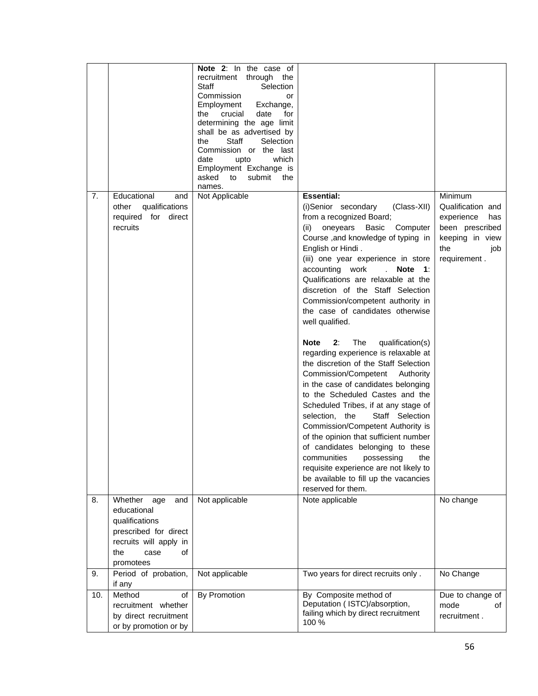|     |                                                                                                                                             | Note 2: In the case of<br>recruitment through<br>the<br>Staff<br>Selection<br>Commission<br>or<br>Employment<br>Exchange,<br>crucial<br>date<br>the<br>for<br>determining the age limit<br>shall be as advertised by<br>Staff<br>Selection<br>the<br>Commission or the last<br>which<br>date<br>upto<br>Employment Exchange is<br>asked to<br>submit<br>the<br>names. |                                                                                                                                                                                                                                                                                                                                                                                                                                                                                                                                                                                                                                                                                                                                                                                                                                                                                                                                                                                                                           |                                                                                                                       |
|-----|---------------------------------------------------------------------------------------------------------------------------------------------|-----------------------------------------------------------------------------------------------------------------------------------------------------------------------------------------------------------------------------------------------------------------------------------------------------------------------------------------------------------------------|---------------------------------------------------------------------------------------------------------------------------------------------------------------------------------------------------------------------------------------------------------------------------------------------------------------------------------------------------------------------------------------------------------------------------------------------------------------------------------------------------------------------------------------------------------------------------------------------------------------------------------------------------------------------------------------------------------------------------------------------------------------------------------------------------------------------------------------------------------------------------------------------------------------------------------------------------------------------------------------------------------------------------|-----------------------------------------------------------------------------------------------------------------------|
| 7.  | Educational<br>and<br>qualifications<br>other<br>required for direct<br>recruits                                                            | Not Applicable                                                                                                                                                                                                                                                                                                                                                        | <b>Essential:</b><br>(i)Senior secondary<br>(Class-XII)<br>from a recognized Board;<br>oneyears<br>Basic<br>(ii)<br>Computer<br>Course , and knowledge of typing in<br>English or Hindi.<br>(iii) one year experience in store<br>accounting work<br>Note 1:<br>Qualifications are relaxable at the<br>discretion of the Staff Selection<br>Commission/competent authority in<br>the case of candidates otherwise<br>well qualified.<br>The<br>qualification(s)<br>Note<br>2:<br>regarding experience is relaxable at<br>the discretion of the Staff Selection<br>Commission/Competent<br>Authority<br>in the case of candidates belonging<br>to the Scheduled Castes and the<br>Scheduled Tribes, if at any stage of<br>selection, the<br>Staff Selection<br>Commission/Competent Authority is<br>of the opinion that sufficient number<br>of candidates belonging to these<br>communities<br>the<br>possessing<br>requisite experience are not likely to<br>be available to fill up the vacancies<br>reserved for them. | Minimum<br>Qualification and<br>experience<br>has<br>been prescribed<br>keeping in view<br>the<br>job<br>requirement. |
| 8.  | Whether<br>age<br>and<br>educational<br>qualifications<br>prescribed for direct<br>recruits will apply in<br>of<br>the<br>case<br>promotees | Not applicable                                                                                                                                                                                                                                                                                                                                                        | Note applicable                                                                                                                                                                                                                                                                                                                                                                                                                                                                                                                                                                                                                                                                                                                                                                                                                                                                                                                                                                                                           | No change                                                                                                             |
| 9.  | Period of probation,<br>if any                                                                                                              | Not applicable                                                                                                                                                                                                                                                                                                                                                        | Two years for direct recruits only.                                                                                                                                                                                                                                                                                                                                                                                                                                                                                                                                                                                                                                                                                                                                                                                                                                                                                                                                                                                       | No Change                                                                                                             |
| 10. | Method<br>οf<br>recruitment whether<br>by direct recruitment<br>or by promotion or by                                                       | By Promotion                                                                                                                                                                                                                                                                                                                                                          | By Composite method of<br>Deputation (ISTC)/absorption,<br>failing which by direct recruitment<br>100 %                                                                                                                                                                                                                                                                                                                                                                                                                                                                                                                                                                                                                                                                                                                                                                                                                                                                                                                   | Due to change of<br>mode<br>οf<br>recruitment.                                                                        |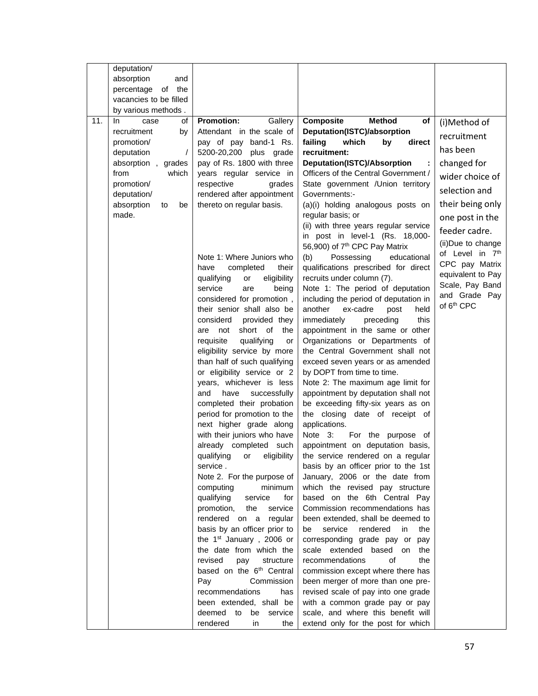|     | deputation/                          |                                                          |                                                                           |                        |
|-----|--------------------------------------|----------------------------------------------------------|---------------------------------------------------------------------------|------------------------|
|     | absorption<br>and                    |                                                          |                                                                           |                        |
|     | the<br>percentage<br>of              |                                                          |                                                                           |                        |
|     | vacancies to be filled               |                                                          |                                                                           |                        |
|     | by various methods.                  |                                                          |                                                                           |                        |
| 11. | In.<br>case<br>of                    | <b>Promotion:</b><br>Gallery                             | Composite<br><b>Method</b><br>of                                          | (i)Method of           |
|     | recruitment<br>by                    | Attendant in the scale of                                | Deputation(ISTC)/absorption                                               | recruitment            |
|     | promotion/<br>deputation<br>$\prime$ | pay of pay band-1 Rs.<br>5200-20,200 plus grade          | failing<br>which<br>by<br>direct<br>recruitment:                          | has been               |
|     | absorption,<br>grades                | pay of Rs. 1800 with three                               | Deputation(ISTC)/Absorption                                               | changed for            |
|     | which<br>from                        | years regular service in                                 | Officers of the Central Government /                                      |                        |
|     | promotion/                           | respective<br>grades                                     | State government / Union territory                                        | wider choice of        |
|     | deputation/                          | rendered after appointment                               | Governments:-                                                             | selection and          |
|     | absorption<br>be<br>to               | thereto on regular basis.                                | (a)(i) holding analogous posts on                                         | their being only       |
|     | made.                                |                                                          | regular basis; or                                                         | one post in the        |
|     |                                      |                                                          | (ii) with three years regular service                                     | feeder cadre.          |
|     |                                      |                                                          | in post in level-1 (Rs. 18,000-                                           | (ii)Due to change      |
|     |                                      |                                                          | 56,900) of 7 <sup>th</sup> CPC Pay Matrix                                 | of Level in 7th        |
|     |                                      | Note 1: Where Juniors who                                | (b)<br>Possessing<br>educational                                          | CPC pay Matrix         |
|     |                                      | have<br>completed<br>their<br>eligibility<br>or          | qualifications prescribed for direct<br>recruits under column (7).        | equivalent to Pay      |
|     |                                      | qualifying<br>service<br>are<br>being                    | Note 1: The period of deputation                                          | Scale, Pay Band        |
|     |                                      | considered for promotion,                                | including the period of deputation in                                     | and Grade Pay          |
|     |                                      | their senior shall also be                               | another<br>ex-cadre<br>post<br>held                                       | of 6 <sup>th</sup> CPC |
|     |                                      | considerd<br>provided they                               | immediately<br>preceding<br>this                                          |                        |
|     |                                      | short of<br>the<br>are<br>not                            | appointment in the same or other                                          |                        |
|     |                                      | requisite<br>qualifying<br>or                            | Organizations or Departments of                                           |                        |
|     |                                      | eligibility service by more                              | the Central Government shall not                                          |                        |
|     |                                      | than half of such qualifying                             | exceed seven years or as amended                                          |                        |
|     |                                      | or eligibility service or 2                              | by DOPT from time to time.                                                |                        |
|     |                                      | years, whichever is less                                 | Note 2: The maximum age limit for                                         |                        |
|     |                                      | successfully<br>and<br>have<br>completed their probation | appointment by deputation shall not<br>be exceeding fifty-six years as on |                        |
|     |                                      | period for promotion to the                              | the closing date of receipt of                                            |                        |
|     |                                      | next higher grade along                                  | applications.                                                             |                        |
|     |                                      | with their juniors who have                              | Note 3:<br>For the purpose of                                             |                        |
|     |                                      | already completed such                                   | appointment on deputation basis,                                          |                        |
|     |                                      | qualifying or eligibility                                | the service rendered on a regular                                         |                        |
|     |                                      | service.                                                 | basis by an officer prior to the 1st                                      |                        |
|     |                                      | Note 2. For the purpose of                               | January, 2006 or the date from                                            |                        |
|     |                                      | computing<br>minimum                                     | which the revised pay structure                                           |                        |
|     |                                      | qualifying<br>service<br>for                             | based on the 6th Central Pay<br>Commission recommendations has            |                        |
|     |                                      | service<br>promotion,<br>the<br>rendered on a<br>regular | been extended, shall be deemed to                                         |                        |
|     |                                      | basis by an officer prior to                             | service<br>rendered<br>be<br>in.<br>the                                   |                        |
|     |                                      | the 1 <sup>st</sup> January, 2006 or                     | corresponding grade pay or pay                                            |                        |
|     |                                      | the date from which the                                  | scale extended based on<br>the                                            |                        |
|     |                                      | revised<br>pay<br>structure                              | recommendations<br>οf<br>the                                              |                        |
|     |                                      | based on the 6 <sup>th</sup> Central                     | commission except where there has                                         |                        |
|     |                                      | Commission<br>Pay                                        | been merger of more than one pre-                                         |                        |
|     |                                      | recommendations<br>has                                   | revised scale of pay into one grade                                       |                        |
|     |                                      | been extended, shall be                                  | with a common grade pay or pay                                            |                        |
|     |                                      | deemed to<br>be<br>service                               | scale, and where this benefit will                                        |                        |
|     |                                      | rendered<br>in<br>the                                    | extend only for the post for which                                        |                        |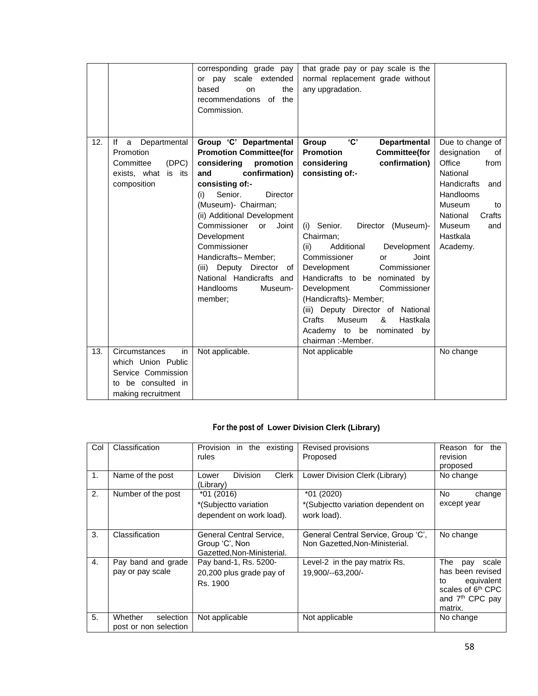|     |                                                                                                                | corresponding grade pay<br>or pay scale extended<br>based<br>the<br>on<br>recommendations of the<br>Commission.                                                                                                                                                                                                                                                                                     | that grade pay or pay scale is the<br>normal replacement grade without<br>any upgradation.                                                                                                                                                                                                                                                                                                                                                                                                                                        |                                                                                                                                                                                              |
|-----|----------------------------------------------------------------------------------------------------------------|-----------------------------------------------------------------------------------------------------------------------------------------------------------------------------------------------------------------------------------------------------------------------------------------------------------------------------------------------------------------------------------------------------|-----------------------------------------------------------------------------------------------------------------------------------------------------------------------------------------------------------------------------------------------------------------------------------------------------------------------------------------------------------------------------------------------------------------------------------------------------------------------------------------------------------------------------------|----------------------------------------------------------------------------------------------------------------------------------------------------------------------------------------------|
| 12. | Departmental<br>lf<br>a<br>Promotion<br>(DEC)<br>Committee<br>exists, what is its<br>composition               | Group 'C' Departmental<br><b>Promotion Committee(for</b><br>considering<br>promotion<br>confirmation)<br>and<br>consisting of:-<br>Senior.<br>Director<br>(i)<br>(Museum)- Chairman;<br>(ii) Additional Development<br>Commissioner<br>Joint<br>or<br>Development<br>Commissioner<br>Handicrafts-Member;<br>(iii) Deputy Director of<br>National Handicrafts and<br>Handlooms<br>Museum-<br>member; | <b>'C'</b><br>Group<br><b>Departmental</b><br><b>Promotion</b><br><b>Committee(for</b><br>considering<br>confirmation)<br>consisting of:-<br>Senior.<br>Director (Museum)-<br>(i)<br>Chairman;<br>(ii)<br>Additional<br>Development<br>Commissioner<br>Joint<br>or<br>Commissioner<br>Development<br>Handicrafts to be nominated by<br>Commissioner<br>Development<br>(Handicrafts)- Member;<br>(iii) Deputy Director of National<br>Crafts<br>Museum<br>&<br>Hastkala<br>Academy to be<br>nominated<br>by<br>chairman: - Member. | Due to change of<br>designation<br>of<br>Office<br>from<br>National<br><b>Handicrafts</b><br>and<br>Handlooms<br>Museum<br>to<br>Crafts<br>National<br>Museum<br>and<br>Hastkala<br>Academy. |
| 13. | Circumstances<br>in<br>which Union Public<br>Service Commission<br>be consulted in<br>to<br>making recruitment | Not applicable.                                                                                                                                                                                                                                                                                                                                                                                     | Not applicable                                                                                                                                                                                                                                                                                                                                                                                                                                                                                                                    | No change                                                                                                                                                                                    |

# **For the post of Lower Division Clerk (Library)**

| Col            | Classification                                | Provision<br>in the existing<br>rules                                    | Revised provisions<br>Proposed                                        | Reason<br>the<br>for<br>revision<br>proposed                                                                                           |
|----------------|-----------------------------------------------|--------------------------------------------------------------------------|-----------------------------------------------------------------------|----------------------------------------------------------------------------------------------------------------------------------------|
| $\mathbf{1}$ . | Name of the post                              | <b>Division</b><br>Clerk<br>Lower<br>(Library)                           | Lower Division Clerk (Library)                                        | No change                                                                                                                              |
| 2.             | Number of the post                            | $*01(2016)$<br>*(Subjectto variation<br>dependent on work load).         | *01 (2020)<br>*(Subjectto variation dependent on<br>work load).       | No<br>change<br>except year                                                                                                            |
| 3.             | Classification                                | General Central Service,<br>Group 'C', Non<br>Gazetted, Non-Ministerial. | General Central Service, Group 'C',<br>Non Gazetted, Non-Ministerial. | No change                                                                                                                              |
| 4.             | Pay band and grade<br>pay or pay scale        | Pay band-1, Rs. 5200-<br>20,200 plus grade pay of<br>Rs. 1900            | Level-2 in the pay matrix Rs.<br>19,900/--63,200/-                    | The<br>scale<br>pay<br>has been revised<br>equivalent<br>to<br>scales of 6 <sup>th</sup> CPC<br>and 7 <sup>th</sup> CPC pay<br>matrix. |
| 5.             | Whether<br>selection<br>post or non selection | Not applicable                                                           | Not applicable                                                        | No change                                                                                                                              |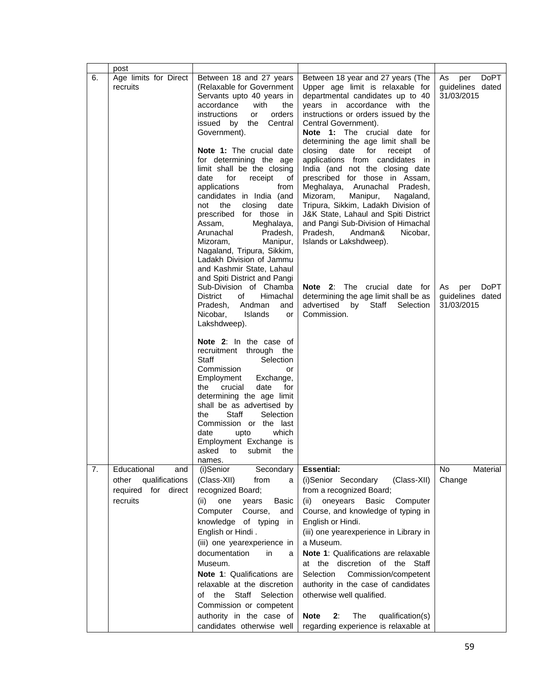|    | post                                                                                   |                                                                                                                                                                                                                                                                                                                                                                                                                                                                                                                                                                                                           |                                                                                                                                                                                                                                                                                                                                                                                                                                                                                                                                                                                                                                                                                                 |                                                            |
|----|----------------------------------------------------------------------------------------|-----------------------------------------------------------------------------------------------------------------------------------------------------------------------------------------------------------------------------------------------------------------------------------------------------------------------------------------------------------------------------------------------------------------------------------------------------------------------------------------------------------------------------------------------------------------------------------------------------------|-------------------------------------------------------------------------------------------------------------------------------------------------------------------------------------------------------------------------------------------------------------------------------------------------------------------------------------------------------------------------------------------------------------------------------------------------------------------------------------------------------------------------------------------------------------------------------------------------------------------------------------------------------------------------------------------------|------------------------------------------------------------|
| 6. | Age limits for Direct<br>recruits                                                      | Between 18 and 27 years<br>(Relaxable for Government<br>Servants upto 40 years in<br>accordance<br>with<br>the<br><i>instructions</i><br>orders<br>or<br>issued by the<br>Central<br>Government).<br>Note 1: The crucial date<br>for determining the age<br>limit shall be the closing<br>date<br>for<br>receipt<br>of<br>applications<br>from<br>candidates in India (and<br>the<br>closing<br>not<br>date<br>for those in<br>prescribed<br>Assam,<br>Meghalaya,<br>Arunachal<br>Pradesh,<br>Mizoram,<br>Manipur,<br>Nagaland, Tripura, Sikkim,<br>Ladakh Division of Jammu<br>and Kashmir State, Lahaul | Between 18 year and 27 years (The<br>Upper age limit is relaxable for<br>departmental candidates up to 40<br>years in accordance with the<br>instructions or orders issued by the<br>Central Government).<br><b>Note 1:</b> The crucial date<br>for<br>determining the age limit shall be<br>closing date for<br>receipt<br>οf<br>applications from candidates in<br>India (and not the closing date<br>prescribed for those in Assam,<br>Meghalaya, Arunachal Pradesh,<br>Mizoram,<br>Manipur,<br>Nagaland,<br>Tripura, Sikkim, Ladakh Division of<br>J&K State, Lahaul and Spiti District<br>and Pangi Sub-Division of Himachal<br>Pradesh,<br>Andman&<br>Nicobar,<br>Islands or Lakshdweep). | DoPT<br>As<br>per<br>guidelines dated<br>31/03/2015        |
|    |                                                                                        | and Spiti District and Pangi<br>Sub-Division of Chamba<br><b>District</b><br>Himachal<br>οf<br>Pradesh.<br>Andman<br>and<br>Islands<br>Nicobar,<br>or<br>Lakshdweep).<br>Note 2: In the case of<br>recruitment through the<br>Staff<br>Selection<br>Commission<br>or<br>Employment<br>Exchange,<br>crucial<br>date<br>for<br>the<br>determining the age limit<br>shall be as advertised by<br>Staff<br>the<br>Selection<br>Commission or the last<br>which<br>date<br>upto<br>Employment Exchange is<br>asked<br>to<br>submit<br>the                                                                      | Note 2: The crucial date for<br>determining the age limit shall be as<br>advertised<br>by<br>Staff<br>Selection<br>Commission.                                                                                                                                                                                                                                                                                                                                                                                                                                                                                                                                                                  | <b>DoPT</b><br>As<br>per<br>guidelines dated<br>31/03/2015 |
| 7. | Educational<br>and<br>qualifications<br>other<br>for<br>required<br>direct<br>recruits | names.<br>Secondary<br>(i)Senior<br>(Class-XII)<br>from<br>a<br>recognized Board;<br>(ii)<br>one<br>years<br><b>Basic</b><br>Computer<br>Course,<br>and<br>knowledge<br>of typing<br>in<br>English or Hindi.<br>(iii) one yearexperience in<br>documentation<br>in<br>a<br>Museum.<br>Note 1: Qualifications are<br>relaxable at the discretion<br>Staff<br>the<br>Selection<br>οf<br>Commission or competent<br>authority in the case of<br>candidates otherwise well                                                                                                                                    | <b>Essential:</b><br>(i)Senior Secondary<br>(Class-XII)<br>from a recognized Board;<br>oneyears<br>Basic<br>Computer<br>(ii)<br>Course, and knowledge of typing in<br>English or Hindi.<br>(iii) one yearexperience in Library in<br>a Museum.<br>Note 1: Qualifications are relaxable<br>at the discretion of the<br>Staff<br>Selection<br>Commission/competent<br>authority in the case of candidates<br>otherwise well qualified.<br>The<br><b>Note</b><br>2:<br>qualification(s)<br>regarding experience is relaxable at                                                                                                                                                                    | No<br>Material<br>Change                                   |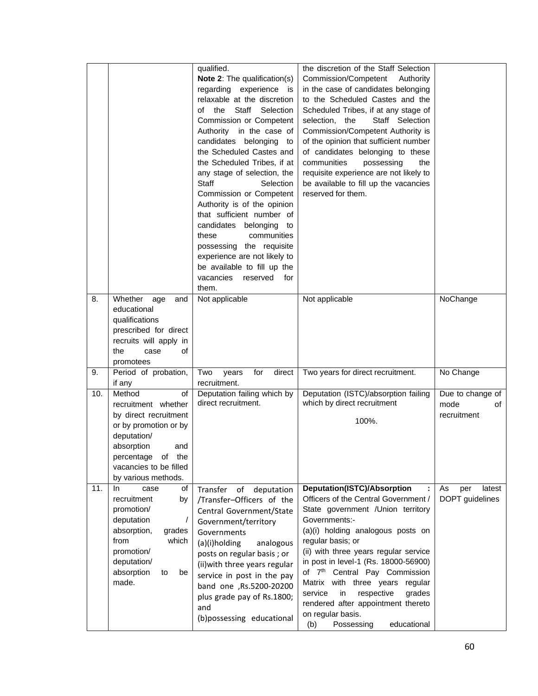|     |                                                                                                                                                                                                 | qualified.<br>Note 2: The qualification(s)<br>regarding experience is<br>relaxable at the discretion<br>the Staff Selection<br>of<br>Commission or Competent<br>Authority in the case of<br>candidates belonging<br>to<br>the Scheduled Castes and<br>the Scheduled Tribes, if at<br>any stage of selection, the<br>Staff<br>Selection<br>Commission or Competent<br>Authority is of the opinion<br>that sufficient number of<br>candidates belonging to<br>these<br>communities<br>possessing the requisite<br>experience are not likely to<br>be available to fill up the<br>vacancies reserved<br>for<br>them. | the discretion of the Staff Selection<br>Commission/Competent<br>Authority<br>in the case of candidates belonging<br>to the Scheduled Castes and the<br>Scheduled Tribes, if at any stage of<br>selection, the<br>Staff Selection<br>Commission/Competent Authority is<br>of the opinion that sufficient number<br>of candidates belonging to these<br>communities<br>possessing<br>the<br>requisite experience are not likely to<br>be available to fill up the vacancies<br>reserved for them.     |                                               |
|-----|-------------------------------------------------------------------------------------------------------------------------------------------------------------------------------------------------|-------------------------------------------------------------------------------------------------------------------------------------------------------------------------------------------------------------------------------------------------------------------------------------------------------------------------------------------------------------------------------------------------------------------------------------------------------------------------------------------------------------------------------------------------------------------------------------------------------------------|------------------------------------------------------------------------------------------------------------------------------------------------------------------------------------------------------------------------------------------------------------------------------------------------------------------------------------------------------------------------------------------------------------------------------------------------------------------------------------------------------|-----------------------------------------------|
| 8.  | Whether<br>age<br>and<br>educational<br>qualifications<br>prescribed for direct<br>recruits will apply in<br>the<br>of<br>case<br>promotees                                                     | Not applicable                                                                                                                                                                                                                                                                                                                                                                                                                                                                                                                                                                                                    | Not applicable                                                                                                                                                                                                                                                                                                                                                                                                                                                                                       | NoChange                                      |
| 9.  | Period of probation,<br>if any                                                                                                                                                                  | for<br>direct<br>Two<br>years<br>recruitment.                                                                                                                                                                                                                                                                                                                                                                                                                                                                                                                                                                     | Two years for direct recruitment.                                                                                                                                                                                                                                                                                                                                                                                                                                                                    | No Change                                     |
| 10. | Method<br>of<br>recruitment whether<br>by direct recruitment<br>or by promotion or by<br>deputation/<br>absorption<br>and<br>percentage of the<br>vacancies to be filled<br>by various methods. | Deputation failing which by<br>direct recruitment.                                                                                                                                                                                                                                                                                                                                                                                                                                                                                                                                                                | Deputation (ISTC)/absorption failing<br>which by direct recruitment<br>100%.                                                                                                                                                                                                                                                                                                                                                                                                                         | Due to change of<br>mode<br>of<br>recruitment |
| 11. | of<br>In.<br>case<br>recruitment<br>by<br>promotion/<br>deputation<br>absorption,<br>grades<br>from<br>which<br>promotion/<br>deputation/<br>absorption<br>to<br>be<br>made.                    | Transfer of deputation<br>/Transfer-Officers of the<br>Central Government/State<br>Government/territory<br>Governments<br>(a)(i)holding<br>analogous<br>posts on regular basis; or<br>(ii) with three years regular<br>service in post in the pay<br>band one ,Rs.5200-20200<br>plus grade pay of Rs.1800;<br>and<br>(b)possessing educational                                                                                                                                                                                                                                                                    | <b>Deputation(ISTC)/Absorption</b><br>Officers of the Central Government /<br>State government / Union territory<br>Governments:-<br>(a)(i) holding analogous posts on<br>regular basis; or<br>(ii) with three years regular service<br>in post in level-1 (Rs. 18000-56900)<br>of 7 <sup>th</sup> Central Pay Commission<br>Matrix with three years regular<br>in<br>respective<br>grades<br>service<br>rendered after appointment thereto<br>on regular basis.<br>Possessing<br>educational<br>(b) | As<br>latest<br>per<br>DOPT guidelines        |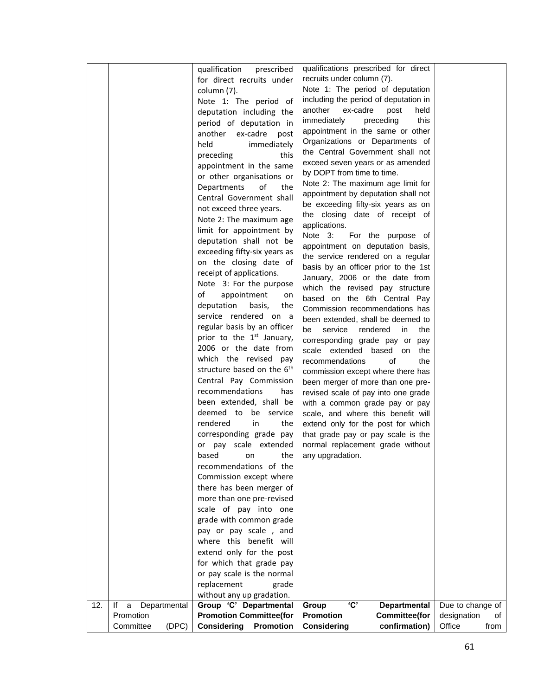|     |                         | prescribed<br>qualification            | qualifications prescribed for direct                                  |                   |
|-----|-------------------------|----------------------------------------|-----------------------------------------------------------------------|-------------------|
|     |                         | for direct recruits under              | recruits under column (7).                                            |                   |
|     |                         | column (7).                            | Note 1: The period of deputation                                      |                   |
|     |                         | Note 1: The period of                  | including the period of deputation in                                 |                   |
|     |                         | deputation including the               | another<br>ex-cadre<br>post<br>held                                   |                   |
|     |                         | period of deputation in                | immediately<br>preceding<br>this                                      |                   |
|     |                         | another<br>ex-cadre<br>post            | appointment in the same or other                                      |                   |
|     |                         | held<br>immediately                    | Organizations or Departments of                                       |                   |
|     |                         | preceding<br>this                      | the Central Government shall not                                      |                   |
|     |                         | appointment in the same                | exceed seven years or as amended                                      |                   |
|     |                         | or other organisations or              | by DOPT from time to time.                                            |                   |
|     |                         | of<br>Departments<br>the               | Note 2: The maximum age limit for                                     |                   |
|     |                         | Central Government shall               | appointment by deputation shall not                                   |                   |
|     |                         | not exceed three years.                | be exceeding fifty-six years as on                                    |                   |
|     |                         | Note 2: The maximum age                | the closing date of receipt of                                        |                   |
|     |                         | limit for appointment by               | applications.                                                         |                   |
|     |                         | deputation shall not be                | Note 3:<br>For the purpose of                                         |                   |
|     |                         | exceeding fifty-six years as           | appointment on deputation basis,                                      |                   |
|     |                         | on the closing date of                 | the service rendered on a regular                                     |                   |
|     |                         | receipt of applications.               | basis by an officer prior to the 1st                                  |                   |
|     |                         | Note 3: For the purpose                | January, 2006 or the date from                                        |                   |
|     |                         | of<br>appointment<br>on                | which the revised pay structure                                       |                   |
|     |                         | deputation<br>basis,<br>the            | based on the 6th Central Pay                                          |                   |
|     |                         | service rendered on a                  | Commission recommendations has                                        |                   |
|     |                         | regular basis by an officer            | been extended, shall be deemed to                                     |                   |
|     |                         | prior to the 1 <sup>st</sup> January,  | be<br>service<br>rendered in<br>the                                   |                   |
|     |                         | 2006 or the date from                  | corresponding grade pay or pay                                        |                   |
|     |                         | which the revised pay                  | scale extended based on<br>the                                        |                   |
|     |                         | structure based on the 6 <sup>th</sup> | recommendations<br>of<br>the                                          |                   |
|     |                         | Central Pay Commission                 | commission except where there has                                     |                   |
|     |                         | recommendations<br>has                 | been merger of more than one pre-                                     |                   |
|     |                         | been extended, shall be                | revised scale of pay into one grade<br>with a common grade pay or pay |                   |
|     |                         | deemed to be service                   | scale, and where this benefit will                                    |                   |
|     |                         | rendered<br>in<br>the                  | extend only for the post for which                                    |                   |
|     |                         | corresponding grade pay                | that grade pay or pay scale is the                                    |                   |
|     |                         | or pay scale extended                  | normal replacement grade without                                      |                   |
|     |                         | based on<br>the                        | any upgradation.                                                      |                   |
|     |                         | recommendations of the                 |                                                                       |                   |
|     |                         | Commission except where                |                                                                       |                   |
|     |                         | there has been merger of               |                                                                       |                   |
|     |                         | more than one pre-revised              |                                                                       |                   |
|     |                         | scale of pay into one                  |                                                                       |                   |
|     |                         | grade with common grade                |                                                                       |                   |
|     |                         | pay or pay scale, and                  |                                                                       |                   |
|     |                         | where this benefit will                |                                                                       |                   |
|     |                         | extend only for the post               |                                                                       |                   |
|     |                         | for which that grade pay               |                                                                       |                   |
|     |                         | or pay scale is the normal             |                                                                       |                   |
|     |                         | replacement<br>grade                   |                                                                       |                   |
|     |                         | without any up gradation.              |                                                                       |                   |
| 12. | lf<br>Departmental<br>a | Group 'C' Departmental                 | 'C'<br>Group<br><b>Departmental</b>                                   | Due to change of  |
|     | Promotion               | <b>Promotion Committee(for</b>         | <b>Promotion</b><br><b>Committee(for</b>                              | designation<br>οf |
|     | (DPC)<br>Committee      | <b>Considering</b><br><b>Promotion</b> | <b>Considering</b><br>confirmation)                                   | Office<br>from    |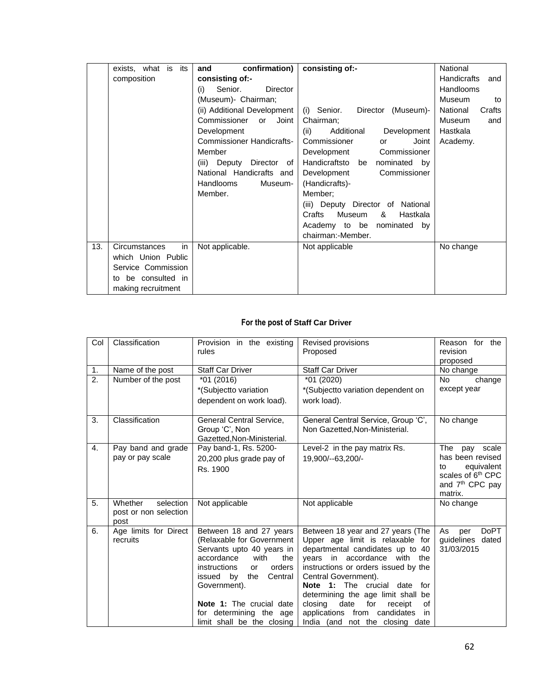|     | exists, what is<br>its | confirmation)<br>and             | consisting of:-                   | National                  |
|-----|------------------------|----------------------------------|-----------------------------------|---------------------------|
|     | composition            | consisting of:-                  |                                   | <b>Handicrafts</b><br>and |
|     |                        | Senior.<br>(i)<br>Director       |                                   | <b>Handlooms</b>          |
|     |                        | (Museum)- Chairman;              |                                   | Museum<br>to              |
|     |                        | (ii) Additional Development      | (i) Senior.<br>Director (Museum)- | National<br>Crafts        |
|     |                        | Commissioner<br>Joint<br>or      | Chairman;                         | Museum<br>and             |
|     |                        | Development                      | Development<br>(ii)<br>Additional | Hastkala                  |
|     |                        | <b>Commissioner Handicrafts-</b> | Commissioner<br>Joint<br>or       | Academy.                  |
|     |                        | Member                           | Commissioner<br>Development       |                           |
|     |                        | (iii) Deputy Director of         | Handicraftsto be<br>nominated by  |                           |
|     |                        | National Handicrafts and         | Commissioner<br>Development       |                           |
|     |                        | <b>Handlooms</b><br>Museum-      | (Handicrafts)-                    |                           |
|     |                        | Member.                          | Member:                           |                           |
|     |                        |                                  | (iii) Deputy Director of National |                           |
|     |                        |                                  | Crafts<br>Museum<br>Hastkala<br>& |                           |
|     |                        |                                  | Academy to be nominated<br>by     |                           |
|     |                        |                                  | chairman:-Member.                 |                           |
| 13. | Circumstances<br>in    | Not applicable.                  | Not applicable                    | No change                 |
|     | which Union Public     |                                  |                                   |                           |
|     | Service Commission     |                                  |                                   |                           |
|     | be consulted in<br>t٥  |                                  |                                   |                           |
|     | making recruitment     |                                  |                                   |                           |

# **For the post of Staff Car Driver**

| Col | Classification        | Provision in the existing    | Revised provisions                        | Reason for the                |
|-----|-----------------------|------------------------------|-------------------------------------------|-------------------------------|
|     |                       | rules                        | Proposed                                  | revision                      |
|     |                       |                              |                                           | proposed                      |
| 1.  | Name of the post      | <b>Staff Car Driver</b>      | <b>Staff Car Driver</b>                   | No change                     |
| 2.  | Number of the post    | $*01(2016)$                  | *01 (2020)                                | <b>No</b><br>change           |
|     |                       |                              |                                           | except year                   |
|     |                       | *(Subjectto variation        | *(Subjectto variation dependent on        |                               |
|     |                       | dependent on work load).     | work load).                               |                               |
| 3.  | Classification        | General Central Service,     | General Central Service, Group 'C',       | No change                     |
|     |                       | Group 'C', Non               | Non Gazetted.Non-Ministerial.             |                               |
|     |                       | Gazetted, Non-Ministerial.   |                                           |                               |
| 4.  | Pay band and grade    | Pay band-1, Rs. 5200-        | Level-2 in the pay matrix Rs.             | <b>The</b><br>scale<br>pay    |
|     | pay or pay scale      | 20,200 plus grade pay of     | 19.900/--63.200/-                         | has been revised              |
|     |                       | Rs. 1900                     |                                           | equivalent<br>to              |
|     |                       |                              |                                           | scales of 6 <sup>th</sup> CPC |
|     |                       |                              |                                           | and 7 <sup>th</sup> CPC pay   |
|     |                       |                              |                                           | matrix.                       |
| 5.  | Whether<br>selection  | Not applicable               | Not applicable                            | No change                     |
|     | post or non selection |                              |                                           |                               |
|     | post                  |                              |                                           |                               |
| 6.  | Age limits for Direct | Between 18 and 27 years      | Between 18 year and 27 years (The         | <b>DoPT</b><br>As<br>per      |
|     | recruits              | (Relaxable for Government    | Upper age limit is relaxable for          | guidelines dated              |
|     |                       | Servants upto 40 years in    | departmental candidates up to 40          | 31/03/2015                    |
|     |                       | accordance<br>with<br>the    | years in accordance with the              |                               |
|     |                       | instructions<br>orders<br>or | instructions or orders issued by the      |                               |
|     |                       | issued by<br>Central<br>the  | Central Government).                      |                               |
|     |                       | Government).                 | The crucial<br>Note 1:<br>date<br>for     |                               |
|     |                       |                              | determining the age limit shall<br>be     |                               |
|     |                       | Note 1: The crucial date     | closing<br>date<br>for<br>receipt<br>οf   |                               |
|     |                       | for determining the age      | applications<br>from<br>candidates<br>in. |                               |
|     |                       | limit shall be the closing   | India (and not the closing date           |                               |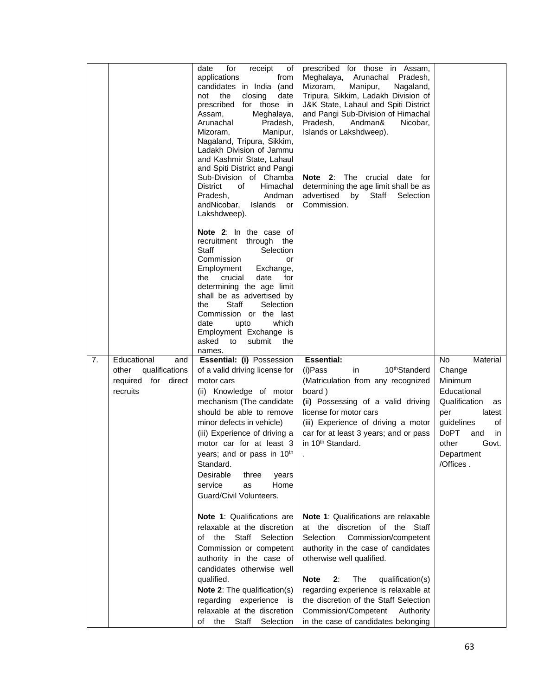|    |                                                                                     | for<br>date<br>receipt<br>οf<br>applications<br>from<br>candidates in India (and<br>the<br>closing<br>date<br>not<br>prescribed for those in<br>Assam,<br>Meghalaya,<br>Arunachal<br>Pradesh,<br>Mizoram,<br>Manipur,<br>Nagaland, Tripura, Sikkim,<br>Ladakh Division of Jammu<br>and Kashmir State, Lahaul<br>and Spiti District and Pangi<br>Sub-Division of Chamba<br><b>District</b><br>Himachal<br>of<br>Pradesh,<br>Andman<br>andNicobar,<br>Islands<br>or<br>Lakshdweep). | prescribed for those in Assam,<br>Meghalaya, Arunachal Pradesh,<br>Mizoram,<br>Manipur,<br>Nagaland,<br>Tripura, Sikkim, Ladakh Division of<br>J&K State, Lahaul and Spiti District<br>and Pangi Sub-Division of Himachal<br>Pradesh,<br>Andman&<br>Nicobar,<br>Islands or Lakshdweep).<br>Note 2: The crucial date for<br>determining the age limit shall be as<br>advertised by<br>Staff<br>Selection<br>Commission. |                                                                                                                                                                                         |
|----|-------------------------------------------------------------------------------------|-----------------------------------------------------------------------------------------------------------------------------------------------------------------------------------------------------------------------------------------------------------------------------------------------------------------------------------------------------------------------------------------------------------------------------------------------------------------------------------|------------------------------------------------------------------------------------------------------------------------------------------------------------------------------------------------------------------------------------------------------------------------------------------------------------------------------------------------------------------------------------------------------------------------|-----------------------------------------------------------------------------------------------------------------------------------------------------------------------------------------|
|    |                                                                                     | <b>Note 2:</b> In the case of<br>recruitment through the<br>Staff<br>Selection<br>Commission<br>or<br>Employment<br>Exchange,<br>crucial<br>date<br>the<br>for<br>determining the age limit<br>shall be as advertised by<br>Staff<br>Selection<br>the<br>Commission or the last<br>upto<br>which<br>date<br>Employment Exchange is<br>asked to<br>submit the<br>names.                                                                                                            |                                                                                                                                                                                                                                                                                                                                                                                                                        |                                                                                                                                                                                         |
| 7. | Educational<br>and<br>other<br>qualifications<br>required<br>for direct<br>recruits | Essential: (i) Possession<br>of a valid driving license for<br>motor cars<br>(ii) Knowledge of motor<br>mechanism (The candidate<br>should be able to remove<br>minor defects in vehicle)<br>(iii) Experience of driving a<br>motor car for at least 3<br>years; and or pass in 10th<br>Standard.<br>Desirable<br>three<br>years<br>Home<br>service<br>as<br>Guard/Civil Volunteers.                                                                                              | <b>Essential:</b><br>(i)Pass<br>10 <sup>th</sup> Standerd<br>in<br>(Matriculation from any recognized<br>board)<br>(ii) Possessing of a valid driving<br>license for motor cars<br>(iii) Experience of driving a motor<br>car for at least 3 years; and or pass<br>in 10 <sup>th</sup> Standard.                                                                                                                       | Material<br>No<br>Change<br>Minimum<br>Educational<br>Qualification<br>as<br>per<br>latest<br>guidelines<br>οf<br><b>DoPT</b><br>and<br>in<br>other<br>Govt.<br>Department<br>/Offices. |
|    |                                                                                     | Note 1: Qualifications are<br>relaxable at the discretion<br>Staff Selection<br>of<br>the<br>Commission or competent<br>authority in the case of<br>candidates otherwise well<br>qualified.<br>Note 2: The qualification(s)<br>regarding experience is<br>relaxable at the discretion<br>the<br>Staff<br>Selection<br>of                                                                                                                                                          | Note 1: Qualifications are relaxable<br>at the discretion of the Staff<br>Commission/competent<br>Selection<br>authority in the case of candidates<br>otherwise well qualified.<br>The<br><b>Note</b><br>2:<br>qualification(s)<br>regarding experience is relaxable at<br>the discretion of the Staff Selection<br>Commission/Competent Authority<br>in the case of candidates belonging                              |                                                                                                                                                                                         |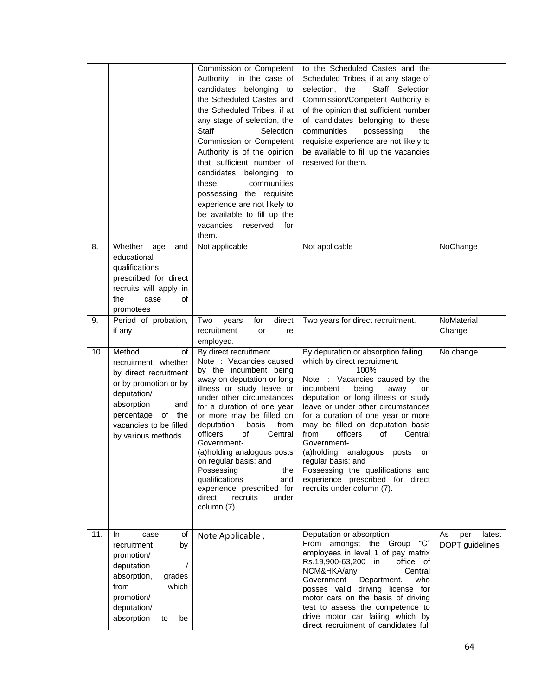|     |                                                                                                                                                                                                    | Commission or Competent<br>Authority in the case of<br>candidates belonging<br>to<br>the Scheduled Castes and<br>the Scheduled Tribes, if at<br>any stage of selection, the<br><b>Staff</b><br>Selection<br>Commission or Competent<br>Authority is of the opinion<br>that sufficient number of<br>candidates belonging<br>to<br>these<br>communities<br>possessing the requisite<br>experience are not likely to<br>be available to fill up the<br>vacancies<br>reserved<br>for<br>them. | to the Scheduled Castes and the<br>Scheduled Tribes, if at any stage of<br>selection, the<br>Staff Selection<br>Commission/Competent Authority is<br>of the opinion that sufficient number<br>of candidates belonging to these<br>communities<br>possessing<br>the<br>requisite experience are not likely to<br>be available to fill up the vacancies<br>reserved for them.                                                                                                                                                       |                                        |
|-----|----------------------------------------------------------------------------------------------------------------------------------------------------------------------------------------------------|-------------------------------------------------------------------------------------------------------------------------------------------------------------------------------------------------------------------------------------------------------------------------------------------------------------------------------------------------------------------------------------------------------------------------------------------------------------------------------------------|-----------------------------------------------------------------------------------------------------------------------------------------------------------------------------------------------------------------------------------------------------------------------------------------------------------------------------------------------------------------------------------------------------------------------------------------------------------------------------------------------------------------------------------|----------------------------------------|
| 8.  | Whether<br>age<br>and<br>educational<br>qualifications<br>prescribed for direct<br>recruits will apply in<br>of<br>the<br>case<br>promotees                                                        | Not applicable                                                                                                                                                                                                                                                                                                                                                                                                                                                                            | Not applicable                                                                                                                                                                                                                                                                                                                                                                                                                                                                                                                    | NoChange                               |
| 9.  | Period of probation,<br>if any                                                                                                                                                                     | Two<br>for<br>direct<br>years<br>recruitment<br>or<br>re<br>employed.                                                                                                                                                                                                                                                                                                                                                                                                                     | Two years for direct recruitment.                                                                                                                                                                                                                                                                                                                                                                                                                                                                                                 | NoMaterial<br>Change                   |
| 10. | Method<br>of<br>recruitment whether<br>by direct recruitment<br>or by promotion or by<br>deputation/<br>absorption<br>and<br>percentage<br>of the<br>vacancies to be filled<br>by various methods. | By direct recruitment.<br>Note : Vacancies caused<br>by the incumbent being<br>away on deputation or long<br>illness or study leave or<br>under other circumstances<br>for a duration of one year<br>or more may be filled on<br>basis<br>from<br>deputation<br>officers<br>of<br>Central<br>Government-<br>(a)holding analogous posts<br>on regular basis; and<br>Possessing<br>the<br>qualifications<br>and<br>experience prescribed for<br>direct<br>recruits<br>under<br>column (7).  | By deputation or absorption failing<br>which by direct recruitment.<br>100%<br>Note : Vacancies caused by the<br>incumbent<br>being<br>away<br>on<br>deputation or long illness or study<br>leave or under other circumstances<br>for a duration of one year or more<br>may be filled on deputation basis<br>from<br>officers<br>οf<br>Central<br>Government-<br>(a)holding analogous<br>posts<br>on<br>regular basis; and<br>Possessing the qualifications and<br>experience prescribed for direct<br>recruits under column (7). | No change                              |
| 11. | In.<br>οf<br>case<br>recruitment<br>by<br>promotion/<br>deputation<br>absorption,<br>grades<br>from<br>which<br>promotion/<br>deputation/<br>absorption<br>be<br>to                                | Note Applicable,                                                                                                                                                                                                                                                                                                                                                                                                                                                                          | Deputation or absorption<br>"C"<br>From amongst the Group<br>employees in level 1 of pay matrix<br>Rs.19,900-63,200 in<br>office of<br>NCM&HKA/any<br>Central<br>Government<br>Department.<br>who<br>posses valid driving license for<br>motor cars on the basis of driving<br>test to assess the competence to<br>drive motor car failing which by<br>direct recruitment of candidates full                                                                                                                                      | As<br>per<br>latest<br>DOPT guidelines |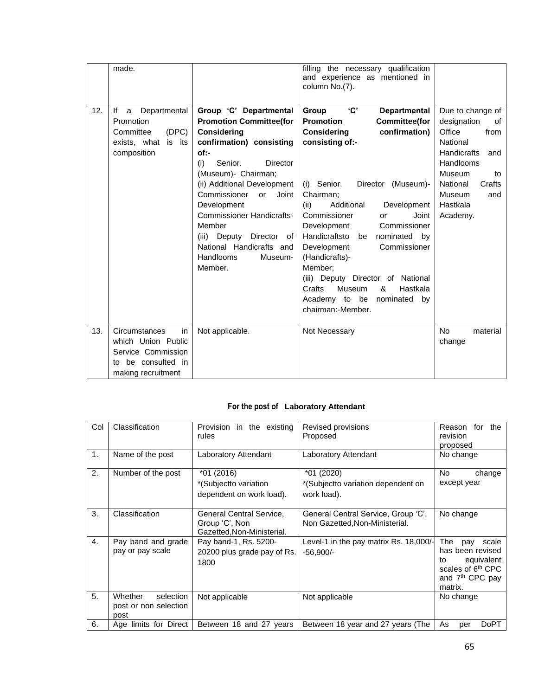|     | made.                                                                                                          |                                                                                                                                                                                                                                                                                                                                                                                               | filling the necessary qualification<br>and experience as mentioned in<br>column No.(7).                                                                                                                                                                                                                                                                                                                                                                                                                                                     |                                                                                                                                                                                                     |
|-----|----------------------------------------------------------------------------------------------------------------|-----------------------------------------------------------------------------------------------------------------------------------------------------------------------------------------------------------------------------------------------------------------------------------------------------------------------------------------------------------------------------------------------|---------------------------------------------------------------------------------------------------------------------------------------------------------------------------------------------------------------------------------------------------------------------------------------------------------------------------------------------------------------------------------------------------------------------------------------------------------------------------------------------------------------------------------------------|-----------------------------------------------------------------------------------------------------------------------------------------------------------------------------------------------------|
| 12. | Departmental<br>lf<br>a<br>Promotion<br>(DEC)<br>Committee<br>exists, what is its<br>composition               | Group 'C' Departmental<br><b>Promotion Committee(for</b><br><b>Considering</b><br>confirmation) consisting<br>of:-<br>Senior.<br>Director<br>(i)<br>(Museum)- Chairman;<br>(ii) Additional Development<br>Commissioner<br>Joint<br>or<br>Development<br><b>Commissioner Handicrafts-</b><br>Member<br>(iii) Deputy Director of<br>National Handicrafts and<br>Handlooms<br>Museum-<br>Member. | 'C'<br>Group<br><b>Departmental</b><br><b>Promotion</b><br><b>Committee(for</b><br>confirmation)<br><b>Considering</b><br>consisting of:-<br>(i) Senior.<br>Director (Museum)-<br>Chairman;<br>(ii)<br>Additional<br>Development<br>Commissioner<br>Joint<br>or<br>Development<br>Commissioner<br>Handicraftsto<br>nominated<br>by<br>be<br>Development<br>Commissioner<br>(Handicrafts)-<br>Member:<br>(iii) Deputy Director of National<br>&<br>Crafts<br>Hastkala<br><b>Museum</b><br>Academy to be nominated<br>by<br>chairman:-Member. | Due to change of<br>designation<br>of<br>Office<br>from<br>National<br><b>Handicrafts</b><br>and<br>Handlooms<br>Museum<br>to<br>National<br>Crafts<br><b>Museum</b><br>and<br>Hastkala<br>Academy. |
| 13. | Circumstances<br>in<br>which Union Public<br>Service Commission<br>be consulted in<br>t٥<br>making recruitment | Not applicable.                                                                                                                                                                                                                                                                                                                                                                               | Not Necessary                                                                                                                                                                                                                                                                                                                                                                                                                                                                                                                               | <b>No</b><br>material<br>change                                                                                                                                                                     |

## **For the post of Laboratory Attendant**

| Col | Classification                                        | Provision<br>in the existing<br>rules                                    | Revised provisions<br>Proposed                                        | Reason<br>for<br>the<br>revision<br>proposed                                                                                           |  |
|-----|-------------------------------------------------------|--------------------------------------------------------------------------|-----------------------------------------------------------------------|----------------------------------------------------------------------------------------------------------------------------------------|--|
| 1.  | Name of the post                                      | Laboratory Attendant                                                     | Laboratory Attendant                                                  | No change                                                                                                                              |  |
| 2.  | Number of the post                                    | *01 (2016)<br>*(Subjectto variation<br>dependent on work load).          | *01 (2020)<br>*(Subjectto variation dependent on<br>work load).       | <b>No</b><br>change<br>except year                                                                                                     |  |
| 3.  | Classification                                        | General Central Service,<br>Group 'C', Non<br>Gazetted, Non-Ministerial. | General Central Service, Group 'C',<br>Non Gazetted, Non-Ministerial. | No change                                                                                                                              |  |
| 4.  | Pay band and grade<br>pay or pay scale                | Pay band-1, Rs. 5200-<br>20200 plus grade pay of Rs.<br>1800             | Level-1 in the pay matrix Rs. 18,000/-<br>$-56,900/-$                 | The<br>scale<br>pay<br>has been revised<br>equivalent<br>to<br>scales of 6 <sup>th</sup> CPC<br>and 7 <sup>th</sup> CPC pay<br>matrix. |  |
| 5.  | Whether<br>selection<br>post or non selection<br>post | Not applicable                                                           | Not applicable                                                        | No change                                                                                                                              |  |
| 6.  | Age limits for Direct                                 | Between 18 and 27 years                                                  | Between 18 year and 27 years (The                                     | As<br><b>DoPT</b><br>per                                                                                                               |  |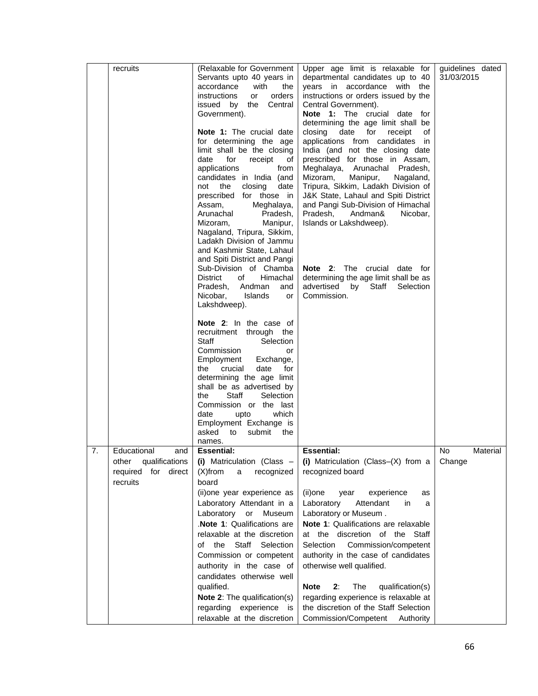|    | recruits                                                                            | (Relaxable for Government<br>Servants upto 40 years in<br>accordance<br>with<br>the<br>orders<br>instructions<br>or<br>Central<br>issued by<br>the<br>Government).<br>Note 1: The crucial date<br>for determining the age<br>limit shall be the closing<br>date<br>for<br>receipt<br>οf<br>applications<br>from<br>candidates in India (and<br>not the<br>closing<br>date<br>prescribed for those in<br>Meghalaya,<br>Assam.<br>Arunachal<br>Pradesh,<br>Manipur,<br>Mizoram,<br>Nagaland, Tripura, Sikkim,<br>Ladakh Division of Jammu<br>and Kashmir State, Lahaul | Upper age limit is relaxable for<br>departmental candidates up to 40<br>years in accordance with the<br>instructions or orders issued by the<br>Central Government).<br>Note 1: The crucial date for<br>determining the age limit shall be<br>closing<br>date<br>for<br>receipt<br>οf<br>applications from candidates in<br>India (and not the closing date<br>prescribed for those in Assam,<br>Meghalaya, Arunachal Pradesh,<br>Manipur,<br>Mizoram,<br>Nagaland,<br>Tripura, Sikkim, Ladakh Division of<br>J&K State, Lahaul and Spiti District<br>and Pangi Sub-Division of Himachal<br>Pradesh,<br>Andman&<br>Nicobar,<br>Islands or Lakshdweep). | guidelines dated<br>31/03/2015 |
|----|-------------------------------------------------------------------------------------|----------------------------------------------------------------------------------------------------------------------------------------------------------------------------------------------------------------------------------------------------------------------------------------------------------------------------------------------------------------------------------------------------------------------------------------------------------------------------------------------------------------------------------------------------------------------|--------------------------------------------------------------------------------------------------------------------------------------------------------------------------------------------------------------------------------------------------------------------------------------------------------------------------------------------------------------------------------------------------------------------------------------------------------------------------------------------------------------------------------------------------------------------------------------------------------------------------------------------------------|--------------------------------|
|    |                                                                                     | and Spiti District and Pangi<br>Sub-Division of Chamba<br><b>District</b><br>of<br>Himachal<br>Andman<br>Pradesh.<br>and<br>Nicobar.<br>Islands<br>or<br>Lakshdweep).<br>Note 2: In the case of<br>recruitment through<br>the<br>Staff<br>Selection<br>Commission<br>or<br>Employment<br>Exchange,<br>crucial<br>date<br>for<br>the<br>determining the age limit<br>shall be as advertised by<br>Staff<br>Selection<br>the<br>Commission or the last<br>which<br>date<br>upto<br>Employment Exchange is<br>asked<br>to<br>submit<br>the                              | <b>Note 2:</b> The crucial<br>date for<br>determining the age limit shall be as<br>advertised by Staff<br>Selection<br>Commission.                                                                                                                                                                                                                                                                                                                                                                                                                                                                                                                     |                                |
| 7. | Educational<br>and<br>qualifications<br>other<br>for direct<br>required<br>recruits | names.<br><b>Essential:</b><br>(i) Matriculation (Class -<br>$(X)$ from<br>recognized<br>a<br>board<br>(ii)one year experience as<br>Laboratory Attendant in a<br>Laboratory<br>or<br>Museum<br>.Note 1: Qualifications are<br>relaxable at the discretion<br>of the Staff Selection<br>Commission or competent<br>authority in the case of<br>candidates otherwise well<br>qualified.<br>Note 2: The qualification(s)<br>regarding experience is<br>relaxable at the discretion                                                                                     | <b>Essential:</b><br>(i) Matriculation (Class-(X) from a<br>recognized board<br>(ii)one<br>experience<br>year<br>as<br>Laboratory<br>Attendant<br>in<br>a<br>Laboratory or Museum.<br>Note 1: Qualifications are relaxable<br>at the discretion of the Staff<br>Selection<br>Commission/competent<br>authority in the case of candidates<br>otherwise well qualified.<br>The<br><b>Note</b><br>2:<br>qualification(s)<br>regarding experience is relaxable at<br>the discretion of the Staff Selection<br>Commission/Competent<br>Authority                                                                                                            | No<br>Material<br>Change       |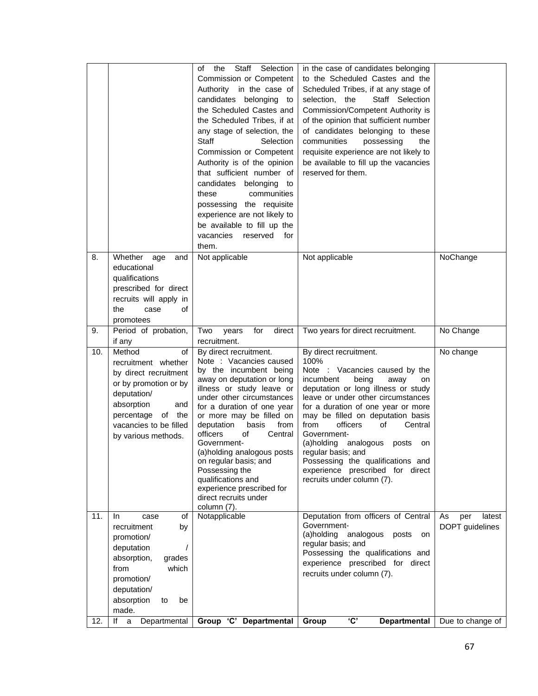|     |                                                                                                                                                                                                    | Staff Selection<br>the<br>οf<br>Commission or Competent<br>Authority in the case of<br>candidates belonging<br>to<br>the Scheduled Castes and<br>the Scheduled Tribes, if at<br>any stage of selection, the<br><b>Staff</b><br>Selection<br>Commission or Competent<br>Authority is of the opinion<br>that sufficient number of<br>candidates belonging<br>to<br>these<br>communities<br>possessing the requisite<br>experience are not likely to<br>be available to fill up the<br>vacancies reserved<br>for<br>them. | in the case of candidates belonging<br>to the Scheduled Castes and the<br>Scheduled Tribes, if at any stage of<br>selection, the<br>Staff Selection<br>Commission/Competent Authority is<br>of the opinion that sufficient number<br>of candidates belonging to these<br>communities<br>possessing<br>the<br>requisite experience are not likely to<br>be available to fill up the vacancies<br>reserved for them.                                                                   |                                        |
|-----|----------------------------------------------------------------------------------------------------------------------------------------------------------------------------------------------------|------------------------------------------------------------------------------------------------------------------------------------------------------------------------------------------------------------------------------------------------------------------------------------------------------------------------------------------------------------------------------------------------------------------------------------------------------------------------------------------------------------------------|--------------------------------------------------------------------------------------------------------------------------------------------------------------------------------------------------------------------------------------------------------------------------------------------------------------------------------------------------------------------------------------------------------------------------------------------------------------------------------------|----------------------------------------|
| 8.  | Whether<br>age<br>and<br>educational<br>qualifications<br>prescribed for direct<br>recruits will apply in<br>the<br>of<br>case<br>promotees                                                        | Not applicable                                                                                                                                                                                                                                                                                                                                                                                                                                                                                                         | Not applicable                                                                                                                                                                                                                                                                                                                                                                                                                                                                       | NoChange                               |
| 9.  | Period of probation,<br>if any                                                                                                                                                                     | direct<br>Two<br>for<br>years<br>recruitment.                                                                                                                                                                                                                                                                                                                                                                                                                                                                          | Two years for direct recruitment.                                                                                                                                                                                                                                                                                                                                                                                                                                                    | No Change                              |
| 10. | Method<br>of<br>recruitment whether<br>by direct recruitment<br>or by promotion or by<br>deputation/<br>absorption<br>and<br>percentage<br>of the<br>vacancies to be filled<br>by various methods. | By direct recruitment.<br>Note : Vacancies caused<br>by the incumbent being<br>away on deputation or long<br>illness or study leave or<br>under other circumstances<br>for a duration of one year<br>or more may be filled on<br>basis<br>deputation<br>from<br>officers<br>Central<br>οf<br>Government-<br>(a)holding analogous posts<br>on regular basis; and<br>Possessing the<br>qualifications and<br>experience prescribed for<br>direct recruits under<br>column (7).                                           | By direct recruitment.<br>100%<br>Note : Vacancies caused by the<br>incumbent<br>being<br>away<br>on<br>deputation or long illness or study<br>leave or under other circumstances<br>for a duration of one year or more<br>may be filled on deputation basis<br>from<br>officers<br>Central<br>οf<br>Government-<br>(a)holding analogous<br>posts<br>on<br>regular basis; and<br>Possessing the qualifications and<br>experience prescribed for direct<br>recruits under column (7). | No change                              |
| 11. | In.<br>case<br>οf<br>recruitment<br>by<br>promotion/<br>deputation<br>7<br>absorption,<br>grades<br>from<br>which<br>promotion/<br>deputation/<br>absorption<br>be<br>to<br>made.                  | Notapplicable                                                                                                                                                                                                                                                                                                                                                                                                                                                                                                          | Deputation from officers of Central<br>Government-<br>(a)holding<br>analogous<br>posts<br>on<br>regular basis; and<br>Possessing the qualifications and<br>experience prescribed for direct<br>recruits under column (7).                                                                                                                                                                                                                                                            | As<br>per<br>latest<br>DOPT guidelines |
| 12. | lf<br>Departmental<br>a                                                                                                                                                                            | Group 'C' Departmental                                                                                                                                                                                                                                                                                                                                                                                                                                                                                                 | <b>'C'</b><br>Group<br><b>Departmental</b>                                                                                                                                                                                                                                                                                                                                                                                                                                           | Due to change of                       |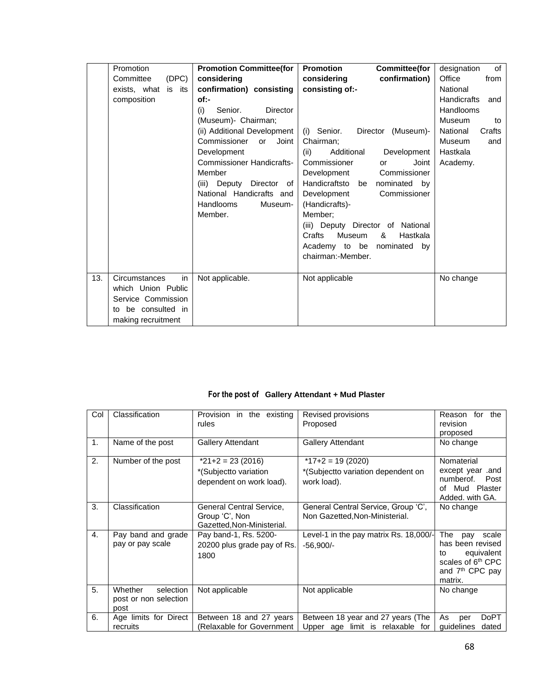|     | Promotion              | <b>Promotion Committee(for</b>    | <b>Promotion</b><br><b>Committee(for</b> | of<br>designation         |
|-----|------------------------|-----------------------------------|------------------------------------------|---------------------------|
|     | Committee<br>(DEC)     | considering                       | considering<br>confirmation)             | Office<br>from            |
|     | exists, what<br>is its | confirmation) consisting          | consisting of:-                          | National                  |
|     | composition            | $of:-$                            |                                          | <b>Handicrafts</b><br>and |
|     |                        | Senior.<br><b>Director</b><br>(i) |                                          | Handlooms                 |
|     |                        | (Museum)- Chairman;               |                                          | Museum<br>to              |
|     |                        | (ii) Additional Development       | (i) Senior.<br>Director (Museum)-        | National<br>Crafts        |
|     |                        | Commissioner<br>Joint<br>or       | Chairman:                                | <b>Museum</b><br>and      |
|     |                        | Development                       | Additional<br>Development<br>(ii)        | Hastkala                  |
|     |                        | <b>Commissioner Handicrafts-</b>  | Commissioner<br>Joint<br>or              | Academy.                  |
|     |                        | Member                            | Commissioner<br>Development              |                           |
|     |                        | (iii) Deputy Director of          | Handicraftsto be<br>nominated by         |                           |
|     |                        | National Handicrafts and          | Commissioner<br>Development              |                           |
|     |                        | <b>Handlooms</b><br>Museum-       | (Handicrafts)-                           |                           |
|     |                        | Member.                           | Member:                                  |                           |
|     |                        |                                   | (iii) Deputy Director of National        |                           |
|     |                        |                                   | Crafts<br>Museum<br>&<br>Hastkala        |                           |
|     |                        |                                   | Academy to be nominated<br>by            |                           |
|     |                        |                                   | chairman:-Member.                        |                           |
| 13. | Circumstances<br>in    | Not applicable.                   | Not applicable                           | No change                 |
|     | which Union Public     |                                   |                                          |                           |
|     | Service Commission     |                                   |                                          |                           |
|     | be consulted in<br>to  |                                   |                                          |                           |
|     | making recruitment     |                                   |                                          |                           |

# **For the post of Gallery Attendant + Mud Plaster**

| Col            | Classification                                        | Provision in the existing<br>rules                                       | Revised provisions<br>Proposed                                          | the<br>Reason<br>for<br>revision<br>proposed                                                                                           |
|----------------|-------------------------------------------------------|--------------------------------------------------------------------------|-------------------------------------------------------------------------|----------------------------------------------------------------------------------------------------------------------------------------|
| 1.             | Name of the post                                      | <b>Gallery Attendant</b>                                                 | <b>Gallery Attendant</b>                                                | No change                                                                                                                              |
| 2.             | Number of the post                                    | $*21+2 = 23(2016)$<br>*(Subjectto variation<br>dependent on work load).  | $*17+2 = 19(2020)$<br>*(Subjectto variation dependent on<br>work load). | Nomaterial<br>except year .and<br>numberof.<br>Post<br>Mud<br>Plaster<br>Ωf<br>Added. with GA.                                         |
| 3.             | Classification                                        | General Central Service,<br>Group 'C', Non<br>Gazetted, Non-Ministerial. | General Central Service, Group 'C',<br>Non Gazetted, Non-Ministerial.   | No change                                                                                                                              |
| $\mathbf{4}$ . | Pay band and grade<br>pay or pay scale                | Pay band-1, Rs. 5200-<br>20200 plus grade pay of Rs.<br>1800             | Level-1 in the pay matrix Rs. 18,000/-<br>$-56,900/-$                   | The<br>scale<br>pay<br>has been revised<br>equivalent<br>to<br>scales of 6 <sup>th</sup> CPC<br>and 7 <sup>th</sup> CPC pay<br>matrix. |
| 5.             | Whether<br>selection<br>post or non selection<br>post | Not applicable                                                           | Not applicable                                                          | No change                                                                                                                              |
| 6.             | Age limits for Direct<br>recruits                     | Between 18 and 27 years<br>(Relaxable for Government                     | Between 18 year and 27 years (The<br>Upper age limit is relaxable for   | As<br><b>DoPT</b><br>per<br>guidelines<br>dated                                                                                        |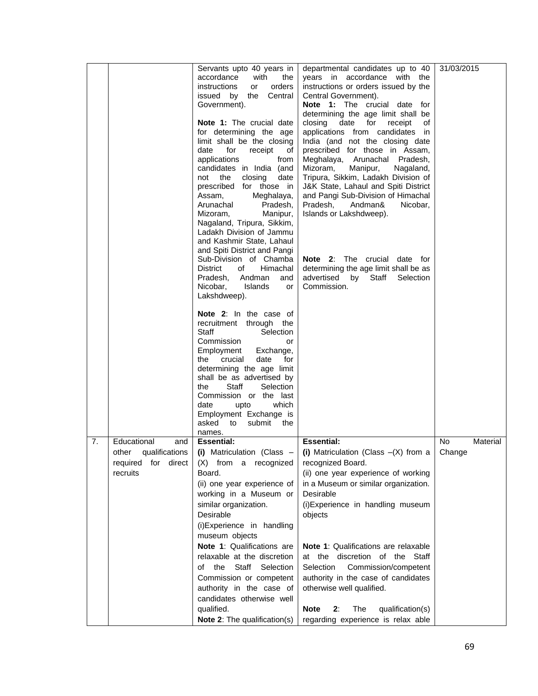|    |                           | Servants upto 40 years in<br>with<br>accordance<br>the   | departmental candidates up to 40<br>years in accordance with the            | 31/03/2015 |          |
|----|---------------------------|----------------------------------------------------------|-----------------------------------------------------------------------------|------------|----------|
|    |                           | instructions<br>orders<br>or<br>issued by the<br>Central | instructions or orders issued by the                                        |            |          |
|    |                           | Government).                                             | Central Government).<br>Note 1: The crucial date for                        |            |          |
|    |                           |                                                          | determining the age limit shall be                                          |            |          |
|    |                           | Note 1: The crucial date<br>for determining the age      | closing<br>date for<br>receipt<br>οf<br>applications from candidates in     |            |          |
|    |                           | limit shall be the closing                               | India (and not the closing date                                             |            |          |
|    |                           | for<br>receipt<br>date<br>of                             | prescribed for those in Assam,                                              |            |          |
|    |                           | applications<br>from                                     | Meghalaya, Arunachal Pradesh,                                               |            |          |
|    |                           | candidates in India (and<br>date<br>not the<br>closing   | Mizoram,<br>Manipur,<br>Nagaland,<br>Tripura, Sikkim, Ladakh Division of    |            |          |
|    |                           | prescribed for those in                                  | J&K State, Lahaul and Spiti District                                        |            |          |
|    |                           | Meghalaya,<br>Assam,                                     | and Pangi Sub-Division of Himachal                                          |            |          |
|    |                           | Arunachal<br>Pradesh,<br>Mizoram,<br>Manipur,            | Pradesh,<br>Andman&<br>Nicobar,<br>Islands or Lakshdweep).                  |            |          |
|    |                           | Nagaland, Tripura, Sikkim,                               |                                                                             |            |          |
|    |                           | Ladakh Division of Jammu<br>and Kashmir State, Lahaul    |                                                                             |            |          |
|    |                           | and Spiti District and Pangi                             |                                                                             |            |          |
|    |                           | Sub-Division of Chamba                                   | <b>Note 2:</b> The crucial date for                                         |            |          |
|    |                           | District<br>Himachal<br>of<br>Pradesh,<br>Andman<br>and  | determining the age limit shall be as<br>advertised by Staff<br>Selection   |            |          |
|    |                           | Nicobar,<br><b>Islands</b><br>or                         | Commission.                                                                 |            |          |
|    |                           | Lakshdweep).                                             |                                                                             |            |          |
|    |                           | Note 2: In the case of                                   |                                                                             |            |          |
|    |                           | recruitment through the<br>Staff<br>Selection            |                                                                             |            |          |
|    |                           | Commission<br>or                                         |                                                                             |            |          |
|    |                           | Employment<br>Exchange,<br>crucial<br>date<br>the<br>for |                                                                             |            |          |
|    |                           | determining the age limit                                |                                                                             |            |          |
|    |                           | shall be as advertised by                                |                                                                             |            |          |
|    |                           | Staff<br>Selection<br>the<br>Commission or the last      |                                                                             |            |          |
|    |                           | date<br>which<br>upto                                    |                                                                             |            |          |
|    |                           | Employment Exchange is                                   |                                                                             |            |          |
|    |                           | asked to<br>submit<br>the<br>names.                      |                                                                             |            |          |
| 7. | Educational<br>and        | <b>Essential:</b>                                        | <b>Essential:</b>                                                           | No.        | Material |
|    | other<br>qualifications   | (i) Matriculation (Class $-$                             | (i) Matriculation (Class $-(X)$ from a                                      | Change     |          |
|    | direct<br>required<br>for | (X) from a recognized                                    | recognized Board.                                                           |            |          |
|    | recruits                  | Board.<br>(ii) one year experience of                    | (ii) one year experience of working<br>in a Museum or similar organization. |            |          |
|    |                           | working in a Museum or                                   | Desirable                                                                   |            |          |
|    |                           | similar organization.                                    | (i) Experience in handling museum                                           |            |          |
|    |                           | Desirable                                                | objects                                                                     |            |          |
|    |                           | (i)Experience in handling                                |                                                                             |            |          |
|    |                           | museum objects<br>Note 1: Qualifications are             | Note 1: Qualifications are relaxable                                        |            |          |
|    |                           | relaxable at the discretion                              | at the discretion of the Staff                                              |            |          |
|    |                           | of the Staff Selection                                   | Selection<br>Commission/competent                                           |            |          |
|    |                           | Commission or competent                                  | authority in the case of candidates                                         |            |          |
|    |                           | authority in the case of                                 | otherwise well qualified.                                                   |            |          |
|    |                           | candidates otherwise well<br>qualified.                  | 2:<br><b>Note</b><br>The<br>qualification(s)                                |            |          |
|    |                           | Note 2: The qualification(s)                             | regarding experience is relax able                                          |            |          |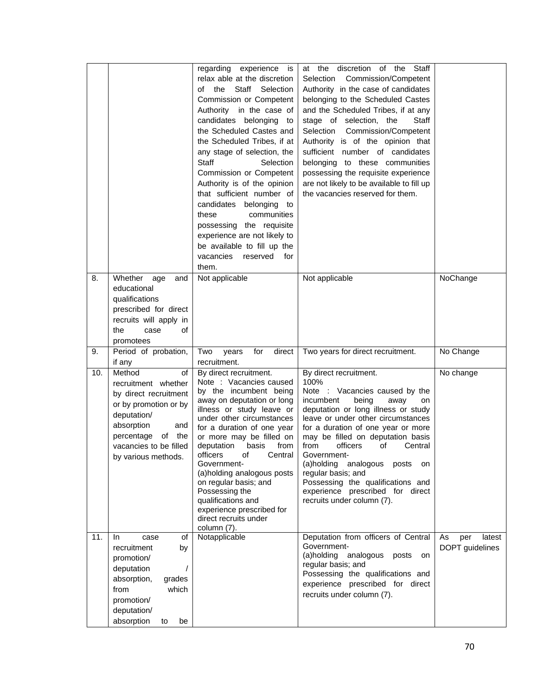|     |                                                                                                                                                                                                    | regarding experience<br>is<br>relax able at the discretion<br>Staff Selection<br>the<br>of<br>Commission or Competent<br>Authority in the case of<br>candidates belonging<br>to<br>the Scheduled Castes and<br>the Scheduled Tribes, if at<br>any stage of selection, the<br><b>Staff</b><br>Selection<br>Commission or Competent<br>Authority is of the opinion<br>that sufficient number of<br>candidates belonging<br>to<br>communities<br>these<br>possessing the requisite<br>experience are not likely to<br>be available to fill up the<br>vacancies reserved for<br>them. | at the discretion of the<br>Staff<br>Selection Commission/Competent<br>Authority in the case of candidates<br>belonging to the Scheduled Castes<br>and the Scheduled Tribes, if at any<br>stage of selection, the<br>Staff<br>Selection Commission/Competent<br>Authority is of the opinion that<br>sufficient number of candidates<br>belonging to these communities<br>possessing the requisite experience<br>are not likely to be available to fill up<br>the vacancies reserved for them. |                                        |
|-----|----------------------------------------------------------------------------------------------------------------------------------------------------------------------------------------------------|-----------------------------------------------------------------------------------------------------------------------------------------------------------------------------------------------------------------------------------------------------------------------------------------------------------------------------------------------------------------------------------------------------------------------------------------------------------------------------------------------------------------------------------------------------------------------------------|-----------------------------------------------------------------------------------------------------------------------------------------------------------------------------------------------------------------------------------------------------------------------------------------------------------------------------------------------------------------------------------------------------------------------------------------------------------------------------------------------|----------------------------------------|
| 8.  | Whether<br>age<br>and<br>educational<br>qualifications<br>prescribed for direct<br>recruits will apply in<br>the<br>of<br>case<br>promotees                                                        | Not applicable                                                                                                                                                                                                                                                                                                                                                                                                                                                                                                                                                                    | Not applicable                                                                                                                                                                                                                                                                                                                                                                                                                                                                                | NoChange                               |
| 9.  | Period of probation,<br>if any                                                                                                                                                                     | for<br>direct<br>Two<br>years<br>recruitment.                                                                                                                                                                                                                                                                                                                                                                                                                                                                                                                                     | Two years for direct recruitment.                                                                                                                                                                                                                                                                                                                                                                                                                                                             | No Change                              |
| 10. | Method<br>οf<br>recruitment whether<br>by direct recruitment<br>or by promotion or by<br>deputation/<br>absorption<br>and<br>percentage<br>of the<br>vacancies to be filled<br>by various methods. | By direct recruitment.<br>Note : Vacancies caused<br>by the incumbent being<br>away on deputation or long<br>illness or study leave or<br>under other circumstances<br>for a duration of one year<br>or more may be filled on<br>basis<br>deputation<br>from<br>officers<br>Central<br>of<br>Government-<br>(a)holding analogous posts<br>on regular basis; and<br>Possessing the<br>qualifications and<br>experience prescribed for<br>direct recruits under<br>column (7).                                                                                                      | By direct recruitment.<br>100%<br>Note : Vacancies caused by the<br>incumbent<br>being<br>away<br>on<br>deputation or long illness or study<br>leave or under other circumstances<br>for a duration of one year or more<br>may be filled on deputation basis<br>officers<br>from<br>Central<br>of<br>Government-<br>(a)holding analogous<br>posts<br>on<br>regular basis; and<br>Possessing the qualifications and<br>experience prescribed for direct<br>recruits under column (7).          | No change                              |
| 11. | In.<br>case<br>οf<br>recruitment<br>by<br>promotion/<br>deputation                                                                                                                                 | Notapplicable                                                                                                                                                                                                                                                                                                                                                                                                                                                                                                                                                                     | Deputation from officers of Central<br>Government-<br>(a)holding<br>analogous<br>posts<br>on<br>regular basis; and<br>Possessing the qualifications and                                                                                                                                                                                                                                                                                                                                       | As<br>per<br>latest<br>DOPT guidelines |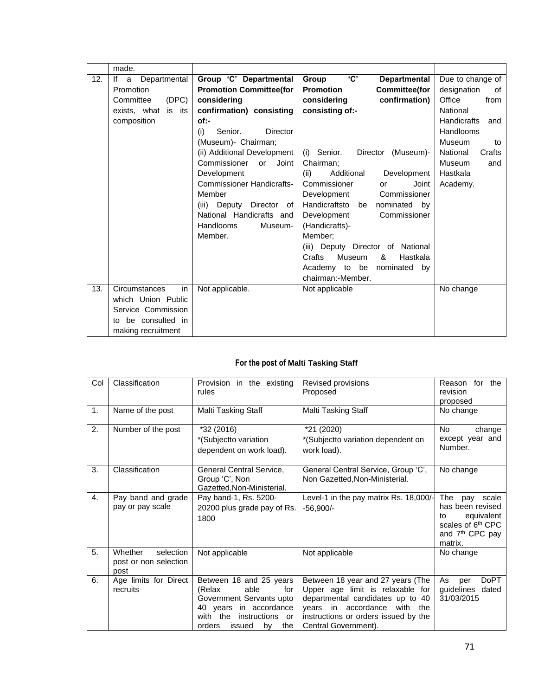|     | made.                   |                                   |                                          |                           |
|-----|-------------------------|-----------------------------------|------------------------------------------|---------------------------|
| 12. | lf<br>a<br>Departmental | Group 'C' Departmental            | 'C'<br><b>Departmental</b><br>Group      | Due to change of          |
|     | Promotion               | <b>Promotion Committee(for</b>    | <b>Promotion</b><br><b>Committee(for</b> | designation<br>οf         |
|     | (DEC)<br>Committee      | considering                       | confirmation)<br>considering             | Office<br>from            |
|     | exists, what is its     | confirmation) consisting          | consisting of:-                          | National                  |
|     | composition             | of:-                              |                                          | <b>Handicrafts</b><br>and |
|     |                         | (i)<br>Senior.<br><b>Director</b> |                                          | Handlooms                 |
|     |                         | (Museum)- Chairman;               |                                          | Museum<br>to              |
|     |                         | (ii) Additional Development       | (i) Senior.<br>Director (Museum)-        | National<br>Crafts        |
|     |                         | Commissioner<br>Joint<br>or       | Chairman:                                | <b>Museum</b><br>and      |
|     |                         | Development                       | (ii)<br>Additional<br>Development        | Hastkala                  |
|     |                         | <b>Commissioner Handicrafts-</b>  | Commissioner<br>Joint<br>or              | Academy.                  |
|     |                         | Member                            | Development<br>Commissioner              |                           |
|     |                         | Deputy Director of<br>(iii)       | Handicraftsto be<br>nominated by         |                           |
|     |                         | National Handicrafts and          | Commissioner<br>Development              |                           |
|     |                         | <b>Handlooms</b><br>Museum-       | (Handicrafts)-                           |                           |
|     |                         | Member.                           | Member:                                  |                           |
|     |                         |                                   | (iii) Deputy Director of National        |                           |
|     |                         |                                   | Crafts<br>&<br>Hastkala<br>Museum        |                           |
|     |                         |                                   | Academy to be nominated by               |                           |
|     |                         |                                   | chairman:-Member.                        |                           |
| 13. | Circumstances<br>in     | Not applicable.                   | Not applicable                           | No change                 |
|     | which Union Public      |                                   |                                          |                           |
|     | Service Commission      |                                   |                                          |                           |
|     | be consulted in<br>to   |                                   |                                          |                           |
|     | making recruitment      |                                   |                                          |                           |

## **For the post of Malti Tasking Staff**

| Col | Classification                                        | Provision in the existing<br>rules                                                                                                                                        | Revised provisions<br>Proposed                                                                                                                                                                                  | Reason<br>for the<br>revision<br>proposed                                                                                              |
|-----|-------------------------------------------------------|---------------------------------------------------------------------------------------------------------------------------------------------------------------------------|-----------------------------------------------------------------------------------------------------------------------------------------------------------------------------------------------------------------|----------------------------------------------------------------------------------------------------------------------------------------|
| 1.  | Name of the post                                      | Malti Tasking Staff                                                                                                                                                       | Malti Tasking Staff                                                                                                                                                                                             | No change                                                                                                                              |
| 2.  | Number of the post                                    | *32 (2016)<br>*(Subjectto variation<br>dependent on work load).                                                                                                           | *21 (2020)<br>*(Subjectto variation dependent on<br>work load).                                                                                                                                                 | No.<br>change<br>except year and<br>Number.                                                                                            |
| 3.  | Classification                                        | General Central Service,<br>Group 'C', Non<br>Gazetted, Non-Ministerial.                                                                                                  | General Central Service, Group 'C',<br>Non Gazetted, Non-Ministerial.                                                                                                                                           | No change                                                                                                                              |
| 4.  | Pay band and grade<br>pay or pay scale                | Pay band-1, Rs. 5200-<br>20200 plus grade pay of Rs.<br>1800                                                                                                              | Level-1 in the pay matrix Rs. 18,000/-<br>$-56,900/-$                                                                                                                                                           | The<br>pay<br>scale<br>has been revised<br>equivalent<br>to<br>scales of 6 <sup>th</sup> CPC<br>and 7 <sup>th</sup> CPC pay<br>matrix. |
| 5.  | Whether<br>selection<br>post or non selection<br>post | Not applicable                                                                                                                                                            | Not applicable                                                                                                                                                                                                  | No change                                                                                                                              |
| 6.  | Age limits for Direct<br>recruits                     | Between 18 and 25 years<br>able<br>(Relax<br>for<br>Government Servants upto<br>40 years in accordance<br>with the<br>instructions<br>or<br>orders<br>the<br>issued<br>by | Between 18 year and 27 years (The<br>Upper age limit is relaxable for<br>departmental candidates up to 40<br>years in accordance<br>with<br>the<br>instructions or orders issued by the<br>Central Government). | <b>DoPT</b><br>As<br>per<br>guidelines<br>dated<br>31/03/2015                                                                          |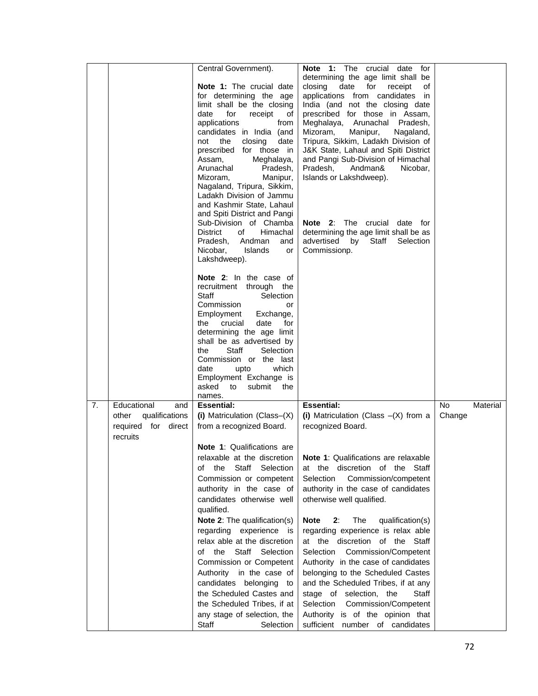|    |                                                                                  | Central Government).<br>Note 1: The crucial date<br>for determining the age<br>limit shall be the closing<br>for<br>date<br>receipt<br>οf<br>applications<br>from<br>candidates in India (and<br>the<br>closing<br>not<br>date<br>prescribed for those in<br>Assam,<br>Meghalaya,<br>Arunachal<br>Pradesh,<br>Manipur,<br>Mizoram,<br>Nagaland, Tripura, Sikkim,<br>Ladakh Division of Jammu<br>and Kashmir State, Lahaul<br>and Spiti District and Pangi<br>Sub-Division of Chamba<br><b>District</b><br>of<br>Himachal<br>Andman<br>Pradesh,<br>and<br>Nicobar,<br><b>Islands</b><br>or<br>Lakshdweep).<br><b>Note 2:</b> In the case of<br>recruitment through the<br>Staff<br>Selection<br>Commission<br>or<br>Employment<br>Exchange,<br>crucial<br>for<br>the<br>date<br>determining the age limit<br>shall be as advertised by<br>Staff<br>Selection<br>the<br>Commission or the last<br>which<br>date<br>upto<br>Employment Exchange is<br>asked<br>to<br>submit<br>the<br>names. | Note 1: The<br>crucial date<br>for<br>determining the age limit shall be<br>closing<br>date<br>for<br>of<br>receipt<br>applications from candidates in<br>India (and not the closing date<br>prescribed for those in Assam,<br>Meghalaya, Arunachal Pradesh,<br>Manipur,<br>Mizoram,<br>Nagaland,<br>Tripura, Sikkim, Ladakh Division of<br>J&K State, Lahaul and Spiti District<br>and Pangi Sub-Division of Himachal<br>Pradesh,<br>Andman&<br>Nicobar,<br>Islands or Lakshdweep).<br>Note 2: The crucial date for<br>determining the age limit shall be as<br>advertised<br>Staff<br>Selection<br>by<br>Commissionp.                                                                                |              |          |
|----|----------------------------------------------------------------------------------|-------------------------------------------------------------------------------------------------------------------------------------------------------------------------------------------------------------------------------------------------------------------------------------------------------------------------------------------------------------------------------------------------------------------------------------------------------------------------------------------------------------------------------------------------------------------------------------------------------------------------------------------------------------------------------------------------------------------------------------------------------------------------------------------------------------------------------------------------------------------------------------------------------------------------------------------------------------------------------------------|--------------------------------------------------------------------------------------------------------------------------------------------------------------------------------------------------------------------------------------------------------------------------------------------------------------------------------------------------------------------------------------------------------------------------------------------------------------------------------------------------------------------------------------------------------------------------------------------------------------------------------------------------------------------------------------------------------|--------------|----------|
| 7. | Educational<br>and<br>qualifications<br>other<br>required for direct<br>recruits | <b>Essential:</b><br>(i) Matriculation (Class-(X)<br>from a recognized Board.<br><b>Note 1: Qualifications are</b><br>relaxable at the discretion<br>Staff<br>Selection<br>the<br>οf<br>Commission or competent<br>authority in the case of<br>candidates otherwise well<br>qualified.<br><b>Note 2:</b> The qualification(s)<br>regarding experience is<br>relax able at the discretion<br>Staff Selection<br>of the<br>Commission or Competent<br>Authority in the case of<br>candidates belonging to<br>the Scheduled Castes and<br>the Scheduled Tribes, if at<br>any stage of selection, the<br>Staff<br>Selection                                                                                                                                                                                                                                                                                                                                                                   | <b>Essential:</b><br>(i) Matriculation (Class $-(X)$ from a<br>recognized Board.<br>Note 1: Qualifications are relaxable<br>at the discretion of the<br>Staff<br>Commission/competent<br>Selection<br>authority in the case of candidates<br>otherwise well qualified.<br><b>Note</b><br>The<br>qualification(s)<br>2:<br>regarding experience is relax able<br>at the discretion of the Staff<br>Commission/Competent<br>Selection<br>Authority in the case of candidates<br>belonging to the Scheduled Castes<br>and the Scheduled Tribes, if at any<br>stage of selection, the<br>Staff<br>Selection<br>Commission/Competent<br>Authority is of the opinion that<br>sufficient number of candidates | No<br>Change | Material |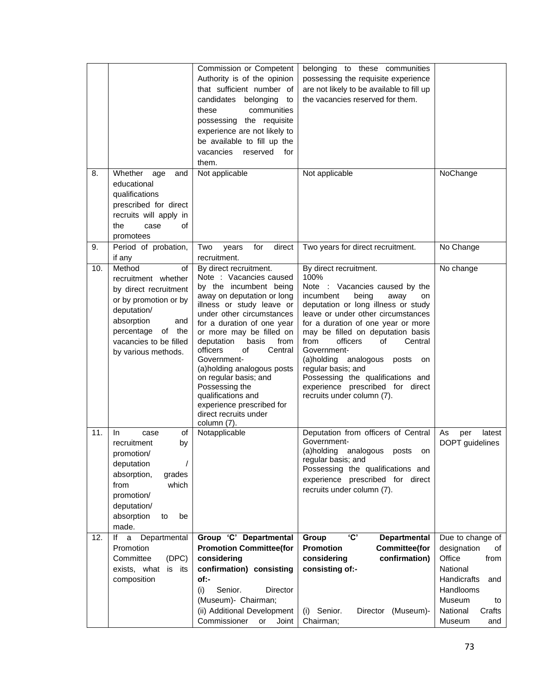|     |                                                                                                                                                                                                    | Commission or Competent<br>Authority is of the opinion<br>that sufficient number of<br>candidates<br>belonging<br>to<br>communities<br>these<br>possessing the requisite<br>experience are not likely to<br>be available to fill up the<br>vacancies<br>reserved<br>for<br>them.                                                                                                                                                                                             | belonging to these communities<br>possessing the requisite experience<br>are not likely to be available to fill up<br>the vacancies reserved for them.                                                                                                                                                                                                                                                                                                                                  |                                                                                                                                                               |
|-----|----------------------------------------------------------------------------------------------------------------------------------------------------------------------------------------------------|------------------------------------------------------------------------------------------------------------------------------------------------------------------------------------------------------------------------------------------------------------------------------------------------------------------------------------------------------------------------------------------------------------------------------------------------------------------------------|-----------------------------------------------------------------------------------------------------------------------------------------------------------------------------------------------------------------------------------------------------------------------------------------------------------------------------------------------------------------------------------------------------------------------------------------------------------------------------------------|---------------------------------------------------------------------------------------------------------------------------------------------------------------|
| 8.  | Whether<br>age<br>and<br>educational<br>qualifications<br>prescribed for direct<br>recruits will apply in<br>the<br>of<br>case<br>promotees                                                        | Not applicable                                                                                                                                                                                                                                                                                                                                                                                                                                                               | Not applicable                                                                                                                                                                                                                                                                                                                                                                                                                                                                          | NoChange                                                                                                                                                      |
| 9.  | Period of probation,<br>if any                                                                                                                                                                     | for<br>direct<br>Two<br>years<br>recruitment.                                                                                                                                                                                                                                                                                                                                                                                                                                | Two years for direct recruitment.                                                                                                                                                                                                                                                                                                                                                                                                                                                       | No Change                                                                                                                                                     |
| 10. | Method<br>of<br>recruitment whether<br>by direct recruitment<br>or by promotion or by<br>deputation/<br>absorption<br>and<br>percentage<br>of the<br>vacancies to be filled<br>by various methods. | By direct recruitment.<br>Note : Vacancies caused<br>by the incumbent being<br>away on deputation or long<br>illness or study leave or<br>under other circumstances<br>for a duration of one year<br>or more may be filled on<br>deputation<br>basis<br>from<br>officers<br>of<br>Central<br>Government-<br>(a)holding analogous posts<br>on regular basis; and<br>Possessing the<br>qualifications and<br>experience prescribed for<br>direct recruits under<br>column (7). | By direct recruitment.<br>100%<br>Note : Vacancies caused by the<br>incumbent<br>being<br>away<br>on<br>deputation or long illness or study<br>leave or under other circumstances<br>for a duration of one year or more<br>may be filled on deputation basis<br>from<br>officers<br>of<br>Central<br>Government-<br>analogous<br>(a)holding<br>posts<br>on<br>regular basis; and<br>Possessing the qualifications and<br>experience prescribed for direct<br>recruits under column (7). | No change                                                                                                                                                     |
| 11. | of<br>In.<br>case<br>recruitment<br>by<br>promotion/<br>deputation<br>absorption,<br>grades<br>which<br>from<br>promotion/<br>deputation/<br>absorption<br>be<br>to<br>made.                       | Notapplicable                                                                                                                                                                                                                                                                                                                                                                                                                                                                | Deputation from officers of Central<br>Government-<br>analogous<br>(a)holding<br>posts<br>on<br>regular basis; and<br>Possessing the qualifications and<br>experience prescribed for direct<br>recruits under column (7).                                                                                                                                                                                                                                                               | As<br>latest<br>per<br>DOPT guidelines                                                                                                                        |
| 12. | lf<br>Departmental<br>a<br>Promotion<br>Committee<br>(DPC)<br>exists, what<br>is its<br>composition                                                                                                | Group 'C' Departmental<br><b>Promotion Committee(for</b><br>considering<br>confirmation) consisting<br>of:-<br>Senior.<br>(i)<br>Director<br>(Museum)- Chairman;<br>(ii) Additional Development<br>Commissioner<br>or<br>Joint                                                                                                                                                                                                                                               | 'C'<br>Group<br><b>Departmental</b><br><b>Promotion</b><br><b>Committee(for</b><br>confirmation)<br>considering<br>consisting of:-<br>Senior.<br>(Museum)-<br>Director<br>(i)<br>Chairman;                                                                                                                                                                                                                                                                                              | Due to change of<br>designation<br>of<br>Office<br>from<br>National<br>Handicrafts<br>and<br>Handlooms<br>Museum<br>to<br>National<br>Crafts<br>Museum<br>and |